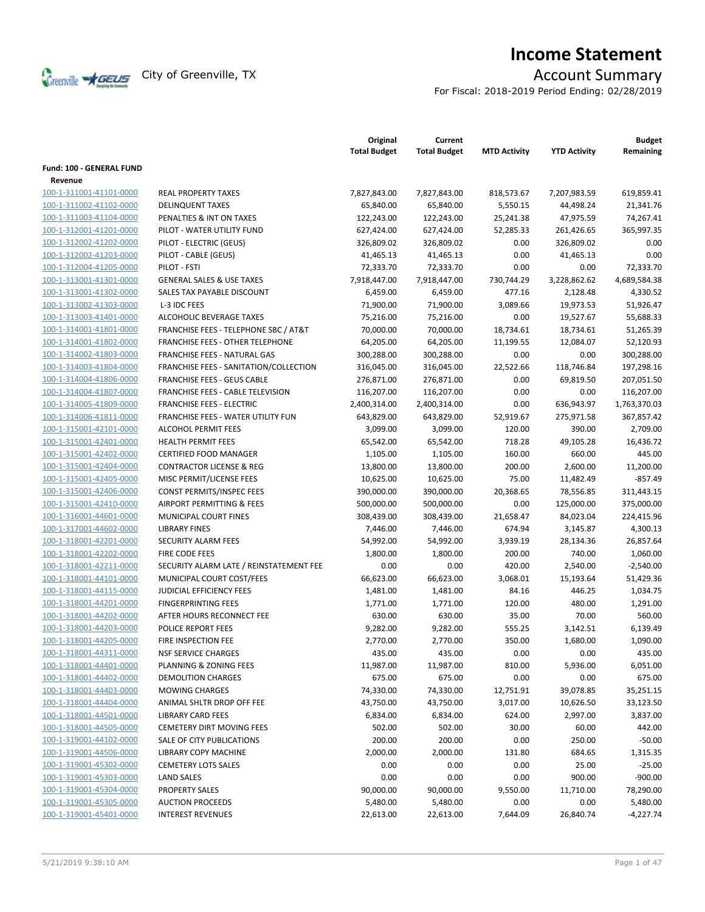

# **Income Statement**

For Fiscal: 2018-2019 Period Ending: 02/28/2019

|                          |                                           | Original<br><b>Total Budget</b> | Current<br><b>Total Budget</b> | <b>MTD Activity</b> | <b>YTD Activity</b> | <b>Budget</b><br>Remaining |
|--------------------------|-------------------------------------------|---------------------------------|--------------------------------|---------------------|---------------------|----------------------------|
| Fund: 100 - GENERAL FUND |                                           |                                 |                                |                     |                     |                            |
| Revenue                  |                                           |                                 |                                |                     |                     |                            |
| 100-1-311001-41101-0000  | <b>REAL PROPERTY TAXES</b>                | 7,827,843.00                    | 7,827,843.00                   | 818,573.67          | 7,207,983.59        | 619,859.41                 |
| 100-1-311002-41102-0000  | <b>DELINQUENT TAXES</b>                   | 65,840.00                       | 65,840.00                      | 5,550.15            | 44,498.24           | 21,341.76                  |
| 100-1-311003-41104-0000  | PENALTIES & INT ON TAXES                  | 122,243.00                      | 122,243.00                     | 25,241.38           | 47,975.59           | 74,267.41                  |
| 100-1-312001-41201-0000  | PILOT - WATER UTILITY FUND                | 627,424.00                      | 627,424.00                     | 52,285.33           | 261,426.65          | 365,997.35                 |
| 100-1-312002-41202-0000  | PILOT - ELECTRIC (GEUS)                   | 326,809.02                      | 326,809.02                     | 0.00                | 326,809.02          | 0.00                       |
| 100-1-312002-41203-0000  | PILOT - CABLE (GEUS)                      | 41,465.13                       | 41,465.13                      | 0.00                | 41,465.13           | 0.00                       |
| 100-1-312004-41205-0000  | PILOT - FSTI                              | 72,333.70                       | 72,333.70                      | 0.00                | 0.00                | 72,333.70                  |
| 100-1-313001-41301-0000  | <b>GENERAL SALES &amp; USE TAXES</b>      | 7,918,447.00                    | 7,918,447.00                   | 730,744.29          | 3,228,862.62        | 4,689,584.38               |
| 100-1-313001-41302-0000  | SALES TAX PAYABLE DISCOUNT                | 6,459.00                        | 6,459.00                       | 477.16              | 2,128.48            | 4,330.52                   |
| 100-1-313002-41303-0000  | L-3 IDC FEES                              | 71,900.00                       | 71,900.00                      | 3,089.66            | 19,973.53           | 51,926.47                  |
| 100-1-313003-41401-0000  | ALCOHOLIC BEVERAGE TAXES                  | 75,216.00                       | 75,216.00                      | 0.00                | 19,527.67           | 55,688.33                  |
| 100-1-314001-41801-0000  | FRANCHISE FEES - TELEPHONE SBC / AT&T     | 70,000.00                       | 70,000.00                      | 18,734.61           | 18,734.61           | 51,265.39                  |
| 100-1-314001-41802-0000  | <b>FRANCHISE FEES - OTHER TELEPHONE</b>   | 64,205.00                       | 64,205.00                      | 11,199.55           | 12,084.07           | 52,120.93                  |
| 100-1-314002-41803-0000  | FRANCHISE FEES - NATURAL GAS              | 300,288.00                      | 300,288.00                     | 0.00                | 0.00                | 300,288.00                 |
| 100-1-314003-41804-0000  | FRANCHISE FEES - SANITATION/COLLECTION    | 316,045.00                      | 316,045.00                     | 22,522.66           | 118,746.84          | 197,298.16                 |
| 100-1-314004-41806-0000  | <b>FRANCHISE FEES - GEUS CABLE</b>        | 276,871.00                      | 276,871.00                     | 0.00                | 69,819.50           | 207,051.50                 |
| 100-1-314004-41807-0000  | <b>FRANCHISE FEES - CABLE TELEVISION</b>  | 116,207.00                      | 116,207.00                     | 0.00                | 0.00                | 116,207.00                 |
| 100-1-314005-41809-0000  | <b>FRANCHISE FEES - ELECTRIC</b>          | 2,400,314.00                    | 2,400,314.00                   | 0.00                | 636,943.97          | 1,763,370.03               |
| 100-1-314006-41811-0000  | <b>FRANCHISE FEES - WATER UTILITY FUN</b> | 643,829.00                      | 643,829.00                     | 52,919.67           | 275,971.58          | 367,857.42                 |
| 100-1-315001-42101-0000  | <b>ALCOHOL PERMIT FEES</b>                | 3,099.00                        | 3,099.00                       | 120.00              | 390.00              | 2,709.00                   |
| 100-1-315001-42401-0000  | <b>HEALTH PERMIT FEES</b>                 | 65,542.00                       | 65,542.00                      | 718.28              | 49,105.28           | 16,436.72                  |
| 100-1-315001-42402-0000  | <b>CERTIFIED FOOD MANAGER</b>             | 1,105.00                        | 1,105.00                       | 160.00              | 660.00              | 445.00                     |
| 100-1-315001-42404-0000  | <b>CONTRACTOR LICENSE &amp; REG</b>       | 13,800.00                       | 13,800.00                      | 200.00              | 2,600.00            | 11,200.00                  |
| 100-1-315001-42405-0000  | MISC PERMIT/LICENSE FEES                  | 10,625.00                       | 10,625.00                      | 75.00               | 11,482.49           | $-857.49$                  |
| 100-1-315001-42406-0000  | CONST PERMITS/INSPEC FEES                 | 390,000.00                      | 390,000.00                     | 20,368.65           | 78,556.85           | 311,443.15                 |
| 100-1-315001-42410-0000  | AIRPORT PERMITTING & FEES                 | 500,000.00                      | 500,000.00                     | 0.00                | 125,000.00          | 375,000.00                 |
| 100-1-316001-44601-0000  | MUNICIPAL COURT FINES                     | 308,439.00                      | 308,439.00                     | 21,658.47           | 84,023.04           | 224,415.96                 |
| 100-1-317001-44602-0000  | <b>LIBRARY FINES</b>                      | 7,446.00                        | 7,446.00                       | 674.94              | 3,145.87            | 4,300.13                   |
| 100-1-318001-42201-0000  | <b>SECURITY ALARM FEES</b>                | 54,992.00                       | 54,992.00                      | 3,939.19            | 28,134.36           | 26,857.64                  |
| 100-1-318001-42202-0000  | FIRE CODE FEES                            | 1,800.00                        | 1,800.00                       | 200.00              | 740.00              | 1,060.00                   |
| 100-1-318001-42211-0000  | SECURITY ALARM LATE / REINSTATEMENT FEE   | 0.00                            | 0.00                           | 420.00              | 2,540.00            | $-2,540.00$                |
| 100-1-318001-44101-0000  | MUNICIPAL COURT COST/FEES                 | 66,623.00                       | 66,623.00                      | 3,068.01            | 15,193.64           | 51,429.36                  |
| 100-1-318001-44115-0000  | <b>JUDICIAL EFFICIENCY FEES</b>           | 1,481.00                        | 1,481.00                       | 84.16               | 446.25              | 1,034.75                   |
| 100-1-318001-44201-0000  | <b>FINGERPRINTING FEES</b>                | 1,771.00                        | 1,771.00                       | 120.00              | 480.00              | 1,291.00                   |
| 100-1-318001-44202-0000  | AFTER HOURS RECONNECT FEE                 | 630.00                          | 630.00                         | 35.00               | 70.00               | 560.00                     |
| 100-1-318001-44203-0000  | POLICE REPORT FEES                        | 9,282.00                        | 9,282.00                       | 555.25              | 3,142.51            | 6,139.49                   |
| 100-1-318001-44205-0000  | FIRE INSPECTION FEE                       | 2,770.00                        | 2,770.00                       | 350.00              | 1,680.00            | 1,090.00                   |
| 100-1-318001-44311-0000  | <b>NSF SERVICE CHARGES</b>                | 435.00                          | 435.00                         | 0.00                | 0.00                | 435.00                     |
| 100-1-318001-44401-0000  | <b>PLANNING &amp; ZONING FEES</b>         | 11,987.00                       | 11,987.00                      | 810.00              | 5,936.00            | 6,051.00                   |
| 100-1-318001-44402-0000  | <b>DEMOLITION CHARGES</b>                 | 675.00                          | 675.00                         | 0.00                | 0.00                | 675.00                     |
| 100-1-318001-44403-0000  | <b>MOWING CHARGES</b>                     | 74,330.00                       | 74,330.00                      | 12,751.91           | 39,078.85           | 35,251.15                  |
| 100-1-318001-44404-0000  | ANIMAL SHLTR DROP OFF FEE                 | 43,750.00                       | 43,750.00                      | 3,017.00            | 10,626.50           | 33,123.50                  |
| 100-1-318001-44501-0000  | <b>LIBRARY CARD FEES</b>                  | 6,834.00                        | 6,834.00                       | 624.00              | 2,997.00            | 3,837.00                   |
| 100-1-318001-44505-0000  | <b>CEMETERY DIRT MOVING FEES</b>          | 502.00                          | 502.00                         | 30.00               | 60.00               | 442.00                     |
| 100-1-319001-44102-0000  | SALE OF CITY PUBLICATIONS                 | 200.00                          | 200.00                         | 0.00                | 250.00              | $-50.00$                   |
| 100-1-319001-44506-0000  | <b>LIBRARY COPY MACHINE</b>               | 2,000.00                        | 2,000.00                       | 131.80              | 684.65              | 1,315.35                   |
| 100-1-319001-45302-0000  | <b>CEMETERY LOTS SALES</b>                | 0.00                            | 0.00                           | 0.00                | 25.00               | $-25.00$                   |
| 100-1-319001-45303-0000  | <b>LAND SALES</b>                         | 0.00                            | 0.00                           | 0.00                | 900.00              | $-900.00$                  |
| 100-1-319001-45304-0000  | PROPERTY SALES                            | 90,000.00                       | 90,000.00                      | 9,550.00            | 11,710.00           | 78,290.00                  |
| 100-1-319001-45305-0000  | <b>AUCTION PROCEEDS</b>                   | 5,480.00                        | 5,480.00                       | 0.00                | 0.00                | 5,480.00                   |
| 100-1-319001-45401-0000  | <b>INTEREST REVENUES</b>                  | 22,613.00                       | 22,613.00                      | 7,644.09            | 26,840.74           | $-4,227.74$                |
|                          |                                           |                                 |                                |                     |                     |                            |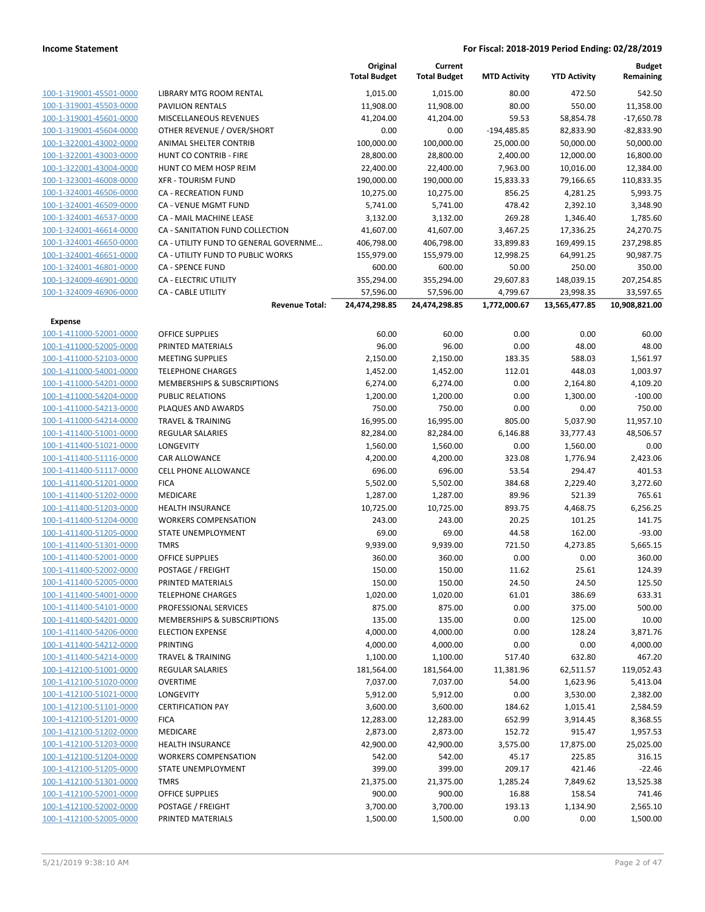|                                                    |                                            | Original<br><b>Total Budget</b> | Current<br><b>Total Budget</b> | <b>MTD Activity</b> | <b>YTD Activity</b> | <b>Budget</b><br>Remaining |
|----------------------------------------------------|--------------------------------------------|---------------------------------|--------------------------------|---------------------|---------------------|----------------------------|
| 100-1-319001-45501-0000                            | <b>LIBRARY MTG ROOM RENTAL</b>             | 1,015.00                        | 1,015.00                       | 80.00               | 472.50              | 542.50                     |
| 100-1-319001-45503-0000                            | <b>PAVILION RENTALS</b>                    | 11,908.00                       | 11,908.00                      | 80.00               | 550.00              | 11,358.00                  |
| 100-1-319001-45601-0000                            | <b>MISCELLANEOUS REVENUES</b>              | 41,204.00                       | 41,204.00                      | 59.53               | 58,854.78           | $-17,650.78$               |
| 100-1-319001-45604-0000                            | OTHER REVENUE / OVER/SHORT                 | 0.00                            | 0.00                           | $-194,485.85$       | 82,833.90           | $-82,833.90$               |
| 100-1-322001-43002-0000                            | ANIMAL SHELTER CONTRIB                     | 100,000.00                      | 100,000.00                     | 25,000.00           | 50,000.00           | 50,000.00                  |
| 100-1-322001-43003-0000                            | HUNT CO CONTRIB - FIRE                     | 28,800.00                       | 28,800.00                      | 2,400.00            | 12,000.00           | 16,800.00                  |
| 100-1-322001-43004-0000                            | HUNT CO MEM HOSP REIM                      | 22,400.00                       | 22,400.00                      | 7,963.00            | 10,016.00           | 12,384.00                  |
| 100-1-323001-46008-0000                            | <b>XFR - TOURISM FUND</b>                  | 190,000.00                      | 190,000.00                     | 15,833.33           | 79,166.65           | 110,833.35                 |
| 100-1-324001-46506-0000                            | <b>CA - RECREATION FUND</b>                | 10,275.00                       | 10,275.00                      | 856.25              | 4,281.25            | 5,993.75                   |
| 100-1-324001-46509-0000                            | <b>CA - VENUE MGMT FUND</b>                | 5,741.00                        | 5,741.00                       | 478.42              | 2,392.10            | 3,348.90                   |
| 100-1-324001-46537-0000                            | CA - MAIL MACHINE LEASE                    | 3,132.00                        | 3,132.00                       | 269.28              | 1,346.40            | 1,785.60                   |
| 100-1-324001-46614-0000                            | CA - SANITATION FUND COLLECTION            | 41,607.00                       | 41,607.00                      | 3,467.25            | 17,336.25           | 24,270.75                  |
| 100-1-324001-46650-0000                            | CA - UTILITY FUND TO GENERAL GOVERNME      | 406,798.00                      | 406,798.00                     | 33,899.83           | 169,499.15          | 237,298.85                 |
| 100-1-324001-46651-0000                            | CA - UTILITY FUND TO PUBLIC WORKS          | 155,979.00                      | 155,979.00                     | 12,998.25           | 64,991.25           | 90,987.75                  |
| 100-1-324001-46801-0000                            | CA - SPENCE FUND                           | 600.00                          | 600.00                         | 50.00               | 250.00              | 350.00                     |
| 100-1-324009-46901-0000                            | CA - ELECTRIC UTILITY                      | 355,294.00                      | 355,294.00                     | 29,607.83           | 148,039.15          | 207,254.85                 |
| 100-1-324009-46906-0000                            | <b>CA - CABLE UTILITY</b>                  | 57,596.00                       | 57,596.00                      | 4,799.67            | 23,998.35           | 33,597.65                  |
|                                                    | <b>Revenue Total:</b>                      | 24,474,298.85                   | 24,474,298.85                  | 1,772,000.67        | 13,565,477.85       | 10,908,821.00              |
| <b>Expense</b>                                     |                                            |                                 |                                |                     |                     |                            |
| 100-1-411000-52001-0000                            | <b>OFFICE SUPPLIES</b>                     | 60.00                           | 60.00                          | 0.00                | 0.00                | 60.00                      |
| 100-1-411000-52005-0000                            | PRINTED MATERIALS                          | 96.00                           | 96.00                          | 0.00                | 48.00               | 48.00                      |
| 100-1-411000-52103-0000                            | <b>MEETING SUPPLIES</b>                    | 2,150.00                        | 2,150.00                       | 183.35              | 588.03              | 1,561.97                   |
| 100-1-411000-54001-0000                            | <b>TELEPHONE CHARGES</b>                   | 1,452.00                        | 1,452.00                       | 112.01              | 448.03              | 1,003.97                   |
| 100-1-411000-54201-0000                            | MEMBERSHIPS & SUBSCRIPTIONS                | 6,274.00                        | 6,274.00                       | 0.00                | 2,164.80            | 4,109.20                   |
| 100-1-411000-54204-0000                            | <b>PUBLIC RELATIONS</b>                    | 1,200.00                        | 1,200.00                       | 0.00                | 1,300.00            | $-100.00$                  |
| 100-1-411000-54213-0000                            | PLAQUES AND AWARDS                         | 750.00                          | 750.00                         | 0.00                | 0.00                | 750.00                     |
| 100-1-411000-54214-0000                            | <b>TRAVEL &amp; TRAINING</b>               | 16,995.00                       | 16,995.00                      | 805.00              | 5,037.90            | 11,957.10                  |
| 100-1-411400-51001-0000                            | REGULAR SALARIES                           | 82,284.00                       | 82,284.00                      | 6,146.88            | 33,777.43           | 48,506.57                  |
| 100-1-411400-51021-0000                            | LONGEVITY                                  | 1,560.00                        | 1,560.00                       | 0.00                | 1,560.00            | 0.00                       |
| 100-1-411400-51116-0000                            | CAR ALLOWANCE                              | 4,200.00                        | 4,200.00                       | 323.08              | 1,776.94            | 2,423.06                   |
| 100-1-411400-51117-0000<br>100-1-411400-51201-0000 | <b>CELL PHONE ALLOWANCE</b><br><b>FICA</b> | 696.00                          | 696.00                         | 53.54<br>384.68     | 294.47              | 401.53                     |
| 100-1-411400-51202-0000                            | MEDICARE                                   | 5,502.00                        | 5,502.00<br>1,287.00           | 89.96               | 2,229.40<br>521.39  | 3,272.60<br>765.61         |
| 100-1-411400-51203-0000                            | <b>HEALTH INSURANCE</b>                    | 1,287.00<br>10,725.00           | 10,725.00                      | 893.75              | 4,468.75            | 6,256.25                   |
| 100-1-411400-51204-0000                            | <b>WORKERS COMPENSATION</b>                | 243.00                          | 243.00                         | 20.25               | 101.25              | 141.75                     |
| 100-1-411400-51205-0000                            | STATE UNEMPLOYMENT                         | 69.00                           | 69.00                          | 44.58               | 162.00              | $-93.00$                   |
| 100-1-411400-51301-0000                            | <b>TMRS</b>                                | 9,939.00                        | 9,939.00                       | 721.50              | 4,273.85            | 5,665.15                   |
| 100-1-411400-52001-0000                            | <b>OFFICE SUPPLIES</b>                     | 360.00                          | 360.00                         | 0.00                | 0.00                | 360.00                     |
| 100-1-411400-52002-0000                            | POSTAGE / FREIGHT                          | 150.00                          | 150.00                         | 11.62               | 25.61               | 124.39                     |
| 100-1-411400-52005-0000                            | PRINTED MATERIALS                          | 150.00                          | 150.00                         | 24.50               | 24.50               | 125.50                     |
| 100-1-411400-54001-0000                            | <b>TELEPHONE CHARGES</b>                   | 1,020.00                        | 1,020.00                       | 61.01               | 386.69              | 633.31                     |
| 100-1-411400-54101-0000                            | PROFESSIONAL SERVICES                      | 875.00                          | 875.00                         | 0.00                | 375.00              | 500.00                     |
| 100-1-411400-54201-0000                            | <b>MEMBERSHIPS &amp; SUBSCRIPTIONS</b>     | 135.00                          | 135.00                         | 0.00                | 125.00              | 10.00                      |
| 100-1-411400-54206-0000                            | <b>ELECTION EXPENSE</b>                    | 4,000.00                        | 4,000.00                       | 0.00                | 128.24              | 3,871.76                   |
| 100-1-411400-54212-0000                            | <b>PRINTING</b>                            | 4,000.00                        | 4,000.00                       | 0.00                | 0.00                | 4,000.00                   |
| 100-1-411400-54214-0000                            | <b>TRAVEL &amp; TRAINING</b>               | 1,100.00                        | 1,100.00                       | 517.40              | 632.80              | 467.20                     |
| 100-1-412100-51001-0000                            | <b>REGULAR SALARIES</b>                    | 181,564.00                      | 181,564.00                     | 11,381.96           | 62,511.57           | 119,052.43                 |
| 100-1-412100-51020-0000                            | <b>OVERTIME</b>                            | 7,037.00                        | 7,037.00                       | 54.00               | 1,623.96            | 5,413.04                   |
| 100-1-412100-51021-0000                            | LONGEVITY                                  | 5,912.00                        | 5,912.00                       | 0.00                | 3,530.00            | 2,382.00                   |
| 100-1-412100-51101-0000                            | <b>CERTIFICATION PAY</b>                   | 3,600.00                        | 3,600.00                       | 184.62              | 1,015.41            | 2,584.59                   |
| 100-1-412100-51201-0000                            | <b>FICA</b>                                | 12,283.00                       | 12,283.00                      | 652.99              | 3,914.45            | 8,368.55                   |
| 100-1-412100-51202-0000                            | MEDICARE                                   | 2,873.00                        | 2,873.00                       | 152.72              | 915.47              | 1,957.53                   |
| 100-1-412100-51203-0000                            | <b>HEALTH INSURANCE</b>                    | 42,900.00                       | 42,900.00                      | 3,575.00            | 17,875.00           | 25,025.00                  |
| 100-1-412100-51204-0000                            | <b>WORKERS COMPENSATION</b>                | 542.00                          | 542.00                         | 45.17               | 225.85              | 316.15                     |
| 100-1-412100-51205-0000                            | STATE UNEMPLOYMENT                         | 399.00                          | 399.00                         | 209.17              | 421.46              | $-22.46$                   |
| 100-1-412100-51301-0000                            | <b>TMRS</b>                                | 21,375.00                       | 21,375.00                      | 1,285.24            | 7,849.62            | 13,525.38                  |
| 100-1-412100-52001-0000                            | <b>OFFICE SUPPLIES</b>                     | 900.00                          | 900.00                         | 16.88               | 158.54              | 741.46                     |
| 100-1-412100-52002-0000                            | POSTAGE / FREIGHT                          | 3,700.00                        | 3,700.00                       | 193.13              | 1,134.90            | 2,565.10                   |
| 100-1-412100-52005-0000                            | PRINTED MATERIALS                          | 1,500.00                        | 1,500.00                       | 0.00                | 0.00                | 1,500.00                   |
|                                                    |                                            |                                 |                                |                     |                     |                            |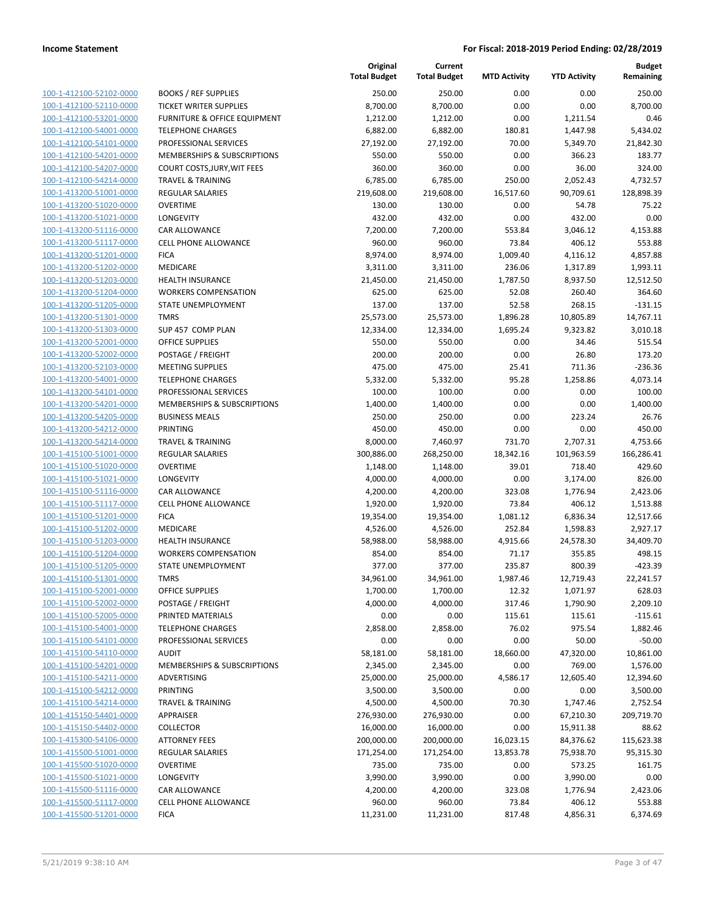|                         |                               | Original<br><b>Total Budget</b> | Current<br><b>Total Budget</b> | <b>MTD Activity</b> | <b>YTD Activity</b> | <b>Budget</b><br>Remaining |
|-------------------------|-------------------------------|---------------------------------|--------------------------------|---------------------|---------------------|----------------------------|
| 100-1-412100-52102-0000 | <b>BOOKS / REF SUPPLIES</b>   | 250.00                          | 250.00                         | 0.00                | 0.00                | 250.00                     |
| 100-1-412100-52110-0000 | <b>TICKET WRITER SUPPLIES</b> | 8,700.00                        | 8,700.00                       | 0.00                | 0.00                | 8,700.00                   |
| 100-1-412100-53201-0000 | FURNITURE & OFFICE EQUIPMENT  | 1,212.00                        | 1,212.00                       | 0.00                | 1,211.54            | 0.46                       |
| 100-1-412100-54001-0000 | <b>TELEPHONE CHARGES</b>      | 6,882.00                        | 6,882.00                       | 180.81              | 1,447.98            | 5,434.02                   |
| 100-1-412100-54101-0000 | PROFESSIONAL SERVICES         | 27,192.00                       | 27,192.00                      | 70.00               | 5,349.70            | 21,842.30                  |
| 100-1-412100-54201-0000 | MEMBERSHIPS & SUBSCRIPTIONS   | 550.00                          | 550.00                         | 0.00                | 366.23              | 183.77                     |
| 100-1-412100-54207-0000 | COURT COSTS, JURY, WIT FEES   | 360.00                          | 360.00                         | 0.00                | 36.00               | 324.00                     |
| 100-1-412100-54214-0000 | <b>TRAVEL &amp; TRAINING</b>  | 6,785.00                        | 6,785.00                       | 250.00              | 2,052.43            | 4,732.57                   |
| 100-1-413200-51001-0000 | <b>REGULAR SALARIES</b>       | 219,608.00                      | 219,608.00                     | 16,517.60           | 90,709.61           | 128,898.39                 |
| 100-1-413200-51020-0000 | <b>OVERTIME</b>               | 130.00                          | 130.00                         | 0.00                | 54.78               | 75.22                      |
| 100-1-413200-51021-0000 | <b>LONGEVITY</b>              | 432.00                          | 432.00                         | 0.00                | 432.00              | 0.00                       |
| 100-1-413200-51116-0000 | CAR ALLOWANCE                 | 7,200.00                        | 7,200.00                       | 553.84              | 3,046.12            | 4,153.88                   |
| 100-1-413200-51117-0000 | CELL PHONE ALLOWANCE          | 960.00                          | 960.00                         | 73.84               | 406.12              | 553.88                     |
| 100-1-413200-51201-0000 | <b>FICA</b>                   | 8,974.00                        | 8,974.00                       | 1,009.40            | 4,116.12            | 4,857.88                   |
| 100-1-413200-51202-0000 | MEDICARE                      | 3,311.00                        | 3,311.00                       | 236.06              | 1,317.89            | 1,993.11                   |
| 100-1-413200-51203-0000 | <b>HEALTH INSURANCE</b>       | 21,450.00                       | 21,450.00                      | 1,787.50            | 8,937.50            | 12,512.50                  |
| 100-1-413200-51204-0000 | <b>WORKERS COMPENSATION</b>   | 625.00                          | 625.00                         | 52.08               | 260.40              | 364.60                     |
| 100-1-413200-51205-0000 | STATE UNEMPLOYMENT            | 137.00                          | 137.00                         | 52.58               | 268.15              | $-131.15$                  |
| 100-1-413200-51301-0000 | <b>TMRS</b>                   | 25,573.00                       | 25,573.00                      | 1,896.28            | 10,805.89           | 14,767.11                  |
| 100-1-413200-51303-0000 | SUP 457 COMP PLAN             | 12,334.00                       | 12,334.00                      | 1,695.24            | 9,323.82            | 3,010.18                   |
| 100-1-413200-52001-0000 | <b>OFFICE SUPPLIES</b>        | 550.00                          | 550.00                         | 0.00                | 34.46               | 515.54                     |
| 100-1-413200-52002-0000 | POSTAGE / FREIGHT             | 200.00                          | 200.00                         | 0.00                | 26.80               | 173.20                     |
| 100-1-413200-52103-0000 | <b>MEETING SUPPLIES</b>       | 475.00                          | 475.00                         | 25.41               | 711.36              | $-236.36$                  |
| 100-1-413200-54001-0000 | <b>TELEPHONE CHARGES</b>      | 5,332.00                        | 5,332.00                       | 95.28               | 1,258.86            | 4,073.14                   |
| 100-1-413200-54101-0000 | PROFESSIONAL SERVICES         | 100.00                          | 100.00                         | 0.00                | 0.00                | 100.00                     |
| 100-1-413200-54201-0000 | MEMBERSHIPS & SUBSCRIPTIONS   | 1,400.00                        | 1,400.00                       | 0.00                | 0.00                | 1,400.00                   |
| 100-1-413200-54205-0000 | <b>BUSINESS MEALS</b>         | 250.00                          | 250.00                         | 0.00                | 223.24              | 26.76                      |
| 100-1-413200-54212-0000 | <b>PRINTING</b>               | 450.00                          | 450.00                         | 0.00                | 0.00                | 450.00                     |
| 100-1-413200-54214-0000 | <b>TRAVEL &amp; TRAINING</b>  | 8,000.00                        | 7,460.97                       | 731.70              | 2,707.31            | 4,753.66                   |
| 100-1-415100-51001-0000 | <b>REGULAR SALARIES</b>       | 300,886.00                      | 268,250.00                     | 18,342.16           | 101,963.59          | 166,286.41                 |
| 100-1-415100-51020-0000 | <b>OVERTIME</b>               | 1,148.00                        | 1,148.00                       | 39.01               | 718.40              | 429.60                     |
| 100-1-415100-51021-0000 | LONGEVITY                     | 4,000.00                        | 4,000.00                       | 0.00                | 3,174.00            | 826.00                     |
| 100-1-415100-51116-0000 | CAR ALLOWANCE                 | 4,200.00                        | 4,200.00                       | 323.08              | 1,776.94            | 2,423.06                   |
| 100-1-415100-51117-0000 | CELL PHONE ALLOWANCE          | 1,920.00                        | 1,920.00                       | 73.84               | 406.12              | 1,513.88                   |
| 100-1-415100-51201-0000 | <b>FICA</b>                   | 19,354.00                       | 19,354.00                      | 1,081.12            | 6,836.34            | 12,517.66                  |
| 100-1-415100-51202-0000 | MEDICARE                      | 4,526.00                        | 4,526.00                       | 252.84              | 1,598.83            | 2,927.17                   |
| 100-1-415100-51203-0000 | <b>HEALTH INSURANCE</b>       | 58,988.00                       | 58,988.00                      | 4,915.66            | 24,578.30           | 34,409.70                  |
| 100-1-415100-51204-0000 | <b>WORKERS COMPENSATION</b>   | 854.00                          | 854.00                         | 71.17               | 355.85              | 498.15                     |
| 100-1-415100-51205-0000 | <b>STATE UNEMPLOYMENT</b>     | 377.00                          | 377.00                         | 235.87              | 800.39              | $-423.39$                  |
| 100-1-415100-51301-0000 | <b>TMRS</b>                   | 34,961.00                       | 34,961.00                      | 1,987.46            | 12,719.43           | 22,241.57                  |
| 100-1-415100-52001-0000 | OFFICE SUPPLIES               | 1,700.00                        | 1,700.00                       | 12.32               | 1,071.97            | 628.03                     |
| 100-1-415100-52002-0000 | POSTAGE / FREIGHT             | 4,000.00                        | 4,000.00                       | 317.46              | 1,790.90            | 2,209.10                   |
| 100-1-415100-52005-0000 | PRINTED MATERIALS             | 0.00                            | 0.00                           | 115.61              | 115.61              | $-115.61$                  |
| 100-1-415100-54001-0000 | <b>TELEPHONE CHARGES</b>      | 2,858.00                        | 2,858.00                       | 76.02               | 975.54              | 1,882.46                   |
| 100-1-415100-54101-0000 | PROFESSIONAL SERVICES         | 0.00                            | 0.00                           | 0.00                | 50.00               | $-50.00$                   |
| 100-1-415100-54110-0000 | <b>AUDIT</b>                  | 58,181.00                       | 58,181.00                      | 18,660.00           | 47,320.00           | 10,861.00                  |
| 100-1-415100-54201-0000 | MEMBERSHIPS & SUBSCRIPTIONS   | 2,345.00                        | 2,345.00                       | 0.00                | 769.00              | 1,576.00                   |
| 100-1-415100-54211-0000 | ADVERTISING                   | 25,000.00                       | 25,000.00                      | 4,586.17            | 12,605.40           | 12,394.60                  |
| 100-1-415100-54212-0000 | PRINTING                      | 3,500.00                        | 3,500.00                       | 0.00                | 0.00                | 3,500.00                   |
| 100-1-415100-54214-0000 | <b>TRAVEL &amp; TRAINING</b>  | 4,500.00                        | 4,500.00                       | 70.30               | 1,747.46            | 2,752.54                   |
| 100-1-415150-54401-0000 | APPRAISER                     | 276,930.00                      | 276,930.00                     | 0.00                | 67,210.30           | 209,719.70                 |
| 100-1-415150-54402-0000 | <b>COLLECTOR</b>              | 16,000.00                       | 16,000.00                      | 0.00                | 15,911.38           | 88.62                      |
| 100-1-415300-54106-0000 | <b>ATTORNEY FEES</b>          | 200,000.00                      | 200,000.00                     | 16,023.15           | 84,376.62           | 115,623.38                 |
| 100-1-415500-51001-0000 | REGULAR SALARIES              | 171,254.00                      | 171,254.00                     | 13,853.78           | 75,938.70           | 95,315.30                  |
| 100-1-415500-51020-0000 | <b>OVERTIME</b>               | 735.00                          | 735.00                         | 0.00                | 573.25              | 161.75                     |
| 100-1-415500-51021-0000 | LONGEVITY                     | 3,990.00                        | 3,990.00                       | 0.00                | 3,990.00            | 0.00                       |
| 100-1-415500-51116-0000 | CAR ALLOWANCE                 | 4,200.00                        | 4,200.00                       | 323.08              | 1,776.94            | 2,423.06                   |
| 100-1-415500-51117-0000 | <b>CELL PHONE ALLOWANCE</b>   | 960.00                          | 960.00                         | 73.84               | 406.12              | 553.88                     |
| 100-1-415500-51201-0000 | <b>FICA</b>                   | 11,231.00                       | 11,231.00                      | 817.48              | 4,856.31            | 6,374.69                   |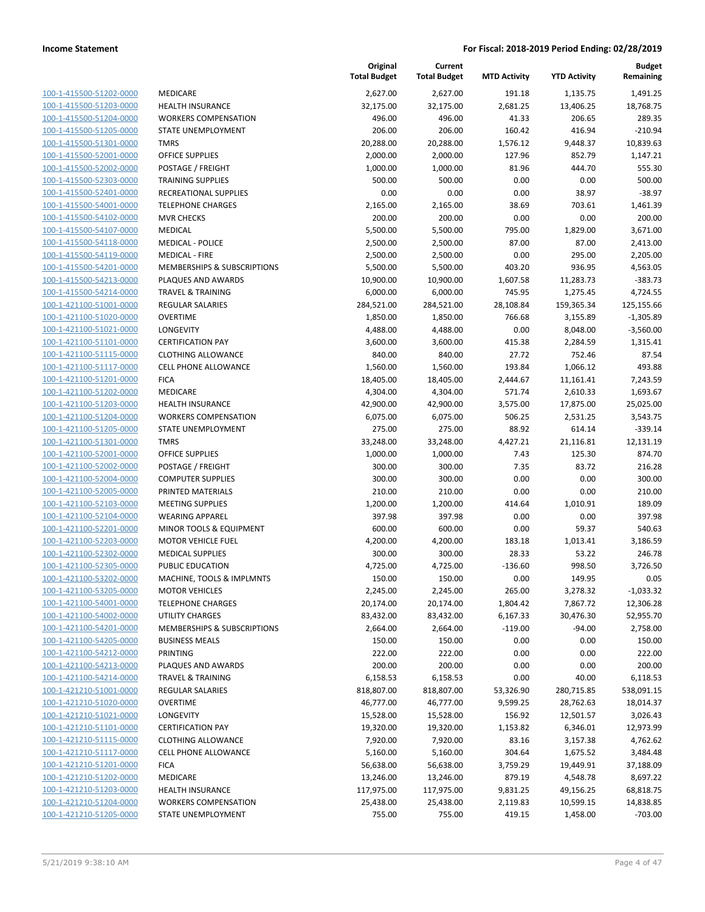| 100-1-415500-51202-0000        |
|--------------------------------|
| 100-1-415500-51203-0000        |
| 100-1-415500-51204-0000        |
| <u>100-1-415500-51205-0000</u> |
| 100-1-415500-51301-0000        |
| 100-1-415500-52001-0000        |
| 100-1-415500-52002-0000        |
| 100-1-415500-52303-0000        |
| 100-1-415500-52401-0000        |
| <u>100-1-415500-54001-0000</u> |
| 100-1-415500-54102-0000        |
|                                |
| 100-1-415500-54107-0000        |
| 100-1-415500-54118-0000        |
| 100-1-415500-54119-0000        |
| 100-1-415500-54201-0000        |
| 100-1-415500-54213-0000        |
| 100-1-415500-54214-0000        |
| 100-1-421100-51001-0000        |
| 100-1-421100-51020-0000        |
| 100-1-421100-51021-0000        |
| 100-1-421100-51101-0000        |
| 100-1-421100-51115-0000        |
| 100-1-421100-51117-0000        |
| <u>100-1-421100-51201-0000</u> |
|                                |
| <u>100-1-421100-51202-0000</u> |
| 100-1-421100-51203-0000        |
| 100-1-421100-51204-0000        |
| 100-1-421100-51205-0000        |
| 100-1-421100-51301-0000        |
| <u>100-1-421100-52001-0000</u> |
| 100-1-421100-52002-0000        |
| 100-1-421100-52004-0000        |
| 100-1-421100-52005-0000        |
| <u>100-1-421100-52103-0000</u> |
| 100-1-421100-52104-0000        |
| 100-1-421100-52201-0000        |
| 100-1-421100-52203-0000        |
| 100-1-421100-52302-0000        |
| 100-1-421100-52305-0000        |
| 100-1-421100-53202-0000        |
| 100-1-421100-53205-0000        |
| <u>100-1-421100-54001-0000</u> |
| 100-1-421100-54002-0000        |
|                                |
| 100-1-421100-54201-0000        |
| 100-1-421100-54205-0000        |
| 100-1-421100-54212-0000        |
| <u>100-1-421100-54213-0000</u> |
| 100-1-421100-54214-0000        |
| <u>100-1-421210-51001-0000</u> |
| <u>100-1-421210-51020-0000</u> |
| <u>100-1-421210-51021-0000</u> |
| 100-1-421210-51101-0000        |
| 100-1-421210-51115-0000        |
| 100-1-421210-51117-0000        |
| 100-1-421210-51201-0000        |
| <u>100-1-421210-51202-0000</u> |
| <u>100-1-421210-51203-0000</u> |
| 100-1-421210-51204-0000        |
| <u>100-1-421210-51205-0000</u> |
|                                |

|                                               | <b>Total Budget</b> |
|-----------------------------------------------|---------------------|
| <b><i>AEDICARE</i></b>                        | 2,627.00            |
| <b>IEALTH INSURANCE</b>                       | 32,175.00           |
| <b>VORKERS COMPENSATION</b>                   | 496.00              |
| TATE UNEMPLOYMENT                             | 206.00              |
| <b>MRS</b>                                    | 20,288.00           |
| <b>DEFICE SUPPLIES</b>                        | 2,000.00            |
| OSTAGE / FREIGHT                              | 1,000.00            |
| <b>RAINING SUPPLIES</b>                       | 500.00              |
| RECREATIONAL SUPPLIES                         | 0.00                |
| <b>ELEPHONE CHARGES</b>                       | 2,165.00            |
| <b><i>AVR CHECKS</i></b>                      | 200.00              |
| <b><i>AEDICAL</i></b>                         | 5,500.00            |
| <b><i>AEDICAL - POLICE</i></b>                | 2,500.00            |
| <b><i>AEDICAL - FIRE</i></b>                  | 2,500.00            |
| <b><i>MEMBERSHIPS &amp; SUBSCRIPTIONS</i></b> | 5,500.00            |
| LAQUES AND AWARDS                             | 10,900.00           |
| <b>RAVEL &amp; TRAINING</b>                   | 6,000.00            |
| <b>EGULAR SALARIES</b>                        | 284,521.00          |
| <b>OVERTIME</b>                               | 1,850.00            |
| <b>ONGEVITY</b>                               | 4,488.00            |
| <b>ERTIFICATION PAY</b>                       | 3,600.00            |
| LOTHING ALLOWANCE                             | 840.00              |
| ELL PHONE ALLOWANCE                           | 1,560.00            |
| ICA                                           | 18,405.00           |
| <b><i>AEDICARE</i></b>                        | 4,304.00            |
| <b>IEALTH INSURANCE</b>                       | 42,900.00           |
| <b>VORKERS COMPENSATION</b>                   | 6,075.00            |
| TATE UNEMPLOYMENT                             | 275.00              |
| <b>MRS</b>                                    | 33,248.00           |
| <b>DEFICE SUPPLIES</b>                        | 1,000.00            |
| OSTAGE / FREIGHT                              | 300.00              |
| COMPUTER SUPPLIES                             | 300.00              |
| RINTED MATERIALS                              | 210.00              |
| <b>MEETING SUPPLIES</b>                       | 1,200.00            |
| VEARING APPAREL                               | 397.98              |
| AINOR TOOLS & EQUIPMENT                       | 600.00              |
| <b><i>AOTOR VEHICLE FUEL</i></b>              | 4,200.00            |
| <b><i>AEDICAL SUPPLIES</i></b>                | 300.00              |
| UBLIC EDUCATION                               | 4,725.00            |
| MACHINE, TOOLS & IMPLMNTS                     | 150.00              |
| <b><i>AOTOR VEHICLES</i></b>                  | 2,245.00            |
| <b>ELEPHONE CHARGES</b>                       | 20,174.00           |
| <b>JTILITY CHARGES</b>                        | 83,432.00           |
| <b><i>MEMBERSHIPS &amp; SUBSCRIPTIONS</i></b> | 2,664.00            |
| <b>BUSINESS MEALS</b>                         | 150.00              |
| <b>RINTING</b>                                | 222.00              |
| LAQUES AND AWARDS                             | 200.00              |
| <b>RAVEL &amp; TRAINING</b>                   | 6,158.53            |
| <b>EGULAR SALARIES</b>                        | 818,807.00          |
| <b>OVERTIME</b>                               | 46,777.00           |
| <b>ONGEVITY</b>                               | 15,528.00           |
| <b>ERTIFICATION PAY</b>                       | 19,320.00           |
| LOTHING ALLOWANCE                             | 7,920.00            |
| <b>ELL PHONE ALLOWANCE</b>                    | 5,160.00            |
| 'ICA                                          | 56,638.00           |
| <i><b>AEDICARE</b></i>                        | 13,246.00           |
| <b>IEALTH INSURANCE</b>                       | 117,975.00          |
| VORKERS COMPENSATION                          | 25,438.00           |
| <b>TATE LINEMPLOYMENT</b>                     | 755.00              |

|                                                    |                                                        | Original<br><b>Total Budget</b> | Current<br><b>Total Budget</b> | <b>MTD Activity</b> | <b>YTD Activity</b>   | <b>Budget</b><br>Remaining |
|----------------------------------------------------|--------------------------------------------------------|---------------------------------|--------------------------------|---------------------|-----------------------|----------------------------|
| 100-1-415500-51202-0000                            | <b>MEDICARE</b>                                        | 2,627.00                        | 2,627.00                       | 191.18              | 1,135.75              | 1,491.25                   |
| 100-1-415500-51203-0000                            | <b>HEALTH INSURANCE</b>                                | 32,175.00                       | 32,175.00                      | 2,681.25            | 13,406.25             | 18,768.75                  |
| 100-1-415500-51204-0000                            | <b>WORKERS COMPENSATION</b>                            | 496.00                          | 496.00                         | 41.33               | 206.65                | 289.35                     |
| 100-1-415500-51205-0000                            | STATE UNEMPLOYMENT                                     | 206.00                          | 206.00                         | 160.42              | 416.94                | $-210.94$                  |
| 100-1-415500-51301-0000                            | <b>TMRS</b>                                            | 20,288.00                       | 20,288.00                      | 1,576.12            | 9,448.37              | 10,839.63                  |
| 100-1-415500-52001-0000                            | OFFICE SUPPLIES                                        | 2,000.00                        | 2,000.00                       | 127.96              | 852.79                | 1,147.21                   |
| 100-1-415500-52002-0000                            | POSTAGE / FREIGHT                                      | 1,000.00                        | 1,000.00                       | 81.96               | 444.70                | 555.30                     |
| 100-1-415500-52303-0000                            | <b>TRAINING SUPPLIES</b>                               | 500.00                          | 500.00                         | 0.00                | 0.00                  | 500.00                     |
| 100-1-415500-52401-0000                            | RECREATIONAL SUPPLIES                                  | 0.00                            | 0.00                           | 0.00                | 38.97                 | $-38.97$                   |
| 100-1-415500-54001-0000                            | <b>TELEPHONE CHARGES</b>                               | 2,165.00                        | 2,165.00                       | 38.69               | 703.61                | 1,461.39                   |
| 100-1-415500-54102-0000                            | <b>MVR CHECKS</b>                                      | 200.00                          | 200.00                         | 0.00                | 0.00                  | 200.00                     |
| 100-1-415500-54107-0000                            | MEDICAL                                                | 5,500.00                        | 5,500.00                       | 795.00              | 1,829.00              | 3,671.00                   |
| 100-1-415500-54118-0000                            | <b>MEDICAL - POLICE</b>                                | 2,500.00                        | 2,500.00                       | 87.00               | 87.00                 | 2,413.00                   |
| 100-1-415500-54119-0000                            | <b>MEDICAL - FIRE</b>                                  | 2,500.00                        | 2,500.00                       | 0.00                | 295.00                | 2,205.00                   |
| 100-1-415500-54201-0000                            | MEMBERSHIPS & SUBSCRIPTIONS                            | 5,500.00                        | 5,500.00                       | 403.20              | 936.95                | 4,563.05                   |
| 100-1-415500-54213-0000                            | PLAQUES AND AWARDS                                     | 10,900.00                       | 10,900.00                      | 1,607.58            | 11,283.73             | $-383.73$                  |
| 100-1-415500-54214-0000                            | <b>TRAVEL &amp; TRAINING</b>                           | 6,000.00                        | 6,000.00                       | 745.95              | 1,275.45              | 4,724.55                   |
| 100-1-421100-51001-0000                            | <b>REGULAR SALARIES</b>                                | 284,521.00                      | 284,521.00                     | 28,108.84           | 159,365.34            | 125,155.66                 |
| 100-1-421100-51020-0000                            | <b>OVERTIME</b>                                        | 1,850.00                        | 1,850.00                       | 766.68              | 3,155.89              | $-1,305.89$                |
| 100-1-421100-51021-0000                            | LONGEVITY                                              | 4,488.00                        | 4,488.00                       | 0.00                | 8,048.00              | $-3,560.00$                |
| 100-1-421100-51101-0000                            | <b>CERTIFICATION PAY</b>                               | 3,600.00                        | 3,600.00                       | 415.38              | 2,284.59              | 1,315.41                   |
| 100-1-421100-51115-0000                            | <b>CLOTHING ALLOWANCE</b>                              | 840.00                          | 840.00                         | 27.72               | 752.46                | 87.54                      |
| 100-1-421100-51117-0000                            | <b>CELL PHONE ALLOWANCE</b>                            | 1,560.00                        | 1,560.00                       | 193.84              | 1,066.12              | 493.88                     |
| 100-1-421100-51201-0000                            | <b>FICA</b>                                            | 18,405.00                       | 18,405.00                      | 2,444.67            | 11,161.41             | 7,243.59                   |
| 100-1-421100-51202-0000                            | MEDICARE                                               | 4,304.00                        | 4,304.00                       | 571.74              | 2,610.33              | 1,693.67                   |
| 100-1-421100-51203-0000<br>100-1-421100-51204-0000 | <b>HEALTH INSURANCE</b><br><b>WORKERS COMPENSATION</b> | 42,900.00<br>6,075.00           | 42,900.00<br>6,075.00          | 3,575.00<br>506.25  | 17,875.00<br>2,531.25 | 25,025.00<br>3,543.75      |
| 100-1-421100-51205-0000                            | STATE UNEMPLOYMENT                                     | 275.00                          | 275.00                         | 88.92               | 614.14                | $-339.14$                  |
| 100-1-421100-51301-0000                            | <b>TMRS</b>                                            | 33,248.00                       | 33,248.00                      | 4,427.21            | 21,116.81             | 12,131.19                  |
| 100-1-421100-52001-0000                            | OFFICE SUPPLIES                                        | 1,000.00                        | 1,000.00                       | 7.43                | 125.30                | 874.70                     |
| 100-1-421100-52002-0000                            | POSTAGE / FREIGHT                                      | 300.00                          | 300.00                         | 7.35                | 83.72                 | 216.28                     |
| 100-1-421100-52004-0000                            | <b>COMPUTER SUPPLIES</b>                               | 300.00                          | 300.00                         | 0.00                | 0.00                  | 300.00                     |
| 100-1-421100-52005-0000                            | PRINTED MATERIALS                                      | 210.00                          | 210.00                         | 0.00                | 0.00                  | 210.00                     |
| 100-1-421100-52103-0000                            | <b>MEETING SUPPLIES</b>                                | 1,200.00                        | 1,200.00                       | 414.64              | 1,010.91              | 189.09                     |
| 100-1-421100-52104-0000                            | <b>WEARING APPAREL</b>                                 | 397.98                          | 397.98                         | 0.00                | 0.00                  | 397.98                     |
| 100-1-421100-52201-0000                            | MINOR TOOLS & EQUIPMENT                                | 600.00                          | 600.00                         | 0.00                | 59.37                 | 540.63                     |
| 100-1-421100-52203-0000                            | <b>MOTOR VEHICLE FUEL</b>                              | 4,200.00                        | 4,200.00                       | 183.18              | 1,013.41              | 3,186.59                   |
| 100-1-421100-52302-0000                            | <b>MEDICAL SUPPLIES</b>                                | 300.00                          | 300.00                         | 28.33               | 53.22                 | 246.78                     |
| 100-1-421100-52305-0000                            | PUBLIC EDUCATION                                       | 4,725.00                        | 4,725.00                       | $-136.60$           | 998.50                | 3,726.50                   |
| 100-1-421100-53202-0000                            | MACHINE, TOOLS & IMPLMNTS                              | 150.00                          | 150.00                         | 0.00                | 149.95                | 0.05                       |
| 100-1-421100-53205-0000                            | <b>MOTOR VEHICLES</b>                                  | 2,245.00                        | 2,245.00                       | 265.00              | 3,278.32              | $-1,033.32$                |
| 100-1-421100-54001-0000                            | <b>TELEPHONE CHARGES</b>                               | 20,174.00                       | 20,174.00                      | 1,804.42            | 7,867.72              | 12,306.28                  |
| 100-1-421100-54002-0000                            | UTILITY CHARGES                                        | 83,432.00                       | 83,432.00                      | 6,167.33            | 30,476.30             | 52,955.70                  |
| 100-1-421100-54201-0000                            | MEMBERSHIPS & SUBSCRIPTIONS                            | 2,664.00                        | 2,664.00                       | $-119.00$           | $-94.00$              | 2,758.00                   |
| 100-1-421100-54205-0000                            | <b>BUSINESS MEALS</b>                                  | 150.00                          | 150.00                         | 0.00                | 0.00                  | 150.00                     |
| 100-1-421100-54212-0000                            | PRINTING                                               | 222.00                          | 222.00                         | 0.00                | 0.00                  | 222.00                     |
| 100-1-421100-54213-0000                            | PLAQUES AND AWARDS                                     | 200.00                          | 200.00                         | 0.00                | 0.00                  | 200.00                     |
| 100-1-421100-54214-0000                            | <b>TRAVEL &amp; TRAINING</b>                           | 6,158.53                        | 6,158.53                       | 0.00                | 40.00                 | 6,118.53                   |
| 100-1-421210-51001-0000                            | <b>REGULAR SALARIES</b>                                | 818,807.00                      | 818,807.00                     | 53,326.90           | 280,715.85            | 538,091.15                 |
| 100-1-421210-51020-0000                            | <b>OVERTIME</b>                                        | 46,777.00                       | 46,777.00                      | 9,599.25            | 28,762.63             | 18,014.37                  |
| 100-1-421210-51021-0000                            | <b>LONGEVITY</b>                                       | 15,528.00                       | 15,528.00                      | 156.92              | 12,501.57             | 3,026.43                   |
| 100-1-421210-51101-0000                            | <b>CERTIFICATION PAY</b>                               | 19,320.00                       | 19,320.00                      | 1,153.82            | 6,346.01              | 12,973.99                  |
| 100-1-421210-51115-0000                            | <b>CLOTHING ALLOWANCE</b>                              | 7,920.00                        | 7,920.00                       | 83.16               | 3,157.38              | 4,762.62                   |
| 100-1-421210-51117-0000                            | <b>CELL PHONE ALLOWANCE</b>                            | 5,160.00                        | 5,160.00                       | 304.64              | 1,675.52              | 3,484.48                   |
| 100-1-421210-51201-0000                            | <b>FICA</b>                                            | 56,638.00                       | 56,638.00                      | 3,759.29            | 19,449.91             | 37,188.09                  |
| 100-1-421210-51202-0000                            | MEDICARE                                               | 13,246.00                       | 13,246.00                      | 879.19              | 4,548.78              | 8,697.22                   |
| 100-1-421210-51203-0000                            | HEALTH INSURANCE                                       | 117,975.00                      | 117,975.00                     | 9,831.25            | 49,156.25             | 68,818.75                  |
| 100-1-421210-51204-0000                            | <b>WORKERS COMPENSATION</b>                            | 25,438.00                       | 25,438.00                      | 2,119.83            | 10,599.15             | 14,838.85                  |
| 100-1-421210-51205-0000                            | STATE UNEMPLOYMENT                                     | 755.00                          | 755.00                         | 419.15              | 1,458.00              | -703.00                    |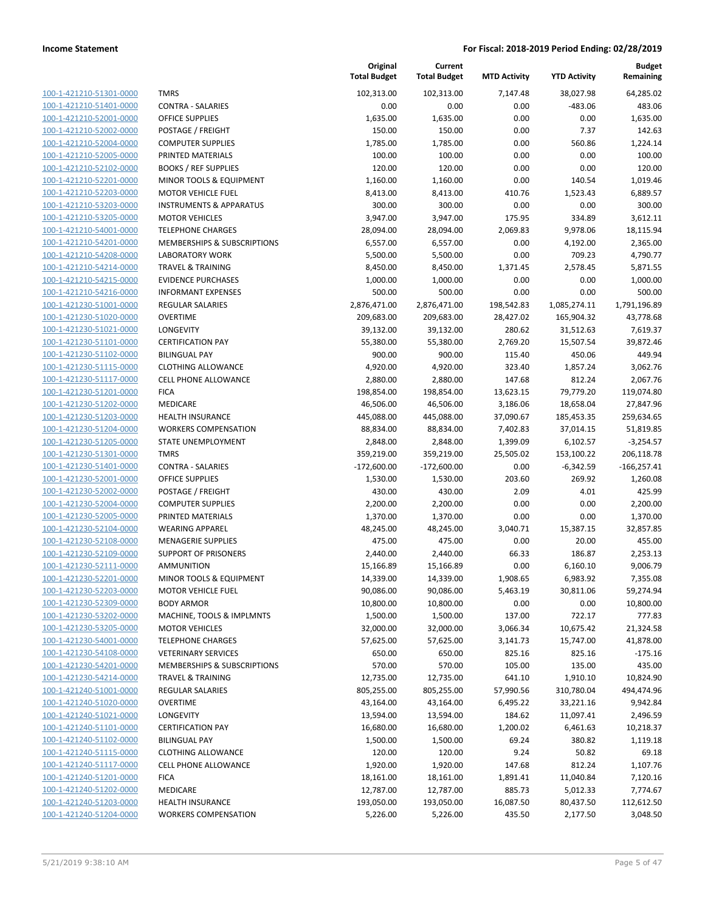**Budget Remaining**

**Current**

**Original**

| 100-1-421210-51301-0000        |
|--------------------------------|
| 100-1-421210-51401-0000        |
| 100-1-421210-52001-0000        |
| <u>100-1-421210-52002-0000</u> |
| 100-1-421210-52004-0000        |
| 100-1-421210-52005-0000        |
| 100-1-421210-52102-0000        |
| 100-1-421210-52201-0000        |
| <u>100-1-421210-52203-0000</u> |
| 100-1-421210-53203-0000        |
| 100-1-421210-53205-0000        |
| 100-1-421210-54001-0000        |
| 100-1-421210-54201-0000        |
| <u>100-1-421210-54208-0000</u> |
| 100-1-421210-54214-0000        |
| 100-1-421210-54215-0000        |
| 100-1-421210-54216-0000        |
| 100-1-421230-51001-0000        |
| <u>100-1-421230-51020-0000</u> |
| 100-1-421230-51021-0000        |
| 100-1-421230-51101-0000        |
| 100-1-421230-51102-0000        |
| 100-1-421230-51115-0000        |
| <u>100-1-421230-51117-0000</u> |
| 100-1-421230-51201-0000        |
| 100-1-421230-51202-0000        |
| 100-1-421230-51203-0000        |
| 100-1-421230-51204-0000        |
| <u>100-1-421230-51205-0000</u> |
| 100-1-421230-51301-0000        |
| 100-1-421230-51401-0000        |
| 100-1-421230-52001-0000        |
| 100-1-421230-52002-0000        |
| <u>100-1-421230-52004-0000</u> |
| 100-1-421230-52005-0000        |
| 100-1-421230-52104-0000        |
| 100-1-421230-52108-0000        |
| 100-1-421230-52109-0000        |
| <u>100-1-421230-52111-0000</u> |
| 100-1-421230-52201-0000        |
| 100-1-421230-52203-0000        |
| <u>100-1-421230-52309-0000</u> |
| 100-1-421230-53202-0000        |
| 100-1-421230-53205-0000        |
| <u>100-1-421230-54001-0000</u> |
| 100-1-421230-54108-0000        |
| 100-1-421230-54201-0000        |
| 100-1-421230-54214-0000        |
| <u>100-1-421240-51001-0000</u> |
| 100-1-421240-51020-0000        |
| 100-1-421240-51021-0000        |
| 100-1-421240-51101-0000        |
| 100-1-421240-51102-0000        |
| 100-1-421240-51115-0000        |
| <u>100-1-421240-51117-0000</u> |
| 100-1-421240-51201-0000        |
| <u>100-1-421240-51202-0000</u> |
| 100-1-421240-51203-0000        |
| <u>100-1-421240-51204-0000</u> |
|                                |

|                         |                                    | <b>Total Budget</b> | <b>Total Budget</b> | <b>MTD Activity</b> | <b>YTD Activity</b> | Remaining     |
|-------------------------|------------------------------------|---------------------|---------------------|---------------------|---------------------|---------------|
| 100-1-421210-51301-0000 | <b>TMRS</b>                        | 102,313.00          | 102,313.00          | 7,147.48            | 38,027.98           | 64,285.02     |
| 100-1-421210-51401-0000 | <b>CONTRA - SALARIES</b>           | 0.00                | 0.00                | 0.00                | -483.06             | 483.06        |
| 100-1-421210-52001-0000 | <b>OFFICE SUPPLIES</b>             | 1,635.00            | 1,635.00            | 0.00                | 0.00                | 1,635.00      |
| 100-1-421210-52002-0000 | POSTAGE / FREIGHT                  | 150.00              | 150.00              | 0.00                | 7.37                | 142.63        |
| 100-1-421210-52004-0000 | <b>COMPUTER SUPPLIES</b>           | 1,785.00            | 1,785.00            | 0.00                | 560.86              | 1,224.14      |
| 100-1-421210-52005-0000 | PRINTED MATERIALS                  | 100.00              | 100.00              | 0.00                | 0.00                | 100.00        |
| 100-1-421210-52102-0000 | <b>BOOKS / REF SUPPLIES</b>        | 120.00              | 120.00              | 0.00                | 0.00                | 120.00        |
| 100-1-421210-52201-0000 | MINOR TOOLS & EQUIPMENT            | 1,160.00            | 1,160.00            | 0.00                | 140.54              | 1,019.46      |
| 100-1-421210-52203-0000 | <b>MOTOR VEHICLE FUEL</b>          | 8,413.00            | 8,413.00            | 410.76              | 1,523.43            | 6,889.57      |
| 100-1-421210-53203-0000 | <b>INSTRUMENTS &amp; APPARATUS</b> | 300.00              | 300.00              | 0.00                | 0.00                | 300.00        |
| 100-1-421210-53205-0000 | <b>MOTOR VEHICLES</b>              | 3,947.00            | 3,947.00            | 175.95              | 334.89              | 3,612.11      |
| 100-1-421210-54001-0000 | <b>TELEPHONE CHARGES</b>           | 28,094.00           | 28,094.00           | 2,069.83            | 9,978.06            | 18,115.94     |
| 100-1-421210-54201-0000 | MEMBERSHIPS & SUBSCRIPTIONS        | 6,557.00            | 6,557.00            | 0.00                | 4,192.00            | 2,365.00      |
| 100-1-421210-54208-0000 | <b>LABORATORY WORK</b>             | 5,500.00            | 5,500.00            | 0.00                | 709.23              | 4,790.77      |
| 100-1-421210-54214-0000 | <b>TRAVEL &amp; TRAINING</b>       | 8,450.00            | 8,450.00            | 1,371.45            | 2,578.45            | 5,871.55      |
| 100-1-421210-54215-0000 | <b>EVIDENCE PURCHASES</b>          | 1,000.00            | 1,000.00            | 0.00                | 0.00                | 1,000.00      |
| 100-1-421210-54216-0000 | <b>INFORMANT EXPENSES</b>          | 500.00              | 500.00              | 0.00                | 0.00                | 500.00        |
| 100-1-421230-51001-0000 | <b>REGULAR SALARIES</b>            | 2,876,471.00        | 2,876,471.00        | 198,542.83          | 1,085,274.11        | 1,791,196.89  |
| 100-1-421230-51020-0000 | <b>OVERTIME</b>                    | 209,683.00          | 209,683.00          | 28,427.02           | 165,904.32          | 43,778.68     |
| 100-1-421230-51021-0000 | LONGEVITY                          | 39,132.00           | 39,132.00           | 280.62              | 31,512.63           | 7,619.37      |
| 100-1-421230-51101-0000 | <b>CERTIFICATION PAY</b>           | 55,380.00           | 55,380.00           | 2,769.20            | 15,507.54           | 39,872.46     |
| 100-1-421230-51102-0000 | <b>BILINGUAL PAY</b>               | 900.00              | 900.00              | 115.40              | 450.06              | 449.94        |
| 100-1-421230-51115-0000 | <b>CLOTHING ALLOWANCE</b>          | 4,920.00            | 4,920.00            | 323.40              | 1,857.24            | 3,062.76      |
| 100-1-421230-51117-0000 | <b>CELL PHONE ALLOWANCE</b>        | 2,880.00            | 2,880.00            | 147.68              | 812.24              | 2,067.76      |
| 100-1-421230-51201-0000 | <b>FICA</b>                        | 198,854.00          | 198,854.00          | 13,623.15           | 79,779.20           | 119,074.80    |
| 100-1-421230-51202-0000 | MEDICARE                           | 46,506.00           | 46,506.00           | 3,186.06            | 18,658.04           | 27,847.96     |
| 100-1-421230-51203-0000 | <b>HEALTH INSURANCE</b>            | 445,088.00          | 445,088.00          | 37,090.67           | 185,453.35          | 259,634.65    |
| 100-1-421230-51204-0000 | <b>WORKERS COMPENSATION</b>        | 88,834.00           | 88,834.00           | 7,402.83            | 37,014.15           | 51,819.85     |
| 100-1-421230-51205-0000 | STATE UNEMPLOYMENT                 | 2,848.00            | 2,848.00            | 1,399.09            | 6,102.57            | $-3,254.57$   |
| 100-1-421230-51301-0000 | <b>TMRS</b>                        | 359,219.00          | 359,219.00          | 25,505.02           | 153,100.22          | 206,118.78    |
| 100-1-421230-51401-0000 | <b>CONTRA - SALARIES</b>           | $-172,600.00$       | $-172,600.00$       | 0.00                | $-6,342.59$         | $-166,257.41$ |
| 100-1-421230-52001-0000 | <b>OFFICE SUPPLIES</b>             | 1,530.00            | 1,530.00            | 203.60              | 269.92              | 1,260.08      |
| 100-1-421230-52002-0000 | POSTAGE / FREIGHT                  | 430.00              | 430.00              | 2.09                | 4.01                | 425.99        |
| 100-1-421230-52004-0000 | <b>COMPUTER SUPPLIES</b>           | 2,200.00            | 2,200.00            | 0.00                | 0.00                | 2,200.00      |
| 100-1-421230-52005-0000 | PRINTED MATERIALS                  | 1,370.00            | 1,370.00            | 0.00                | 0.00                | 1,370.00      |
| 100-1-421230-52104-0000 | <b>WEARING APPAREL</b>             | 48,245.00           | 48,245.00           | 3,040.71            | 15,387.15           | 32,857.85     |
| 100-1-421230-52108-0000 | <b>MENAGERIE SUPPLIES</b>          | 475.00              | 475.00              | 0.00                | 20.00               | 455.00        |
| 100-1-421230-52109-0000 | <b>SUPPORT OF PRISONERS</b>        | 2,440.00            | 2,440.00            | 66.33               | 186.87              | 2,253.13      |
| 100-1-421230-52111-0000 | <b>AMMUNITION</b>                  | 15,166.89           | 15,166.89           | 0.00                | 6,160.10            | 9,006.79      |
| 100-1-421230-52201-0000 | MINOR TOOLS & EQUIPMENT            | 14,339.00           | 14,339.00           | 1,908.65            | 6,983.92            | 7,355.08      |
| 100-1-421230-52203-0000 | <b>MOTOR VEHICLE FUEL</b>          | 90,086.00           | 90,086.00           | 5,463.19            | 30,811.06           | 59,274.94     |
| 100-1-421230-52309-0000 | <b>BODY ARMOR</b>                  | 10,800.00           | 10,800.00           | 0.00                | 0.00                | 10,800.00     |
| 100-1-421230-53202-0000 | MACHINE, TOOLS & IMPLMNTS          | 1,500.00            | 1,500.00            | 137.00              | 722.17              | 777.83        |
| 100-1-421230-53205-0000 | <b>MOTOR VEHICLES</b>              | 32,000.00           | 32,000.00           | 3,066.34            | 10,675.42           | 21,324.58     |
| 100-1-421230-54001-0000 | <b>TELEPHONE CHARGES</b>           | 57,625.00           | 57,625.00           | 3,141.73            | 15,747.00           | 41,878.00     |
| 100-1-421230-54108-0000 | <b>VETERINARY SERVICES</b>         | 650.00              | 650.00              | 825.16              | 825.16              | $-175.16$     |
| 100-1-421230-54201-0000 | MEMBERSHIPS & SUBSCRIPTIONS        | 570.00              | 570.00              | 105.00              | 135.00              | 435.00        |
| 100-1-421230-54214-0000 | <b>TRAVEL &amp; TRAINING</b>       | 12,735.00           | 12,735.00           | 641.10              | 1,910.10            | 10,824.90     |
| 100-1-421240-51001-0000 | <b>REGULAR SALARIES</b>            | 805,255.00          | 805,255.00          | 57,990.56           | 310,780.04          | 494,474.96    |
| 100-1-421240-51020-0000 | <b>OVERTIME</b>                    | 43,164.00           | 43,164.00           | 6,495.22            | 33,221.16           | 9,942.84      |
| 100-1-421240-51021-0000 | LONGEVITY                          | 13,594.00           | 13,594.00           | 184.62              | 11,097.41           | 2,496.59      |
| 100-1-421240-51101-0000 | <b>CERTIFICATION PAY</b>           | 16,680.00           | 16,680.00           | 1,200.02            | 6,461.63            | 10,218.37     |
| 100-1-421240-51102-0000 | <b>BILINGUAL PAY</b>               | 1,500.00            | 1,500.00            | 69.24               | 380.82              | 1,119.18      |
| 100-1-421240-51115-0000 | <b>CLOTHING ALLOWANCE</b>          | 120.00              | 120.00              | 9.24                | 50.82               | 69.18         |
| 100-1-421240-51117-0000 | CELL PHONE ALLOWANCE               | 1,920.00            | 1,920.00            | 147.68              | 812.24              | 1,107.76      |
| 100-1-421240-51201-0000 | <b>FICA</b>                        | 18,161.00           | 18,161.00           | 1,891.41            | 11,040.84           | 7,120.16      |
| 100-1-421240-51202-0000 | MEDICARE                           | 12,787.00           | 12,787.00           | 885.73              | 5,012.33            | 7,774.67      |
| 100-1-421240-51203-0000 | HEALTH INSURANCE                   | 193,050.00          | 193,050.00          | 16,087.50           | 80,437.50           | 112,612.50    |
| 100-1-421240-51204-0000 | <b>WORKERS COMPENSATION</b>        | 5,226.00            | 5,226.00            | 435.50              | 2,177.50            | 3,048.50      |

| 102,313.00    | 7,147.48   | 38,027.98    | 64,285.02    |
|---------------|------------|--------------|--------------|
| 0.00          | 0.00       | -483.06      | 483.06       |
| 1,635.00      | 0.00       | 0.00         | 1,635.00     |
| 150.00        | 0.00       | 7.37         | 142.63       |
| 1,785.00      | 0.00       | 560.86       | 1,224.14     |
| 100.00        | 0.00       | 0.00         | 100.00       |
| 120.00        | 0.00       | 0.00         | 120.00       |
| 1,160.00      | 0.00       | 140.54       | 1,019.46     |
| 8,413.00      | 410.76     | 1,523.43     | 6,889.57     |
| 300.00        | 0.00       | 0.00         | 300.00       |
|               |            |              |              |
| 3,947.00      | 175.95     | 334.89       | 3,612.11     |
| 28,094.00     | 2,069.83   | 9,978.06     | 18,115.94    |
| 6,557.00      | 0.00       | 4,192.00     | 2,365.00     |
| 5,500.00      | 0.00       | 709.23       | 4,790.77     |
| 8,450.00      | 1,371.45   | 2,578.45     | 5,871.55     |
| 1,000.00      | 0.00       | 0.00         | 1,000.00     |
| 500.00        | 0.00       | 0.00         | 500.00       |
| 2,876,471.00  | 198,542.83 | 1,085,274.11 | 1,791,196.89 |
| 209,683.00    | 28,427.02  | 165,904.32   | 43,778.68    |
| 39,132.00     | 280.62     | 31,512.63    | 7,619.37     |
| 55,380.00     | 2,769.20   | 15,507.54    | 39,872.46    |
| 900.00        | 115.40     | 450.06       | 449.94       |
| 4,920.00      | 323.40     | 1,857.24     | 3,062.76     |
| 2,880.00      | 147.68     | 812.24       | 2,067.76     |
| 198,854.00    | 13,623.15  | 79,779.20    | 119,074.80   |
| 46,506.00     | 3,186.06   | 18,658.04    | 27,847.96    |
| 445,088.00    | 37,090.67  | 185,453.35   | 259,634.65   |
| 88,834.00     | 7,402.83   | 37,014.15    | 51,819.85    |
| 2,848.00      | 1,399.09   | 6,102.57     | $-3,254.57$  |
| 359,219.00    | 25,505.02  | 153,100.22   | 206,118.78   |
| $-172,600.00$ | 0.00       | -6,342.59    | -166,257.41  |
| 1,530.00      | 203.60     | 269.92       | 1,260.08     |
|               |            |              |              |
| 430.00        | 2.09       | 4.01         | 425.99       |
| 2,200.00      | 0.00       | 0.00         | 2,200.00     |
| 1,370.00      | 0.00       | 0.00         | 1,370.00     |
| 48,245.00     | 3,040.71   | 15,387.15    | 32,857.85    |
| 475.00        | 0.00       | 20.00        | 455.00       |
| 2,440.00      | 66.33      | 186.87       | 2,253.13     |
| 15,166.89     | 0.00       | 6,160.10     | 9,006.79     |
| 14,339.00     | 1,908.65   | 6,983.92     | 7,355.08     |
| 90,086.00     | 5,463.19   | 30,811.06    | 59,274.94    |
| 10,800.00     | 0.00       | 0.00         | 10,800.00    |
| 1,500.00      | 137.00     | 722.17       | 777.83       |
| 32,000.00     | 3,066.34   | 10,675.42    | 21,324.58    |
| 57,625.00     | 3,141.73   | 15,747.00    | 41,878.00    |
| 650.00        | 825.16     | 825.16       | $-175.16$    |
| 570.00        | 105.00     | 135.00       | 435.00       |
| 12,735.00     | 641.10     | 1,910.10     | 10,824.90    |
| 805,255.00    | 57,990.56  | 310,780.04   | 494,474.96   |
| 43,164.00     | 6,495.22   | 33,221.16    | 9,942.84     |
| 13,594.00     | 184.62     | 11,097.41    | 2,496.59     |
| 16,680.00     | 1,200.02   | 6,461.63     | 10,218.37    |
| 1,500.00      | 69.24      | 380.82       | 1,119.18     |
| 120.00        | 9.24       | 50.82        | 69.18        |
| 1,920.00      | 147.68     | 812.24       | 1,107.76     |
|               |            |              |              |
| 18,161.00     | 1,891.41   | 11,040.84    | 7,120.16     |
| 12,787.00     | 885.73     | 5,012.33     | 7,774.67     |
| 193,050.00    | 16,087.50  | 80,437.50    | 112,612.50   |
| 5,226.00      | 435.50     | 2,177.50     | 3,048.50     |
|               |            |              |              |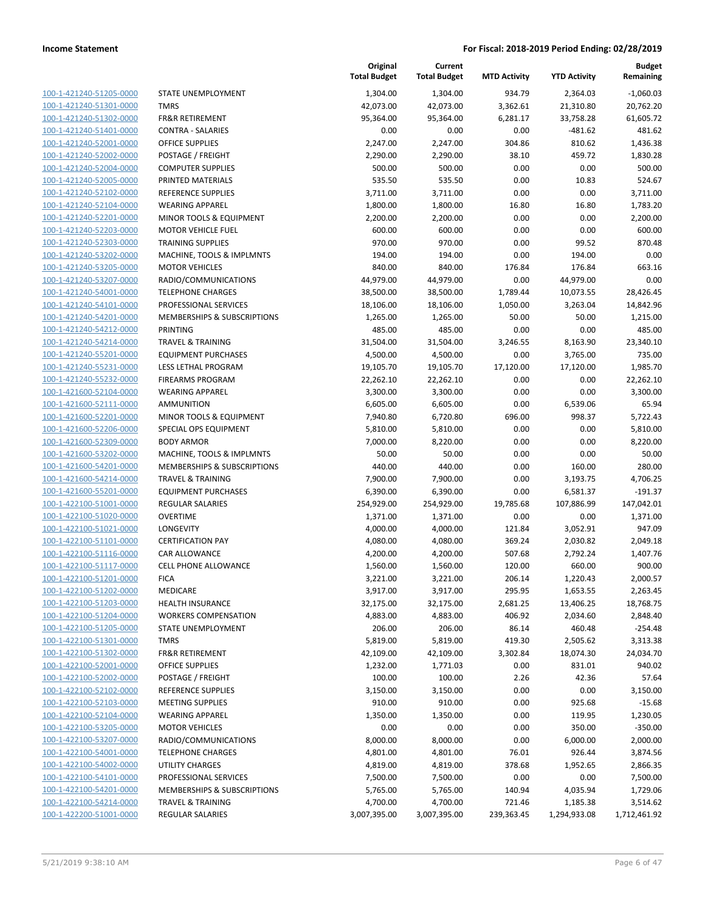| 100-1-421240-51205-0000                            |
|----------------------------------------------------|
| 100-1-421240-51301-0000                            |
| 100-1-421240-51302-0000                            |
| 100-1-421240-51401-0000                            |
| 100-1-421240-52001-0000                            |
| 100-1-421240-52002-0000                            |
| 100-1-421240-52004-0000                            |
| 100-1-421240-52005-0000                            |
| 100-1-421240-52102-0000                            |
| 100-1-421240-52104-0000                            |
| 100-1-421240-52201-0000                            |
| 100-1-421240-52203-0000                            |
| 100-1-421240-52303-0000                            |
| 100-1-421240-53202-0000                            |
| 100-1-421240-53205-0000                            |
| 100-1-421240-53207-0000                            |
| 100-1-421240-54001-0000                            |
| 100-1-421240-54101-0000                            |
| 100-1-421240-54201-0000                            |
| 100-1-421240-54212-0000                            |
| 100-1-421240-54214-0000                            |
| 100-1-421240-55201-0000                            |
| 100-1-421240-55231-0000                            |
|                                                    |
| 100-1-421240-55232-0000                            |
| 100-1-421600-52104-0000<br>100-1-421600-52111-0000 |
|                                                    |
| 100-1-421600-52201-0000                            |
| 100-1-421600-52206-0000                            |
| 100-1-421600-52309-0000                            |
| 100-1-421600-53202-0000                            |
| 100-1-421600-54201-0000                            |
| 100-1-421600-54214-0000                            |
| <u>100-1-421600-55201-0000</u>                     |
| 100-1-422100-51001-0000                            |
| 100-1-422100-51020-0000                            |
| 100-1-422100-51021-0000                            |
| 100-1-422100-51101-0000                            |
| 100-1-422100-51116-0000                            |
| 100-1-422100-51117-0000                            |
|                                                    |
| 100-1-422100-51201-0000                            |
| 100-1-422100-51202-0000                            |
| 100-1-422100-51203-0000                            |
| 100-1-422100-51204-0000                            |
| 100-1-422100-51205-0000                            |
| 100-1-422100-51301-0000                            |
| 100-1-422100-51302-0000                            |
| 100-1-422100-52001-0000                            |
| 100-1-422100-52002-0000                            |
| <u>100-1-422100-52102-0000</u>                     |
| 100-1-422100-52103-0000                            |
| 100-1-422100-52104-0000                            |
| 100-1-422100-53205-0000                            |
| 100-1-422100-53207-0000                            |
| <u>100-1-422100-54001-0000</u>                     |
| 100-1-422100-54002-0000                            |
| 100-1-422100-54101-0000                            |
| <u>100-1-422100-54201-0000</u>                     |
| 100-1-422100-54214-0000                            |
| <u>100-1-422200-51001-0000</u>                     |

|                         |                              | Original<br><b>Total Budget</b> | Current<br><b>Total Budget</b> | <b>MTD Activity</b> | <b>YTD Activity</b> | <b>Budget</b><br>Remaining |
|-------------------------|------------------------------|---------------------------------|--------------------------------|---------------------|---------------------|----------------------------|
| 100-1-421240-51205-0000 | STATE UNEMPLOYMENT           | 1,304.00                        | 1,304.00                       | 934.79              | 2,364.03            | $-1,060.03$                |
| 100-1-421240-51301-0000 | <b>TMRS</b>                  | 42,073.00                       | 42,073.00                      | 3,362.61            | 21,310.80           | 20,762.20                  |
| 100-1-421240-51302-0000 | <b>FR&amp;R RETIREMENT</b>   | 95,364.00                       | 95,364.00                      | 6,281.17            | 33,758.28           | 61,605.72                  |
| 100-1-421240-51401-0000 | <b>CONTRA - SALARIES</b>     | 0.00                            | 0.00                           | 0.00                | $-481.62$           | 481.62                     |
| 100-1-421240-52001-0000 | <b>OFFICE SUPPLIES</b>       | 2,247.00                        | 2,247.00                       | 304.86              | 810.62              | 1,436.38                   |
| 100-1-421240-52002-0000 | POSTAGE / FREIGHT            | 2,290.00                        | 2,290.00                       | 38.10               | 459.72              | 1,830.28                   |
| 100-1-421240-52004-0000 | <b>COMPUTER SUPPLIES</b>     | 500.00                          | 500.00                         | 0.00                | 0.00                | 500.00                     |
| 100-1-421240-52005-0000 | PRINTED MATERIALS            | 535.50                          | 535.50                         | 0.00                | 10.83               | 524.67                     |
| 100-1-421240-52102-0000 | <b>REFERENCE SUPPLIES</b>    | 3,711.00                        | 3,711.00                       | 0.00                | 0.00                | 3,711.00                   |
| 100-1-421240-52104-0000 | <b>WEARING APPAREL</b>       | 1,800.00                        | 1,800.00                       | 16.80               | 16.80               | 1,783.20                   |
| 100-1-421240-52201-0000 | MINOR TOOLS & EQUIPMENT      | 2,200.00                        | 2,200.00                       | 0.00                | 0.00                | 2,200.00                   |
| 100-1-421240-52203-0000 | <b>MOTOR VEHICLE FUEL</b>    | 600.00                          | 600.00                         | 0.00                | 0.00                | 600.00                     |
| 100-1-421240-52303-0000 | <b>TRAINING SUPPLIES</b>     | 970.00                          | 970.00                         | 0.00                | 99.52               | 870.48                     |
| 100-1-421240-53202-0000 | MACHINE, TOOLS & IMPLMNTS    | 194.00                          | 194.00                         | 0.00                | 194.00              | 0.00                       |
| 100-1-421240-53205-0000 | <b>MOTOR VEHICLES</b>        | 840.00                          | 840.00                         | 176.84              | 176.84              | 663.16                     |
| 100-1-421240-53207-0000 | RADIO/COMMUNICATIONS         | 44,979.00                       | 44,979.00                      | 0.00                | 44,979.00           | 0.00                       |
| 100-1-421240-54001-0000 | <b>TELEPHONE CHARGES</b>     | 38,500.00                       | 38,500.00                      | 1,789.44            | 10,073.55           | 28,426.45                  |
| 100-1-421240-54101-0000 | PROFESSIONAL SERVICES        | 18,106.00                       | 18,106.00                      | 1,050.00            | 3,263.04            | 14,842.96                  |
| 100-1-421240-54201-0000 | MEMBERSHIPS & SUBSCRIPTIONS  | 1,265.00                        | 1,265.00                       | 50.00               | 50.00               | 1,215.00                   |
| 100-1-421240-54212-0000 | <b>PRINTING</b>              | 485.00                          | 485.00                         | 0.00                | 0.00                | 485.00                     |
| 100-1-421240-54214-0000 | <b>TRAVEL &amp; TRAINING</b> | 31,504.00                       | 31,504.00                      | 3,246.55            | 8,163.90            | 23,340.10                  |
| 100-1-421240-55201-0000 | <b>EQUIPMENT PURCHASES</b>   | 4,500.00                        | 4,500.00                       | 0.00                | 3,765.00            | 735.00                     |
| 100-1-421240-55231-0000 | LESS LETHAL PROGRAM          | 19,105.70                       | 19,105.70                      | 17,120.00           | 17,120.00           | 1,985.70                   |
| 100-1-421240-55232-0000 | <b>FIREARMS PROGRAM</b>      | 22,262.10                       | 22,262.10                      | 0.00                | 0.00                | 22,262.10                  |
| 100-1-421600-52104-0000 | <b>WEARING APPAREL</b>       | 3,300.00                        | 3,300.00                       | 0.00                | 0.00                | 3,300.00                   |
| 100-1-421600-52111-0000 | AMMUNITION                   | 6,605.00                        | 6,605.00                       | 0.00                | 6,539.06            | 65.94                      |
| 100-1-421600-52201-0000 | MINOR TOOLS & EQUIPMENT      | 7,940.80                        | 6,720.80                       | 696.00              | 998.37              | 5,722.43                   |
| 100-1-421600-52206-0000 | SPECIAL OPS EQUIPMENT        | 5,810.00                        | 5,810.00                       | 0.00                | 0.00                | 5,810.00                   |
| 100-1-421600-52309-0000 | <b>BODY ARMOR</b>            | 7,000.00                        | 8,220.00                       | 0.00                | 0.00                | 8,220.00                   |
| 100-1-421600-53202-0000 | MACHINE, TOOLS & IMPLMNTS    | 50.00                           | 50.00                          | 0.00                | 0.00                | 50.00                      |
| 100-1-421600-54201-0000 | MEMBERSHIPS & SUBSCRIPTIONS  | 440.00                          | 440.00                         | 0.00                | 160.00              | 280.00                     |
| 100-1-421600-54214-0000 | <b>TRAVEL &amp; TRAINING</b> | 7,900.00                        | 7,900.00                       | 0.00                | 3,193.75            | 4,706.25                   |
| 100-1-421600-55201-0000 | <b>EQUIPMENT PURCHASES</b>   | 6,390.00                        | 6,390.00                       | 0.00                | 6,581.37            | $-191.37$                  |
| 100-1-422100-51001-0000 | REGULAR SALARIES             | 254,929.00                      | 254,929.00                     | 19,785.68           | 107,886.99          | 147,042.01                 |
| 100-1-422100-51020-0000 | <b>OVERTIME</b>              | 1,371.00                        | 1,371.00                       | 0.00                | 0.00                | 1,371.00                   |
| 100-1-422100-51021-0000 | LONGEVITY                    | 4,000.00                        | 4,000.00                       | 121.84              | 3,052.91            | 947.09                     |
| 100-1-422100-51101-0000 | <b>CERTIFICATION PAY</b>     | 4,080.00                        | 4,080.00                       | 369.24              | 2,030.82            | 2,049.18                   |
| 100-1-422100-51116-0000 | <b>CAR ALLOWANCE</b>         | 4,200.00                        | 4,200.00                       | 507.68              | 2,792.24            | 1,407.76                   |
| 100-1-422100-51117-0000 | <b>CELL PHONE ALLOWANCE</b>  | 1,560.00                        | 1,560.00                       | 120.00              | 660.00              | 900.00                     |
| 100-1-422100-51201-0000 | <b>FICA</b>                  | 3,221.00                        | 3,221.00                       | 206.14              | 1,220.43            | 2,000.57                   |
| 100-1-422100-51202-0000 | MEDICARE                     | 3,917.00                        | 3,917.00                       | 295.95              | 1,653.55            | 2,263.45                   |
| 100-1-422100-51203-0000 | <b>HEALTH INSURANCE</b>      | 32,175.00                       | 32,175.00                      | 2,681.25            | 13,406.25           | 18,768.75                  |
| 100-1-422100-51204-0000 | <b>WORKERS COMPENSATION</b>  | 4,883.00                        | 4,883.00                       | 406.92              | 2,034.60            | 2,848.40                   |
| 100-1-422100-51205-0000 | STATE UNEMPLOYMENT           | 206.00                          | 206.00                         | 86.14               | 460.48              | $-254.48$                  |
| 100-1-422100-51301-0000 | <b>TMRS</b>                  | 5,819.00                        | 5,819.00                       | 419.30              | 2,505.62            | 3,313.38                   |
| 100-1-422100-51302-0000 | <b>FR&amp;R RETIREMENT</b>   | 42,109.00                       | 42,109.00                      | 3,302.84            | 18,074.30           | 24,034.70                  |
| 100-1-422100-52001-0000 | <b>OFFICE SUPPLIES</b>       | 1,232.00                        | 1,771.03                       | 0.00                | 831.01              | 940.02                     |
| 100-1-422100-52002-0000 | POSTAGE / FREIGHT            | 100.00                          | 100.00                         | 2.26                | 42.36               | 57.64                      |
| 100-1-422100-52102-0000 | <b>REFERENCE SUPPLIES</b>    | 3,150.00                        | 3,150.00                       | 0.00                | 0.00                | 3,150.00                   |
| 100-1-422100-52103-0000 | <b>MEETING SUPPLIES</b>      | 910.00                          | 910.00                         | 0.00                | 925.68              | $-15.68$                   |
| 100-1-422100-52104-0000 | <b>WEARING APPAREL</b>       | 1,350.00                        | 1,350.00                       | 0.00                | 119.95              | 1,230.05                   |
| 100-1-422100-53205-0000 | <b>MOTOR VEHICLES</b>        | 0.00                            | 0.00                           | 0.00                | 350.00              | $-350.00$                  |
| 100-1-422100-53207-0000 | RADIO/COMMUNICATIONS         | 8,000.00                        |                                | 0.00                | 6,000.00            | 2,000.00                   |
| 100-1-422100-54001-0000 | <b>TELEPHONE CHARGES</b>     |                                 | 8,000.00                       | 76.01               | 926.44              |                            |
| 100-1-422100-54002-0000 | UTILITY CHARGES              | 4,801.00                        | 4,801.00                       | 378.68              | 1,952.65            | 3,874.56<br>2,866.35       |
|                         |                              | 4,819.00                        | 4,819.00                       |                     |                     |                            |
| 100-1-422100-54101-0000 | PROFESSIONAL SERVICES        | 7,500.00                        | 7,500.00                       | 0.00                | 0.00                | 7,500.00                   |
| 100-1-422100-54201-0000 | MEMBERSHIPS & SUBSCRIPTIONS  | 5,765.00                        | 5,765.00                       | 140.94              | 4,035.94            | 1,729.06                   |
| 100-1-422100-54214-0000 | <b>TRAVEL &amp; TRAINING</b> | 4,700.00                        | 4,700.00                       | 721.46              | 1,185.38            | 3,514.62                   |
| 100-1-422200-51001-0000 | <b>REGULAR SALARIES</b>      | 3,007,395.00                    | 3,007,395.00                   | 239,363.45          | 1,294,933.08        | 1,712,461.92               |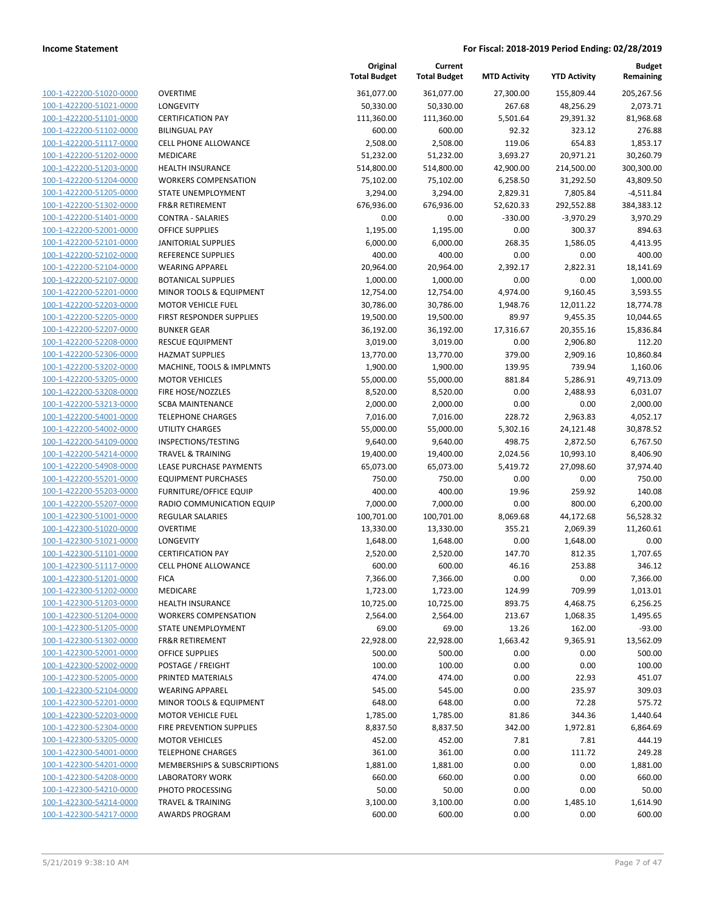| 100-1-422200-51020-0000 | OVE              |
|-------------------------|------------------|
| 100-1-422200-51021-0000 | LON              |
| 100-1-422200-51101-0000 | CER <sup>-</sup> |
| 100-1-422200-51102-0000 | <b>BILII</b>     |
| 100-1-422200-51117-0000 | CELL             |
| 100-1-422200-51202-0000 | MED              |
| 100-1-422200-51203-0000 | HEA              |
| 100-1-422200-51204-0000 | <b>WOI</b>       |
| 100-1-422200-51205-0000 | STA <sup>-</sup> |
| 100-1-422200-51302-0000 | FR&              |
| 100-1-422200-51401-0000 | CON              |
|                         |                  |
| 100-1-422200-52001-0000 | OFFI             |
| 100-1-422200-52101-0000 | JANI             |
| 100-1-422200-52102-0000 | <b>REFI</b>      |
| 100-1-422200-52104-0000 | WEA              |
| 100-1-422200-52107-0000 | BOT.             |
| 100-1-422200-52201-0000 | <b>MIN</b>       |
| 100-1-422200-52203-0000 | MO <sub>1</sub>  |
| 100-1-422200-52205-0000 | <b>FIRS</b>      |
| 100-1-422200-52207-0000 | <b>BUN</b>       |
| 100-1-422200-52208-0000 | RES <sup>(</sup> |
| 100-1-422200-52306-0000 | HAZ              |
| 100-1-422200-53202-0000 | MA <sub>C</sub>  |
| 100-1-422200-53205-0000 | MO <sub>1</sub>  |
| 100-1-422200-53208-0000 | <b>FIRE</b>      |
| 100-1-422200-53213-0000 | SCB/             |
| 100-1-422200-54001-0000 | TELE             |
| 100-1-422200-54002-0000 | UTIL             |
| 100-1-422200-54109-0000 | <b>INSF</b>      |
| 100-1-422200-54214-0000 | TRA'             |
| 100-1-422200-54908-0000 | <b>LEAS</b>      |
| 100-1-422200-55201-0000 | EQU              |
| 100-1-422200-55203-0000 | <b>FUR</b>       |
| 100-1-422200-55207-0000 | RAD              |
| 100-1-422300-51001-0000 | REG              |
| 100-1-422300-51020-0000 | OVE              |
| 100-1-422300-51021-0000 | <b>LON</b>       |
| 100-1-422300-51101-0000 | CER <sup>-</sup> |
| 100-1-422300-51117-0000 | CELL             |
| 100-1-422300-51201-0000 | <b>FICA</b>      |
| 100-1-422300-51202-0000 | MED              |
|                         | HEA              |
| 100-1-422300-51203-0000 |                  |
| 100-1-422300-51204-0000 | WOI              |
| 100-1-422300-51205-0000 | STA <sup>-</sup> |
| 100-1-422300-51302-0000 | FR&              |
| 100-1-422300-52001-0000 | OFFI             |
| 100-1-422300-52002-0000 | POS <sup>-</sup> |
| 100-1-422300-52005-0000 | PRIN             |
| 100-1-422300-52104-0000 | WEA              |
| 100-1-422300-52201-0000 | MIN              |
| 100-1-422300-52203-0000 | MO <sub>1</sub>  |
| 100-1-422300-52304-0000 | <b>FIRE</b>      |
| 100-1-422300-53205-0000 | MO1              |
| 100-1-422300-54001-0000 | TELE             |
| 100-1-422300-54201-0000 | MEN              |
| 100-1-422300-54208-0000 | LAB              |
| 100-1-422300-54210-0000 | PHO              |
| 100-1-422300-54214-0000 | TRA'             |
| 100-1-422300-54217-0000 | AW/              |
|                         |                  |

|                         |                                 | Original<br><b>Total Budget</b> | Current<br><b>Total Budget</b> | <b>MTD Activity</b> | <b>YTD Activity</b> | Budget<br>Remaining |
|-------------------------|---------------------------------|---------------------------------|--------------------------------|---------------------|---------------------|---------------------|
| 100-1-422200-51020-0000 | <b>OVERTIME</b>                 | 361,077.00                      | 361,077.00                     | 27,300.00           | 155,809.44          | 205,267.56          |
| 100-1-422200-51021-0000 | LONGEVITY                       | 50,330.00                       | 50,330.00                      | 267.68              | 48,256.29           | 2,073.71            |
| 100-1-422200-51101-0000 | <b>CERTIFICATION PAY</b>        | 111,360.00                      | 111,360.00                     | 5,501.64            | 29,391.32           | 81,968.68           |
| 100-1-422200-51102-0000 | <b>BILINGUAL PAY</b>            | 600.00                          | 600.00                         | 92.32               | 323.12              | 276.88              |
| 100-1-422200-51117-0000 | <b>CELL PHONE ALLOWANCE</b>     | 2,508.00                        | 2,508.00                       | 119.06              | 654.83              | 1,853.17            |
| 100-1-422200-51202-0000 | MEDICARE                        | 51,232.00                       | 51,232.00                      | 3,693.27            | 20,971.21           | 30,260.79           |
| 100-1-422200-51203-0000 | <b>HEALTH INSURANCE</b>         | 514,800.00                      | 514,800.00                     | 42,900.00           | 214,500.00          | 300,300.00          |
| 100-1-422200-51204-0000 | <b>WORKERS COMPENSATION</b>     | 75,102.00                       | 75,102.00                      | 6,258.50            | 31,292.50           | 43,809.50           |
| 100-1-422200-51205-0000 | STATE UNEMPLOYMENT              | 3,294.00                        | 3,294.00                       | 2,829.31            | 7,805.84            | $-4,511.84$         |
| 100-1-422200-51302-0000 | FR&R RETIREMENT                 | 676,936.00                      | 676,936.00                     | 52,620.33           | 292,552.88          | 384,383.12          |
| 100-1-422200-51401-0000 | CONTRA - SALARIES               | 0.00                            | 0.00                           | $-330.00$           | $-3,970.29$         | 3,970.29            |
| 100-1-422200-52001-0000 | <b>OFFICE SUPPLIES</b>          | 1,195.00                        | 1,195.00                       | 0.00                | 300.37              | 894.63              |
| 100-1-422200-52101-0000 | <b>JANITORIAL SUPPLIES</b>      | 6,000.00                        | 6,000.00                       | 268.35              | 1,586.05            | 4,413.95            |
| 100-1-422200-52102-0000 | REFERENCE SUPPLIES              | 400.00                          | 400.00                         | 0.00                | 0.00                | 400.00              |
| 100-1-422200-52104-0000 | <b>WEARING APPAREL</b>          | 20,964.00                       | 20,964.00                      | 2,392.17            | 2,822.31            | 18,141.69           |
| 100-1-422200-52107-0000 | <b>BOTANICAL SUPPLIES</b>       | 1,000.00                        | 1,000.00                       | 0.00                | 0.00                | 1,000.00            |
| 100-1-422200-52201-0000 | MINOR TOOLS & EQUIPMENT         | 12,754.00                       | 12,754.00                      | 4,974.00            | 9,160.45            | 3,593.55            |
| 100-1-422200-52203-0000 | <b>MOTOR VEHICLE FUEL</b>       | 30,786.00                       | 30,786.00                      | 1,948.76            | 12,011.22           | 18,774.78           |
| 100-1-422200-52205-0000 | <b>FIRST RESPONDER SUPPLIES</b> | 19,500.00                       | 19,500.00                      | 89.97               | 9,455.35            | 10,044.65           |
| 100-1-422200-52207-0000 | <b>BUNKER GEAR</b>              | 36,192.00                       | 36,192.00                      | 17,316.67           | 20,355.16           | 15,836.84           |
| 100-1-422200-52208-0000 | <b>RESCUE EQUIPMENT</b>         | 3,019.00                        | 3,019.00                       | 0.00                | 2,906.80            | 112.20              |
| 100-1-422200-52306-0000 | <b>HAZMAT SUPPLIES</b>          | 13,770.00                       | 13,770.00                      | 379.00              | 2,909.16            | 10,860.84           |
| 100-1-422200-53202-0000 | MACHINE, TOOLS & IMPLMNTS       | 1,900.00                        | 1,900.00                       | 139.95              | 739.94              | 1,160.06            |
| 100-1-422200-53205-0000 | <b>MOTOR VEHICLES</b>           | 55,000.00                       | 55,000.00                      | 881.84              | 5,286.91            | 49,713.09           |
| 100-1-422200-53208-0000 | FIRE HOSE/NOZZLES               | 8,520.00                        | 8,520.00                       | 0.00                | 2,488.93            | 6,031.07            |
| 100-1-422200-53213-0000 | <b>SCBA MAINTENANCE</b>         | 2,000.00                        | 2,000.00                       | 0.00                | 0.00                | 2,000.00            |
| 100-1-422200-54001-0000 | <b>TELEPHONE CHARGES</b>        | 7,016.00                        | 7,016.00                       | 228.72              | 2,963.83            | 4,052.17            |
| 100-1-422200-54002-0000 | <b>UTILITY CHARGES</b>          | 55,000.00                       | 55,000.00                      | 5,302.16            | 24,121.48           | 30,878.52           |
| 100-1-422200-54109-0000 | INSPECTIONS/TESTING             | 9,640.00                        | 9,640.00                       | 498.75              | 2,872.50            | 6,767.50            |
| 100-1-422200-54214-0000 | <b>TRAVEL &amp; TRAINING</b>    | 19,400.00                       | 19,400.00                      | 2,024.56            | 10,993.10           | 8,406.90            |
| 100-1-422200-54908-0000 | LEASE PURCHASE PAYMENTS         | 65,073.00                       | 65,073.00                      | 5,419.72            | 27,098.60           | 37,974.40           |
| 100-1-422200-55201-0000 | <b>EQUIPMENT PURCHASES</b>      | 750.00                          | 750.00                         | 0.00                | 0.00                | 750.00              |
| 100-1-422200-55203-0000 | <b>FURNITURE/OFFICE EQUIP</b>   | 400.00                          | 400.00                         | 19.96               | 259.92              | 140.08              |
| 100-1-422200-55207-0000 | RADIO COMMUNICATION EQUIP       | 7,000.00                        | 7,000.00                       | 0.00                | 800.00              | 6,200.00            |
| 100-1-422300-51001-0000 | <b>REGULAR SALARIES</b>         | 100,701.00                      | 100,701.00                     | 8,069.68            | 44,172.68           | 56,528.32           |
| 100-1-422300-51020-0000 | <b>OVERTIME</b>                 | 13,330.00                       | 13,330.00                      | 355.21              | 2,069.39            | 11,260.61           |
| 100-1-422300-51021-0000 | LONGEVITY                       | 1,648.00                        | 1,648.00                       | 0.00                | 1,648.00            | 0.00                |
| 100-1-422300-51101-0000 | <b>CERTIFICATION PAY</b>        | 2,520.00                        | 2,520.00                       | 147.70              | 812.35              | 1,707.65            |
| 100-1-422300-51117-0000 | <b>CELL PHONE ALLOWANCE</b>     | 600.00                          | 600.00                         | 46.16               | 253.88              | 346.12              |
| 100-1-422300-51201-0000 | <b>FICA</b>                     | 7,366.00                        | 7,366.00                       | 0.00                | 0.00                | 7,366.00            |
| 100-1-422300-51202-0000 | MEDICARE                        | 1,723.00                        | 1,723.00                       | 124.99              | 709.99              | 1,013.01            |
| 100-1-422300-51203-0000 | <b>HEALTH INSURANCE</b>         | 10,725.00                       | 10,725.00                      | 893.75              | 4,468.75            | 6,256.25            |
| 100-1-422300-51204-0000 | <b>WORKERS COMPENSATION</b>     | 2,564.00                        | 2,564.00                       | 213.67              | 1,068.35            | 1,495.65            |
| 100-1-422300-51205-0000 | <b>STATE UNEMPLOYMENT</b>       | 69.00                           | 69.00                          | 13.26               | 162.00              | $-93.00$            |
| 100-1-422300-51302-0000 | <b>FR&amp;R RETIREMENT</b>      | 22,928.00                       | 22,928.00                      | 1,663.42            | 9,365.91            | 13,562.09           |
| 100-1-422300-52001-0000 | <b>OFFICE SUPPLIES</b>          | 500.00                          | 500.00                         | 0.00                | 0.00                | 500.00              |
| 100-1-422300-52002-0000 | POSTAGE / FREIGHT               | 100.00                          | 100.00                         | 0.00                | 0.00                | 100.00              |
| 100-1-422300-52005-0000 | PRINTED MATERIALS               | 474.00                          | 474.00                         | 0.00                | 22.93               | 451.07              |
| 100-1-422300-52104-0000 | <b>WEARING APPAREL</b>          | 545.00                          | 545.00                         | 0.00                | 235.97              | 309.03              |
| 100-1-422300-52201-0000 | MINOR TOOLS & EQUIPMENT         | 648.00                          | 648.00                         | 0.00                | 72.28               | 575.72              |
| 100-1-422300-52203-0000 | <b>MOTOR VEHICLE FUEL</b>       | 1,785.00                        | 1,785.00                       | 81.86               | 344.36              | 1,440.64            |
| 100-1-422300-52304-0000 | FIRE PREVENTION SUPPLIES        | 8,837.50                        | 8,837.50                       | 342.00              | 1,972.81            | 6,864.69            |
| 100-1-422300-53205-0000 | <b>MOTOR VEHICLES</b>           | 452.00                          | 452.00                         | 7.81                | 7.81                | 444.19              |
| 100-1-422300-54001-0000 | <b>TELEPHONE CHARGES</b>        | 361.00                          | 361.00                         | 0.00                | 111.72              | 249.28              |
| 100-1-422300-54201-0000 | MEMBERSHIPS & SUBSCRIPTIONS     | 1,881.00                        | 1,881.00                       | 0.00                | 0.00                | 1,881.00            |
| 100-1-422300-54208-0000 | <b>LABORATORY WORK</b>          | 660.00                          | 660.00                         | 0.00                | 0.00                | 660.00              |
| 100-1-422300-54210-0000 | PHOTO PROCESSING                | 50.00                           | 50.00                          | 0.00                | 0.00                | 50.00               |
| 100-1-422300-54214-0000 | <b>TRAVEL &amp; TRAINING</b>    | 3,100.00                        | 3,100.00                       | 0.00                | 1,485.10            | 1,614.90            |
| 100-1-422300-54217-0000 | <b>AWARDS PROGRAM</b>           | 600.00                          | 600.00                         | 0.00                | 0.00                | 600.00              |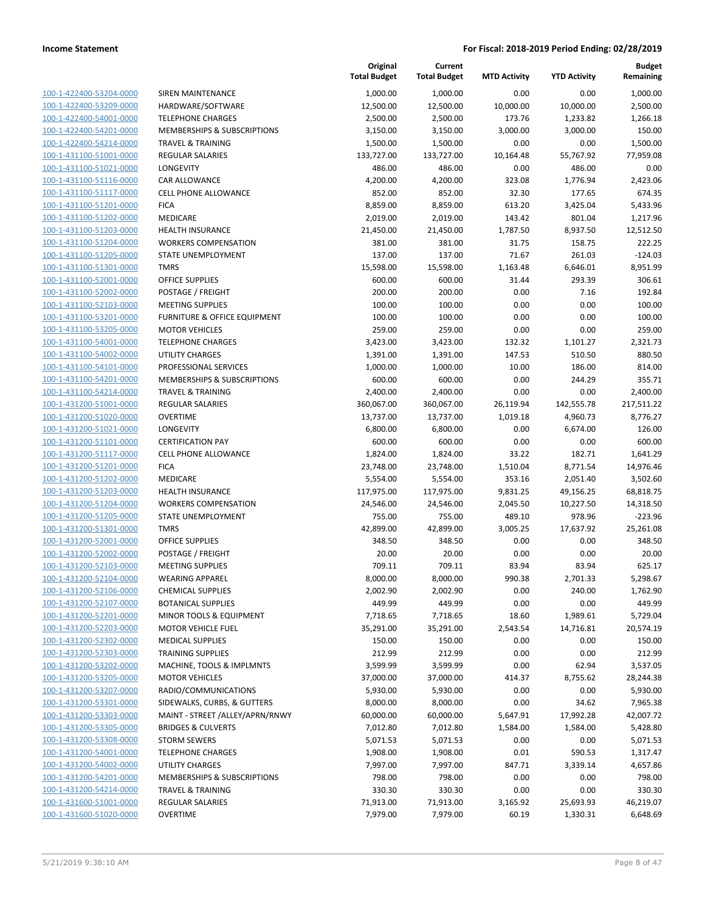| 100-1-422400-53204-0000        |
|--------------------------------|
| 100-1-422400-53209-0000        |
| 100-1-422400-54001-0000        |
| 100-1-422400-54201-0000        |
| 100-1-422400-54214-0000        |
| 100-1-431100-51001-0000        |
|                                |
| 100-1-431100-51021-0000        |
| 100-1-431100-51116-0000        |
| 100-1-431100-51117-0000        |
| 100-1-431100-51201-0000        |
| 100-1-431100-51202-0000        |
| 100-1-431100-51203-0000        |
| 100-1-431100-51204-0000        |
| 100-1-431100-51205-0000        |
| 100-1-431100-51301-0000        |
|                                |
| 100-1-431100-52001-0000        |
| 100-1-431100-52002-0000        |
| 100-1-431100-52103-0000        |
| 100-1-431100-53201-0000        |
| 100-1-431100-53205-0000        |
| 100-1-431100-54001-0000        |
| 100-1-431100-54002-0000        |
| 100-1-431100-54101-0000        |
| 100-1-431100-54201-0000        |
|                                |
| 100-1-431100-54214-0000        |
| 100-1-431200-51001-0000        |
| 100-1-431200-51020-0000        |
| 100-1-431200-51021-0000        |
| 100-1-431200-51101-0000        |
| 100-1-431200-51117-0000        |
| 100-1-431200-51201-0000        |
| 100-1-431200-51202-0000        |
| 100-1-431200-51203-0000        |
| 100-1-431200-51204-0000        |
| 100-1-431200-51205-0000        |
|                                |
| 100-1-431200-51301-0000        |
| 100-1-431200-52001-0000        |
| 100-1-431200-52002-0000        |
| 100-1-431200-52103-0000        |
| 100-1-431200-52104-0000        |
| 100-1-431200-52106-0000        |
| 100-1-431200-52107-0000        |
| <u>100-1-431200-52201-0000</u> |
| 100-1-431200-52203-0000        |
|                                |
| 100-1-431200-52302-0000        |
| <u>100-1-431200-52303-0000</u> |
| 100-1-431200-53202-0000        |
| 100-1-431200-53205-0000        |
| 100-1-431200-53207-0000        |
| 100-1-431200-53301-0000        |
| 100-1-431200-53303-0000        |
| 100-1-431200-53305-0000        |
| <u>100-1-431200-53308-0000</u> |
| 100-1-431200-54001-0000        |
|                                |
| 100-1-431200-54002-0000        |
| <u>100-1-431200-54201-0000</u> |
| 100-1-431200-54214-0000        |
| <u>100-1-431600-51001-0000</u> |
| <u>100-1-431600-51020-0000</u> |
|                                |

|                                                    |                                                   | Original<br><b>Total Budget</b> | Current<br><b>Total Budget</b> | <b>MTD Activity</b> | <b>YTD Activity</b> | <b>Budget</b><br>Remaining |
|----------------------------------------------------|---------------------------------------------------|---------------------------------|--------------------------------|---------------------|---------------------|----------------------------|
| 100-1-422400-53204-0000                            | SIREN MAINTENANCE                                 | 1,000.00                        | 1,000.00                       | 0.00                | 0.00                | 1,000.00                   |
| 100-1-422400-53209-0000                            | HARDWARE/SOFTWARE                                 | 12,500.00                       | 12,500.00                      | 10,000.00           | 10,000.00           | 2,500.00                   |
| 100-1-422400-54001-0000                            | <b>TELEPHONE CHARGES</b>                          | 2,500.00                        | 2,500.00                       | 173.76              | 1,233.82            | 1,266.18                   |
| 100-1-422400-54201-0000                            | MEMBERSHIPS & SUBSCRIPTIONS                       | 3,150.00                        | 3,150.00                       | 3,000.00            | 3,000.00            | 150.00                     |
| 100-1-422400-54214-0000                            | <b>TRAVEL &amp; TRAINING</b>                      | 1,500.00                        | 1,500.00                       | 0.00                | 0.00                | 1,500.00                   |
| 100-1-431100-51001-0000                            | <b>REGULAR SALARIES</b>                           | 133,727.00                      | 133,727.00                     | 10,164.48           | 55,767.92           | 77,959.08                  |
| 100-1-431100-51021-0000                            | <b>LONGEVITY</b>                                  | 486.00                          | 486.00                         | 0.00                | 486.00              | 0.00                       |
| 100-1-431100-51116-0000                            | <b>CAR ALLOWANCE</b>                              | 4,200.00                        | 4,200.00                       | 323.08              | 1,776.94            | 2,423.06                   |
| 100-1-431100-51117-0000                            | <b>CELL PHONE ALLOWANCE</b>                       | 852.00                          | 852.00                         | 32.30               | 177.65              | 674.35                     |
| 100-1-431100-51201-0000                            | <b>FICA</b>                                       | 8,859.00                        | 8,859.00                       | 613.20              | 3,425.04            | 5,433.96                   |
| 100-1-431100-51202-0000                            | MEDICARE                                          | 2,019.00                        | 2,019.00                       | 143.42              | 801.04              | 1,217.96                   |
| 100-1-431100-51203-0000                            | <b>HEALTH INSURANCE</b>                           | 21,450.00                       | 21,450.00                      | 1,787.50            | 8,937.50            | 12,512.50                  |
| 100-1-431100-51204-0000                            | <b>WORKERS COMPENSATION</b>                       | 381.00                          | 381.00                         | 31.75               | 158.75              | 222.25                     |
| 100-1-431100-51205-0000                            | STATE UNEMPLOYMENT                                | 137.00                          | 137.00                         | 71.67               | 261.03              | $-124.03$                  |
| 100-1-431100-51301-0000                            | <b>TMRS</b>                                       | 15,598.00                       | 15,598.00                      | 1,163.48            | 6,646.01            | 8,951.99                   |
| 100-1-431100-52001-0000                            | <b>OFFICE SUPPLIES</b>                            | 600.00                          | 600.00                         | 31.44               | 293.39              | 306.61                     |
| 100-1-431100-52002-0000                            | POSTAGE / FREIGHT                                 | 200.00                          | 200.00                         | 0.00                | 7.16                | 192.84                     |
| 100-1-431100-52103-0000                            | <b>MEETING SUPPLIES</b>                           | 100.00                          | 100.00                         | 0.00                | 0.00                | 100.00                     |
| 100-1-431100-53201-0000                            | FURNITURE & OFFICE EQUIPMENT                      | 100.00                          | 100.00                         | 0.00                | 0.00<br>0.00        | 100.00                     |
| 100-1-431100-53205-0000<br>100-1-431100-54001-0000 | <b>MOTOR VEHICLES</b><br><b>TELEPHONE CHARGES</b> | 259.00<br>3,423.00              | 259.00<br>3,423.00             | 0.00<br>132.32      | 1,101.27            | 259.00<br>2,321.73         |
| 100-1-431100-54002-0000                            | <b>UTILITY CHARGES</b>                            | 1,391.00                        | 1,391.00                       | 147.53              | 510.50              | 880.50                     |
| 100-1-431100-54101-0000                            | PROFESSIONAL SERVICES                             | 1,000.00                        | 1,000.00                       | 10.00               | 186.00              | 814.00                     |
| 100-1-431100-54201-0000                            | MEMBERSHIPS & SUBSCRIPTIONS                       | 600.00                          | 600.00                         | 0.00                | 244.29              | 355.71                     |
| 100-1-431100-54214-0000                            | <b>TRAVEL &amp; TRAINING</b>                      | 2,400.00                        | 2,400.00                       | 0.00                | 0.00                | 2,400.00                   |
| 100-1-431200-51001-0000                            | <b>REGULAR SALARIES</b>                           | 360,067.00                      | 360,067.00                     | 26,119.94           | 142,555.78          | 217,511.22                 |
| 100-1-431200-51020-0000                            | <b>OVERTIME</b>                                   | 13,737.00                       | 13,737.00                      | 1,019.18            | 4,960.73            | 8,776.27                   |
| 100-1-431200-51021-0000                            | <b>LONGEVITY</b>                                  | 6,800.00                        | 6,800.00                       | 0.00                | 6,674.00            | 126.00                     |
| 100-1-431200-51101-0000                            | <b>CERTIFICATION PAY</b>                          | 600.00                          | 600.00                         | 0.00                | 0.00                | 600.00                     |
| 100-1-431200-51117-0000                            | CELL PHONE ALLOWANCE                              | 1,824.00                        | 1,824.00                       | 33.22               | 182.71              | 1,641.29                   |
| 100-1-431200-51201-0000                            | <b>FICA</b>                                       | 23,748.00                       | 23,748.00                      | 1,510.04            | 8,771.54            | 14,976.46                  |
| 100-1-431200-51202-0000                            | MEDICARE                                          | 5,554.00                        | 5,554.00                       | 353.16              | 2,051.40            | 3,502.60                   |
| 100-1-431200-51203-0000                            | <b>HEALTH INSURANCE</b>                           | 117,975.00                      | 117,975.00                     | 9,831.25            | 49,156.25           | 68,818.75                  |
| 100-1-431200-51204-0000                            | <b>WORKERS COMPENSATION</b>                       | 24,546.00                       | 24,546.00                      | 2,045.50            | 10,227.50           | 14,318.50                  |
| 100-1-431200-51205-0000                            | STATE UNEMPLOYMENT                                | 755.00                          | 755.00                         | 489.10              | 978.96              | $-223.96$                  |
| 100-1-431200-51301-0000                            | <b>TMRS</b>                                       | 42,899.00                       | 42,899.00                      | 3,005.25            | 17,637.92           | 25,261.08                  |
| 100-1-431200-52001-0000                            | <b>OFFICE SUPPLIES</b>                            | 348.50                          | 348.50                         | 0.00                | 0.00                | 348.50                     |
| 100-1-431200-52002-0000                            | POSTAGE / FREIGHT                                 | 20.00                           | 20.00                          | 0.00                | 0.00                | 20.00                      |
| 100-1-431200-52103-0000                            | <b>MEETING SUPPLIES</b>                           | 709.11                          | 709.11                         | 83.94               | 83.94               | 625.17                     |
| 100-1-431200-52104-0000                            | <b>WEARING APPAREL</b>                            | 8,000.00                        | 8,000.00                       | 990.38              | 2,701.33            | 5,298.67                   |
| 100-1-431200-52106-0000                            | <b>CHEMICAL SUPPLIES</b>                          | 2,002.90                        | 2,002.90                       | 0.00                | 240.00              | 1,762.90                   |
| 100-1-431200-52107-0000                            | <b>BOTANICAL SUPPLIES</b>                         | 449.99                          | 449.99                         | 0.00                | 0.00                | 449.99                     |
| 100-1-431200-52201-0000                            | MINOR TOOLS & EQUIPMENT                           | 7,718.65                        | 7,718.65                       | 18.60               | 1,989.61            | 5,729.04                   |
| 100-1-431200-52203-0000                            | <b>MOTOR VEHICLE FUEL</b>                         | 35,291.00                       | 35,291.00                      | 2,543.54            | 14,716.81           | 20,574.19                  |
| 100-1-431200-52302-0000                            | <b>MEDICAL SUPPLIES</b>                           | 150.00                          | 150.00                         | 0.00                | 0.00                | 150.00                     |
| 100-1-431200-52303-0000                            | <b>TRAINING SUPPLIES</b>                          | 212.99                          | 212.99                         | 0.00                | 0.00                | 212.99                     |
| 100-1-431200-53202-0000                            | MACHINE, TOOLS & IMPLMNTS                         | 3,599.99                        | 3,599.99                       | 0.00                | 62.94               | 3,537.05                   |
| 100-1-431200-53205-0000                            | <b>MOTOR VEHICLES</b>                             | 37,000.00                       | 37,000.00                      | 414.37              | 8,755.62            | 28,244.38                  |
| 100-1-431200-53207-0000                            | RADIO/COMMUNICATIONS                              | 5,930.00                        | 5,930.00                       | 0.00                | 0.00                | 5,930.00                   |
| 100-1-431200-53301-0000                            | SIDEWALKS, CURBS, & GUTTERS                       | 8,000.00                        | 8,000.00                       | 0.00                | 34.62               | 7,965.38                   |
| 100-1-431200-53303-0000                            | MAINT - STREET /ALLEY/APRN/RNWY                   | 60,000.00                       | 60,000.00                      | 5,647.91            | 17,992.28           | 42,007.72                  |
| 100-1-431200-53305-0000                            | <b>BRIDGES &amp; CULVERTS</b>                     | 7,012.80                        | 7,012.80                       | 1,584.00            | 1,584.00            | 5,428.80                   |
| 100-1-431200-53308-0000                            | <b>STORM SEWERS</b>                               | 5,071.53                        | 5,071.53                       | 0.00                | 0.00                | 5,071.53                   |
| 100-1-431200-54001-0000                            | <b>TELEPHONE CHARGES</b>                          | 1,908.00                        | 1,908.00                       | 0.01                | 590.53              | 1,317.47                   |
| 100-1-431200-54002-0000                            | <b>UTILITY CHARGES</b>                            | 7,997.00                        | 7,997.00                       | 847.71              | 3,339.14            | 4,657.86                   |
| 100-1-431200-54201-0000                            | MEMBERSHIPS & SUBSCRIPTIONS                       | 798.00                          | 798.00                         | 0.00                | 0.00                | 798.00                     |
| 100-1-431200-54214-0000                            | <b>TRAVEL &amp; TRAINING</b>                      | 330.30                          | 330.30                         | 0.00                | 0.00                | 330.30                     |
| 100-1-431600-51001-0000                            | <b>REGULAR SALARIES</b>                           | 71,913.00                       | 71,913.00                      | 3,165.92            | 25,693.93           | 46,219.07                  |
| 100-1-431600-51020-0000                            | <b>OVERTIME</b>                                   | 7,979.00                        | 7,979.00                       | 60.19               | 1,330.31            | 6,648.69                   |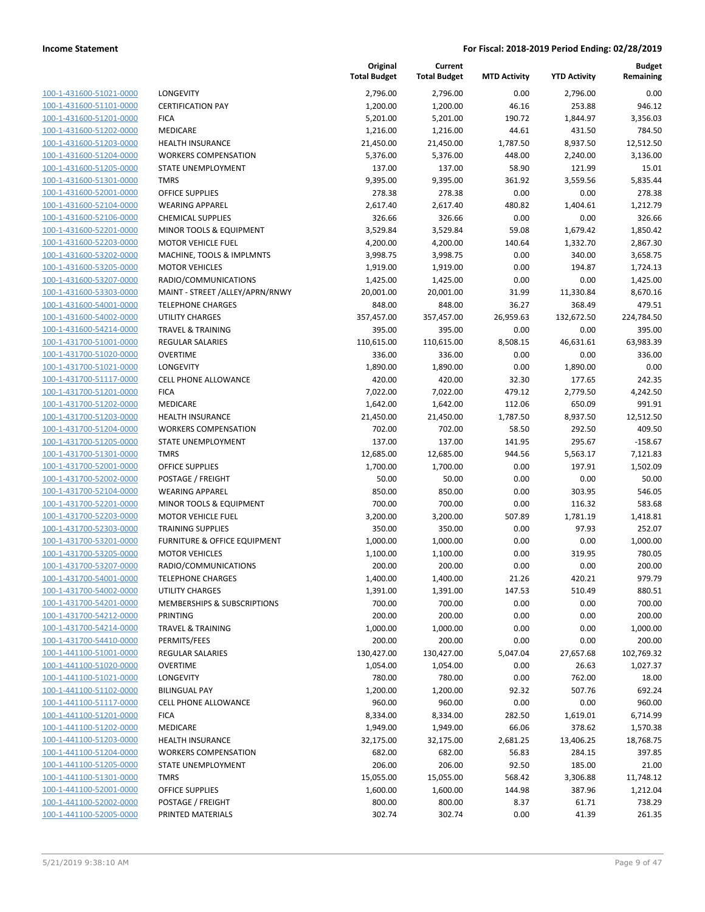100-1-431600-51021-0000 100-1-431600-51101-0000 100-1-431600-51201-0000 100-1-431600-51202-0000 100-1-431600-51203-0000 100-1-431600-51204-0000 100-1-431600-51205-0000 100-1-431600-51301-0000 100-1-431600-52001-0000 100-1-431600-52104-0000 100-1-431600-52106-0000 100-1-431600-52201-0000 100-1-431600-52203-0000 100-1-431600-53202-0000 100-1-431600-53205-0000 100-1-431600-53207-0000 100-1-431600-53303-0000 100-1-431600-54001-0000 100-1-431600-54002-0000 100-1-431600-54214-0000 100-1-431700-51001-0000 100-1-431700-51020-0000 100-1-431700-51021-0000 100-1-431700-51117-0000 100-1-431700-51201-0000 100-1-431700-51202-0000 100-1-431700-51203-0000 100-1-431700-51204-0000 100-1-431700-51205-0000 100-1-431700-51301-0000 100-1-431700-52001-0000 100-1-431700-52002-0000 100-1-431700-52104-0000 100-1-431700-52201-0000 100-1-431700-52203-0000 100-1-431700-52303-0000 100-1-431700-53201-0000 100-1-431700-53205-0000 100-1-431700-53207-0000 100-1-431700-54001-0000 100-1-431700-54002-0000 100-1-431700-54201-0000 100-1-431700-54212-0000 100-1-431700-54214-0000 100-1-431700-54410-0000 100-1-441100-51001-0000 100-1-441100-51020-0000 100-1-441100-51021-0000 100-1-441100-51102-0000 100-1-441100-51117-0000 100-1-441100-51201-0000 100-1-441100-51202-0000 100-1-441100-51203-0000 100-1-441100-51204-0000 100-1-441100-51205-0000 100-1-441100-51301-0000 100-1-441100-52001-0000 100-1-441100-52002-0000 100-1-441100-52005-0000

|                                     | Original<br><b>Total Budget</b> | Current<br><b>Total Budget</b> | <b>MTD Activity</b> | <b>YTD Activity</b> | <b>Budget</b><br>Remaining |
|-------------------------------------|---------------------------------|--------------------------------|---------------------|---------------------|----------------------------|
| LONGEVITY                           | 2,796.00                        | 2,796.00                       | 0.00                | 2,796.00            | 0.00                       |
| <b>CERTIFICATION PAY</b>            | 1,200.00                        | 1,200.00                       | 46.16               | 253.88              | 946.12                     |
| <b>FICA</b>                         | 5,201.00                        | 5,201.00                       | 190.72              | 1,844.97            | 3,356.03                   |
| MEDICARE                            | 1,216.00                        | 1,216.00                       | 44.61               | 431.50              | 784.50                     |
| <b>HEALTH INSURANCE</b>             | 21,450.00                       | 21,450.00                      | 1,787.50            | 8,937.50            | 12,512.50                  |
| <b>WORKERS COMPENSATION</b>         | 5,376.00                        | 5,376.00                       | 448.00              | 2,240.00            | 3,136.00                   |
| STATE UNEMPLOYMENT                  | 137.00                          | 137.00                         | 58.90               | 121.99              | 15.01                      |
| <b>TMRS</b>                         | 9,395.00                        | 9,395.00                       | 361.92              | 3,559.56            | 5,835.44                   |
| <b>OFFICE SUPPLIES</b>              | 278.38                          | 278.38                         | 0.00                | 0.00                | 278.38                     |
| <b>WEARING APPAREL</b>              | 2,617.40                        | 2,617.40                       | 480.82              | 1,404.61            | 1,212.79                   |
| <b>CHEMICAL SUPPLIES</b>            | 326.66                          | 326.66                         | 0.00                | 0.00                | 326.66                     |
| MINOR TOOLS & EQUIPMENT             | 3,529.84                        | 3,529.84                       | 59.08               | 1,679.42            | 1,850.42                   |
| <b>MOTOR VEHICLE FUEL</b>           | 4,200.00                        | 4,200.00                       | 140.64              | 1,332.70            | 2,867.30                   |
| MACHINE, TOOLS & IMPLMNTS           | 3,998.75                        | 3,998.75                       | 0.00                | 340.00              | 3,658.75                   |
| <b>MOTOR VEHICLES</b>               | 1,919.00                        | 1,919.00                       | 0.00                | 194.87              | 1,724.13                   |
| RADIO/COMMUNICATIONS                | 1,425.00                        | 1,425.00                       | 0.00                | 0.00                | 1,425.00                   |
| MAINT - STREET /ALLEY/APRN/RNWY     | 20,001.00                       | 20,001.00                      | 31.99               | 11,330.84           | 8,670.16                   |
| <b>TELEPHONE CHARGES</b>            | 848.00                          | 848.00                         | 36.27               | 368.49              | 479.51                     |
| <b>UTILITY CHARGES</b>              | 357,457.00                      | 357,457.00                     | 26,959.63           | 132,672.50          | 224,784.50                 |
| <b>TRAVEL &amp; TRAINING</b>        | 395.00                          | 395.00                         | 0.00                | 0.00                | 395.00                     |
| <b>REGULAR SALARIES</b>             | 110,615.00                      | 110,615.00                     | 8,508.15            | 46,631.61           | 63,983.39                  |
| <b>OVERTIME</b>                     | 336.00                          | 336.00                         | 0.00                | 0.00                | 336.00                     |
| LONGEVITY                           | 1,890.00                        | 1,890.00                       | 0.00                | 1,890.00            | 0.00                       |
| <b>CELL PHONE ALLOWANCE</b>         | 420.00                          | 420.00                         | 32.30               | 177.65              | 242.35                     |
| <b>FICA</b>                         | 7,022.00                        | 7,022.00                       | 479.12              | 2,779.50            | 4,242.50                   |
| <b>MEDICARE</b>                     | 1,642.00                        | 1,642.00                       | 112.06              | 650.09              | 991.91                     |
| <b>HEALTH INSURANCE</b>             | 21,450.00                       | 21,450.00                      | 1,787.50            | 8,937.50            | 12,512.50                  |
| <b>WORKERS COMPENSATION</b>         | 702.00                          | 702.00                         | 58.50               | 292.50              | 409.50                     |
| STATE UNEMPLOYMENT                  | 137.00                          | 137.00                         | 141.95              | 295.67              | $-158.67$                  |
| <b>TMRS</b>                         | 12,685.00                       | 12,685.00                      | 944.56              | 5,563.17            | 7,121.83                   |
| <b>OFFICE SUPPLIES</b>              | 1,700.00                        | 1,700.00                       | 0.00                | 197.91              | 1,502.09                   |
| POSTAGE / FREIGHT                   | 50.00                           | 50.00                          | 0.00                | 0.00                | 50.00                      |
| <b>WEARING APPAREL</b>              | 850.00                          | 850.00                         | 0.00                | 303.95              | 546.05                     |
| MINOR TOOLS & EQUIPMENT             | 700.00                          | 700.00                         | 0.00                | 116.32              | 583.68                     |
| <b>MOTOR VEHICLE FUEL</b>           | 3,200.00                        | 3,200.00                       | 507.89              | 1,781.19            | 1,418.81                   |
| <b>TRAINING SUPPLIES</b>            | 350.00                          | 350.00                         | 0.00                | 97.93               | 252.07                     |
| FURNITURE & OFFICE EQUIPMENT        | 1,000.00                        | 1,000.00                       | 0.00                | 0.00                | 1,000.00                   |
| <b>MOTOR VEHICLES</b>               | 1,100.00                        | 1,100.00                       | 0.00                | 319.95              | 780.05                     |
| RADIO/COMMUNICATIONS                | 200.00                          | 200.00                         | 0.00                | 0.00                | 200.00                     |
| <b>TELEPHONE CHARGES</b>            | 1,400.00                        | 1,400.00                       | 21.26               | 420.21              | 979.79                     |
| UTILITY CHARGES                     | 1,391.00                        | 1,391.00                       | 147.53              | 510.49              | 880.51                     |
| MEMBERSHIPS & SUBSCRIPTIONS         | 700.00                          | 700.00                         | 0.00                | 0.00                | 700.00                     |
| <b>PRINTING</b>                     | 200.00                          | 200.00                         | 0.00                | 0.00                | 200.00                     |
| <b>TRAVEL &amp; TRAINING</b>        | 1,000.00                        | 1,000.00                       | 0.00                | 0.00                | 1,000.00                   |
| PERMITS/FEES                        | 200.00                          | 200.00                         | 0.00                | 0.00                | 200.00                     |
|                                     |                                 | 130,427.00                     |                     |                     |                            |
| REGULAR SALARIES<br><b>OVERTIME</b> | 130,427.00<br>1,054.00          | 1,054.00                       | 5,047.04<br>0.00    | 27,657.68<br>26.63  | 102,769.32<br>1,027.37     |
| LONGEVITY                           | 780.00                          | 780.00                         | 0.00                | 762.00              | 18.00                      |
| <b>BILINGUAL PAY</b>                |                                 | 1,200.00                       | 92.32               | 507.76              | 692.24                     |
|                                     | 1,200.00<br>960.00              | 960.00                         | 0.00                | 0.00                | 960.00                     |
| <b>CELL PHONE ALLOWANCE</b>         |                                 |                                |                     |                     |                            |
| <b>FICA</b>                         | 8,334.00                        | 8,334.00                       | 282.50              | 1,619.01            | 6,714.99                   |
| MEDICARE                            | 1,949.00                        | 1,949.00                       | 66.06               | 378.62              | 1,570.38                   |
| <b>HEALTH INSURANCE</b>             | 32,175.00                       | 32,175.00                      | 2,681.25            | 13,406.25           | 18,768.75                  |
| <b>WORKERS COMPENSATION</b>         | 682.00                          | 682.00                         | 56.83               | 284.15              | 397.85                     |
| STATE UNEMPLOYMENT                  | 206.00                          | 206.00                         | 92.50               | 185.00              | 21.00                      |
| <b>TMRS</b>                         | 15,055.00                       | 15,055.00                      | 568.42              | 3,306.88            | 11,748.12                  |
| OFFICE SUPPLIES                     | 1,600.00                        | 1,600.00                       | 144.98              | 387.96              | 1,212.04                   |
| POSTAGE / FREIGHT                   | 800.00                          | 800.00                         | 8.37                | 61.71               | 738.29                     |
| PRINTED MATERIALS                   | 302.74                          | 302.74                         | 0.00                | 41.39               | 261.35                     |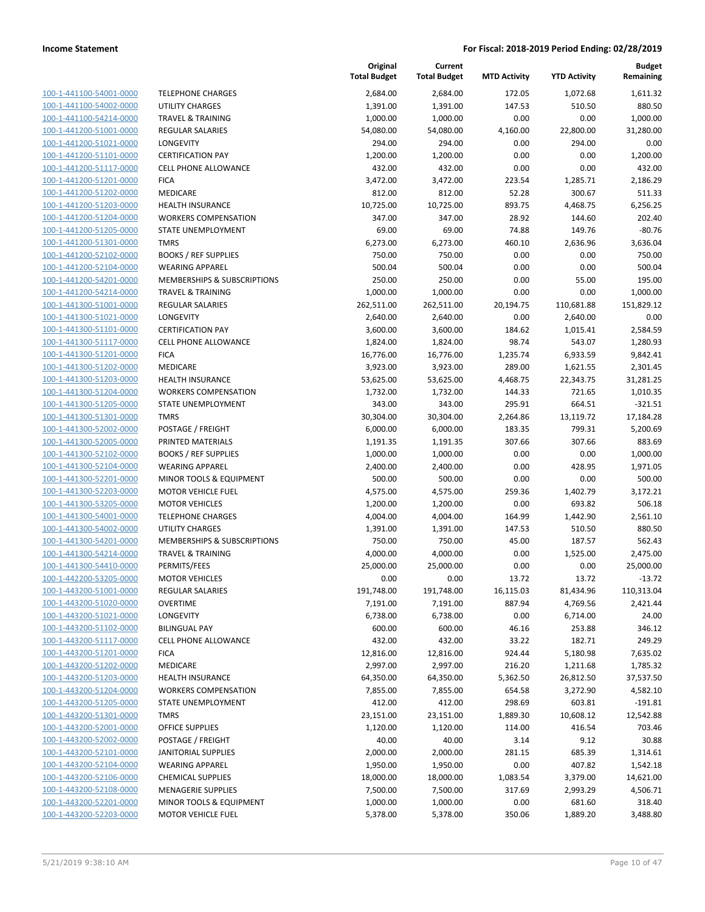| 100-1-441100-54001-0000        |
|--------------------------------|
| 100-1-441100-54002-0000        |
| 100-1-441100-54214-0000        |
| 100-1-441200-51001-0000        |
| 100-1-441200-51021-0000        |
| 100-1-441200-51101-0000        |
| 100-1-441200-51117-0000        |
| 100-1-441200-51201-0000        |
| 100-1-441200-51202-0000        |
| 100-1-441200-51203-0000        |
| 100-1-441200-51204-0000        |
| 100-1-441200-51205-0000        |
| 100-1-441200-51301-0000        |
| 100-1-441200-52102-0000        |
| 100-1-441200-52104-0000        |
| 100-1-441200-54201-0000        |
|                                |
| 100-1-441200-54214-0000        |
| 100-1-441300-51001-0000        |
| 100-1-441300-51021-0000        |
| 100-1-441300-51101-0000        |
| 100-1-441300-51117-0000        |
| 100-1-441300-51201-0000        |
| 100-1-441300-51202-0000        |
| 100-1-441300-51203-0000        |
| 100-1-441300-51204-0000        |
| 100-1-441300-51205-0000        |
| 100-1-441300-51301-0000        |
| 100-1-441300-52002-0000        |
| 100-1-441300-52005-0000        |
| 100-1-441300-52102-0000        |
| 100-1-441300-52104-0000        |
| 100-1-441300-52201-0000        |
| 100-1-441300-52203-0000        |
| 100-1-441300-53205-0000        |
| 100-1-441300-54001-0000        |
| 100-1-441300-54002-0000        |
|                                |
| 100-1-441300-54201-0000        |
| 100-1-441300-54214-0000        |
| 100-1-441300-54410-0000        |
| 100-1-442200-53205-0000        |
| 100-1-443200-51001-0000        |
| <u>100-1-443200-51020-0000</u> |
| 100-1-443200-51021-0000        |
| <u>100-1-443200-51102-0000</u> |
| 100-1-443200-51117-0000        |
| 100-1-443200-51201-0000        |
| 100-1-443200-51202-0000        |
| <u>100-1-443200-51203-0000</u> |
| <u>100-1-443200-51204-0000</u> |
| <u>100-1-443200-51205-0000</u> |
| <u>100-1-443200-51301-0000</u> |
| 100-1-443200-52001-0000        |
|                                |
| <u>100-1-443200-52002-0000</u> |
| <u>100-1-443200-52101-0000</u> |
| <u>100-1-443200-52104-0000</u> |
| <u>100-1-443200-52106-0000</u> |
| 100-1-443200-52108-0000        |
| <u>100-1-443200-52201-0000</u> |
| 100-1-443200-52203-0000        |

|                         |                              | Original<br><b>Total Budget</b> | Current<br><b>Total Budget</b> | <b>MTD Activity</b> | <b>YTD Activity</b> | <b>Budget</b><br>Remaining |
|-------------------------|------------------------------|---------------------------------|--------------------------------|---------------------|---------------------|----------------------------|
| 100-1-441100-54001-0000 | <b>TELEPHONE CHARGES</b>     | 2,684.00                        | 2,684.00                       | 172.05              | 1,072.68            | 1,611.32                   |
| 100-1-441100-54002-0000 | <b>UTILITY CHARGES</b>       | 1,391.00                        | 1,391.00                       | 147.53              | 510.50              | 880.50                     |
| 100-1-441100-54214-0000 | <b>TRAVEL &amp; TRAINING</b> | 1,000.00                        | 1,000.00                       | 0.00                | 0.00                | 1,000.00                   |
| 100-1-441200-51001-0000 | <b>REGULAR SALARIES</b>      | 54,080.00                       | 54,080.00                      | 4,160.00            | 22,800.00           | 31,280.00                  |
| 100-1-441200-51021-0000 | LONGEVITY                    | 294.00                          | 294.00                         | 0.00                | 294.00              | 0.00                       |
| 100-1-441200-51101-0000 | <b>CERTIFICATION PAY</b>     | 1,200.00                        | 1,200.00                       | 0.00                | 0.00                | 1,200.00                   |
| 100-1-441200-51117-0000 | <b>CELL PHONE ALLOWANCE</b>  | 432.00                          | 432.00                         | 0.00                | 0.00                | 432.00                     |
| 100-1-441200-51201-0000 | <b>FICA</b>                  | 3,472.00                        | 3,472.00                       | 223.54              | 1,285.71            | 2,186.29                   |
| 100-1-441200-51202-0000 | MEDICARE                     | 812.00                          | 812.00                         | 52.28               | 300.67              | 511.33                     |
| 100-1-441200-51203-0000 | <b>HEALTH INSURANCE</b>      | 10,725.00                       | 10,725.00                      | 893.75              | 4,468.75            | 6,256.25                   |
| 100-1-441200-51204-0000 | <b>WORKERS COMPENSATION</b>  | 347.00                          | 347.00                         | 28.92               | 144.60              | 202.40                     |
| 100-1-441200-51205-0000 | STATE UNEMPLOYMENT           | 69.00                           | 69.00                          | 74.88               | 149.76              | $-80.76$                   |
| 100-1-441200-51301-0000 | <b>TMRS</b>                  | 6,273.00                        | 6,273.00                       | 460.10              | 2,636.96            | 3,636.04                   |
| 100-1-441200-52102-0000 | <b>BOOKS / REF SUPPLIES</b>  | 750.00                          | 750.00                         | 0.00                | 0.00                | 750.00                     |
| 100-1-441200-52104-0000 | <b>WEARING APPAREL</b>       | 500.04                          | 500.04                         | 0.00                | 0.00                | 500.04                     |
| 100-1-441200-54201-0000 | MEMBERSHIPS & SUBSCRIPTIONS  | 250.00                          | 250.00                         | 0.00                | 55.00               | 195.00                     |
| 100-1-441200-54214-0000 | <b>TRAVEL &amp; TRAINING</b> | 1,000.00                        | 1,000.00                       | 0.00                | 0.00                | 1,000.00                   |
| 100-1-441300-51001-0000 | <b>REGULAR SALARIES</b>      | 262,511.00                      | 262,511.00                     | 20,194.75           | 110,681.88          | 151,829.12                 |
| 100-1-441300-51021-0000 | LONGEVITY                    | 2,640.00                        | 2,640.00                       | 0.00                | 2,640.00            | 0.00                       |
| 100-1-441300-51101-0000 | <b>CERTIFICATION PAY</b>     | 3,600.00                        | 3,600.00                       | 184.62              | 1,015.41            | 2,584.59                   |
| 100-1-441300-51117-0000 | <b>CELL PHONE ALLOWANCE</b>  | 1,824.00                        | 1,824.00                       | 98.74               | 543.07              | 1,280.93                   |
| 100-1-441300-51201-0000 | <b>FICA</b>                  | 16,776.00                       | 16,776.00                      | 1,235.74            | 6,933.59            | 9,842.41                   |
| 100-1-441300-51202-0000 | <b>MEDICARE</b>              | 3,923.00                        | 3,923.00                       | 289.00              | 1,621.55            | 2,301.45                   |
| 100-1-441300-51203-0000 | <b>HEALTH INSURANCE</b>      | 53,625.00                       | 53,625.00                      | 4,468.75            | 22,343.75           | 31,281.25                  |
| 100-1-441300-51204-0000 | <b>WORKERS COMPENSATION</b>  | 1,732.00                        | 1,732.00                       | 144.33              | 721.65              | 1,010.35                   |
| 100-1-441300-51205-0000 | STATE UNEMPLOYMENT           | 343.00                          | 343.00                         | 295.91              | 664.51              | $-321.51$                  |
| 100-1-441300-51301-0000 | <b>TMRS</b>                  | 30,304.00                       | 30,304.00                      | 2,264.86            | 13,119.72           | 17,184.28                  |
| 100-1-441300-52002-0000 | POSTAGE / FREIGHT            | 6,000.00                        | 6,000.00                       | 183.35              | 799.31              | 5,200.69                   |
| 100-1-441300-52005-0000 | PRINTED MATERIALS            | 1,191.35                        | 1,191.35                       | 307.66              | 307.66              | 883.69                     |
| 100-1-441300-52102-0000 | <b>BOOKS / REF SUPPLIES</b>  | 1,000.00                        | 1,000.00                       | 0.00                | 0.00                | 1,000.00                   |
| 100-1-441300-52104-0000 | <b>WEARING APPAREL</b>       | 2,400.00                        | 2,400.00                       | 0.00                | 428.95              | 1,971.05                   |
| 100-1-441300-52201-0000 | MINOR TOOLS & EQUIPMENT      | 500.00                          | 500.00                         | 0.00                | 0.00                | 500.00                     |
| 100-1-441300-52203-0000 | <b>MOTOR VEHICLE FUEL</b>    | 4,575.00                        | 4,575.00                       | 259.36              | 1,402.79            | 3,172.21                   |
| 100-1-441300-53205-0000 | <b>MOTOR VEHICLES</b>        | 1,200.00                        | 1,200.00                       | 0.00                | 693.82              | 506.18                     |
| 100-1-441300-54001-0000 | <b>TELEPHONE CHARGES</b>     | 4,004.00                        | 4,004.00                       | 164.99              | 1,442.90            | 2,561.10                   |
| 100-1-441300-54002-0000 | UTILITY CHARGES              | 1,391.00                        | 1,391.00                       | 147.53              | 510.50              | 880.50                     |
| 100-1-441300-54201-0000 | MEMBERSHIPS & SUBSCRIPTIONS  | 750.00                          | 750.00                         | 45.00               | 187.57              | 562.43                     |
| 100-1-441300-54214-0000 | <b>TRAVEL &amp; TRAINING</b> | 4,000.00                        | 4,000.00                       | 0.00                | 1,525.00            | 2,475.00                   |
| 100-1-441300-54410-0000 | PERMITS/FEES                 | 25,000.00                       | 25,000.00                      | 0.00                | 0.00                | 25,000.00                  |
| 100-1-442200-53205-0000 | <b>MOTOR VEHICLES</b>        | 0.00                            | 0.00                           | 13.72               | 13.72               | $-13.72$                   |
| 100-1-443200-51001-0000 | REGULAR SALARIES             | 191,748.00                      | 191,748.00                     | 16,115.03           | 81,434.96           | 110,313.04                 |
| 100-1-443200-51020-0000 | <b>OVERTIME</b>              | 7,191.00                        | 7,191.00                       | 887.94              | 4,769.56            | 2,421.44                   |
| 100-1-443200-51021-0000 | LONGEVITY                    | 6,738.00                        | 6,738.00                       | 0.00                | 6,714.00            | 24.00                      |
| 100-1-443200-51102-0000 | <b>BILINGUAL PAY</b>         | 600.00                          | 600.00                         | 46.16               | 253.88              | 346.12                     |
| 100-1-443200-51117-0000 | <b>CELL PHONE ALLOWANCE</b>  | 432.00                          | 432.00                         | 33.22               | 182.71              | 249.29                     |
| 100-1-443200-51201-0000 | <b>FICA</b>                  | 12,816.00                       | 12,816.00                      | 924.44              | 5,180.98            | 7,635.02                   |
| 100-1-443200-51202-0000 | MEDICARE                     | 2,997.00                        | 2,997.00                       | 216.20              | 1,211.68            | 1,785.32                   |
| 100-1-443200-51203-0000 | <b>HEALTH INSURANCE</b>      | 64,350.00                       | 64,350.00                      | 5,362.50            | 26,812.50           | 37,537.50                  |
| 100-1-443200-51204-0000 | <b>WORKERS COMPENSATION</b>  | 7,855.00                        | 7,855.00                       | 654.58              | 3,272.90            | 4,582.10                   |
| 100-1-443200-51205-0000 | <b>STATE UNEMPLOYMENT</b>    | 412.00                          | 412.00                         | 298.69              | 603.81              | $-191.81$                  |
| 100-1-443200-51301-0000 | <b>TMRS</b>                  | 23,151.00                       | 23,151.00                      | 1,889.30            | 10,608.12           | 12,542.88                  |
| 100-1-443200-52001-0000 | OFFICE SUPPLIES              | 1,120.00                        | 1,120.00                       | 114.00              | 416.54              | 703.46                     |
| 100-1-443200-52002-0000 | POSTAGE / FREIGHT            | 40.00                           | 40.00                          | 3.14                | 9.12                | 30.88                      |
| 100-1-443200-52101-0000 | <b>JANITORIAL SUPPLIES</b>   | 2,000.00                        | 2,000.00                       | 281.15              | 685.39              | 1,314.61                   |
| 100-1-443200-52104-0000 | <b>WEARING APPAREL</b>       | 1,950.00                        | 1,950.00                       | 0.00                | 407.82              | 1,542.18                   |
| 100-1-443200-52106-0000 | <b>CHEMICAL SUPPLIES</b>     | 18,000.00                       | 18,000.00                      | 1,083.54            | 3,379.00            | 14,621.00                  |
| 100-1-443200-52108-0000 | <b>MENAGERIE SUPPLIES</b>    | 7,500.00                        | 7,500.00                       | 317.69              | 2,993.29            | 4,506.71                   |
| 100-1-443200-52201-0000 | MINOR TOOLS & EQUIPMENT      | 1,000.00                        | 1,000.00                       | 0.00                | 681.60              | 318.40                     |
| 100-1-443200-52203-0000 | MOTOR VEHICLE FUEL           | 5,378.00                        | 5,378.00                       | 350.06              | 1,889.20            | 3,488.80                   |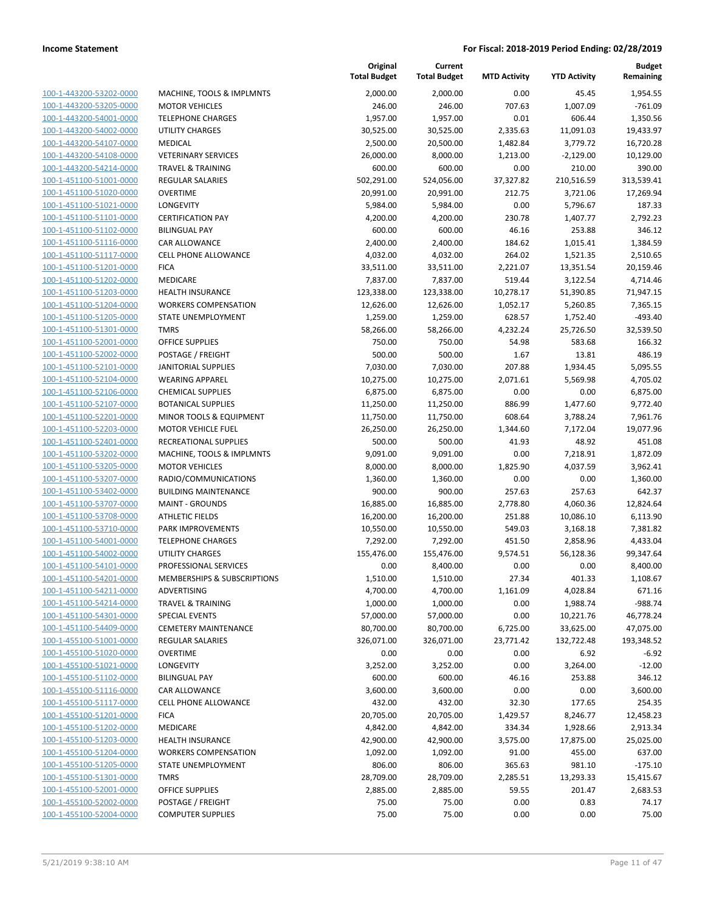**Current**

**Original**

**Budget Remaining**

| 100-1-443200-53202-0000        |
|--------------------------------|
| 100-1-443200-53205-0000        |
| 100-1-443200-54001-0000        |
| 100-1-443200-54002-0000        |
| 100-1-443200-54107-0000        |
| 100-1-443200-54108-0000        |
| 100-1-443200-54214-0000        |
| 100-1-451100-51001-0000        |
| 100-1-451100-51020-0000        |
| 100-1-451100-51021-0000        |
| 100-1-451100-51101-0000        |
| 100-1-451100-51102-0000        |
| 100-1-451100-51116-0000        |
| 100-1-451100-51117-0000        |
| 100-1-451100-51201-0000        |
| 100-1-451100-51202-0000        |
| 100-1-451100-51203-0000        |
| 100-1-451100-51204-0000        |
| 100-1-451100-51205-0000        |
| 100-1-451100-51301-0000        |
| 100-1-451100-52001-0000        |
| 100-1-451100-52002-0000        |
| 100-1-451100-52101-0000        |
| 100-1-451100-52104-0000        |
| 100-1-451100-52106-0000        |
| 100-1-451100-52107-0000        |
| 100-1-451100-52201-0000        |
| 100-1-451100-52203-0000        |
| 100-1-451100-52401-0000        |
| 100-1-451100-53202-0000        |
| 100-1-451100-53205-0000        |
| 100-1-451100-53207-0000        |
| 100-1-451100-53402-0000        |
| 100-1-451100-53707-0000        |
| 100-1-451100-53708-0000        |
| 100-1-451100-53710-0000        |
| 100-1-451100-54001-0000        |
| 100-1-451100-54002-0000        |
| 100-1-451100-54101-0000        |
| 100-1-451100-54201-0000        |
| 100-1-451100-54211-0000        |
| <u>100-1-451100-54214-0000</u> |
| <u>100-1-451100-54301-0000</u> |
| <u>100-1-451100-54409-0000</u> |
| <u>100-1-455100-51001-0000</u> |
| 100-1-455100-51020-0000        |
| 100-1-455100-51021-0000        |
| <u>100-1-455100-51102-0000</u> |
| <u>100-1-455100-51116-0000</u> |
| 100-1-455100-51117-0000        |
| 100-1-455100-51201-0000        |
| 100-1-455100-51202-0000        |
| 100-1-455100-51203-0000        |
| <u>100-1-455100-51204-0000</u> |
| <u>100-1-455100-51205-0000</u> |
| 100-1-455100-51301-0000        |
| 100-1-455100-52001-0000        |
| <u>100-1-455100-52002-0000</u> |
| <u>100-1-455100-52004-0000</u> |
|                                |

|                                                    |                                              | <b>Total Budget</b>  | <b>Total Budget</b>  | <b>MTD Activity</b> | <b>YTD Activity</b>  | Remaining          |
|----------------------------------------------------|----------------------------------------------|----------------------|----------------------|---------------------|----------------------|--------------------|
| 100-1-443200-53202-0000                            | MACHINE, TOOLS & IMPLMNTS                    | 2,000.00             | 2,000.00             | 0.00                | 45.45                | 1,954.55           |
| 100-1-443200-53205-0000                            | <b>MOTOR VEHICLES</b>                        | 246.00               | 246.00               | 707.63              | 1,007.09             | $-761.09$          |
| 100-1-443200-54001-0000                            | <b>TELEPHONE CHARGES</b>                     | 1,957.00             | 1,957.00             | 0.01                | 606.44               | 1,350.56           |
| 100-1-443200-54002-0000                            | <b>UTILITY CHARGES</b>                       | 30,525.00            | 30,525.00            | 2,335.63            | 11,091.03            | 19,433.97          |
| 100-1-443200-54107-0000                            | MEDICAL                                      | 2,500.00             | 20,500.00            | 1,482.84            | 3,779.72             | 16,720.28          |
| 100-1-443200-54108-0000                            | <b>VETERINARY SERVICES</b>                   | 26,000.00            | 8,000.00             | 1,213.00            | $-2,129.00$          | 10,129.00          |
| 100-1-443200-54214-0000                            | <b>TRAVEL &amp; TRAINING</b>                 | 600.00               | 600.00               | 0.00                | 210.00               | 390.00             |
| 100-1-451100-51001-0000                            | <b>REGULAR SALARIES</b>                      | 502,291.00           | 524,056.00           | 37,327.82           | 210,516.59           | 313,539.41         |
| 100-1-451100-51020-0000                            | <b>OVERTIME</b>                              | 20,991.00            | 20,991.00            | 212.75              | 3,721.06             | 17,269.94          |
| 100-1-451100-51021-0000                            | LONGEVITY                                    | 5,984.00             | 5,984.00             | 0.00                | 5,796.67             | 187.33             |
| 100-1-451100-51101-0000                            | <b>CERTIFICATION PAY</b>                     | 4,200.00             | 4,200.00             | 230.78              | 1,407.77             | 2,792.23           |
| 100-1-451100-51102-0000<br>100-1-451100-51116-0000 | <b>BILINGUAL PAY</b><br><b>CAR ALLOWANCE</b> | 600.00               | 600.00<br>2,400.00   | 46.16<br>184.62     | 253.88               | 346.12<br>1,384.59 |
| 100-1-451100-51117-0000                            | <b>CELL PHONE ALLOWANCE</b>                  | 2,400.00<br>4,032.00 | 4,032.00             | 264.02              | 1,015.41<br>1,521.35 | 2,510.65           |
| 100-1-451100-51201-0000                            | <b>FICA</b>                                  | 33,511.00            | 33,511.00            | 2,221.07            | 13,351.54            | 20,159.46          |
| 100-1-451100-51202-0000                            | MEDICARE                                     | 7,837.00             | 7,837.00             | 519.44              | 3,122.54             | 4,714.46           |
| 100-1-451100-51203-0000                            | HEALTH INSURANCE                             | 123,338.00           | 123,338.00           | 10,278.17           | 51,390.85            | 71,947.15          |
| 100-1-451100-51204-0000                            | <b>WORKERS COMPENSATION</b>                  | 12,626.00            | 12,626.00            | 1,052.17            | 5,260.85             | 7,365.15           |
| 100-1-451100-51205-0000                            | STATE UNEMPLOYMENT                           | 1,259.00             | 1,259.00             | 628.57              | 1,752.40             | $-493.40$          |
| 100-1-451100-51301-0000                            | <b>TMRS</b>                                  | 58,266.00            | 58,266.00            | 4,232.24            | 25,726.50            | 32,539.50          |
| 100-1-451100-52001-0000                            | <b>OFFICE SUPPLIES</b>                       | 750.00               | 750.00               | 54.98               | 583.68               | 166.32             |
| 100-1-451100-52002-0000                            | POSTAGE / FREIGHT                            | 500.00               | 500.00               | 1.67                | 13.81                | 486.19             |
| 100-1-451100-52101-0000                            | <b>JANITORIAL SUPPLIES</b>                   | 7,030.00             | 7,030.00             | 207.88              | 1,934.45             | 5,095.55           |
| 100-1-451100-52104-0000                            | <b>WEARING APPAREL</b>                       | 10,275.00            | 10,275.00            | 2,071.61            | 5,569.98             | 4,705.02           |
| 100-1-451100-52106-0000                            | <b>CHEMICAL SUPPLIES</b>                     | 6,875.00             | 6,875.00             | 0.00                | 0.00                 | 6,875.00           |
| 100-1-451100-52107-0000                            | <b>BOTANICAL SUPPLIES</b>                    | 11,250.00            | 11,250.00            | 886.99              | 1,477.60             | 9,772.40           |
| 100-1-451100-52201-0000                            | MINOR TOOLS & EQUIPMENT                      | 11,750.00            | 11,750.00            | 608.64              | 3,788.24             | 7,961.76           |
| 100-1-451100-52203-0000                            | <b>MOTOR VEHICLE FUEL</b>                    | 26,250.00            | 26,250.00            | 1,344.60            | 7,172.04             | 19,077.96          |
| 100-1-451100-52401-0000                            | RECREATIONAL SUPPLIES                        | 500.00               | 500.00               | 41.93               | 48.92                | 451.08             |
| 100-1-451100-53202-0000                            | MACHINE, TOOLS & IMPLMNTS                    | 9,091.00             | 9,091.00             | 0.00                | 7,218.91             | 1,872.09           |
| 100-1-451100-53205-0000                            | <b>MOTOR VEHICLES</b>                        | 8,000.00             | 8,000.00             | 1,825.90            | 4,037.59             | 3,962.41           |
| 100-1-451100-53207-0000                            | RADIO/COMMUNICATIONS                         | 1,360.00             | 1,360.00             | 0.00                | 0.00                 | 1,360.00           |
| 100-1-451100-53402-0000                            | <b>BUILDING MAINTENANCE</b>                  | 900.00               | 900.00               | 257.63              | 257.63               | 642.37             |
| 100-1-451100-53707-0000                            | <b>MAINT - GROUNDS</b>                       | 16,885.00            | 16,885.00            | 2,778.80            | 4,060.36             | 12,824.64          |
| 100-1-451100-53708-0000                            | <b>ATHLETIC FIELDS</b>                       | 16,200.00            | 16,200.00            | 251.88              | 10,086.10            | 6,113.90           |
| 100-1-451100-53710-0000                            | PARK IMPROVEMENTS                            | 10,550.00            | 10,550.00            | 549.03              | 3,168.18             | 7,381.82           |
| 100-1-451100-54001-0000                            | <b>TELEPHONE CHARGES</b>                     | 7,292.00             | 7,292.00             | 451.50              | 2,858.96             | 4,433.04           |
| 100-1-451100-54002-0000                            | <b>UTILITY CHARGES</b>                       | 155,476.00           | 155,476.00           | 9,574.51            | 56,128.36            | 99,347.64          |
| 100-1-451100-54101-0000<br>100-1-451100-54201-0000 | PROFESSIONAL SERVICES                        | 0.00                 | 8,400.00             | 0.00                | 0.00                 | 8,400.00           |
| 100-1-451100-54211-0000                            | MEMBERSHIPS & SUBSCRIPTIONS<br>ADVERTISING   | 1,510.00<br>4,700.00 | 1,510.00<br>4,700.00 | 27.34<br>1,161.09   | 401.33<br>4,028.84   | 1,108.67<br>671.16 |
| 100-1-451100-54214-0000                            | <b>TRAVEL &amp; TRAINING</b>                 | 1,000.00             | 1,000.00             | 0.00                | 1,988.74             | $-988.74$          |
| 100-1-451100-54301-0000                            | <b>SPECIAL EVENTS</b>                        | 57,000.00            | 57,000.00            | 0.00                | 10,221.76            | 46,778.24          |
| 100-1-451100-54409-0000                            | <b>CEMETERY MAINTENANCE</b>                  | 80,700.00            | 80,700.00            | 6,725.00            | 33,625.00            | 47,075.00          |
| 100-1-455100-51001-0000                            | <b>REGULAR SALARIES</b>                      | 326,071.00           | 326,071.00           | 23,771.42           | 132,722.48           | 193,348.52         |
| 100-1-455100-51020-0000                            | <b>OVERTIME</b>                              | 0.00                 | 0.00                 | 0.00                | 6.92                 | $-6.92$            |
| 100-1-455100-51021-0000                            | LONGEVITY                                    | 3,252.00             | 3,252.00             | 0.00                | 3,264.00             | $-12.00$           |
| 100-1-455100-51102-0000                            | <b>BILINGUAL PAY</b>                         | 600.00               | 600.00               | 46.16               | 253.88               | 346.12             |
| 100-1-455100-51116-0000                            | <b>CAR ALLOWANCE</b>                         | 3,600.00             | 3,600.00             | 0.00                | 0.00                 | 3,600.00           |
| 100-1-455100-51117-0000                            | <b>CELL PHONE ALLOWANCE</b>                  | 432.00               | 432.00               | 32.30               | 177.65               | 254.35             |
| 100-1-455100-51201-0000                            | <b>FICA</b>                                  | 20,705.00            | 20,705.00            | 1,429.57            | 8,246.77             | 12,458.23          |
| 100-1-455100-51202-0000                            | MEDICARE                                     | 4,842.00             | 4,842.00             | 334.34              | 1,928.66             | 2,913.34           |
| 100-1-455100-51203-0000                            | <b>HEALTH INSURANCE</b>                      | 42,900.00            | 42,900.00            | 3,575.00            | 17,875.00            | 25,025.00          |
| 100-1-455100-51204-0000                            | <b>WORKERS COMPENSATION</b>                  | 1,092.00             | 1,092.00             | 91.00               | 455.00               | 637.00             |
| 100-1-455100-51205-0000                            | STATE UNEMPLOYMENT                           | 806.00               | 806.00               | 365.63              | 981.10               | $-175.10$          |
| 100-1-455100-51301-0000                            | <b>TMRS</b>                                  | 28,709.00            | 28,709.00            | 2,285.51            | 13,293.33            | 15,415.67          |
| 100-1-455100-52001-0000                            | <b>OFFICE SUPPLIES</b>                       | 2,885.00             | 2,885.00             | 59.55               | 201.47               | 2,683.53           |
| 100-1-455100-52002-0000                            | POSTAGE / FREIGHT                            | 75.00                | 75.00                | 0.00                | 0.83                 | 74.17              |
| 100-1-455100-52004-0000                            | <b>COMPUTER SUPPLIES</b>                     | 75.00                | 75.00                | 0.00                | 0.00                 | 75.00              |

| 100-1-443200-53202-0000                            | MACHINE, TOOLS & IMPLMNTS             | 2,000.00                | 2,000.00              | <b>U.UU</b>        | 45.45                | 1,954.55              |
|----------------------------------------------------|---------------------------------------|-------------------------|-----------------------|--------------------|----------------------|-----------------------|
| 100-1-443200-53205-0000                            | <b>MOTOR VEHICLES</b>                 | 246.00                  | 246.00                | 707.63             | 1,007.09             | $-761.09$             |
| 100-1-443200-54001-0000                            | <b>TELEPHONE CHARGES</b>              | 1,957.00                | 1,957.00              | 0.01               | 606.44               | 1,350.56              |
| 100-1-443200-54002-0000                            | <b>UTILITY CHARGES</b>                | 30,525.00               | 30,525.00             | 2,335.63           | 11,091.03            | 19,433.97             |
| 100-1-443200-54107-0000                            | <b>MEDICAL</b>                        | 2,500.00                | 20,500.00             | 1,482.84           | 3,779.72             | 16,720.28             |
| 100-1-443200-54108-0000                            | <b>VETERINARY SERVICES</b>            | 26,000.00               | 8,000.00              | 1,213.00           | $-2,129.00$          | 10,129.00             |
| 100-1-443200-54214-0000                            | <b>TRAVEL &amp; TRAINING</b>          | 600.00                  | 600.00                | 0.00               | 210.00               | 390.00                |
| 100-1-451100-51001-0000                            | REGULAR SALARIES                      | 502,291.00              | 524,056.00            | 37,327.82          | 210,516.59           | 313,539.41            |
| 100-1-451100-51020-0000                            | <b>OVERTIME</b>                       | 20,991.00               | 20,991.00             | 212.75             | 3,721.06             | 17,269.94             |
| 100-1-451100-51021-0000                            | <b>LONGEVITY</b>                      | 5,984.00                | 5,984.00              | 0.00               | 5,796.67             | 187.33                |
| 100-1-451100-51101-0000                            | <b>CERTIFICATION PAY</b>              | 4,200.00                | 4,200.00              | 230.78             | 1,407.77             | 2,792.23              |
| 100-1-451100-51102-0000                            | <b>BILINGUAL PAY</b>                  | 600.00                  | 600.00                | 46.16              | 253.88               | 346.12                |
| 100-1-451100-51116-0000                            | CAR ALLOWANCE                         | 2,400.00                | 2,400.00              | 184.62             | 1,015.41             | 1,384.59              |
| 100-1-451100-51117-0000                            | CELL PHONE ALLOWANCE                  | 4,032.00                | 4,032.00              | 264.02             | 1,521.35             | 2,510.65              |
| 100-1-451100-51201-0000                            | <b>FICA</b>                           | 33,511.00               | 33,511.00             | 2,221.07           | 13,351.54            | 20,159.46             |
| 100-1-451100-51202-0000                            | MEDICARE                              | 7,837.00                | 7,837.00              | 519.44             | 3,122.54             | 4,714.46              |
| 100-1-451100-51203-0000                            | HEALTH INSURANCE                      | 123,338.00              | 123,338.00            | 10,278.17          | 51,390.85            | 71,947.15             |
| 100-1-451100-51204-0000                            | <b>WORKERS COMPENSATION</b>           | 12,626.00               | 12,626.00             | 1,052.17           | 5,260.85             | 7,365.15              |
| 100-1-451100-51205-0000                            | STATE UNEMPLOYMENT                    | 1,259.00                | 1,259.00              | 628.57             | 1,752.40             | $-493.40$             |
| 100-1-451100-51301-0000                            | <b>TMRS</b>                           | 58,266.00               | 58,266.00             | 4,232.24           | 25,726.50            | 32,539.50             |
| 100-1-451100-52001-0000                            | <b>OFFICE SUPPLIES</b>                | 750.00                  | 750.00                | 54.98              | 583.68               | 166.32                |
| 100-1-451100-52002-0000                            | POSTAGE / FREIGHT                     | 500.00                  | 500.00                | 1.67               | 13.81                | 486.19                |
| 100-1-451100-52101-0000                            | <b>JANITORIAL SUPPLIES</b>            | 7,030.00                | 7,030.00              | 207.88             | 1,934.45             | 5,095.55              |
| 100-1-451100-52104-0000                            | <b>WEARING APPAREL</b>                | 10,275.00               | 10,275.00             | 2,071.61           | 5,569.98             | 4,705.02              |
| 100-1-451100-52106-0000                            | <b>CHEMICAL SUPPLIES</b>              | 6,875.00                | 6,875.00              | 0.00               | 0.00                 | 6,875.00              |
| 100-1-451100-52107-0000                            | <b>BOTANICAL SUPPLIES</b>             | 11,250.00               | 11,250.00             | 886.99             | 1,477.60             | 9,772.40              |
| 100-1-451100-52201-0000                            | MINOR TOOLS & EQUIPMENT               | 11,750.00               | 11,750.00             | 608.64             | 3,788.24             | 7,961.76              |
| 100-1-451100-52203-0000                            | <b>MOTOR VEHICLE FUEL</b>             | 26,250.00               | 26,250.00             | 1,344.60           | 7,172.04             | 19,077.96             |
| 100-1-451100-52401-0000                            | RECREATIONAL SUPPLIES                 | 500.00                  | 500.00                | 41.93              | 48.92                | 451.08                |
| 100-1-451100-53202-0000                            | MACHINE, TOOLS & IMPLMNTS             | 9,091.00                | 9,091.00              | 0.00               | 7,218.91             | 1,872.09              |
| 100-1-451100-53205-0000                            | <b>MOTOR VEHICLES</b>                 | 8,000.00                | 8,000.00              | 1,825.90           | 4,037.59             | 3,962.41              |
| 100-1-451100-53207-0000                            | RADIO/COMMUNICATIONS                  | 1,360.00                | 1,360.00              | 0.00               | 0.00                 | 1,360.00              |
| 100-1-451100-53402-0000                            | <b>BUILDING MAINTENANCE</b>           | 900.00                  | 900.00                | 257.63             | 257.63               | 642.37                |
| 100-1-451100-53707-0000                            | <b>MAINT - GROUNDS</b>                | 16,885.00               | 16,885.00             | 2,778.80           | 4,060.36             | 12,824.64             |
| 100-1-451100-53708-0000                            | <b>ATHLETIC FIELDS</b>                | 16,200.00               | 16,200.00             | 251.88             | 10,086.10            | 6,113.90              |
| 100-1-451100-53710-0000                            | PARK IMPROVEMENTS                     | 10,550.00               | 10,550.00             | 549.03             | 3,168.18             | 7,381.82              |
| 100-1-451100-54001-0000                            | <b>TELEPHONE CHARGES</b>              | 7,292.00                | 7,292.00              | 451.50             | 2,858.96             | 4,433.04              |
| 100-1-451100-54002-0000                            | UTILITY CHARGES                       | 155,476.00              | 155,476.00            | 9,574.51           | 56,128.36            | 99,347.64             |
| 100-1-451100-54101-0000                            | PROFESSIONAL SERVICES                 | 0.00                    | 8,400.00              | 0.00               | 0.00                 | 8,400.00              |
| 100-1-451100-54201-0000                            | MEMBERSHIPS & SUBSCRIPTIONS           | 1,510.00                | 1,510.00              | 27.34              | 401.33               | 1,108.67              |
| 100-1-451100-54211-0000                            | ADVERTISING                           | 4,700.00                | 4,700.00              | 1,161.09           | 4,028.84             | 671.16                |
| 100-1-451100-54214-0000                            | <b>TRAVEL &amp; TRAINING</b>          | 1,000.00                | 1,000.00              | 0.00               | 1,988.74             | $-988.74$             |
| 100-1-451100-54301-0000                            | <b>SPECIAL EVENTS</b>                 | 57,000.00               | 57,000.00             | 0.00               | 10,221.76            | 46,778.24             |
| 100-1-451100-54409-0000                            | <b>CEMETERY MAINTENANCE</b>           | 80,700.00<br>326,071.00 | 80,700.00             | 6,725.00           | 33,625.00            | 47,075.00             |
| 100-1-455100-51001-0000                            | <b>REGULAR SALARIES</b>               |                         | 326,071.00            | 23,771.42          | 132,722.48           | 193,348.52            |
| 100-1-455100-51020-0000                            | <b>OVERTIME</b>                       | 0.00                    | 0.00                  | 0.00               | 6.92                 | $-6.92$               |
| 100-1-455100-51021-0000                            | <b>LONGEVITY</b>                      | 3,252.00                | 3,252.00              | 0.00               | 3,264.00             | $-12.00$              |
| 100-1-455100-51102-0000<br>100-1-455100-51116-0000 | <b>BILINGUAL PAY</b><br>CAR ALLOWANCE | 600.00<br>3,600.00      | 600.00<br>3,600.00    | 46.16<br>0.00      | 253.88<br>0.00       | 346.12<br>3,600.00    |
| 100-1-455100-51117-0000                            | <b>CELL PHONE ALLOWANCE</b>           | 432.00                  | 432.00                | 32.30              | 177.65               | 254.35                |
| 100-1-455100-51201-0000                            | <b>FICA</b>                           |                         |                       |                    |                      |                       |
| 100-1-455100-51202-0000                            | MEDICARE                              | 20,705.00<br>4,842.00   | 20,705.00<br>4,842.00 | 1,429.57<br>334.34 | 8,246.77<br>1,928.66 | 12,458.23<br>2,913.34 |
| 100-1-455100-51203-0000                            | <b>HEALTH INSURANCE</b>               | 42,900.00               | 42,900.00             | 3,575.00           | 17,875.00            | 25,025.00             |
| 100-1-455100-51204-0000                            | <b>WORKERS COMPENSATION</b>           | 1,092.00                | 1,092.00              | 91.00              | 455.00               | 637.00                |
| 100-1-455100-51205-0000                            | <b>STATE UNEMPLOYMENT</b>             | 806.00                  | 806.00                | 365.63             | 981.10               | $-175.10$             |
| 100-1-455100-51301-0000                            | <b>TMRS</b>                           | 28,709.00               | 28,709.00             | 2,285.51           | 13,293.33            | 15,415.67             |
| 100-1-455100-52001-0000                            | <b>OFFICE SUPPLIES</b>                | 2,885.00                | 2,885.00              | 59.55              | 201.47               | 2,683.53              |
| 100-1-455100-52002-0000                            | POSTAGE / FREIGHT                     | 75.00                   | 75.00                 | 0.00               | 0.83                 | 74.17                 |
| 100-1-455100-52004-0000                            | <b>COMPUTER SUPPLIES</b>              | 75.00                   | 75.00                 | 0.00               | 0.00                 | 75.00                 |
|                                                    |                                       |                         |                       |                    |                      |                       |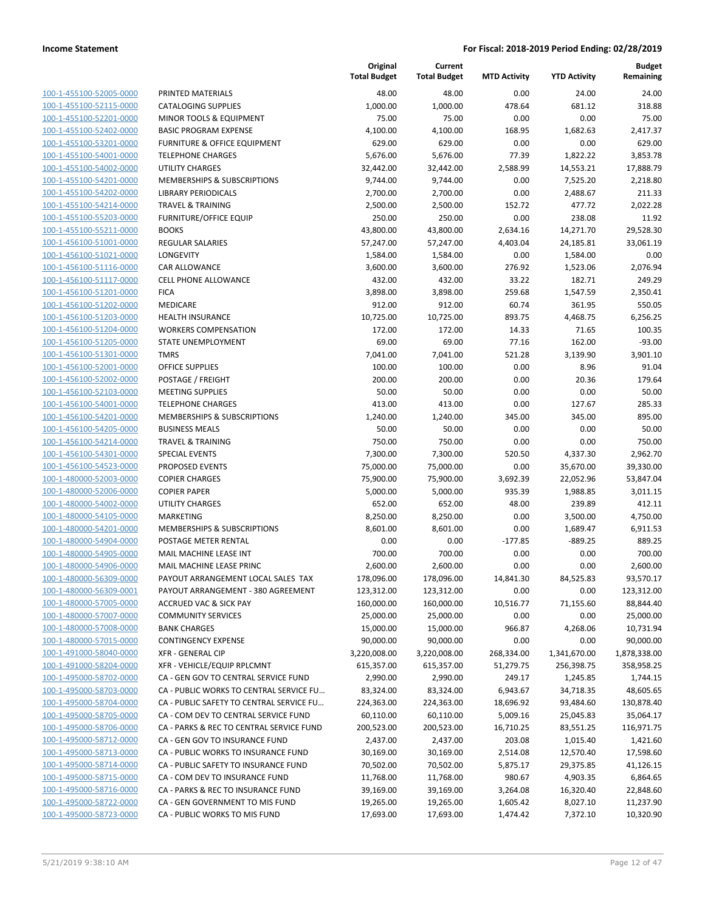|                         |                                          | Original<br><b>Total Budget</b> | Current<br><b>Total Budget</b> | <b>MTD Activity</b> | <b>YTD Activity</b> | Budget<br>Remaining |
|-------------------------|------------------------------------------|---------------------------------|--------------------------------|---------------------|---------------------|---------------------|
| 100-1-455100-52005-0000 | PRINTED MATERIALS                        | 48.00                           | 48.00                          | 0.00                | 24.00               | 24.00               |
| 100-1-455100-52115-0000 | <b>CATALOGING SUPPLIES</b>               | 1,000.00                        | 1,000.00                       | 478.64              | 681.12              | 318.88              |
| 100-1-455100-52201-0000 | MINOR TOOLS & EQUIPMENT                  | 75.00                           | 75.00                          | 0.00                | 0.00                | 75.00               |
| 100-1-455100-52402-0000 | <b>BASIC PROGRAM EXPENSE</b>             | 4,100.00                        | 4,100.00                       | 168.95              | 1,682.63            | 2,417.37            |
| 100-1-455100-53201-0000 | <b>FURNITURE &amp; OFFICE EQUIPMENT</b>  | 629.00                          | 629.00                         | 0.00                | 0.00                | 629.00              |
| 100-1-455100-54001-0000 | <b>TELEPHONE CHARGES</b>                 | 5,676.00                        | 5,676.00                       | 77.39               | 1,822.22            | 3,853.78            |
| 100-1-455100-54002-0000 | <b>UTILITY CHARGES</b>                   | 32,442.00                       | 32,442.00                      | 2,588.99            | 14,553.21           | 17,888.79           |
| 100-1-455100-54201-0000 | <b>MEMBERSHIPS &amp; SUBSCRIPTIONS</b>   | 9,744.00                        | 9,744.00                       | 0.00                | 7,525.20            | 2,218.80            |
| 100-1-455100-54202-0000 | <b>LIBRARY PERIODICALS</b>               | 2,700.00                        | 2,700.00                       | 0.00                | 2,488.67            | 211.33              |
| 100-1-455100-54214-0000 | <b>TRAVEL &amp; TRAINING</b>             | 2,500.00                        | 2,500.00                       | 152.72              | 477.72              | 2,022.28            |
| 100-1-455100-55203-0000 | <b>FURNITURE/OFFICE EQUIP</b>            | 250.00                          | 250.00                         | 0.00                | 238.08              | 11.92               |
| 100-1-455100-55211-0000 | <b>BOOKS</b>                             | 43,800.00                       | 43,800.00                      | 2,634.16            | 14,271.70           | 29,528.30           |
| 100-1-456100-51001-0000 | <b>REGULAR SALARIES</b>                  | 57,247.00                       | 57,247.00                      | 4,403.04            | 24,185.81           | 33,061.19           |
| 100-1-456100-51021-0000 | LONGEVITY                                | 1,584.00                        | 1,584.00                       | 0.00                | 1,584.00            | 0.00                |
| 100-1-456100-51116-0000 | CAR ALLOWANCE                            | 3,600.00                        | 3,600.00                       | 276.92              | 1,523.06            | 2,076.94            |
| 100-1-456100-51117-0000 | <b>CELL PHONE ALLOWANCE</b>              | 432.00                          | 432.00                         | 33.22               | 182.71              | 249.29              |
| 100-1-456100-51201-0000 | <b>FICA</b>                              | 3,898.00                        | 3,898.00                       | 259.68              | 1,547.59            | 2,350.41            |
| 100-1-456100-51202-0000 | MEDICARE                                 | 912.00                          | 912.00                         | 60.74               | 361.95              | 550.05              |
| 100-1-456100-51203-0000 | <b>HEALTH INSURANCE</b>                  | 10,725.00                       | 10,725.00                      | 893.75              | 4,468.75            | 6,256.25            |
| 100-1-456100-51204-0000 | <b>WORKERS COMPENSATION</b>              | 172.00                          | 172.00                         | 14.33               | 71.65               | 100.35              |
| 100-1-456100-51205-0000 | STATE UNEMPLOYMENT                       | 69.00                           | 69.00                          | 77.16               | 162.00              | $-93.00$            |
| 100-1-456100-51301-0000 | <b>TMRS</b>                              | 7,041.00                        | 7,041.00                       | 521.28              | 3,139.90            | 3,901.10            |
| 100-1-456100-52001-0000 | <b>OFFICE SUPPLIES</b>                   | 100.00                          | 100.00                         | 0.00                | 8.96                | 91.04               |
| 100-1-456100-52002-0000 | POSTAGE / FREIGHT                        | 200.00                          | 200.00                         | 0.00                | 20.36               | 179.64              |
| 100-1-456100-52103-0000 | <b>MEETING SUPPLIES</b>                  | 50.00                           | 50.00                          | 0.00                | 0.00                | 50.00               |
| 100-1-456100-54001-0000 | <b>TELEPHONE CHARGES</b>                 | 413.00                          | 413.00                         | 0.00                | 127.67              | 285.33              |
| 100-1-456100-54201-0000 | MEMBERSHIPS & SUBSCRIPTIONS              | 1,240.00                        | 1,240.00                       | 345.00              | 345.00              | 895.00              |
| 100-1-456100-54205-0000 | <b>BUSINESS MEALS</b>                    | 50.00                           | 50.00                          | 0.00                | 0.00                | 50.00               |
| 100-1-456100-54214-0000 | <b>TRAVEL &amp; TRAINING</b>             | 750.00                          | 750.00                         | 0.00                | 0.00                | 750.00              |
| 100-1-456100-54301-0000 | <b>SPECIAL EVENTS</b>                    | 7,300.00                        | 7,300.00                       | 520.50              | 4,337.30            | 2,962.70            |
| 100-1-456100-54523-0000 | PROPOSED EVENTS                          | 75,000.00                       | 75,000.00                      | 0.00                | 35,670.00           | 39,330.00           |
| 100-1-480000-52003-0000 | <b>COPIER CHARGES</b>                    | 75,900.00                       | 75,900.00                      | 3,692.39            | 22,052.96           | 53,847.04           |
| 100-1-480000-52006-0000 | <b>COPIER PAPER</b>                      | 5,000.00                        | 5,000.00                       | 935.39              | 1,988.85            | 3,011.15            |
| 100-1-480000-54002-0000 | <b>UTILITY CHARGES</b>                   | 652.00                          | 652.00                         | 48.00               | 239.89              | 412.11              |
| 100-1-480000-54105-0000 | <b>MARKETING</b>                         | 8,250.00                        | 8,250.00                       | 0.00                | 3,500.00            | 4,750.00            |
| 100-1-480000-54201-0000 | MEMBERSHIPS & SUBSCRIPTIONS              | 8,601.00                        | 8,601.00                       | 0.00                | 1,689.47            | 6,911.53            |
| 100-1-480000-54904-0000 | POSTAGE METER RENTAL                     | 0.00                            | 0.00                           | $-177.85$           | $-889.25$           | 889.25              |
| 100-1-480000-54905-0000 | MAIL MACHINE LEASE INT                   | 700.00                          | 700.00                         | 0.00                | 0.00                | 700.00              |
| 100-1-480000-54906-0000 | MAIL MACHINE LEASE PRINC                 | 2,600.00                        | 2,600.00                       | 0.00                | 0.00                | 2,600.00            |
| 100-1-480000-56309-0000 | PAYOUT ARRANGEMENT LOCAL SALES TAX       | 178,096.00                      | 178,096.00                     | 14,841.30           | 84,525.83           | 93,570.17           |
| 100-1-480000-56309-0001 | PAYOUT ARRANGEMENT - 380 AGREEMENT       | 123,312.00                      | 123,312.00                     | 0.00                | 0.00                | 123,312.00          |
| 100-1-480000-57005-0000 | <b>ACCRUED VAC &amp; SICK PAY</b>        | 160,000.00                      | 160,000.00                     | 10,516.77           | 71,155.60           | 88,844.40           |
| 100-1-480000-57007-0000 | <b>COMMUNITY SERVICES</b>                | 25,000.00                       | 25,000.00                      | 0.00                | 0.00                | 25,000.00           |
| 100-1-480000-57008-0000 | <b>BANK CHARGES</b>                      | 15,000.00                       | 15,000.00                      | 966.87              | 4,268.06            | 10,731.94           |
| 100-1-480000-57015-0000 | <b>CONTINGENCY EXPENSE</b>               | 90,000.00                       | 90,000.00                      | 0.00                | 0.00                | 90,000.00           |
| 100-1-491000-58040-0000 | <b>XFR - GENERAL CIP</b>                 | 3,220,008.00                    | 3,220,008.00                   | 268,334.00          | 1,341,670.00        | 1,878,338.00        |
| 100-1-491000-58204-0000 | XFR - VEHICLE/EQUIP RPLCMNT              | 615,357.00                      | 615,357.00                     | 51,279.75           | 256,398.75          | 358,958.25          |
| 100-1-495000-58702-0000 | CA - GEN GOV TO CENTRAL SERVICE FUND     | 2,990.00                        | 2,990.00                       | 249.17              | 1,245.85            | 1,744.15            |
| 100-1-495000-58703-0000 | CA - PUBLIC WORKS TO CENTRAL SERVICE FU  | 83,324.00                       | 83,324.00                      | 6,943.67            | 34,718.35           | 48,605.65           |
| 100-1-495000-58704-0000 | CA - PUBLIC SAFETY TO CENTRAL SERVICE FU | 224,363.00                      | 224,363.00                     | 18,696.92           | 93,484.60           | 130,878.40          |
| 100-1-495000-58705-0000 | CA - COM DEV TO CENTRAL SERVICE FUND     | 60,110.00                       | 60,110.00                      | 5,009.16            | 25,045.83           | 35,064.17           |
| 100-1-495000-58706-0000 | CA - PARKS & REC TO CENTRAL SERVICE FUND | 200,523.00                      | 200,523.00                     | 16,710.25           | 83,551.25           | 116,971.75          |
| 100-1-495000-58712-0000 | CA - GEN GOV TO INSURANCE FUND           | 2,437.00                        | 2,437.00                       | 203.08              | 1,015.40            | 1,421.60            |
| 100-1-495000-58713-0000 | CA - PUBLIC WORKS TO INSURANCE FUND      | 30,169.00                       | 30,169.00                      | 2,514.08            | 12,570.40           | 17,598.60           |
| 100-1-495000-58714-0000 | CA - PUBLIC SAFETY TO INSURANCE FUND     | 70,502.00                       | 70,502.00                      | 5,875.17            | 29,375.85           | 41,126.15           |
| 100-1-495000-58715-0000 | CA - COM DEV TO INSURANCE FUND           | 11,768.00                       | 11,768.00                      | 980.67              | 4,903.35            | 6,864.65            |
| 100-1-495000-58716-0000 | CA - PARKS & REC TO INSURANCE FUND       | 39,169.00                       | 39,169.00                      | 3,264.08            | 16,320.40           | 22,848.60           |
| 100-1-495000-58722-0000 | CA - GEN GOVERNMENT TO MIS FUND          | 19,265.00                       | 19,265.00                      | 1,605.42            | 8,027.10            | 11,237.90           |
| 100-1-495000-58723-0000 | CA - PUBLIC WORKS TO MIS FUND            | 17,693.00                       | 17,693.00                      | 1,474.42            | 7,372.10            | 10,320.90           |
|                         |                                          |                                 |                                |                     |                     |                     |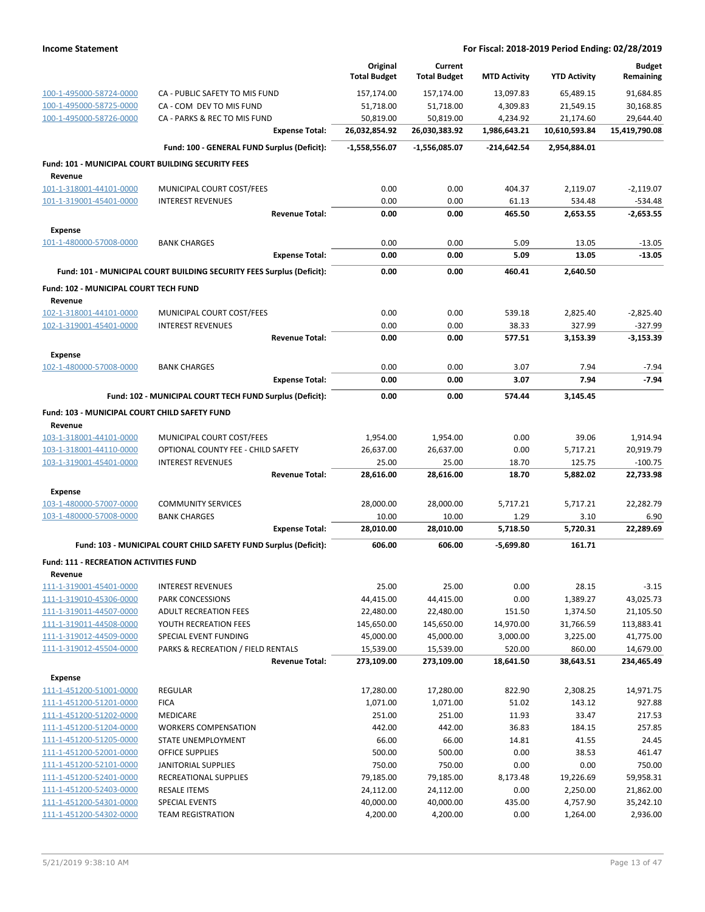|                                                               |                                                                       | Original<br><b>Total Budget</b> | Current<br><b>Total Budget</b> | <b>MTD Activity</b> | <b>YTD Activity</b> | <b>Budget</b><br>Remaining |
|---------------------------------------------------------------|-----------------------------------------------------------------------|---------------------------------|--------------------------------|---------------------|---------------------|----------------------------|
| 100-1-495000-58724-0000                                       | CA - PUBLIC SAFETY TO MIS FUND                                        | 157,174.00                      | 157,174.00                     | 13,097.83           | 65,489.15           | 91,684.85                  |
| 100-1-495000-58725-0000                                       | CA - COM DEV TO MIS FUND                                              | 51,718.00                       | 51,718.00                      | 4,309.83            | 21,549.15           | 30,168.85                  |
| 100-1-495000-58726-0000                                       | CA - PARKS & REC TO MIS FUND                                          | 50,819.00                       | 50,819.00                      | 4,234.92            | 21,174.60           | 29,644.40                  |
|                                                               | <b>Expense Total:</b>                                                 | 26,032,854.92                   | 26,030,383.92                  | 1,986,643.21        | 10,610,593.84       | 15,419,790.08              |
|                                                               | Fund: 100 - GENERAL FUND Surplus (Deficit):                           | $-1,558,556.07$                 | -1,556,085.07                  | -214,642.54         | 2,954,884.01        |                            |
| Fund: 101 - MUNICIPAL COURT BUILDING SECURITY FEES<br>Revenue |                                                                       |                                 |                                |                     |                     |                            |
| 101-1-318001-44101-0000                                       | MUNICIPAL COURT COST/FEES                                             | 0.00                            | 0.00                           | 404.37              | 2,119.07            | $-2,119.07$                |
| 101-1-319001-45401-0000                                       | <b>INTEREST REVENUES</b>                                              | 0.00                            | 0.00                           | 61.13               | 534.48              | $-534.48$                  |
|                                                               | <b>Revenue Total:</b>                                                 | 0.00                            | 0.00                           | 465.50              | 2,653.55            | $-2,653.55$                |
| Expense                                                       |                                                                       |                                 |                                |                     |                     |                            |
| 101-1-480000-57008-0000                                       | <b>BANK CHARGES</b>                                                   | 0.00                            | 0.00                           | 5.09                | 13.05               | $-13.05$                   |
|                                                               | <b>Expense Total:</b>                                                 | 0.00                            | 0.00                           | 5.09                | 13.05               | $-13.05$                   |
|                                                               | Fund: 101 - MUNICIPAL COURT BUILDING SECURITY FEES Surplus (Deficit): | 0.00                            | 0.00                           | 460.41              | 2,640.50            |                            |
| Fund: 102 - MUNICIPAL COURT TECH FUND                         |                                                                       |                                 |                                |                     |                     |                            |
| Revenue                                                       |                                                                       |                                 |                                |                     |                     |                            |
| 102-1-318001-44101-0000<br>102-1-319001-45401-0000            | MUNICIPAL COURT COST/FEES<br><b>INTEREST REVENUES</b>                 | 0.00<br>0.00                    | 0.00<br>0.00                   | 539.18<br>38.33     | 2,825.40<br>327.99  | $-2,825.40$<br>$-327.99$   |
|                                                               | <b>Revenue Total:</b>                                                 | 0.00                            | 0.00                           | 577.51              | 3,153.39            | $-3,153.39$                |
| Expense                                                       |                                                                       |                                 |                                |                     |                     |                            |
| 102-1-480000-57008-0000                                       | <b>BANK CHARGES</b>                                                   | 0.00                            | 0.00                           | 3.07                | 7.94                | $-7.94$                    |
|                                                               | <b>Expense Total:</b>                                                 | 0.00                            | 0.00                           | 3.07                | 7.94                | $-7.94$                    |
|                                                               | Fund: 102 - MUNICIPAL COURT TECH FUND Surplus (Deficit):              | 0.00                            | 0.00                           | 574.44              | 3,145.45            |                            |
| Fund: 103 - MUNICIPAL COURT CHILD SAFETY FUND                 |                                                                       |                                 |                                |                     |                     |                            |
| Revenue                                                       |                                                                       |                                 |                                |                     |                     |                            |
| 103-1-318001-44101-0000                                       | MUNICIPAL COURT COST/FEES                                             | 1,954.00                        | 1,954.00                       | 0.00                | 39.06               | 1,914.94                   |
| 103-1-318001-44110-0000                                       | OPTIONAL COUNTY FEE - CHILD SAFETY                                    | 26,637.00                       | 26,637.00                      | 0.00                | 5,717.21            | 20,919.79                  |
| 103-1-319001-45401-0000                                       | <b>INTEREST REVENUES</b>                                              | 25.00                           | 25.00                          | 18.70               | 125.75              | $-100.75$                  |
|                                                               | <b>Revenue Total:</b>                                                 | 28,616.00                       | 28,616.00                      | 18.70               | 5,882.02            | 22,733.98                  |
| <b>Expense</b>                                                |                                                                       |                                 |                                |                     |                     |                            |
| 103-1-480000-57007-0000<br>103-1-480000-57008-0000            | <b>COMMUNITY SERVICES</b><br><b>BANK CHARGES</b>                      | 28,000.00<br>10.00              | 28,000.00<br>10.00             | 5,717.21<br>1.29    | 5,717.21<br>3.10    | 22,282.79<br>6.90          |
|                                                               | <b>Expense Total:</b>                                                 | 28,010.00                       | 28,010.00                      | 5,718.50            | 5,720.31            | 22,289.69                  |
|                                                               | Fund: 103 - MUNICIPAL COURT CHILD SAFETY FUND Surplus (Deficit):      | 606.00                          | 606.00                         | $-5,699.80$         | 161.71              |                            |
|                                                               |                                                                       |                                 |                                |                     |                     |                            |
| <b>Fund: 111 - RECREATION ACTIVITIES FUND</b><br>Revenue      |                                                                       |                                 |                                |                     |                     |                            |
| 111-1-319001-45401-0000                                       | <b>INTEREST REVENUES</b>                                              | 25.00                           | 25.00                          | 0.00                | 28.15               | $-3.15$                    |
| 111-1-319010-45306-0000                                       | PARK CONCESSIONS                                                      | 44,415.00                       | 44,415.00                      | 0.00                | 1,389.27            | 43,025.73                  |
| 111-1-319011-44507-0000                                       | <b>ADULT RECREATION FEES</b>                                          | 22,480.00                       | 22,480.00                      | 151.50              | 1,374.50            | 21,105.50                  |
| 111-1-319011-44508-0000                                       | YOUTH RECREATION FEES                                                 | 145,650.00                      | 145,650.00                     | 14,970.00           | 31,766.59           | 113,883.41                 |
| 111-1-319012-44509-0000                                       | SPECIAL EVENT FUNDING                                                 | 45,000.00                       | 45,000.00                      | 3,000.00            | 3,225.00            | 41,775.00                  |
| 111-1-319012-45504-0000                                       | PARKS & RECREATION / FIELD RENTALS<br><b>Revenue Total:</b>           | 15,539.00                       | 15,539.00                      | 520.00              | 860.00              | 14,679.00                  |
|                                                               |                                                                       | 273,109.00                      | 273,109.00                     | 18,641.50           | 38,643.51           | 234,465.49                 |
| <b>Expense</b><br>111-1-451200-51001-0000                     | <b>REGULAR</b>                                                        | 17,280.00                       | 17,280.00                      | 822.90              | 2,308.25            | 14,971.75                  |
| 111-1-451200-51201-0000                                       | <b>FICA</b>                                                           | 1,071.00                        | 1,071.00                       | 51.02               | 143.12              | 927.88                     |
| 111-1-451200-51202-0000                                       | MEDICARE                                                              | 251.00                          | 251.00                         | 11.93               | 33.47               | 217.53                     |
| 111-1-451200-51204-0000                                       | <b>WORKERS COMPENSATION</b>                                           | 442.00                          | 442.00                         | 36.83               | 184.15              | 257.85                     |
| 111-1-451200-51205-0000                                       | STATE UNEMPLOYMENT                                                    | 66.00                           | 66.00                          | 14.81               | 41.55               | 24.45                      |
| 111-1-451200-52001-0000                                       | OFFICE SUPPLIES                                                       | 500.00                          | 500.00                         | 0.00                | 38.53               | 461.47                     |
| 111-1-451200-52101-0000                                       | JANITORIAL SUPPLIES                                                   | 750.00                          | 750.00                         | 0.00                | 0.00                | 750.00                     |
| 111-1-451200-52401-0000                                       | RECREATIONAL SUPPLIES                                                 | 79,185.00                       | 79,185.00                      | 8,173.48            | 19,226.69           | 59,958.31                  |
| 111-1-451200-52403-0000                                       | <b>RESALE ITEMS</b>                                                   | 24,112.00                       | 24,112.00                      | 0.00                | 2,250.00            | 21,862.00                  |
| 111-1-451200-54301-0000                                       | <b>SPECIAL EVENTS</b>                                                 | 40,000.00                       | 40,000.00                      | 435.00              | 4,757.90            | 35,242.10                  |
| 111-1-451200-54302-0000                                       | <b>TEAM REGISTRATION</b>                                              | 4,200.00                        | 4,200.00                       | 0.00                | 1,264.00            | 2,936.00                   |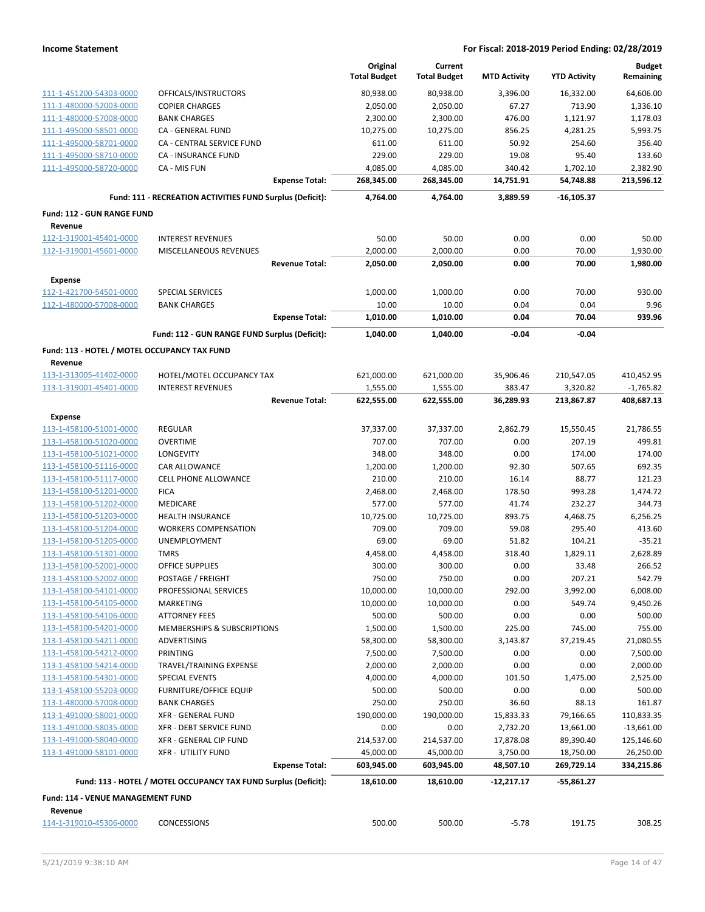|                                                    |                                                                 | Original               | Current                |                     |                        | <b>Budget</b>             |
|----------------------------------------------------|-----------------------------------------------------------------|------------------------|------------------------|---------------------|------------------------|---------------------------|
|                                                    |                                                                 | <b>Total Budget</b>    | <b>Total Budget</b>    | <b>MTD Activity</b> | <b>YTD Activity</b>    | Remaining                 |
| 111-1-451200-54303-0000                            | OFFICALS/INSTRUCTORS                                            | 80,938.00              | 80,938.00              | 3,396.00            | 16,332.00              | 64,606.00                 |
| 111-1-480000-52003-0000                            | <b>COPIER CHARGES</b>                                           | 2,050.00               | 2,050.00               | 67.27               | 713.90                 | 1,336.10                  |
| 111-1-480000-57008-0000                            | <b>BANK CHARGES</b>                                             | 2,300.00               | 2,300.00               | 476.00              | 1,121.97               | 1,178.03                  |
| 111-1-495000-58501-0000                            | CA - GENERAL FUND                                               | 10,275.00              | 10,275.00              | 856.25              | 4,281.25               | 5,993.75                  |
| 111-1-495000-58701-0000                            | CA - CENTRAL SERVICE FUND                                       | 611.00                 | 611.00                 | 50.92               | 254.60                 | 356.40                    |
| 111-1-495000-58710-0000                            | <b>CA - INSURANCE FUND</b>                                      | 229.00                 | 229.00                 | 19.08               | 95.40                  | 133.60                    |
| 111-1-495000-58720-0000                            | CA - MIS FUN                                                    | 4,085.00               | 4,085.00               | 340.42              | 1,702.10               | 2,382.90                  |
|                                                    | <b>Expense Total:</b>                                           | 268,345.00             | 268,345.00             | 14,751.91           | 54,748.88              | 213,596.12                |
|                                                    | Fund: 111 - RECREATION ACTIVITIES FUND Surplus (Deficit):       | 4,764.00               | 4,764.00               | 3,889.59            | $-16, 105.37$          |                           |
| <b>Fund: 112 - GUN RANGE FUND</b>                  |                                                                 |                        |                        |                     |                        |                           |
| Revenue                                            |                                                                 |                        |                        |                     |                        |                           |
| 112-1-319001-45401-0000<br>112-1-319001-45601-0000 | <b>INTEREST REVENUES</b><br>MISCELLANEOUS REVENUES              | 50.00<br>2,000.00      | 50.00<br>2,000.00      | 0.00<br>0.00        | 0.00<br>70.00          | 50.00<br>1,930.00         |
|                                                    | <b>Revenue Total:</b>                                           | 2,050.00               | 2,050.00               | 0.00                | 70.00                  | 1,980.00                  |
|                                                    |                                                                 |                        |                        |                     |                        |                           |
| <b>Expense</b>                                     |                                                                 |                        |                        |                     |                        |                           |
| 112-1-421700-54501-0000<br>112-1-480000-57008-0000 | <b>SPECIAL SERVICES</b><br><b>BANK CHARGES</b>                  | 1,000.00<br>10.00      | 1,000.00<br>10.00      | 0.00<br>0.04        | 70.00<br>0.04          | 930.00<br>9.96            |
|                                                    | <b>Expense Total:</b>                                           | 1,010.00               | 1,010.00               | 0.04                | 70.04                  | 939.96                    |
|                                                    |                                                                 |                        |                        |                     |                        |                           |
|                                                    | Fund: 112 - GUN RANGE FUND Surplus (Deficit):                   | 1,040.00               | 1,040.00               | $-0.04$             | $-0.04$                |                           |
| Fund: 113 - HOTEL / MOTEL OCCUPANCY TAX FUND       |                                                                 |                        |                        |                     |                        |                           |
| Revenue                                            |                                                                 |                        |                        |                     |                        |                           |
| 113-1-313005-41402-0000<br>113-1-319001-45401-0000 | HOTEL/MOTEL OCCUPANCY TAX<br><b>INTEREST REVENUES</b>           | 621,000.00<br>1,555.00 | 621,000.00<br>1,555.00 | 35,906.46<br>383.47 | 210,547.05<br>3,320.82 | 410,452.95<br>$-1,765.82$ |
|                                                    | <b>Revenue Total:</b>                                           | 622,555.00             | 622,555.00             | 36,289.93           | 213,867.87             | 408,687.13                |
|                                                    |                                                                 |                        |                        |                     |                        |                           |
| <b>Expense</b><br>113-1-458100-51001-0000          | <b>REGULAR</b>                                                  | 37,337.00              | 37,337.00              | 2,862.79            | 15,550.45              | 21,786.55                 |
| 113-1-458100-51020-0000                            | <b>OVERTIME</b>                                                 | 707.00                 | 707.00                 | 0.00                | 207.19                 | 499.81                    |
| 113-1-458100-51021-0000                            | LONGEVITY                                                       | 348.00                 | 348.00                 | 0.00                | 174.00                 | 174.00                    |
| 113-1-458100-51116-0000                            | CAR ALLOWANCE                                                   | 1,200.00               | 1,200.00               | 92.30               | 507.65                 | 692.35                    |
| 113-1-458100-51117-0000                            | CELL PHONE ALLOWANCE                                            | 210.00                 | 210.00                 | 16.14               | 88.77                  | 121.23                    |
| 113-1-458100-51201-0000                            | <b>FICA</b>                                                     | 2,468.00               | 2,468.00               | 178.50              | 993.28                 | 1,474.72                  |
| 113-1-458100-51202-0000                            | MEDICARE                                                        | 577.00                 | 577.00                 | 41.74               | 232.27                 | 344.73                    |
| 113-1-458100-51203-0000                            | <b>HEALTH INSURANCE</b>                                         | 10,725.00              | 10,725.00              | 893.75              | 4,468.75               | 6,256.25                  |
| 113-1-458100-51204-0000                            | <b>WORKERS COMPENSATION</b>                                     | 709.00                 | 709.00                 | 59.08               | 295.40                 | 413.60                    |
| 113-1-458100-51205-0000                            | <b>UNEMPLOYMENT</b>                                             | 69.00                  | 69.00                  | 51.82               | 104.21                 | $-35.21$                  |
| 113-1-458100-51301-0000                            | <b>TMRS</b>                                                     | 4,458.00               | 4,458.00               | 318.40              | 1,829.11               | 2,628.89                  |
| 113-1-458100-52001-0000                            | <b>OFFICE SUPPLIES</b>                                          | 300.00                 | 300.00                 | 0.00                | 33.48                  | 266.52                    |
| 113-1-458100-52002-0000                            | POSTAGE / FREIGHT                                               | 750.00                 | 750.00                 | 0.00                | 207.21                 | 542.79                    |
| 113-1-458100-54101-0000                            | PROFESSIONAL SERVICES                                           | 10,000.00              | 10,000.00              | 292.00              | 3,992.00               | 6,008.00                  |
| 113-1-458100-54105-0000                            | MARKETING                                                       | 10,000.00              | 10,000.00              | 0.00                | 549.74                 | 9,450.26                  |
| 113-1-458100-54106-0000                            | <b>ATTORNEY FEES</b>                                            | 500.00                 | 500.00                 | 0.00                | 0.00                   | 500.00                    |
| 113-1-458100-54201-0000                            | MEMBERSHIPS & SUBSCRIPTIONS                                     | 1,500.00               | 1,500.00               | 225.00              | 745.00                 | 755.00                    |
| 113-1-458100-54211-0000                            | ADVERTISING                                                     | 58,300.00              | 58,300.00              | 3,143.87            | 37,219.45              | 21,080.55                 |
| 113-1-458100-54212-0000                            | PRINTING                                                        | 7,500.00               | 7,500.00               | 0.00                | 0.00                   | 7,500.00                  |
| 113-1-458100-54214-0000<br>113-1-458100-54301-0000 | TRAVEL/TRAINING EXPENSE<br>SPECIAL EVENTS                       | 2,000.00<br>4,000.00   | 2,000.00<br>4,000.00   | 0.00<br>101.50      | 0.00<br>1,475.00       | 2,000.00<br>2,525.00      |
| 113-1-458100-55203-0000                            | <b>FURNITURE/OFFICE EQUIP</b>                                   | 500.00                 | 500.00                 | 0.00                | 0.00                   | 500.00                    |
| 113-1-480000-57008-0000                            | <b>BANK CHARGES</b>                                             | 250.00                 | 250.00                 | 36.60               | 88.13                  | 161.87                    |
| 113-1-491000-58001-0000                            | <b>XFR - GENERAL FUND</b>                                       | 190,000.00             | 190,000.00             | 15,833.33           | 79,166.65              | 110,833.35                |
| 113-1-491000-58035-0000                            | XFR - DEBT SERVICE FUND                                         | 0.00                   | 0.00                   | 2,732.20            | 13,661.00              | $-13,661.00$              |
| 113-1-491000-58040-0000                            | XFR - GENERAL CIP FUND                                          | 214,537.00             | 214,537.00             | 17,878.08           | 89,390.40              | 125,146.60                |
| 113-1-491000-58101-0000                            | <b>XFR - UTILITY FUND</b>                                       | 45,000.00              | 45,000.00              | 3,750.00            | 18,750.00              | 26,250.00                 |
|                                                    | <b>Expense Total:</b>                                           | 603,945.00             | 603,945.00             | 48,507.10           | 269,729.14             | 334,215.86                |
|                                                    | Fund: 113 - HOTEL / MOTEL OCCUPANCY TAX FUND Surplus (Deficit): | 18,610.00              | 18,610.00              | -12,217.17          | -55,861.27             |                           |
| <b>Fund: 114 - VENUE MANAGEMENT FUND</b>           |                                                                 |                        |                        |                     |                        |                           |
| Revenue                                            |                                                                 |                        |                        |                     |                        |                           |
| 114-1-319010-45306-0000                            | <b>CONCESSIONS</b>                                              | 500.00                 | 500.00                 | $-5.78$             | 191.75                 | 308.25                    |
|                                                    |                                                                 |                        |                        |                     |                        |                           |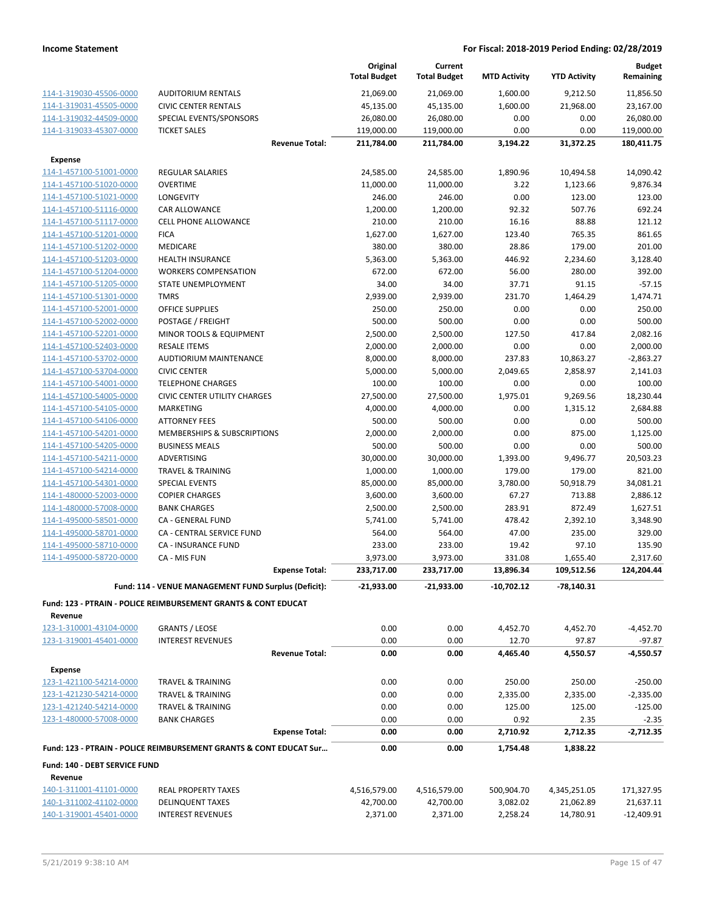|                               |                                                                           | Original<br><b>Total Budget</b> | Current<br><b>Total Budget</b> | <b>MTD Activity</b> | <b>YTD Activity</b> | <b>Budget</b><br>Remaining |
|-------------------------------|---------------------------------------------------------------------------|---------------------------------|--------------------------------|---------------------|---------------------|----------------------------|
| 114-1-319030-45506-0000       | <b>AUDITORIUM RENTALS</b>                                                 | 21,069.00                       | 21,069.00                      | 1,600.00            | 9,212.50            | 11,856.50                  |
| 114-1-319031-45505-0000       | <b>CIVIC CENTER RENTALS</b>                                               | 45,135.00                       | 45,135.00                      | 1,600.00            | 21,968.00           | 23,167.00                  |
| 114-1-319032-44509-0000       | SPECIAL EVENTS/SPONSORS                                                   | 26,080.00                       | 26,080.00                      | 0.00                | 0.00                | 26,080.00                  |
| 114-1-319033-45307-0000       | <b>TICKET SALES</b>                                                       | 119,000.00                      | 119,000.00                     | 0.00                | 0.00                | 119,000.00                 |
|                               | <b>Revenue Total:</b>                                                     | 211,784.00                      | 211,784.00                     | 3,194.22            | 31,372.25           | 180,411.75                 |
| <b>Expense</b>                |                                                                           |                                 |                                |                     |                     |                            |
| 114-1-457100-51001-0000       | <b>REGULAR SALARIES</b>                                                   | 24,585.00                       | 24,585.00                      | 1,890.96            | 10,494.58           | 14,090.42                  |
| 114-1-457100-51020-0000       | <b>OVERTIME</b>                                                           | 11,000.00                       | 11,000.00                      | 3.22                | 1,123.66            | 9,876.34                   |
| 114-1-457100-51021-0000       | LONGEVITY                                                                 | 246.00                          | 246.00                         | 0.00                | 123.00              | 123.00                     |
| 114-1-457100-51116-0000       | <b>CAR ALLOWANCE</b>                                                      | 1,200.00                        | 1,200.00                       | 92.32               | 507.76              | 692.24                     |
| 114-1-457100-51117-0000       | <b>CELL PHONE ALLOWANCE</b>                                               | 210.00                          | 210.00                         | 16.16               | 88.88               | 121.12                     |
| 114-1-457100-51201-0000       | <b>FICA</b>                                                               | 1,627.00                        | 1,627.00                       | 123.40              | 765.35              | 861.65                     |
| 114-1-457100-51202-0000       | <b>MEDICARE</b>                                                           | 380.00                          | 380.00                         | 28.86               | 179.00              | 201.00                     |
| 114-1-457100-51203-0000       | <b>HEALTH INSURANCE</b>                                                   | 5,363.00                        | 5,363.00                       | 446.92              | 2,234.60            | 3,128.40                   |
| 114-1-457100-51204-0000       | <b>WORKERS COMPENSATION</b>                                               | 672.00                          | 672.00                         | 56.00               | 280.00              | 392.00                     |
| 114-1-457100-51205-0000       | STATE UNEMPLOYMENT                                                        | 34.00                           | 34.00                          | 37.71               | 91.15               | $-57.15$                   |
| 114-1-457100-51301-0000       | <b>TMRS</b>                                                               | 2,939.00                        | 2,939.00                       | 231.70              | 1,464.29            | 1.474.71                   |
| 114-1-457100-52001-0000       | <b>OFFICE SUPPLIES</b>                                                    | 250.00                          | 250.00                         | 0.00                | 0.00                | 250.00                     |
| 114-1-457100-52002-0000       | POSTAGE / FREIGHT                                                         | 500.00                          | 500.00                         | 0.00                | 0.00                | 500.00                     |
| 114-1-457100-52201-0000       | MINOR TOOLS & EQUIPMENT                                                   | 2,500.00                        | 2,500.00                       | 127.50              | 417.84              | 2,082.16                   |
| 114-1-457100-52403-0000       | <b>RESALE ITEMS</b>                                                       | 2,000.00                        | 2,000.00                       | 0.00                | 0.00                | 2,000.00                   |
| 114-1-457100-53702-0000       | <b>AUDTIORIUM MAINTENANCE</b>                                             | 8,000.00                        | 8,000.00                       | 237.83              | 10,863.27           | $-2,863.27$                |
| 114-1-457100-53704-0000       | <b>CIVIC CENTER</b>                                                       | 5,000.00                        | 5,000.00                       | 2,049.65            | 2,858.97            | 2,141.03                   |
| 114-1-457100-54001-0000       | <b>TELEPHONE CHARGES</b>                                                  | 100.00                          | 100.00                         | 0.00                | 0.00                | 100.00                     |
| 114-1-457100-54005-0000       | <b>CIVIC CENTER UTILITY CHARGES</b>                                       | 27,500.00                       | 27,500.00                      | 1,975.01            | 9,269.56            | 18,230.44                  |
| 114-1-457100-54105-0000       | <b>MARKETING</b>                                                          | 4,000.00                        | 4,000.00                       | 0.00                | 1,315.12            | 2,684.88                   |
| 114-1-457100-54106-0000       | <b>ATTORNEY FEES</b>                                                      | 500.00                          | 500.00                         | 0.00                | 0.00                | 500.00                     |
| 114-1-457100-54201-0000       | MEMBERSHIPS & SUBSCRIPTIONS                                               | 2,000.00                        | 2,000.00                       | 0.00                | 875.00              | 1,125.00                   |
| 114-1-457100-54205-0000       | <b>BUSINESS MEALS</b>                                                     | 500.00                          | 500.00                         | 0.00                | 0.00                | 500.00                     |
| 114-1-457100-54211-0000       | ADVERTISING                                                               | 30,000.00                       | 30,000.00                      | 1,393.00            | 9,496.77            | 20,503.23                  |
| 114-1-457100-54214-0000       | <b>TRAVEL &amp; TRAINING</b>                                              | 1,000.00                        | 1,000.00                       | 179.00              | 179.00              | 821.00                     |
| 114-1-457100-54301-0000       | <b>SPECIAL EVENTS</b>                                                     | 85,000.00                       | 85,000.00                      | 3,780.00            | 50,918.79           | 34,081.21                  |
| 114-1-480000-52003-0000       | <b>COPIER CHARGES</b>                                                     | 3,600.00                        | 3,600.00                       | 67.27               | 713.88              | 2,886.12                   |
| 114-1-480000-57008-0000       | <b>BANK CHARGES</b>                                                       | 2,500.00                        | 2,500.00                       | 283.91              | 872.49              | 1,627.51                   |
| 114-1-495000-58501-0000       | CA - GENERAL FUND                                                         | 5,741.00                        | 5,741.00                       | 478.42              | 2,392.10            | 3,348.90                   |
| 114-1-495000-58701-0000       | CA - CENTRAL SERVICE FUND                                                 | 564.00                          | 564.00                         | 47.00               | 235.00              | 329.00                     |
| 114-1-495000-58710-0000       | CA - INSURANCE FUND                                                       | 233.00                          | 233.00                         | 19.42               | 97.10               | 135.90                     |
| 114-1-495000-58720-0000       | CA - MIS FUN                                                              | 3,973.00                        | 3,973.00                       | 331.08              | 1,655.40            | 2,317.60                   |
|                               | <b>Expense Total:</b>                                                     | 233,717.00                      | 233,717.00                     | 13,896.34           | 109,512.56          | 124,204.44                 |
|                               | Fund: 114 - VENUE MANAGEMENT FUND Surplus (Deficit):                      | $-21,933.00$                    | $-21,933.00$                   | -10,702.12          | $-78,140.31$        |                            |
|                               | <b>Fund: 123 - PTRAIN - POLICE REIMBURSEMENT GRANTS &amp; CONT EDUCAT</b> |                                 |                                |                     |                     |                            |
| Revenue                       |                                                                           |                                 |                                |                     |                     |                            |
| 123-1-310001-43104-0000       | <b>GRANTS / LEOSE</b>                                                     | 0.00                            | 0.00                           | 4,452.70            | 4,452.70            | $-4,452.70$                |
| 123-1-319001-45401-0000       | <b>INTEREST REVENUES</b>                                                  | 0.00                            | 0.00                           | 12.70               | 97.87               | $-97.87$                   |
|                               | <b>Revenue Total:</b>                                                     | 0.00                            | 0.00                           | 4,465.40            | 4,550.57            | $-4,550.57$                |
|                               |                                                                           |                                 |                                |                     |                     |                            |
| <b>Expense</b>                |                                                                           |                                 |                                |                     |                     |                            |
| 123-1-421100-54214-0000       | <b>TRAVEL &amp; TRAINING</b>                                              | 0.00                            | 0.00                           | 250.00              | 250.00              | $-250.00$                  |
| 123-1-421230-54214-0000       | <b>TRAVEL &amp; TRAINING</b>                                              | 0.00                            | 0.00                           | 2,335.00            | 2,335.00            | $-2,335.00$                |
| 123-1-421240-54214-0000       | <b>TRAVEL &amp; TRAINING</b>                                              | 0.00                            | 0.00                           | 125.00              | 125.00              | $-125.00$                  |
| 123-1-480000-57008-0000       | <b>BANK CHARGES</b><br><b>Expense Total:</b>                              | 0.00<br>0.00                    | 0.00<br>0.00                   | 0.92<br>2,710.92    | 2.35<br>2,712.35    | $-2.35$<br>$-2,712.35$     |
|                               |                                                                           |                                 |                                |                     |                     |                            |
|                               | Fund: 123 - PTRAIN - POLICE REIMBURSEMENT GRANTS & CONT EDUCAT Sur        | 0.00                            | 0.00                           | 1,754.48            | 1,838.22            |                            |
| Fund: 140 - DEBT SERVICE FUND |                                                                           |                                 |                                |                     |                     |                            |
| Revenue                       |                                                                           |                                 |                                |                     |                     |                            |
| 140-1-311001-41101-0000       | <b>REAL PROPERTY TAXES</b>                                                | 4,516,579.00                    | 4,516,579.00                   | 500,904.70          | 4,345,251.05        | 171,327.95                 |
| 140-1-311002-41102-0000       | <b>DELINQUENT TAXES</b>                                                   | 42,700.00                       | 42,700.00                      | 3,082.02            | 21,062.89           | 21,637.11                  |
| 140-1-319001-45401-0000       | <b>INTEREST REVENUES</b>                                                  | 2,371.00                        | 2,371.00                       | 2,258.24            | 14,780.91           | $-12,409.91$               |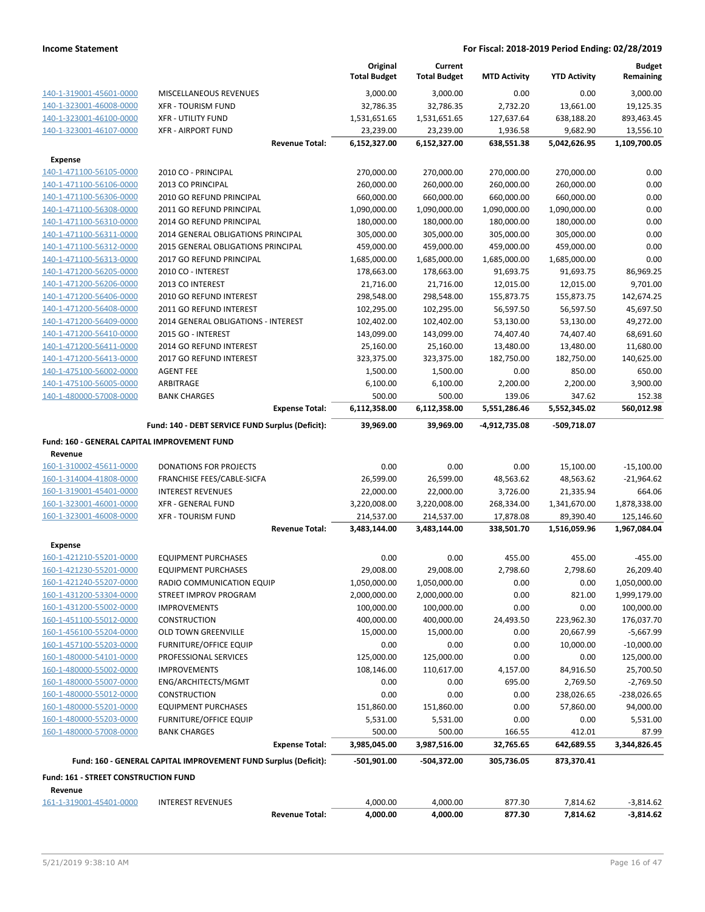|                                              |                                                                 |                       | Original            | Current             |                     |                     | <b>Budget</b> |
|----------------------------------------------|-----------------------------------------------------------------|-----------------------|---------------------|---------------------|---------------------|---------------------|---------------|
|                                              |                                                                 |                       | <b>Total Budget</b> | <b>Total Budget</b> | <b>MTD Activity</b> | <b>YTD Activity</b> | Remaining     |
| 140-1-319001-45601-0000                      | <b>MISCELLANEOUS REVENUES</b>                                   |                       | 3,000.00            | 3,000.00            | 0.00                | 0.00                | 3,000.00      |
| 140-1-323001-46008-0000                      | <b>XFR - TOURISM FUND</b>                                       |                       | 32,786.35           | 32,786.35           | 2,732.20            | 13,661.00           | 19,125.35     |
| 140-1-323001-46100-0000                      | <b>XFR - UTILITY FUND</b>                                       |                       | 1,531,651.65        | 1,531,651.65        | 127,637.64          | 638,188.20          | 893,463.45    |
| 140-1-323001-46107-0000                      | <b>XFR - AIRPORT FUND</b>                                       |                       | 23,239.00           | 23,239.00           | 1,936.58            | 9,682.90            | 13,556.10     |
|                                              |                                                                 | <b>Revenue Total:</b> | 6,152,327.00        | 6,152,327.00        | 638,551.38          | 5,042,626.95        | 1,109,700.05  |
| <b>Expense</b>                               |                                                                 |                       |                     |                     |                     |                     |               |
| 140-1-471100-56105-0000                      | 2010 CO - PRINCIPAL                                             |                       | 270,000.00          | 270,000.00          | 270,000.00          | 270,000.00          | 0.00          |
| 140-1-471100-56106-0000                      | 2013 CO PRINCIPAL                                               |                       | 260,000.00          | 260,000.00          | 260,000.00          | 260,000.00          | 0.00          |
| 140-1-471100-56306-0000                      | 2010 GO REFUND PRINCIPAL                                        |                       | 660,000.00          | 660,000.00          | 660,000.00          | 660,000.00          | 0.00          |
| 140-1-471100-56308-0000                      | 2011 GO REFUND PRINCIPAL                                        |                       | 1,090,000.00        | 1,090,000.00        | 1,090,000.00        | 1,090,000.00        | 0.00          |
| 140-1-471100-56310-0000                      | 2014 GO REFUND PRINCIPAL                                        |                       | 180,000.00          | 180,000.00          | 180,000.00          | 180,000.00          | 0.00          |
| 140-1-471100-56311-0000                      | 2014 GENERAL OBLIGATIONS PRINCIPAL                              |                       | 305,000.00          | 305,000.00          | 305,000.00          | 305,000.00          | 0.00          |
| 140-1-471100-56312-0000                      | 2015 GENERAL OBLIGATIONS PRINCIPAL                              |                       | 459,000.00          | 459,000.00          | 459,000.00          | 459,000.00          | 0.00          |
| 140-1-471100-56313-0000                      | 2017 GO REFUND PRINCIPAL                                        |                       | 1,685,000.00        | 1,685,000.00        | 1,685,000.00        | 1,685,000.00        | 0.00          |
| 140-1-471200-56205-0000                      | 2010 CO - INTEREST                                              |                       | 178,663.00          | 178,663.00          | 91,693.75           | 91,693.75           | 86,969.25     |
| 140-1-471200-56206-0000                      | 2013 CO INTEREST                                                |                       | 21,716.00           | 21,716.00           | 12,015.00           | 12,015.00           | 9,701.00      |
| 140-1-471200-56406-0000                      | 2010 GO REFUND INTEREST                                         |                       | 298,548.00          | 298,548.00          | 155,873.75          | 155,873.75          | 142,674.25    |
| 140-1-471200-56408-0000                      | 2011 GO REFUND INTEREST                                         |                       | 102,295.00          | 102,295.00          | 56,597.50           | 56,597.50           | 45,697.50     |
| 140-1-471200-56409-0000                      | 2014 GENERAL OBLIGATIONS - INTEREST                             |                       | 102,402.00          | 102,402.00          | 53,130.00           | 53,130.00           | 49,272.00     |
| 140-1-471200-56410-0000                      | 2015 GO - INTEREST                                              |                       | 143,099.00          | 143,099.00          | 74,407.40           | 74,407.40           | 68,691.60     |
| 140-1-471200-56411-0000                      | 2014 GO REFUND INTEREST                                         |                       | 25,160.00           | 25,160.00           | 13,480.00           | 13,480.00           | 11,680.00     |
| 140-1-471200-56413-0000                      | 2017 GO REFUND INTEREST                                         |                       | 323,375.00          | 323,375.00          | 182,750.00          | 182,750.00          | 140,625.00    |
| 140-1-475100-56002-0000                      | <b>AGENT FEE</b>                                                |                       | 1,500.00            | 1,500.00            | 0.00                | 850.00              | 650.00        |
| 140-1-475100-56005-0000                      | ARBITRAGE                                                       |                       | 6,100.00            | 6,100.00            | 2,200.00            | 2,200.00            | 3,900.00      |
| 140-1-480000-57008-0000                      | <b>BANK CHARGES</b>                                             |                       | 500.00              | 500.00              | 139.06              | 347.62              | 152.38        |
|                                              |                                                                 | <b>Expense Total:</b> | 6,112,358.00        | 6,112,358.00        | 5,551,286.46        | 5,552,345.02        | 560,012.98    |
|                                              | Fund: 140 - DEBT SERVICE FUND Surplus (Deficit):                |                       | 39,969.00           | 39,969.00           | -4,912,735.08       | -509,718.07         |               |
|                                              |                                                                 |                       |                     |                     |                     |                     |               |
| Fund: 160 - GENERAL CAPITAL IMPROVEMENT FUND |                                                                 |                       |                     |                     |                     |                     |               |
| Revenue                                      |                                                                 |                       |                     |                     |                     |                     |               |
| 160-1-310002-45611-0000                      | <b>DONATIONS FOR PROJECTS</b>                                   |                       | 0.00                | 0.00                | 0.00                | 15,100.00           | $-15,100.00$  |
| 160-1-314004-41808-0000                      | FRANCHISE FEES/CABLE-SICFA                                      |                       | 26,599.00           | 26,599.00           | 48,563.62           | 48,563.62           | $-21,964.62$  |
| 160-1-319001-45401-0000                      | <b>INTEREST REVENUES</b>                                        |                       | 22,000.00           | 22,000.00           | 3,726.00            | 21,335.94           | 664.06        |
| 160-1-323001-46001-0000                      | <b>XFR - GENERAL FUND</b>                                       |                       | 3,220,008.00        | 3,220,008.00        | 268,334.00          | 1,341,670.00        | 1,878,338.00  |
| 160-1-323001-46008-0000                      | <b>XFR - TOURISM FUND</b>                                       |                       | 214,537.00          | 214,537.00          | 17,878.08           | 89,390.40           | 125,146.60    |
|                                              |                                                                 | <b>Revenue Total:</b> | 3,483,144.00        | 3,483,144.00        | 338,501.70          | 1,516,059.96        | 1,967,084.04  |
| <b>Expense</b>                               |                                                                 |                       |                     |                     |                     |                     |               |
| 160-1-421210-55201-0000                      | <b>EQUIPMENT PURCHASES</b>                                      |                       | 0.00                | 0.00                | 455.00              | 455.00              | $-455.00$     |
| 160-1-421230-55201-0000                      | <b>EQUIPMENT PURCHASES</b>                                      |                       | 29,008.00           | 29,008.00           | 2,798.60            | 2,798.60            | 26,209.40     |
| 160-1-421240-55207-0000                      | RADIO COMMUNICATION EQUIP                                       |                       | 1,050,000.00        | 1,050,000.00        | 0.00                | 0.00                | 1,050,000.00  |
| 160-1-431200-53304-0000                      | STREET IMPROV PROGRAM                                           |                       | 2,000,000.00        | 2,000,000.00        | 0.00                | 821.00              | 1,999,179.00  |
| 160-1-431200-55002-0000                      | <b>IMPROVEMENTS</b>                                             |                       | 100,000.00          | 100,000.00          | 0.00                | 0.00                | 100,000.00    |
| 160-1-451100-55012-0000                      | <b>CONSTRUCTION</b>                                             |                       | 400,000.00          | 400,000.00          | 24,493.50           | 223,962.30          | 176,037.70    |
| 160-1-456100-55204-0000                      | <b>OLD TOWN GREENVILLE</b>                                      |                       | 15,000.00           | 15,000.00           | 0.00                | 20,667.99           | $-5,667.99$   |
| 160-1-457100-55203-0000                      | <b>FURNITURE/OFFICE EQUIP</b>                                   |                       | 0.00                | 0.00                | 0.00                | 10,000.00           | $-10,000.00$  |
| 160-1-480000-54101-0000                      | PROFESSIONAL SERVICES                                           |                       | 125,000.00          | 125,000.00          | 0.00                | 0.00                | 125,000.00    |
| 160-1-480000-55002-0000                      | <b>IMPROVEMENTS</b>                                             |                       | 108,146.00          | 110,617.00          | 4,157.00            | 84,916.50           | 25,700.50     |
| 160-1-480000-55007-0000                      | ENG/ARCHITECTS/MGMT                                             |                       | 0.00                | 0.00                | 695.00              | 2,769.50            | $-2,769.50$   |
| 160-1-480000-55012-0000                      | CONSTRUCTION                                                    |                       | 0.00                | 0.00                | 0.00                | 238,026.65          | $-238,026.65$ |
| 160-1-480000-55201-0000                      | <b>EQUIPMENT PURCHASES</b>                                      |                       | 151,860.00          | 151,860.00          | 0.00                | 57,860.00           | 94,000.00     |
| 160-1-480000-55203-0000                      | <b>FURNITURE/OFFICE EQUIP</b>                                   |                       | 5,531.00            | 5,531.00            | 0.00                | 0.00                | 5,531.00      |
| 160-1-480000-57008-0000                      | <b>BANK CHARGES</b>                                             |                       | 500.00              | 500.00              | 166.55              | 412.01              | 87.99         |
|                                              |                                                                 | <b>Expense Total:</b> | 3,985,045.00        | 3,987,516.00        | 32,765.65           | 642,689.55          | 3,344,826.45  |
|                                              | Fund: 160 - GENERAL CAPITAL IMPROVEMENT FUND Surplus (Deficit): |                       | -501,901.00         | -504,372.00         | 305,736.05          | 873,370.41          |               |
| Fund: 161 - STREET CONSTRUCTION FUND         |                                                                 |                       |                     |                     |                     |                     |               |
| Revenue                                      |                                                                 |                       |                     |                     |                     |                     |               |
| 161-1-319001-45401-0000                      | <b>INTEREST REVENUES</b>                                        |                       | 4,000.00            | 4,000.00            | 877.30              | 7,814.62            | $-3,814.62$   |
|                                              |                                                                 | <b>Revenue Total:</b> | 4,000.00            | 4,000.00            | 877.30              | 7,814.62            | $-3,814.62$   |
|                                              |                                                                 |                       |                     |                     |                     |                     |               |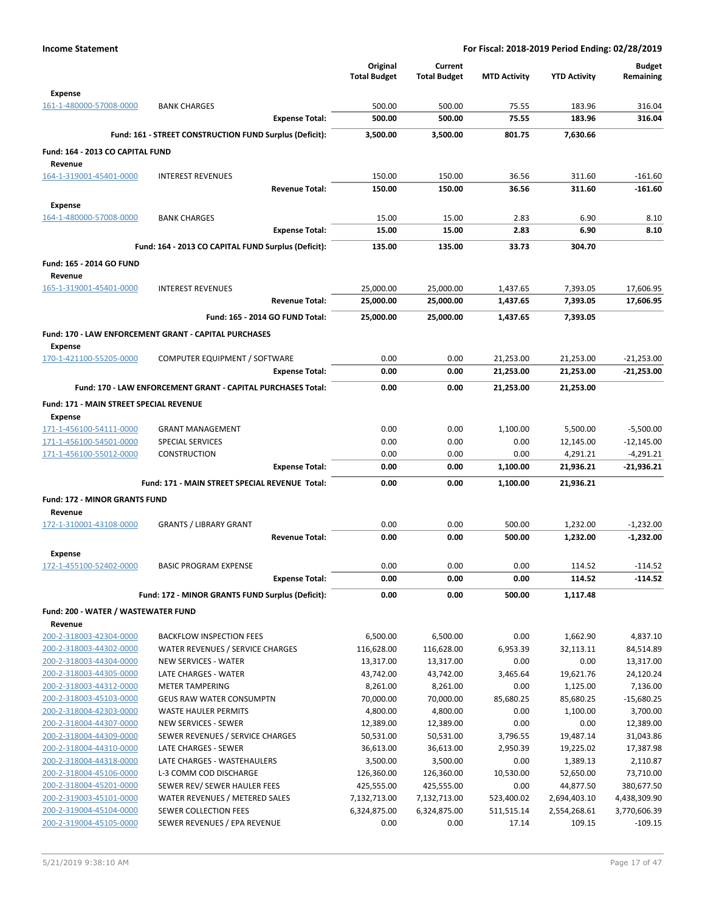|                                                |                                                                     | Original            | Current             |                        |                        | <b>Budget</b>                |
|------------------------------------------------|---------------------------------------------------------------------|---------------------|---------------------|------------------------|------------------------|------------------------------|
|                                                |                                                                     | <b>Total Budget</b> | <b>Total Budget</b> | <b>MTD Activity</b>    | <b>YTD Activity</b>    | Remaining                    |
| <b>Expense</b>                                 |                                                                     |                     |                     |                        |                        |                              |
| 161-1-480000-57008-0000                        | <b>BANK CHARGES</b>                                                 | 500.00              | 500.00              | 75.55                  | 183.96                 | 316.04                       |
|                                                | <b>Expense Total:</b>                                               | 500.00              | 500.00              | 75.55                  | 183.96                 | 316.04                       |
|                                                | Fund: 161 - STREET CONSTRUCTION FUND Surplus (Deficit):             | 3,500.00            | 3,500.00            | 801.75                 | 7,630.66               |                              |
| Fund: 164 - 2013 CO CAPITAL FUND               |                                                                     |                     |                     |                        |                        |                              |
| Revenue                                        |                                                                     |                     |                     |                        |                        |                              |
| 164-1-319001-45401-0000                        | <b>INTEREST REVENUES</b>                                            | 150.00              | 150.00              | 36.56                  | 311.60                 | $-161.60$                    |
|                                                | <b>Revenue Total:</b>                                               | 150.00              | 150.00              | 36.56                  | 311.60                 | $-161.60$                    |
| <b>Expense</b>                                 |                                                                     |                     |                     |                        |                        |                              |
| 164-1-480000-57008-0000                        | <b>BANK CHARGES</b>                                                 | 15.00               | 15.00               | 2.83                   | 6.90                   | 8.10                         |
|                                                | <b>Expense Total:</b>                                               | 15.00               | 15.00               | 2.83                   | 6.90                   | 8.10                         |
|                                                | Fund: 164 - 2013 CO CAPITAL FUND Surplus (Deficit):                 | 135.00              | 135.00              | 33.73                  | 304.70                 |                              |
| Fund: 165 - 2014 GO FUND                       |                                                                     |                     |                     |                        |                        |                              |
| Revenue                                        |                                                                     |                     |                     |                        |                        |                              |
| 165-1-319001-45401-0000                        | <b>INTEREST REVENUES</b>                                            | 25,000.00           | 25,000.00           | 1,437.65               | 7,393.05               | 17,606.95                    |
|                                                | <b>Revenue Total:</b>                                               | 25,000.00           | 25,000.00           | 1,437.65               | 7,393.05               | 17,606.95                    |
|                                                | Fund: 165 - 2014 GO FUND Total:                                     | 25,000.00           | 25,000.00           | 1,437.65               | 7,393.05               |                              |
|                                                |                                                                     |                     |                     |                        |                        |                              |
|                                                | Fund: 170 - LAW ENFORCEMENT GRANT - CAPITAL PURCHASES               |                     |                     |                        |                        |                              |
| <b>Expense</b><br>170-1-421100-55205-0000      |                                                                     |                     |                     |                        |                        |                              |
|                                                | COMPUTER EQUIPMENT / SOFTWARE<br><b>Expense Total:</b>              | 0.00<br>0.00        | 0.00<br>0.00        | 21,253.00<br>21,253.00 | 21,253.00<br>21,253.00 | $-21,253.00$<br>$-21,253.00$ |
|                                                |                                                                     |                     |                     |                        |                        |                              |
|                                                | <b>Fund: 170 - LAW ENFORCEMENT GRANT - CAPITAL PURCHASES Total:</b> | 0.00                | 0.00                | 21.253.00              | 21.253.00              |                              |
| <b>Fund: 171 - MAIN STREET SPECIAL REVENUE</b> |                                                                     |                     |                     |                        |                        |                              |
| <b>Expense</b>                                 |                                                                     |                     |                     |                        |                        |                              |
| 171-1-456100-54111-0000                        | <b>GRANT MANAGEMENT</b>                                             | 0.00                | 0.00                | 1,100.00               | 5,500.00               | $-5,500.00$                  |
| 171-1-456100-54501-0000                        | <b>SPECIAL SERVICES</b>                                             | 0.00                | 0.00                | 0.00                   | 12,145.00              | $-12,145.00$                 |
| 171-1-456100-55012-0000                        | <b>CONSTRUCTION</b><br><b>Expense Total:</b>                        | 0.00<br>0.00        | 0.00<br>0.00        | 0.00<br>1,100.00       | 4,291.21<br>21,936.21  | $-4,291.21$<br>$-21,936.21$  |
|                                                |                                                                     |                     |                     |                        |                        |                              |
|                                                | Fund: 171 - MAIN STREET SPECIAL REVENUE Total:                      | 0.00                | 0.00                | 1,100.00               | 21,936.21              |                              |
| Fund: 172 - MINOR GRANTS FUND                  |                                                                     |                     |                     |                        |                        |                              |
| Revenue                                        |                                                                     |                     |                     |                        |                        |                              |
| 172-1-310001-43108-0000                        | <b>GRANTS / LIBRARY GRANT</b>                                       | 0.00                | 0.00                | 500.00                 | 1,232.00               | $-1,232.00$                  |
|                                                | <b>Revenue Total:</b>                                               | 0.00                | 0.00                | 500.00                 | 1,232.00               | $-1,232.00$                  |
| Expense                                        |                                                                     |                     |                     |                        |                        |                              |
| 172-1-455100-52402-0000                        | <b>BASIC PROGRAM EXPENSE</b>                                        | 0.00                | 0.00                | 0.00                   | 114.52                 | $-114.52$                    |
|                                                | <b>Expense Total:</b>                                               | 0.00                | 0.00                | 0.00                   | 114.52                 | $-114.52$                    |
|                                                | Fund: 172 - MINOR GRANTS FUND Surplus (Deficit):                    | 0.00                | 0.00                | 500.00                 | 1,117.48               |                              |
| Fund: 200 - WATER / WASTEWATER FUND            |                                                                     |                     |                     |                        |                        |                              |
| Revenue                                        |                                                                     |                     |                     |                        |                        |                              |
| 200-2-318003-42304-0000                        | <b>BACKFLOW INSPECTION FEES</b>                                     | 6,500.00            | 6,500.00            | 0.00                   | 1,662.90               | 4,837.10                     |
| 200-2-318003-44302-0000                        | WATER REVENUES / SERVICE CHARGES                                    | 116,628.00          | 116,628.00          | 6,953.39               | 32,113.11              | 84,514.89                    |
| 200-2-318003-44304-0000                        | <b>NEW SERVICES - WATER</b>                                         | 13,317.00           | 13,317.00           | 0.00                   | 0.00                   | 13,317.00                    |
| 200-2-318003-44305-0000                        | LATE CHARGES - WATER                                                | 43,742.00           | 43,742.00           | 3,465.64               | 19,621.76              | 24,120.24                    |
| 200-2-318003-44312-0000                        | <b>METER TAMPERING</b>                                              | 8,261.00            | 8,261.00            | 0.00                   | 1,125.00               | 7,136.00                     |
| 200-2-318003-45103-0000                        | <b>GEUS RAW WATER CONSUMPTN</b>                                     | 70,000.00           | 70,000.00           | 85,680.25              | 85,680.25              | $-15,680.25$                 |
| 200-2-318004-42303-0000                        | <b>WASTE HAULER PERMITS</b>                                         | 4,800.00            | 4,800.00            | 0.00                   | 1,100.00               | 3,700.00                     |
| 200-2-318004-44307-0000                        | NEW SERVICES - SEWER                                                | 12,389.00           | 12,389.00           | 0.00                   | 0.00                   | 12,389.00                    |
| 200-2-318004-44309-0000                        | SEWER REVENUES / SERVICE CHARGES                                    | 50,531.00           | 50,531.00           | 3,796.55               | 19,487.14              | 31,043.86                    |
| 200-2-318004-44310-0000                        | LATE CHARGES - SEWER                                                | 36,613.00           | 36,613.00           | 2,950.39               | 19,225.02              | 17,387.98                    |
| 200-2-318004-44318-0000                        | LATE CHARGES - WASTEHAULERS                                         | 3,500.00            | 3,500.00            | 0.00                   | 1,389.13               | 2,110.87                     |
| 200-2-318004-45106-0000                        | L-3 COMM COD DISCHARGE                                              | 126,360.00          | 126,360.00          | 10,530.00              | 52,650.00              | 73,710.00                    |
| 200-2-318004-45201-0000                        | SEWER REV/ SEWER HAULER FEES                                        | 425,555.00          | 425,555.00          | 0.00                   | 44,877.50              | 380,677.50                   |
| 200-2-319003-45101-0000                        | WATER REVENUES / METERED SALES                                      | 7,132,713.00        | 7,132,713.00        | 523,400.02             | 2,694,403.10           | 4,438,309.90                 |
| 200-2-319004-45104-0000                        | SEWER COLLECTION FEES                                               | 6,324,875.00        | 6,324,875.00        | 511,515.14             | 2,554,268.61           | 3,770,606.39                 |
| 200-2-319004-45105-0000                        | SEWER REVENUES / EPA REVENUE                                        | 0.00                | 0.00                | 17.14                  | 109.15                 | $-109.15$                    |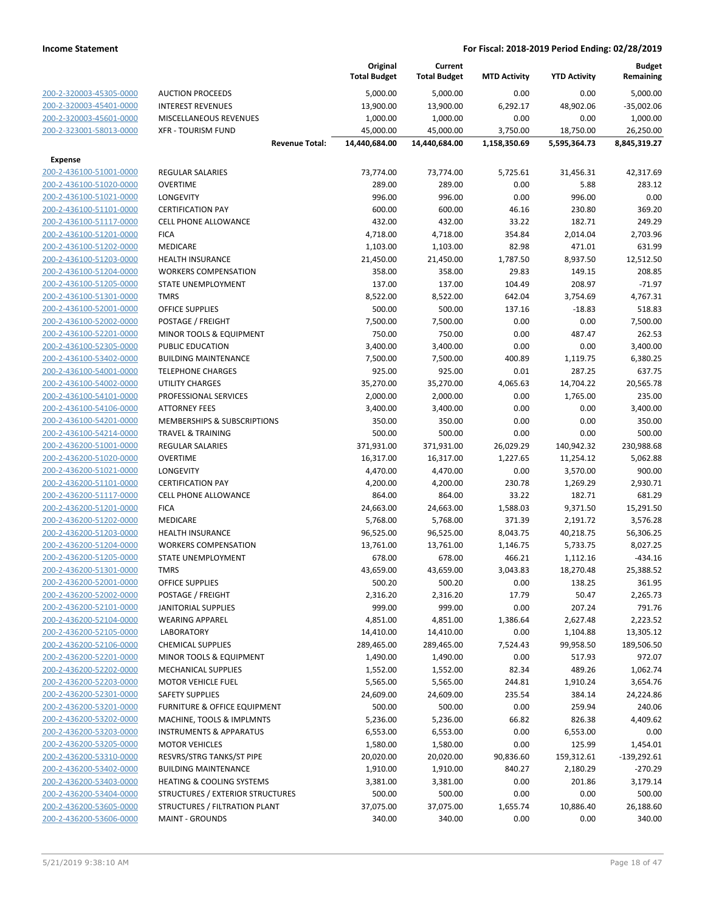|                                                    |                                                        | Original<br><b>Total Budget</b> | Current<br><b>Total Budget</b> | <b>MTD Activity</b> | <b>YTD Activity</b> | <b>Budget</b><br>Remaining |
|----------------------------------------------------|--------------------------------------------------------|---------------------------------|--------------------------------|---------------------|---------------------|----------------------------|
| 200-2-320003-45305-0000                            | <b>AUCTION PROCEEDS</b>                                | 5,000.00                        | 5,000.00                       | 0.00                | 0.00                | 5,000.00                   |
| 200-2-320003-45401-0000                            | <b>INTEREST REVENUES</b>                               | 13,900.00                       | 13,900.00                      | 6,292.17            | 48,902.06           | $-35,002.06$               |
| 200-2-320003-45601-0000                            | MISCELLANEOUS REVENUES                                 | 1,000.00                        | 1,000.00                       | 0.00                | 0.00                | 1,000.00                   |
| 200-2-323001-58013-0000                            | <b>XFR - TOURISM FUND</b>                              | 45,000.00                       | 45,000.00                      | 3,750.00            | 18,750.00           | 26,250.00                  |
|                                                    | <b>Revenue Total:</b>                                  | 14,440,684.00                   | 14,440,684.00                  | 1,158,350.69        | 5,595,364.73        | 8,845,319.27               |
| <b>Expense</b>                                     |                                                        |                                 |                                |                     |                     |                            |
| 200-2-436100-51001-0000                            | <b>REGULAR SALARIES</b>                                | 73,774.00                       | 73,774.00                      | 5,725.61            | 31,456.31           | 42,317.69                  |
| 200-2-436100-51020-0000                            | <b>OVERTIME</b>                                        | 289.00                          | 289.00                         | 0.00                | 5.88                | 283.12                     |
| 200-2-436100-51021-0000                            | <b>LONGEVITY</b>                                       | 996.00                          | 996.00                         | 0.00                | 996.00              | 0.00                       |
| 200-2-436100-51101-0000                            | <b>CERTIFICATION PAY</b>                               | 600.00                          | 600.00                         | 46.16               | 230.80              | 369.20                     |
| 200-2-436100-51117-0000                            | <b>CELL PHONE ALLOWANCE</b>                            | 432.00                          | 432.00                         | 33.22               | 182.71              | 249.29                     |
| 200-2-436100-51201-0000                            | <b>FICA</b>                                            | 4,718.00                        | 4,718.00                       | 354.84              | 2,014.04            | 2,703.96                   |
| 200-2-436100-51202-0000                            | MEDICARE                                               | 1,103.00                        | 1,103.00                       | 82.98               | 471.01              | 631.99                     |
| 200-2-436100-51203-0000<br>200-2-436100-51204-0000 | <b>HEALTH INSURANCE</b><br><b>WORKERS COMPENSATION</b> | 21,450.00                       | 21,450.00                      | 1,787.50<br>29.83   | 8,937.50<br>149.15  | 12,512.50<br>208.85        |
| 200-2-436100-51205-0000                            | STATE UNEMPLOYMENT                                     | 358.00<br>137.00                | 358.00<br>137.00               | 104.49              | 208.97              | $-71.97$                   |
| 200-2-436100-51301-0000                            | <b>TMRS</b>                                            | 8,522.00                        | 8,522.00                       | 642.04              | 3,754.69            | 4,767.31                   |
| 200-2-436100-52001-0000                            | <b>OFFICE SUPPLIES</b>                                 | 500.00                          | 500.00                         | 137.16              | $-18.83$            | 518.83                     |
| 200-2-436100-52002-0000                            | POSTAGE / FREIGHT                                      | 7,500.00                        | 7,500.00                       | 0.00                | 0.00                | 7,500.00                   |
| 200-2-436100-52201-0000                            | MINOR TOOLS & EQUIPMENT                                | 750.00                          | 750.00                         | 0.00                | 487.47              | 262.53                     |
| 200-2-436100-52305-0000                            | <b>PUBLIC EDUCATION</b>                                | 3,400.00                        | 3,400.00                       | 0.00                | 0.00                | 3,400.00                   |
| 200-2-436100-53402-0000                            | <b>BUILDING MAINTENANCE</b>                            | 7,500.00                        | 7,500.00                       | 400.89              | 1,119.75            | 6,380.25                   |
| 200-2-436100-54001-0000                            | <b>TELEPHONE CHARGES</b>                               | 925.00                          | 925.00                         | 0.01                | 287.25              | 637.75                     |
| 200-2-436100-54002-0000                            | <b>UTILITY CHARGES</b>                                 | 35,270.00                       | 35,270.00                      | 4,065.63            | 14,704.22           | 20,565.78                  |
| 200-2-436100-54101-0000                            | PROFESSIONAL SERVICES                                  | 2,000.00                        | 2,000.00                       | 0.00                | 1,765.00            | 235.00                     |
| 200-2-436100-54106-0000                            | <b>ATTORNEY FEES</b>                                   | 3,400.00                        | 3,400.00                       | 0.00                | 0.00                | 3,400.00                   |
| 200-2-436100-54201-0000                            | MEMBERSHIPS & SUBSCRIPTIONS                            | 350.00                          | 350.00                         | 0.00                | 0.00                | 350.00                     |
| 200-2-436100-54214-0000                            | <b>TRAVEL &amp; TRAINING</b>                           | 500.00                          | 500.00                         | 0.00                | 0.00                | 500.00                     |
| 200-2-436200-51001-0000                            | REGULAR SALARIES                                       | 371,931.00                      | 371,931.00                     | 26,029.29           | 140,942.32          | 230,988.68                 |
| 200-2-436200-51020-0000                            | <b>OVERTIME</b>                                        | 16,317.00                       | 16,317.00                      | 1,227.65            | 11,254.12           | 5,062.88                   |
| 200-2-436200-51021-0000                            | LONGEVITY                                              | 4,470.00                        | 4,470.00                       | 0.00                | 3,570.00            | 900.00                     |
| 200-2-436200-51101-0000                            | <b>CERTIFICATION PAY</b>                               | 4,200.00                        | 4,200.00                       | 230.78              | 1,269.29            | 2,930.71                   |
| 200-2-436200-51117-0000                            | <b>CELL PHONE ALLOWANCE</b>                            | 864.00                          | 864.00                         | 33.22               | 182.71              | 681.29                     |
| 200-2-436200-51201-0000                            | <b>FICA</b>                                            | 24,663.00                       | 24,663.00                      | 1,588.03            | 9,371.50            | 15,291.50                  |
| 200-2-436200-51202-0000                            | MEDICARE                                               | 5,768.00                        | 5,768.00                       | 371.39              | 2,191.72            | 3,576.28                   |
| 200-2-436200-51203-0000                            | <b>HEALTH INSURANCE</b>                                | 96,525.00                       | 96,525.00                      | 8,043.75            | 40,218.75           | 56,306.25                  |
| 200-2-436200-51204-0000                            | <b>WORKERS COMPENSATION</b>                            | 13,761.00                       | 13,761.00                      | 1,146.75            | 5,733.75            | 8,027.25                   |
| 200-2-436200-51205-0000                            | STATE UNEMPLOYMENT                                     | 678.00                          | 678.00                         | 466.21              | 1,112.16            | $-434.16$                  |
| 200-2-436200-51301-0000                            | <b>TMRS</b>                                            | 43,659.00                       | 43,659.00                      | 3,043.83            | 18,270.48           | 25,388.52                  |
| 200-2-436200-52001-0000<br>200-2-436200-52002-0000 | <b>OFFICE SUPPLIES</b><br>POSTAGE / FREIGHT            | 500.20<br>2,316.20              | 500.20<br>2,316.20             | 0.00<br>17.79       | 138.25<br>50.47     | 361.95<br>2,265.73         |
| 200-2-436200-52101-0000                            | <b>JANITORIAL SUPPLIES</b>                             | 999.00                          | 999.00                         | 0.00                | 207.24              | 791.76                     |
| 200-2-436200-52104-0000                            | <b>WEARING APPAREL</b>                                 | 4,851.00                        | 4,851.00                       | 1,386.64            | 2,627.48            | 2,223.52                   |
| 200-2-436200-52105-0000                            | <b>LABORATORY</b>                                      | 14,410.00                       | 14,410.00                      | 0.00                | 1,104.88            | 13,305.12                  |
| 200-2-436200-52106-0000                            | <b>CHEMICAL SUPPLIES</b>                               | 289,465.00                      | 289,465.00                     | 7,524.43            | 99,958.50           | 189,506.50                 |
| 200-2-436200-52201-0000                            | MINOR TOOLS & EQUIPMENT                                | 1,490.00                        | 1,490.00                       | 0.00                | 517.93              | 972.07                     |
| 200-2-436200-52202-0000                            | MECHANICAL SUPPLIES                                    | 1,552.00                        | 1,552.00                       | 82.34               | 489.26              | 1,062.74                   |
| 200-2-436200-52203-0000                            | <b>MOTOR VEHICLE FUEL</b>                              | 5,565.00                        | 5,565.00                       | 244.81              | 1,910.24            | 3,654.76                   |
| 200-2-436200-52301-0000                            | <b>SAFETY SUPPLIES</b>                                 | 24,609.00                       | 24,609.00                      | 235.54              | 384.14              | 24,224.86                  |
| 200-2-436200-53201-0000                            | <b>FURNITURE &amp; OFFICE EQUIPMENT</b>                | 500.00                          | 500.00                         | 0.00                | 259.94              | 240.06                     |
| 200-2-436200-53202-0000                            | MACHINE, TOOLS & IMPLMNTS                              | 5,236.00                        | 5,236.00                       | 66.82               | 826.38              | 4,409.62                   |
| 200-2-436200-53203-0000                            | <b>INSTRUMENTS &amp; APPARATUS</b>                     | 6,553.00                        | 6,553.00                       | 0.00                | 6,553.00            | 0.00                       |
| 200-2-436200-53205-0000                            | <b>MOTOR VEHICLES</b>                                  | 1,580.00                        | 1,580.00                       | 0.00                | 125.99              | 1,454.01                   |
| 200-2-436200-53310-0000                            | RESVRS/STRG TANKS/ST PIPE                              | 20,020.00                       | 20,020.00                      | 90,836.60           | 159,312.61          | $-139,292.61$              |
| 200-2-436200-53402-0000                            | <b>BUILDING MAINTENANCE</b>                            | 1,910.00                        | 1,910.00                       | 840.27              | 2,180.29            | $-270.29$                  |
| 200-2-436200-53403-0000                            | HEATING & COOLING SYSTEMS                              | 3,381.00                        | 3,381.00                       | 0.00                | 201.86              | 3,179.14                   |
| 200-2-436200-53404-0000                            | STRUCTURES / EXTERIOR STRUCTURES                       | 500.00                          | 500.00                         | 0.00                | 0.00                | 500.00                     |
| 200-2-436200-53605-0000                            | STRUCTURES / FILTRATION PLANT                          | 37,075.00                       | 37,075.00                      | 1,655.74            | 10,886.40           | 26,188.60                  |
| 200-2-436200-53606-0000                            | <b>MAINT - GROUNDS</b>                                 | 340.00                          | 340.00                         | 0.00                | 0.00                | 340.00                     |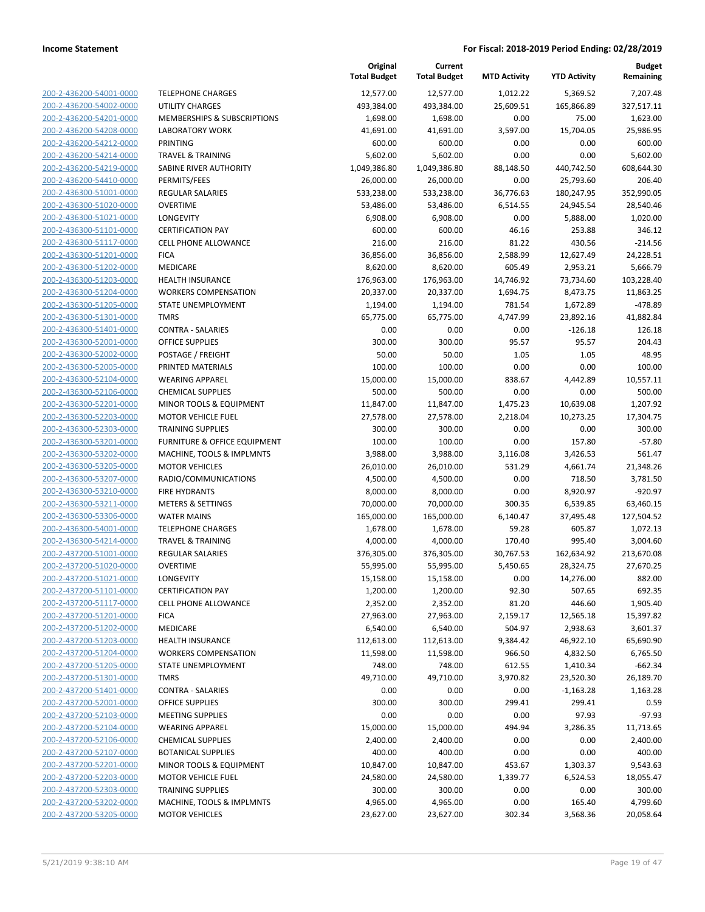**Budget**

|                                                    |                                                    | Original<br><b>Total Budget</b> | Current<br><b>Total Budget</b> | <b>MTD Activity</b> | <b>YTD Activity</b>   | <b>Budget</b><br>Remaining |
|----------------------------------------------------|----------------------------------------------------|---------------------------------|--------------------------------|---------------------|-----------------------|----------------------------|
| 200-2-436200-54001-0000                            | <b>TELEPHONE CHARGES</b>                           | 12,577.00                       | 12,577.00                      | 1,012.22            | 5,369.52              | 7,207.48                   |
| 200-2-436200-54002-0000                            | <b>UTILITY CHARGES</b>                             | 493,384.00                      | 493,384.00                     | 25,609.51           | 165,866.89            | 327,517.11                 |
| 200-2-436200-54201-0000                            | MEMBERSHIPS & SUBSCRIPTIONS                        | 1,698.00                        | 1,698.00                       | 0.00                | 75.00                 | 1,623.00                   |
| 200-2-436200-54208-0000                            | <b>LABORATORY WORK</b>                             | 41,691.00                       | 41,691.00                      | 3,597.00            | 15,704.05             | 25,986.95                  |
| 200-2-436200-54212-0000                            | <b>PRINTING</b>                                    | 600.00                          | 600.00                         | 0.00                | 0.00                  | 600.00                     |
| 200-2-436200-54214-0000                            | <b>TRAVEL &amp; TRAINING</b>                       | 5,602.00                        | 5,602.00                       | 0.00                | 0.00                  | 5,602.00                   |
| 200-2-436200-54219-0000                            | SABINE RIVER AUTHORITY                             | 1,049,386.80                    | 1,049,386.80                   | 88,148.50           | 440,742.50            | 608,644.30                 |
| 200-2-436200-54410-0000                            | PERMITS/FEES                                       | 26,000.00                       | 26,000.00                      | 0.00                | 25,793.60             | 206.40                     |
| 200-2-436300-51001-0000                            | REGULAR SALARIES                                   | 533,238.00                      | 533,238.00                     | 36,776.63           | 180,247.95            | 352,990.05                 |
| 200-2-436300-51020-0000                            | <b>OVERTIME</b>                                    | 53,486.00                       | 53,486.00                      | 6,514.55            | 24,945.54             | 28,540.46                  |
| 200-2-436300-51021-0000                            | LONGEVITY                                          | 6,908.00                        | 6,908.00                       | 0.00                | 5,888.00              | 1,020.00                   |
| 200-2-436300-51101-0000                            | <b>CERTIFICATION PAY</b>                           | 600.00                          | 600.00                         | 46.16               | 253.88                | 346.12                     |
| 200-2-436300-51117-0000                            | <b>CELL PHONE ALLOWANCE</b>                        | 216.00                          | 216.00                         | 81.22               | 430.56                | $-214.56$                  |
| 200-2-436300-51201-0000                            | <b>FICA</b>                                        | 36,856.00                       | 36,856.00                      | 2,588.99            | 12,627.49             | 24,228.51                  |
| 200-2-436300-51202-0000                            | MEDICARE                                           | 8,620.00                        | 8,620.00                       | 605.49              | 2,953.21              | 5,666.79                   |
| 200-2-436300-51203-0000                            | HEALTH INSURANCE                                   | 176,963.00                      | 176,963.00                     | 14,746.92           | 73,734.60             | 103,228.40                 |
| 200-2-436300-51204-0000                            | <b>WORKERS COMPENSATION</b>                        | 20,337.00                       | 20,337.00                      | 1,694.75            | 8,473.75              | 11,863.25                  |
| 200-2-436300-51205-0000                            | STATE UNEMPLOYMENT                                 | 1,194.00                        | 1,194.00                       | 781.54              | 1,672.89              | -478.89                    |
| 200-2-436300-51301-0000                            | <b>TMRS</b>                                        | 65,775.00                       | 65,775.00                      | 4,747.99            | 23,892.16             | 41,882.84                  |
| 200-2-436300-51401-0000                            | <b>CONTRA - SALARIES</b>                           | 0.00                            | 0.00                           | 0.00                | $-126.18$             | 126.18                     |
| 200-2-436300-52001-0000                            | <b>OFFICE SUPPLIES</b>                             | 300.00                          | 300.00                         | 95.57               | 95.57                 | 204.43                     |
| 200-2-436300-52002-0000                            | POSTAGE / FREIGHT                                  | 50.00                           | 50.00                          | 1.05                | 1.05                  | 48.95                      |
| 200-2-436300-52005-0000                            | PRINTED MATERIALS                                  | 100.00                          | 100.00                         | 0.00                | 0.00                  | 100.00                     |
| 200-2-436300-52104-0000                            | <b>WEARING APPAREL</b>                             | 15,000.00                       | 15,000.00                      | 838.67              | 4,442.89              | 10,557.11                  |
| 200-2-436300-52106-0000                            | <b>CHEMICAL SUPPLIES</b>                           | 500.00                          | 500.00                         | 0.00                | 0.00                  | 500.00                     |
| 200-2-436300-52201-0000                            | MINOR TOOLS & EQUIPMENT                            | 11,847.00                       | 11,847.00                      | 1,475.23            | 10,639.08             | 1,207.92                   |
| 200-2-436300-52203-0000                            | MOTOR VEHICLE FUEL                                 | 27,578.00                       | 27,578.00                      | 2,218.04            | 10,273.25             | 17,304.75                  |
| 200-2-436300-52303-0000                            | <b>TRAINING SUPPLIES</b>                           | 300.00                          | 300.00                         | 0.00                | 0.00                  | 300.00                     |
| 200-2-436300-53201-0000                            | <b>FURNITURE &amp; OFFICE EQUIPMENT</b>            | 100.00                          | 100.00                         | 0.00                | 157.80                | $-57.80$                   |
| 200-2-436300-53202-0000                            | MACHINE, TOOLS & IMPLMNTS                          | 3,988.00                        | 3,988.00                       | 3,116.08            | 3,426.53              | 561.47                     |
| 200-2-436300-53205-0000                            | <b>MOTOR VEHICLES</b>                              | 26,010.00                       | 26,010.00                      | 531.29              | 4,661.74              | 21,348.26                  |
| 200-2-436300-53207-0000                            | RADIO/COMMUNICATIONS                               | 4,500.00                        | 4,500.00                       | 0.00                | 718.50                | 3,781.50                   |
| 200-2-436300-53210-0000<br>200-2-436300-53211-0000 | <b>FIRE HYDRANTS</b>                               | 8,000.00                        | 8,000.00                       | 0.00                | 8,920.97              | $-920.97$                  |
| 200-2-436300-53306-0000                            | <b>METERS &amp; SETTINGS</b><br><b>WATER MAINS</b> | 70,000.00<br>165,000.00         | 70,000.00                      | 300.35<br>6,140.47  | 6,539.85<br>37,495.48 | 63,460.15<br>127,504.52    |
| 200-2-436300-54001-0000                            | <b>TELEPHONE CHARGES</b>                           | 1,678.00                        | 165,000.00<br>1,678.00         | 59.28               | 605.87                | 1,072.13                   |
| 200-2-436300-54214-0000                            | <b>TRAVEL &amp; TRAINING</b>                       | 4,000.00                        | 4,000.00                       | 170.40              | 995.40                | 3,004.60                   |
| 200-2-437200-51001-0000                            | REGULAR SALARIES                                   | 376,305.00                      | 376,305.00                     | 30,767.53           | 162,634.92            | 213,670.08                 |
| 200-2-437200-51020-0000                            | <b>OVERTIME</b>                                    | 55,995.00                       | 55,995.00                      | 5,450.65            | 28,324.75             | 27,670.25                  |
| 200-2-437200-51021-0000                            | LONGEVITY                                          | 15,158.00                       | 15,158.00                      | 0.00                | 14,276.00             | 882.00                     |
| 200-2-437200-51101-0000                            | <b>CERTIFICATION PAY</b>                           | 1,200.00                        | 1,200.00                       | 92.30               | 507.65                | 692.35                     |
| 200-2-437200-51117-0000                            | <b>CELL PHONE ALLOWANCE</b>                        | 2,352.00                        | 2,352.00                       | 81.20               | 446.60                | 1,905.40                   |
| 200-2-437200-51201-0000                            | <b>FICA</b>                                        | 27,963.00                       | 27,963.00                      | 2,159.17            | 12,565.18             | 15,397.82                  |
| 200-2-437200-51202-0000                            | MEDICARE                                           | 6,540.00                        | 6,540.00                       | 504.97              | 2,938.63              | 3,601.37                   |
| 200-2-437200-51203-0000                            | <b>HEALTH INSURANCE</b>                            | 112,613.00                      | 112,613.00                     | 9,384.42            | 46,922.10             | 65,690.90                  |
| 200-2-437200-51204-0000                            | <b>WORKERS COMPENSATION</b>                        | 11,598.00                       | 11,598.00                      | 966.50              | 4,832.50              | 6,765.50                   |
| 200-2-437200-51205-0000                            | STATE UNEMPLOYMENT                                 | 748.00                          | 748.00                         | 612.55              | 1,410.34              | $-662.34$                  |
| 200-2-437200-51301-0000                            | <b>TMRS</b>                                        | 49,710.00                       | 49,710.00                      | 3,970.82            | 23,520.30             | 26,189.70                  |
| 200-2-437200-51401-0000                            | <b>CONTRA - SALARIES</b>                           | 0.00                            | 0.00                           | 0.00                | $-1,163.28$           | 1,163.28                   |
| 200-2-437200-52001-0000                            | OFFICE SUPPLIES                                    | 300.00                          | 300.00                         | 299.41              | 299.41                | 0.59                       |
| 200-2-437200-52103-0000                            | <b>MEETING SUPPLIES</b>                            | 0.00                            | 0.00                           | 0.00                | 97.93                 | $-97.93$                   |
| 200-2-437200-52104-0000                            | <b>WEARING APPAREL</b>                             | 15,000.00                       | 15,000.00                      | 494.94              | 3,286.35              | 11,713.65                  |
| 200-2-437200-52106-0000                            | <b>CHEMICAL SUPPLIES</b>                           | 2,400.00                        | 2,400.00                       | 0.00                | 0.00                  | 2,400.00                   |
| 200-2-437200-52107-0000                            | <b>BOTANICAL SUPPLIES</b>                          | 400.00                          | 400.00                         | 0.00                | 0.00                  | 400.00                     |
| 200-2-437200-52201-0000                            | MINOR TOOLS & EQUIPMENT                            | 10,847.00                       | 10,847.00                      | 453.67              | 1,303.37              | 9,543.63                   |
| 200-2-437200-52203-0000                            | MOTOR VEHICLE FUEL                                 | 24,580.00                       | 24,580.00                      | 1,339.77            | 6,524.53              | 18,055.47                  |
| 200-2-437200-52303-0000                            | <b>TRAINING SUPPLIES</b>                           | 300.00                          | 300.00                         | 0.00                | 0.00                  | 300.00                     |
| 200-2-437200-53202-0000                            | MACHINE, TOOLS & IMPLMNTS                          | 4,965.00                        | 4,965.00                       | 0.00                | 165.40                | 4,799.60                   |
| 200-2-437200-53205-0000                            | <b>MOTOR VEHICLES</b>                              | 23,627.00                       | 23,627.00                      | 302.34              | 3,568.36              | 20,058.64                  |
|                                                    |                                                    |                                 |                                |                     |                       |                            |

**Original**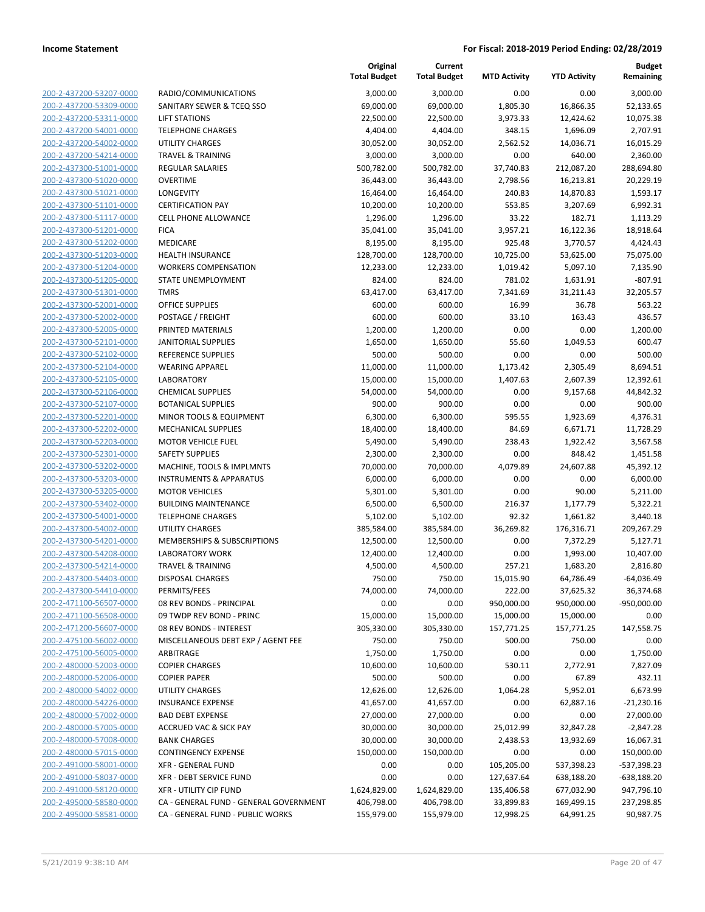**Current**

**Original**

**Budget**

|                                                    |                                                     | <b>Total Budget</b>  | <b>Total Budget</b>  | <b>MTD Activity</b> | <b>YTD Activity</b> | Remaining            |
|----------------------------------------------------|-----------------------------------------------------|----------------------|----------------------|---------------------|---------------------|----------------------|
| 200-2-437200-53207-0000                            | RADIO/COMMUNICATIONS                                | 3,000.00             | 3,000.00             | 0.00                | 0.00                | 3,000.00             |
| 200-2-437200-53309-0000                            | SANITARY SEWER & TCEQ SSO                           | 69,000.00            | 69,000.00            | 1,805.30            | 16,866.35           | 52,133.65            |
| 200-2-437200-53311-0000                            | <b>LIFT STATIONS</b>                                | 22,500.00            | 22,500.00            | 3,973.33            | 12,424.62           | 10,075.38            |
| 200-2-437200-54001-0000                            | <b>TELEPHONE CHARGES</b>                            | 4,404.00             | 4,404.00             | 348.15              | 1,696.09            | 2,707.91             |
| 200-2-437200-54002-0000                            | UTILITY CHARGES                                     | 30,052.00            | 30,052.00            | 2,562.52            | 14,036.71           | 16,015.29            |
| 200-2-437200-54214-0000                            | <b>TRAVEL &amp; TRAINING</b>                        | 3,000.00             | 3,000.00             | 0.00                | 640.00              | 2,360.00             |
| 200-2-437300-51001-0000                            | <b>REGULAR SALARIES</b>                             | 500,782.00           | 500,782.00           | 37,740.83           | 212,087.20          | 288,694.80           |
| 200-2-437300-51020-0000                            | <b>OVERTIME</b>                                     | 36,443.00            | 36,443.00            | 2,798.56            | 16,213.81           | 20,229.19            |
| 200-2-437300-51021-0000                            | LONGEVITY                                           | 16,464.00            | 16,464.00            | 240.83              | 14,870.83           | 1,593.17             |
| 200-2-437300-51101-0000                            | <b>CERTIFICATION PAY</b>                            | 10,200.00            | 10,200.00            | 553.85              | 3,207.69            | 6,992.31             |
| 200-2-437300-51117-0000                            | <b>CELL PHONE ALLOWANCE</b>                         | 1,296.00             | 1,296.00             | 33.22               | 182.71              | 1,113.29             |
| 200-2-437300-51201-0000                            | <b>FICA</b>                                         | 35,041.00            | 35,041.00            | 3,957.21            | 16,122.36           | 18,918.64            |
| 200-2-437300-51202-0000                            | <b>MEDICARE</b>                                     | 8,195.00             | 8,195.00             | 925.48              | 3,770.57            | 4,424.43             |
| 200-2-437300-51203-0000                            | <b>HEALTH INSURANCE</b>                             | 128,700.00           | 128,700.00           | 10,725.00           | 53,625.00           | 75,075.00            |
| 200-2-437300-51204-0000                            | <b>WORKERS COMPENSATION</b>                         | 12,233.00            | 12,233.00            | 1,019.42            | 5,097.10            | 7,135.90             |
| 200-2-437300-51205-0000                            | STATE UNEMPLOYMENT                                  | 824.00               | 824.00               | 781.02              | 1,631.91            | $-807.91$            |
| 200-2-437300-51301-0000                            | <b>TMRS</b>                                         | 63,417.00            | 63,417.00            | 7,341.69            | 31,211.43           | 32,205.57            |
| 200-2-437300-52001-0000                            | <b>OFFICE SUPPLIES</b>                              | 600.00               | 600.00               | 16.99               | 36.78               | 563.22               |
| 200-2-437300-52002-0000                            | POSTAGE / FREIGHT                                   | 600.00               | 600.00               | 33.10               | 163.43              | 436.57               |
| 200-2-437300-52005-0000                            | PRINTED MATERIALS                                   | 1,200.00             | 1,200.00             | 0.00                | 0.00                | 1,200.00             |
| 200-2-437300-52101-0000                            | <b>JANITORIAL SUPPLIES</b>                          | 1,650.00             | 1,650.00             | 55.60               | 1,049.53            | 600.47               |
| 200-2-437300-52102-0000                            | <b>REFERENCE SUPPLIES</b>                           | 500.00               | 500.00               | 0.00                | 0.00                | 500.00               |
| 200-2-437300-52104-0000                            | <b>WEARING APPAREL</b>                              | 11,000.00            | 11,000.00            | 1,173.42            | 2,305.49            | 8,694.51             |
| 200-2-437300-52105-0000                            | <b>LABORATORY</b>                                   | 15,000.00            | 15,000.00            | 1,407.63            | 2,607.39            | 12,392.61            |
| 200-2-437300-52106-0000                            | <b>CHEMICAL SUPPLIES</b>                            | 54,000.00            | 54,000.00            | 0.00                | 9,157.68            | 44,842.32            |
| 200-2-437300-52107-0000                            | <b>BOTANICAL SUPPLIES</b>                           | 900.00               | 900.00               | 0.00                | 0.00                | 900.00               |
| 200-2-437300-52201-0000                            | MINOR TOOLS & EQUIPMENT                             | 6,300.00             | 6,300.00             | 595.55              | 1,923.69            | 4,376.31             |
| 200-2-437300-52202-0000<br>200-2-437300-52203-0000 | <b>MECHANICAL SUPPLIES</b>                          | 18,400.00            | 18,400.00            | 84.69               | 6,671.71            | 11,728.29            |
| 200-2-437300-52301-0000                            | <b>MOTOR VEHICLE FUEL</b><br><b>SAFETY SUPPLIES</b> | 5,490.00<br>2,300.00 | 5,490.00<br>2,300.00 | 238.43<br>0.00      | 1,922.42<br>848.42  | 3,567.58<br>1,451.58 |
| 200-2-437300-53202-0000                            | MACHINE, TOOLS & IMPLMNTS                           | 70,000.00            | 70,000.00            | 4,079.89            | 24,607.88           | 45,392.12            |
| 200-2-437300-53203-0000                            | <b>INSTRUMENTS &amp; APPARATUS</b>                  | 6,000.00             | 6,000.00             | 0.00                | 0.00                | 6,000.00             |
| 200-2-437300-53205-0000                            | <b>MOTOR VEHICLES</b>                               | 5,301.00             | 5,301.00             | 0.00                | 90.00               | 5,211.00             |
| 200-2-437300-53402-0000                            | <b>BUILDING MAINTENANCE</b>                         | 6,500.00             | 6,500.00             | 216.37              | 1,177.79            | 5,322.21             |
| 200-2-437300-54001-0000                            | <b>TELEPHONE CHARGES</b>                            | 5,102.00             | 5,102.00             | 92.32               | 1,661.82            | 3,440.18             |
| 200-2-437300-54002-0000                            | UTILITY CHARGES                                     | 385,584.00           | 385,584.00           | 36,269.82           | 176,316.71          | 209,267.29           |
| 200-2-437300-54201-0000                            | MEMBERSHIPS & SUBSCRIPTIONS                         | 12,500.00            | 12,500.00            | 0.00                | 7,372.29            | 5,127.71             |
| 200-2-437300-54208-0000                            | <b>LABORATORY WORK</b>                              | 12,400.00            | 12,400.00            | 0.00                | 1,993.00            | 10,407.00            |
| 200-2-437300-54214-0000                            | <b>TRAVEL &amp; TRAINING</b>                        | 4,500.00             | 4,500.00             | 257.21              | 1,683.20            | 2,816.80             |
| 200-2-437300-54403-0000                            | DISPOSAL CHARGES                                    | 750.00               | 750.00               | 15,015.90           | 64,786.49           | $-64,036.49$         |
| 200-2-437300-54410-0000                            | PERMITS/FEES                                        | 74,000.00            | 74,000.00            | 222.00              | 37,625.32           | 36,374.68            |
| 200-2-471100-56507-0000                            | 08 REV BONDS - PRINCIPAL                            | 0.00                 | 0.00                 | 950,000.00          | 950,000.00          | $-950,000.00$        |
| 200-2-471100-56508-0000                            | 09 TWDP REV BOND - PRINC                            | 15,000.00            | 15,000.00            | 15,000.00           | 15,000.00           | 0.00                 |
| 200-2-471200-56607-0000                            | 08 REV BONDS - INTEREST                             | 305,330.00           | 305,330.00           | 157,771.25          | 157,771.25          | 147,558.75           |
| 200-2-475100-56002-0000                            | MISCELLANEOUS DEBT EXP / AGENT FEE                  | 750.00               | 750.00               | 500.00              | 750.00              | 0.00                 |
| 200-2-475100-56005-0000                            | ARBITRAGE                                           | 1,750.00             | 1,750.00             | 0.00                | 0.00                | 1,750.00             |
| 200-2-480000-52003-0000                            | <b>COPIER CHARGES</b>                               | 10,600.00            | 10,600.00            | 530.11              | 2,772.91            | 7,827.09             |
| 200-2-480000-52006-0000                            | <b>COPIER PAPER</b>                                 | 500.00               | 500.00               | 0.00                | 67.89               | 432.11               |
| 200-2-480000-54002-0000                            | UTILITY CHARGES                                     | 12,626.00            | 12,626.00            | 1,064.28            | 5,952.01            | 6,673.99             |
| 200-2-480000-54226-0000                            | <b>INSURANCE EXPENSE</b>                            | 41,657.00            | 41,657.00            | 0.00                | 62,887.16           | $-21,230.16$         |
| 200-2-480000-57002-0000                            | <b>BAD DEBT EXPENSE</b>                             | 27,000.00            | 27,000.00            | 0.00                | 0.00                | 27,000.00            |
| 200-2-480000-57005-0000                            | <b>ACCRUED VAC &amp; SICK PAY</b>                   | 30,000.00            | 30,000.00            | 25,012.99           | 32,847.28           | $-2,847.28$          |
| 200-2-480000-57008-0000                            | <b>BANK CHARGES</b>                                 | 30,000.00            | 30,000.00            | 2,438.53            | 13,932.69           | 16,067.31            |
| 200-2-480000-57015-0000                            | <b>CONTINGENCY EXPENSE</b>                          | 150,000.00           | 150,000.00           | 0.00                | 0.00                | 150,000.00           |
| 200-2-491000-58001-0000                            | XFR - GENERAL FUND                                  | 0.00                 | 0.00                 | 105,205.00          | 537,398.23          | -537,398.23          |
| 200-2-491000-58037-0000                            | XFR - DEBT SERVICE FUND                             | 0.00                 | 0.00                 | 127,637.64          | 638,188.20          | $-638,188.20$        |
| 200-2-491000-58120-0000                            | <b>XFR - UTILITY CIP FUND</b>                       | 1,624,829.00         | 1,624,829.00         | 135,406.58          | 677,032.90          | 947,796.10           |
| 200-2-495000-58580-0000                            | CA - GENERAL FUND - GENERAL GOVERNMENT              | 406,798.00           | 406,798.00           | 33,899.83           | 169,499.15          | 237,298.85           |
| 200-2-495000-58581-0000                            | CA - GENERAL FUND - PUBLIC WORKS                    | 155,979.00           | 155,979.00           | 12,998.25           | 64,991.25           | 90,987.75            |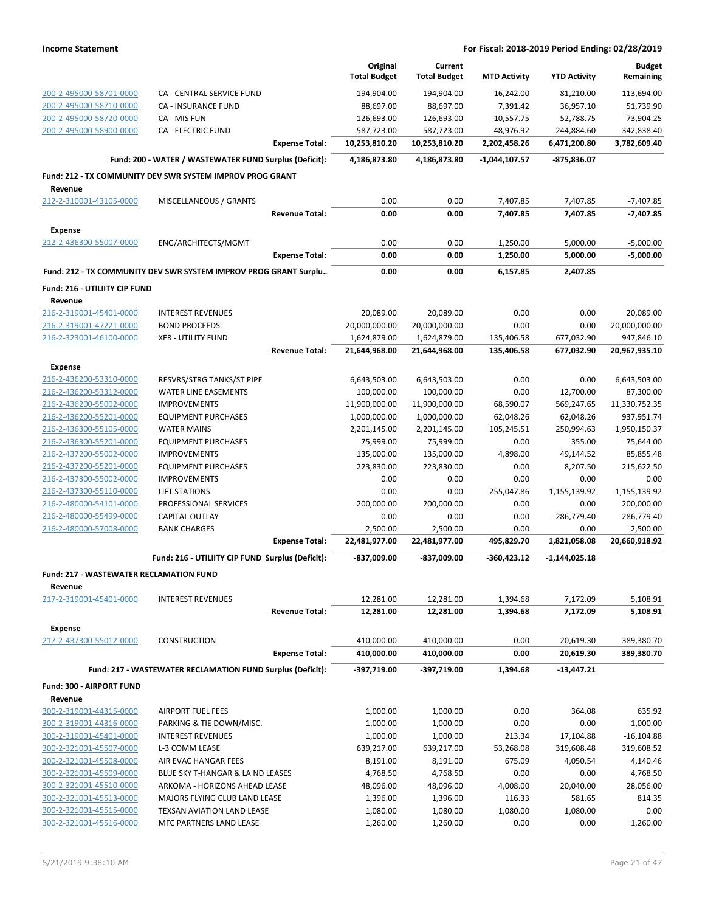|                                                    |                                                                  |                       | Original                    | Current                     |                           |                            | <b>Budget</b>              |
|----------------------------------------------------|------------------------------------------------------------------|-----------------------|-----------------------------|-----------------------------|---------------------------|----------------------------|----------------------------|
|                                                    |                                                                  |                       | <b>Total Budget</b>         | <b>Total Budget</b>         | <b>MTD Activity</b>       | <b>YTD Activity</b>        | Remaining                  |
| 200-2-495000-58701-0000                            | CA - CENTRAL SERVICE FUND                                        |                       | 194,904.00                  | 194,904.00                  | 16,242.00                 | 81,210.00                  | 113,694.00                 |
| 200-2-495000-58710-0000                            | <b>CA - INSURANCE FUND</b>                                       |                       | 88,697.00                   | 88,697.00                   | 7,391.42                  | 36,957.10                  | 51,739.90                  |
| 200-2-495000-58720-0000                            | CA - MIS FUN                                                     |                       | 126,693.00                  | 126,693.00                  | 10,557.75                 | 52,788.75                  | 73,904.25                  |
| 200-2-495000-58900-0000                            | <b>CA - ELECTRIC FUND</b>                                        | <b>Expense Total:</b> | 587,723.00<br>10,253,810.20 | 587,723.00<br>10,253,810.20 | 48,976.92<br>2,202,458.26 | 244,884.60<br>6,471,200.80 | 342,838.40<br>3,782,609.40 |
|                                                    |                                                                  |                       |                             |                             |                           |                            |                            |
|                                                    | Fund: 200 - WATER / WASTEWATER FUND Surplus (Deficit):           |                       | 4,186,873.80                | 4,186,873.80                | $-1,044,107.57$           | -875,836.07                |                            |
| Revenue                                            | Fund: 212 - TX COMMUNITY DEV SWR SYSTEM IMPROV PROG GRANT        |                       |                             |                             |                           |                            |                            |
| 212-2-310001-43105-0000                            | MISCELLANEOUS / GRANTS                                           |                       | 0.00                        | 0.00                        | 7,407.85                  | 7,407.85                   | $-7,407.85$                |
|                                                    |                                                                  | <b>Revenue Total:</b> | 0.00                        | 0.00                        | 7,407.85                  | 7,407.85                   | $-7,407.85$                |
| <b>Expense</b>                                     |                                                                  |                       |                             |                             |                           |                            |                            |
| 212-2-436300-55007-0000                            | ENG/ARCHITECTS/MGMT                                              |                       | 0.00                        | 0.00                        | 1,250.00                  | 5,000.00                   | $-5,000.00$                |
|                                                    |                                                                  | <b>Expense Total:</b> | 0.00                        | 0.00                        | 1,250.00                  | 5,000.00                   | $-5,000.00$                |
|                                                    | Fund: 212 - TX COMMUNITY DEV SWR SYSTEM IMPROV PROG GRANT Surplu |                       | 0.00                        | 0.00                        | 6,157.85                  | 2,407.85                   |                            |
| Fund: 216 - UTILIITY CIP FUND                      |                                                                  |                       |                             |                             |                           |                            |                            |
| Revenue                                            |                                                                  |                       |                             |                             |                           |                            |                            |
| 216-2-319001-45401-0000                            | <b>INTEREST REVENUES</b>                                         |                       | 20,089.00                   | 20,089.00                   | 0.00                      | 0.00                       | 20,089.00                  |
| 216-2-319001-47221-0000                            | <b>BOND PROCEEDS</b>                                             |                       | 20,000,000.00               | 20,000,000.00               | 0.00                      | 0.00                       | 20,000,000.00              |
| 216-2-323001-46100-0000                            | <b>XFR - UTILITY FUND</b>                                        |                       | 1,624,879.00                | 1,624,879.00                | 135,406.58                | 677,032.90                 | 947,846.10                 |
|                                                    |                                                                  | <b>Revenue Total:</b> | 21,644,968.00               | 21,644,968.00               | 135,406.58                | 677,032.90                 | 20,967,935.10              |
| <b>Expense</b>                                     |                                                                  |                       |                             |                             |                           |                            |                            |
| 216-2-436200-53310-0000                            | RESVRS/STRG TANKS/ST PIPE                                        |                       | 6,643,503.00                | 6,643,503.00                | 0.00                      | 0.00                       | 6,643,503.00               |
| 216-2-436200-53312-0000                            | <b>WATER LINE EASEMENTS</b>                                      |                       | 100,000.00                  | 100,000.00                  | 0.00                      | 12,700.00                  | 87,300.00                  |
| 216-2-436200-55002-0000                            | <b>IMPROVEMENTS</b>                                              |                       | 11,900,000.00               | 11,900,000.00               | 68,590.07                 | 569,247.65                 | 11,330,752.35              |
| 216-2-436200-55201-0000                            | <b>EQUIPMENT PURCHASES</b>                                       |                       | 1,000,000.00                | 1,000,000.00                | 62,048.26                 | 62,048.26                  | 937,951.74                 |
| 216-2-436300-55105-0000                            | <b>WATER MAINS</b>                                               |                       | 2,201,145.00                | 2,201,145.00                | 105,245.51                | 250,994.63                 | 1,950,150.37               |
| 216-2-436300-55201-0000                            | <b>EQUIPMENT PURCHASES</b>                                       |                       | 75,999.00                   | 75,999.00                   | 0.00                      | 355.00                     | 75,644.00                  |
| 216-2-437200-55002-0000                            | <b>IMPROVEMENTS</b>                                              |                       | 135,000.00                  | 135,000.00                  | 4,898.00                  | 49,144.52                  | 85,855.48                  |
| 216-2-437200-55201-0000                            | <b>EQUIPMENT PURCHASES</b>                                       |                       | 223,830.00                  | 223,830.00                  | 0.00                      | 8,207.50                   | 215,622.50                 |
| 216-2-437300-55002-0000                            | <b>IMPROVEMENTS</b>                                              |                       | 0.00                        | 0.00                        | 0.00                      | 0.00                       | 0.00                       |
| 216-2-437300-55110-0000                            | <b>LIFT STATIONS</b>                                             |                       | 0.00                        | 0.00                        | 255,047.86                | 1,155,139.92               | $-1,155,139.92$            |
| 216-2-480000-54101-0000                            | PROFESSIONAL SERVICES                                            |                       | 200,000.00                  | 200,000.00                  | 0.00                      | 0.00                       | 200,000.00                 |
| 216-2-480000-55499-0000<br>216-2-480000-57008-0000 | CAPITAL OUTLAY<br><b>BANK CHARGES</b>                            |                       | 0.00<br>2,500.00            | 0.00<br>2,500.00            | 0.00<br>0.00              | -286,779.40<br>0.00        | 286,779.40<br>2,500.00     |
|                                                    |                                                                  | <b>Expense Total:</b> | 22,481,977.00               | 22,481,977.00               | 495,829.70                | 1,821,058.08               | 20,660,918.92              |
|                                                    | Fund: 216 - UTILIITY CIP FUND Surplus (Deficit):                 |                       | -837,009.00                 | -837,009.00                 | $-360,423.12$             | $-1,144,025.18$            |                            |
| Fund: 217 - WASTEWATER RECLAMATION FUND            |                                                                  |                       |                             |                             |                           |                            |                            |
| Revenue                                            |                                                                  |                       |                             |                             |                           |                            |                            |
| 217-2-319001-45401-0000                            | <b>INTEREST REVENUES</b>                                         |                       | 12,281.00                   | 12,281.00                   | 1,394.68                  | 7,172.09                   | 5,108.91                   |
|                                                    |                                                                  | Revenue Total:        | 12,281.00                   | 12,281.00                   | 1,394.68                  | 7,172.09                   | 5,108.91                   |
| <b>Expense</b>                                     |                                                                  |                       |                             |                             |                           |                            |                            |
| 217-2-437300-55012-0000                            | CONSTRUCTION                                                     |                       | 410,000.00                  | 410,000.00                  | 0.00                      | 20,619.30                  | 389,380.70                 |
|                                                    |                                                                  | <b>Expense Total:</b> | 410,000.00                  | 410,000.00                  | 0.00                      | 20,619.30                  | 389,380.70                 |
|                                                    | Fund: 217 - WASTEWATER RECLAMATION FUND Surplus (Deficit):       |                       | -397,719.00                 | -397,719.00                 | 1,394.68                  | -13,447.21                 |                            |
| Fund: 300 - AIRPORT FUND                           |                                                                  |                       |                             |                             |                           |                            |                            |
| Revenue                                            |                                                                  |                       |                             |                             |                           |                            |                            |
| 300-2-319001-44315-0000                            | <b>AIRPORT FUEL FEES</b>                                         |                       | 1,000.00                    | 1,000.00                    | 0.00                      | 364.08                     | 635.92                     |
| 300-2-319001-44316-0000                            | PARKING & TIE DOWN/MISC.                                         |                       | 1,000.00                    | 1,000.00                    | 0.00                      | 0.00                       | 1,000.00                   |
| 300-2-319001-45401-0000                            | <b>INTEREST REVENUES</b>                                         |                       | 1,000.00                    | 1,000.00                    | 213.34                    | 17,104.88                  | $-16, 104.88$              |
| 300-2-321001-45507-0000                            | L-3 COMM LEASE                                                   |                       | 639,217.00                  | 639,217.00                  | 53,268.08                 | 319,608.48                 | 319,608.52                 |
| 300-2-321001-45508-0000                            | AIR EVAC HANGAR FEES                                             |                       | 8,191.00                    | 8,191.00                    | 675.09                    | 4,050.54                   | 4,140.46                   |
| 300-2-321001-45509-0000                            | BLUE SKY T-HANGAR & LA ND LEASES                                 |                       | 4,768.50                    | 4,768.50                    | 0.00                      | 0.00                       | 4,768.50                   |
| 300-2-321001-45510-0000                            | ARKOMA - HORIZONS AHEAD LEASE                                    |                       | 48,096.00                   | 48,096.00                   | 4,008.00                  | 20,040.00                  | 28,056.00                  |
| 300-2-321001-45513-0000<br>300-2-321001-45515-0000 | MAJORS FLYING CLUB LAND LEASE<br>TEXSAN AVIATION LAND LEASE      |                       | 1,396.00                    | 1,396.00                    | 116.33<br>1,080.00        | 581.65<br>1,080.00         | 814.35<br>0.00             |
| 300-2-321001-45516-0000                            | MFC PARTNERS LAND LEASE                                          |                       | 1,080.00<br>1,260.00        | 1,080.00<br>1,260.00        | 0.00                      | 0.00                       | 1,260.00                   |
|                                                    |                                                                  |                       |                             |                             |                           |                            |                            |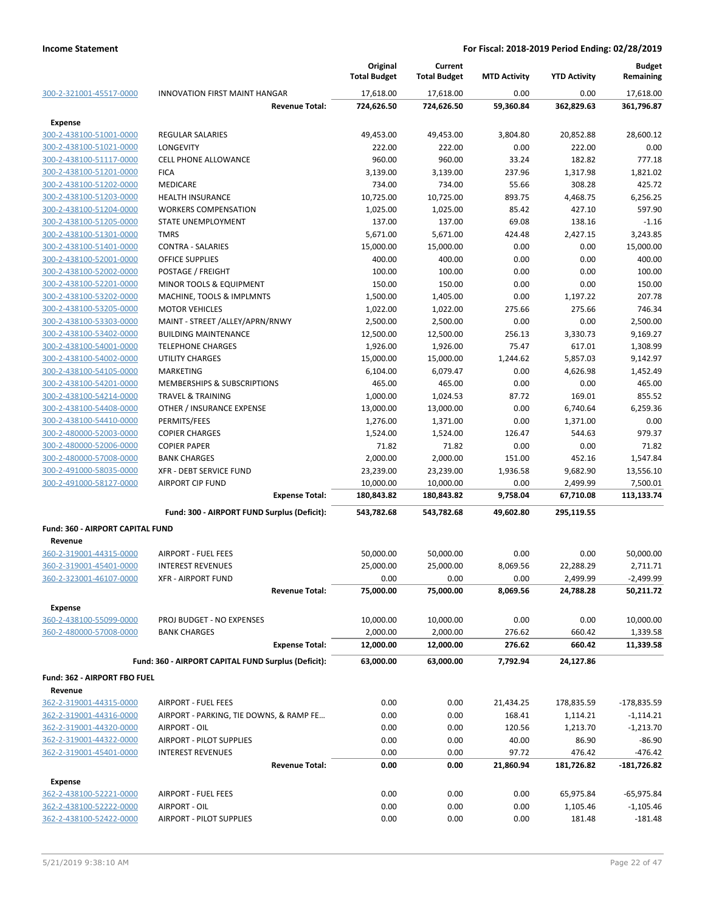|                                         |                                                     | Original<br><b>Total Budget</b> | Current<br><b>Total Budget</b> | <b>MTD Activity</b> | <b>YTD Activity</b> | <b>Budget</b><br>Remaining |
|-----------------------------------------|-----------------------------------------------------|---------------------------------|--------------------------------|---------------------|---------------------|----------------------------|
| 300-2-321001-45517-0000                 | <b>INNOVATION FIRST MAINT HANGAR</b>                | 17,618.00                       | 17,618.00                      | 0.00                | 0.00                | 17,618.00                  |
|                                         | <b>Revenue Total:</b>                               | 724,626.50                      | 724,626.50                     | 59,360.84           | 362,829.63          | 361,796.87                 |
| <b>Expense</b>                          |                                                     |                                 |                                |                     |                     |                            |
| 300-2-438100-51001-0000                 | <b>REGULAR SALARIES</b>                             | 49,453.00                       | 49,453.00                      | 3,804.80            | 20,852.88           | 28,600.12                  |
| 300-2-438100-51021-0000                 | <b>LONGEVITY</b>                                    | 222.00                          | 222.00                         | 0.00                | 222.00              | 0.00                       |
| 300-2-438100-51117-0000                 | <b>CELL PHONE ALLOWANCE</b>                         | 960.00                          | 960.00                         | 33.24               | 182.82              | 777.18                     |
| 300-2-438100-51201-0000                 | <b>FICA</b>                                         | 3,139.00                        | 3,139.00                       | 237.96              | 1,317.98            | 1,821.02                   |
| 300-2-438100-51202-0000                 | <b>MEDICARE</b>                                     | 734.00                          | 734.00                         | 55.66               | 308.28              | 425.72                     |
| 300-2-438100-51203-0000                 | <b>HEALTH INSURANCE</b>                             | 10,725.00                       | 10,725.00                      | 893.75              | 4,468.75            | 6,256.25                   |
| 300-2-438100-51204-0000                 | <b>WORKERS COMPENSATION</b>                         | 1,025.00                        | 1,025.00                       | 85.42               | 427.10              | 597.90                     |
| 300-2-438100-51205-0000                 | STATE UNEMPLOYMENT                                  | 137.00                          | 137.00                         | 69.08               | 138.16              | $-1.16$                    |
| 300-2-438100-51301-0000                 | <b>TMRS</b>                                         | 5,671.00                        | 5,671.00                       | 424.48              | 2,427.15            | 3,243.85                   |
| 300-2-438100-51401-0000                 | <b>CONTRA - SALARIES</b>                            | 15,000.00                       | 15,000.00                      | 0.00                | 0.00                | 15,000.00                  |
| 300-2-438100-52001-0000                 | <b>OFFICE SUPPLIES</b>                              | 400.00                          | 400.00                         | 0.00                | 0.00                | 400.00                     |
| 300-2-438100-52002-0000                 | POSTAGE / FREIGHT                                   | 100.00                          | 100.00                         | 0.00                | 0.00                | 100.00                     |
| 300-2-438100-52201-0000                 | MINOR TOOLS & EQUIPMENT                             | 150.00                          | 150.00                         | 0.00                | 0.00                | 150.00                     |
| 300-2-438100-53202-0000                 | MACHINE, TOOLS & IMPLMNTS                           | 1,500.00                        | 1,405.00                       | 0.00                | 1,197.22            | 207.78                     |
| 300-2-438100-53205-0000                 | <b>MOTOR VEHICLES</b>                               | 1,022.00                        | 1,022.00                       | 275.66              | 275.66              | 746.34                     |
| 300-2-438100-53303-0000                 | MAINT - STREET /ALLEY/APRN/RNWY                     | 2,500.00                        | 2,500.00                       | 0.00                | 0.00                | 2,500.00                   |
| 300-2-438100-53402-0000                 | <b>BUILDING MAINTENANCE</b>                         | 12,500.00                       | 12,500.00                      | 256.13              | 3,330.73            | 9,169.27                   |
| 300-2-438100-54001-0000                 | <b>TELEPHONE CHARGES</b>                            | 1,926.00                        | 1,926.00                       | 75.47               | 617.01              | 1,308.99                   |
| 300-2-438100-54002-0000                 | <b>UTILITY CHARGES</b>                              | 15,000.00                       | 15,000.00                      | 1,244.62            | 5,857.03            | 9,142.97                   |
| 300-2-438100-54105-0000                 | MARKETING                                           | 6,104.00                        | 6,079.47                       | 0.00                | 4,626.98            | 1,452.49                   |
| 300-2-438100-54201-0000                 | MEMBERSHIPS & SUBSCRIPTIONS                         | 465.00                          | 465.00                         | 0.00                | 0.00                | 465.00                     |
| 300-2-438100-54214-0000                 | <b>TRAVEL &amp; TRAINING</b>                        | 1,000.00                        | 1,024.53                       | 87.72               | 169.01              | 855.52                     |
| 300-2-438100-54408-0000                 | OTHER / INSURANCE EXPENSE                           | 13,000.00                       | 13,000.00                      | 0.00                | 6,740.64            | 6,259.36                   |
| 300-2-438100-54410-0000                 | PERMITS/FEES                                        | 1,276.00                        | 1,371.00                       | 0.00                | 1,371.00            | 0.00                       |
| 300-2-480000-52003-0000                 | <b>COPIER CHARGES</b>                               | 1,524.00                        | 1,524.00                       | 126.47              | 544.63              | 979.37                     |
| 300-2-480000-52006-0000                 | <b>COPIER PAPER</b>                                 | 71.82                           | 71.82                          | 0.00                | 0.00                | 71.82                      |
| 300-2-480000-57008-0000                 | <b>BANK CHARGES</b>                                 | 2,000.00                        | 2,000.00                       | 151.00              | 452.16              | 1,547.84                   |
| 300-2-491000-58035-0000                 | <b>XFR - DEBT SERVICE FUND</b>                      | 23,239.00                       | 23,239.00                      | 1,936.58            | 9,682.90            | 13,556.10                  |
| 300-2-491000-58127-0000                 | <b>AIRPORT CIP FUND</b>                             | 10,000.00                       | 10,000.00                      | 0.00                | 2,499.99            | 7,500.01                   |
|                                         | <b>Expense Total:</b>                               | 180,843.82                      | 180,843.82                     | 9,758.04            | 67,710.08           | 113,133.74                 |
|                                         | Fund: 300 - AIRPORT FUND Surplus (Deficit):         | 543,782.68                      | 543,782.68                     | 49,602.80           | 295,119.55          |                            |
| <b>Fund: 360 - AIRPORT CAPITAL FUND</b> |                                                     |                                 |                                |                     |                     |                            |
| Revenue                                 |                                                     |                                 |                                |                     |                     |                            |
| 360-2-319001-44315-0000                 | <b>AIRPORT - FUEL FEES</b>                          | 50,000.00                       | 50,000.00                      | 0.00                | 0.00                | 50,000.00                  |
| 360-2-319001-45401-0000                 | <b>INTEREST REVENUES</b>                            | 25,000.00                       | 25,000.00                      | 8,069.56            | 22,288.29           | 2,711.71                   |
| 360-2-323001-46107-0000                 | XFR - AIRPORT FUND                                  | 0.00                            | 0.00                           | 0.00                | 2,499.99            | $-2,499.99$                |
|                                         | <b>Revenue Total:</b>                               | 75,000.00                       | 75,000.00                      | 8,069.56            | 24,788.28           | 50,211.72                  |
| <b>Expense</b>                          |                                                     |                                 |                                |                     |                     |                            |
| 360-2-438100-55099-0000                 | PROJ BUDGET - NO EXPENSES                           | 10,000.00                       | 10,000.00                      | 0.00                | 0.00                | 10,000.00                  |
| 360-2-480000-57008-0000                 | <b>BANK CHARGES</b>                                 | 2,000.00                        | 2,000.00                       | 276.62              | 660.42              | 1,339.58                   |
|                                         | <b>Expense Total:</b>                               | 12,000.00                       | 12,000.00                      | 276.62              | 660.42              | 11,339.58                  |
|                                         | Fund: 360 - AIRPORT CAPITAL FUND Surplus (Deficit): |                                 |                                | 7,792.94            |                     |                            |
|                                         |                                                     | 63,000.00                       | 63,000.00                      |                     | 24,127.86           |                            |
| Fund: 362 - AIRPORT FBO FUEL            |                                                     |                                 |                                |                     |                     |                            |
| Revenue                                 |                                                     |                                 |                                |                     |                     |                            |
| 362-2-319001-44315-0000                 | <b>AIRPORT - FUEL FEES</b>                          | 0.00                            | 0.00                           | 21,434.25           | 178,835.59          | -178,835.59                |
| 362-2-319001-44316-0000                 | AIRPORT - PARKING, TIE DOWNS, & RAMP FE             | 0.00                            | 0.00                           | 168.41              | 1,114.21            | $-1,114.21$                |
| 362-2-319001-44320-0000                 | AIRPORT - OIL                                       | 0.00                            | 0.00                           | 120.56              | 1,213.70            | $-1,213.70$                |
| 362-2-319001-44322-0000                 | AIRPORT - PILOT SUPPLIES                            | 0.00                            | 0.00                           | 40.00               | 86.90               | $-86.90$                   |
| 362-2-319001-45401-0000                 | <b>INTEREST REVENUES</b>                            | 0.00                            | 0.00                           | 97.72               | 476.42              | $-476.42$                  |
|                                         | <b>Revenue Total:</b>                               | 0.00                            | 0.00                           | 21,860.94           | 181,726.82          | -181,726.82                |
| <b>Expense</b>                          |                                                     |                                 |                                |                     |                     |                            |
| 362-2-438100-52221-0000                 | AIRPORT - FUEL FEES                                 | 0.00                            | 0.00                           | 0.00                | 65,975.84           | $-65,975.84$               |
| 362-2-438100-52222-0000                 | AIRPORT - OIL                                       | 0.00                            | 0.00                           | 0.00                | 1,105.46            | $-1,105.46$                |
| 362-2-438100-52422-0000                 | AIRPORT - PILOT SUPPLIES                            | 0.00                            | 0.00                           | 0.00                | 181.48              | $-181.48$                  |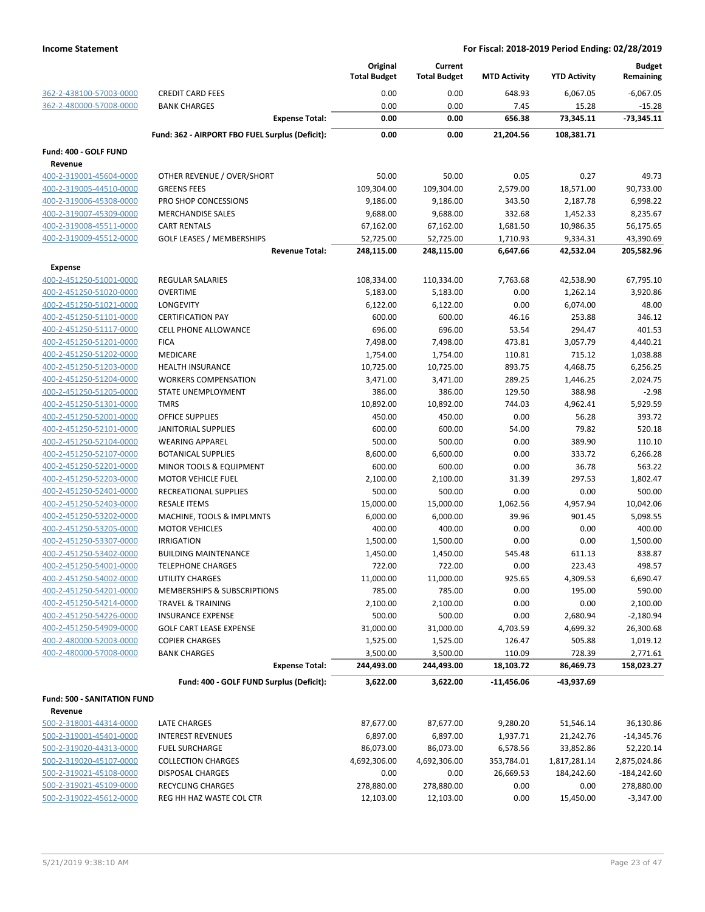|                                    |                                                 | Original<br><b>Total Budget</b> | Current<br><b>Total Budget</b> | <b>MTD Activity</b> | <b>YTD Activity</b> | <b>Budget</b><br>Remaining |
|------------------------------------|-------------------------------------------------|---------------------------------|--------------------------------|---------------------|---------------------|----------------------------|
| 362-2-438100-57003-0000            | <b>CREDIT CARD FEES</b>                         | 0.00                            | 0.00                           | 648.93              | 6,067.05            | $-6,067.05$                |
| 362-2-480000-57008-0000            | <b>BANK CHARGES</b>                             | 0.00                            | 0.00                           | 7.45                | 15.28               | $-15.28$                   |
|                                    | <b>Expense Total:</b>                           | 0.00                            | 0.00                           | 656.38              | 73,345.11           | $-73,345.11$               |
|                                    | Fund: 362 - AIRPORT FBO FUEL Surplus (Deficit): | 0.00                            | 0.00                           | 21,204.56           | 108,381.71          |                            |
| Fund: 400 - GOLF FUND              |                                                 |                                 |                                |                     |                     |                            |
| Revenue<br>400-2-319001-45604-0000 | OTHER REVENUE / OVER/SHORT                      | 50.00                           | 50.00                          | 0.05                | 0.27                | 49.73                      |
| 400-2-319005-44510-0000            | <b>GREENS FEES</b>                              | 109,304.00                      | 109,304.00                     | 2,579.00            | 18,571.00           | 90,733.00                  |
| 400-2-319006-45308-0000            | PRO SHOP CONCESSIONS                            | 9,186.00                        | 9,186.00                       | 343.50              | 2,187.78            | 6,998.22                   |
| 400-2-319007-45309-0000            | <b>MERCHANDISE SALES</b>                        | 9,688.00                        | 9,688.00                       | 332.68              | 1,452.33            | 8,235.67                   |
| 400-2-319008-45511-0000            | <b>CART RENTALS</b>                             | 67,162.00                       | 67,162.00                      | 1,681.50            | 10,986.35           | 56,175.65                  |
| 400-2-319009-45512-0000            | <b>GOLF LEASES / MEMBERSHIPS</b>                | 52,725.00                       | 52,725.00                      | 1,710.93            | 9,334.31            | 43,390.69                  |
|                                    | <b>Revenue Total:</b>                           | 248,115.00                      | 248,115.00                     | 6,647.66            | 42,532.04           | 205,582.96                 |
| <b>Expense</b>                     |                                                 |                                 |                                |                     |                     |                            |
| 400-2-451250-51001-0000            | <b>REGULAR SALARIES</b>                         | 108,334.00                      | 110,334.00                     | 7,763.68            | 42,538.90           | 67,795.10                  |
| 400-2-451250-51020-0000            | <b>OVERTIME</b>                                 | 5,183.00                        | 5,183.00                       | 0.00                | 1,262.14            | 3,920.86                   |
| 400-2-451250-51021-0000            | LONGEVITY                                       | 6,122.00                        | 6,122.00                       | 0.00                | 6,074.00            | 48.00                      |
| 400-2-451250-51101-0000            | <b>CERTIFICATION PAY</b>                        | 600.00                          | 600.00                         | 46.16               | 253.88              | 346.12                     |
| 400-2-451250-51117-0000            | <b>CELL PHONE ALLOWANCE</b>                     | 696.00                          | 696.00                         | 53.54               | 294.47              | 401.53                     |
| 400-2-451250-51201-0000            | <b>FICA</b>                                     | 7,498.00                        | 7,498.00                       | 473.81              | 3,057.79            | 4,440.21                   |
| 400-2-451250-51202-0000            | <b>MEDICARE</b>                                 | 1,754.00                        | 1,754.00                       | 110.81              | 715.12              | 1,038.88                   |
| 400-2-451250-51203-0000            | <b>HEALTH INSURANCE</b>                         | 10,725.00                       | 10,725.00                      | 893.75              | 4,468.75            | 6,256.25                   |
| 400-2-451250-51204-0000            | <b>WORKERS COMPENSATION</b>                     | 3,471.00                        | 3,471.00                       | 289.25              | 1,446.25            | 2,024.75                   |
| 400-2-451250-51205-0000            | STATE UNEMPLOYMENT                              | 386.00                          | 386.00                         | 129.50              | 388.98              | $-2.98$                    |
| 400-2-451250-51301-0000            | <b>TMRS</b>                                     | 10,892.00                       | 10,892.00                      | 744.03              | 4,962.41            | 5,929.59                   |
| 400-2-451250-52001-0000            | <b>OFFICE SUPPLIES</b>                          | 450.00                          | 450.00                         | 0.00                | 56.28               | 393.72                     |
| 400-2-451250-52101-0000            | <b>JANITORIAL SUPPLIES</b>                      | 600.00                          | 600.00                         | 54.00               | 79.82               | 520.18                     |
| 400-2-451250-52104-0000            | <b>WEARING APPAREL</b>                          | 500.00                          | 500.00                         | 0.00                | 389.90              | 110.10                     |
| 400-2-451250-52107-0000            | <b>BOTANICAL SUPPLIES</b>                       | 8,600.00                        | 6,600.00                       | 0.00                | 333.72              | 6,266.28                   |
| 400-2-451250-52201-0000            | MINOR TOOLS & EQUIPMENT                         | 600.00                          | 600.00                         | 0.00                | 36.78               | 563.22                     |
| 400-2-451250-52203-0000            | <b>MOTOR VEHICLE FUEL</b>                       | 2,100.00                        | 2,100.00                       | 31.39               | 297.53              | 1,802.47                   |
| 400-2-451250-52401-0000            | RECREATIONAL SUPPLIES                           | 500.00                          | 500.00                         | 0.00                | 0.00                | 500.00                     |
| 400-2-451250-52403-0000            | <b>RESALE ITEMS</b>                             | 15,000.00                       | 15,000.00                      | 1,062.56            | 4,957.94            | 10,042.06                  |
| 400-2-451250-53202-0000            | MACHINE, TOOLS & IMPLMNTS                       | 6,000.00                        | 6,000.00                       | 39.96               | 901.45              | 5,098.55                   |
| 400-2-451250-53205-0000            | <b>MOTOR VEHICLES</b>                           | 400.00                          | 400.00                         | 0.00                | 0.00                | 400.00                     |
| 400-2-451250-53307-0000            | <b>IRRIGATION</b>                               | 1,500.00                        | 1,500.00                       | 0.00                | 0.00                | 1,500.00                   |
| 400-2-451250-53402-0000            | <b>BUILDING MAINTENANCE</b>                     | 1,450.00                        | 1,450.00                       | 545.48              | 611.13              | 838.87                     |
| 400-2-451250-54001-0000            | <b>TELEPHONE CHARGES</b>                        | 722.00                          | 722.00                         | 0.00                | 223.43              | 498.57                     |
| 400-2-451250-54002-0000            | UTILITY CHARGES                                 | 11,000.00                       | 11,000.00                      | 925.65              | 4,309.53            | 6,690.47                   |
| 400-2-451250-54201-0000            | MEMBERSHIPS & SUBSCRIPTIONS                     | 785.00                          | 785.00                         | 0.00                | 195.00              | 590.00                     |
| 400-2-451250-54214-0000            | <b>TRAVEL &amp; TRAINING</b>                    | 2,100.00                        | 2,100.00                       | 0.00                | 0.00                | 2,100.00                   |
| 400-2-451250-54226-0000            | <b>INSURANCE EXPENSE</b>                        | 500.00                          | 500.00                         | 0.00                | 2,680.94            | $-2,180.94$                |
| 400-2-451250-54909-0000            | <b>GOLF CART LEASE EXPENSE</b>                  | 31,000.00                       | 31,000.00                      | 4,703.59            | 4,699.32            | 26,300.68                  |
| 400-2-480000-52003-0000            | <b>COPIER CHARGES</b>                           | 1,525.00                        | 1,525.00                       | 126.47              | 505.88              | 1,019.12                   |
| 400-2-480000-57008-0000            | <b>BANK CHARGES</b>                             | 3,500.00                        | 3,500.00                       | 110.09              | 728.39              | 2,771.61                   |
|                                    | <b>Expense Total:</b>                           | 244,493.00                      | 244,493.00                     | 18,103.72           | 86,469.73           | 158,023.27                 |
|                                    | Fund: 400 - GOLF FUND Surplus (Deficit):        | 3,622.00                        | 3,622.00                       | -11,456.06          | -43,937.69          |                            |
| Fund: 500 - SANITATION FUND        |                                                 |                                 |                                |                     |                     |                            |
| Revenue                            |                                                 |                                 |                                |                     |                     |                            |
| 500-2-318001-44314-0000            | LATE CHARGES                                    | 87,677.00                       | 87,677.00                      | 9,280.20            | 51,546.14           | 36,130.86                  |
| 500-2-319001-45401-0000            | <b>INTEREST REVENUES</b>                        | 6,897.00                        | 6,897.00                       | 1,937.71            | 21,242.76           | $-14,345.76$               |
| 500-2-319020-44313-0000            | <b>FUEL SURCHARGE</b>                           | 86,073.00                       | 86,073.00                      | 6,578.56            | 33,852.86           | 52,220.14                  |
| 500-2-319020-45107-0000            | <b>COLLECTION CHARGES</b>                       | 4,692,306.00                    | 4,692,306.00                   | 353,784.01          | 1,817,281.14        | 2,875,024.86               |
| 500-2-319021-45108-0000            | <b>DISPOSAL CHARGES</b>                         | 0.00                            | 0.00                           | 26,669.53           | 184,242.60          | $-184,242.60$              |
| 500-2-319021-45109-0000            | <b>RECYCLING CHARGES</b>                        | 278,880.00                      | 278,880.00                     | 0.00                | 0.00                | 278,880.00                 |
| 500-2-319022-45612-0000            | REG HH HAZ WASTE COL CTR                        | 12,103.00                       | 12,103.00                      | 0.00                | 15,450.00           | $-3,347.00$                |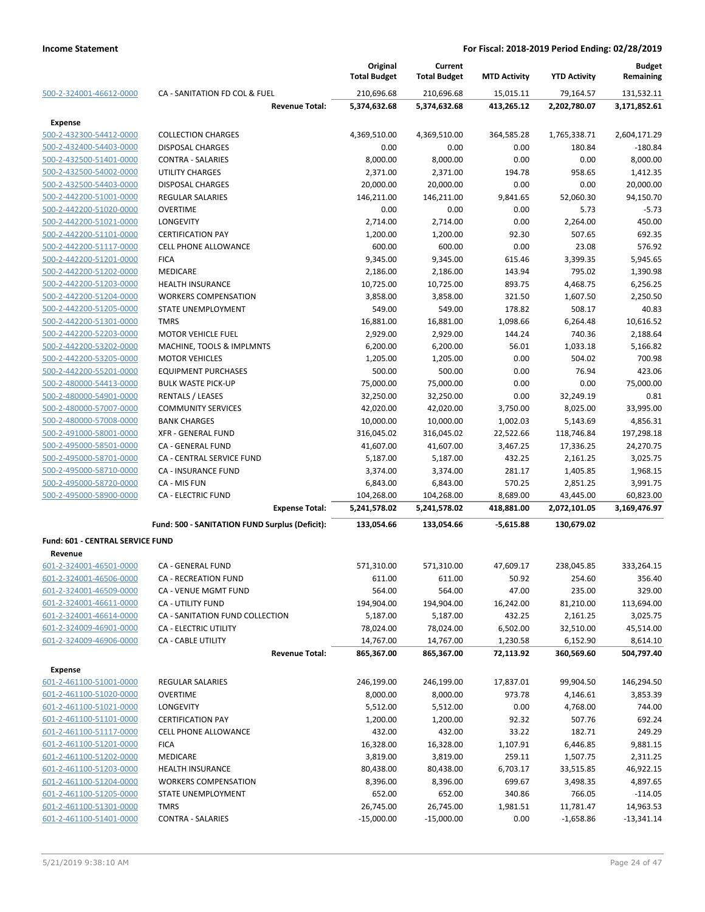|                                  |                                                    | Original<br><b>Total Budget</b> | Current<br><b>Total Budget</b> | <b>MTD Activity</b>    | <b>YTD Activity</b>       | <b>Budget</b><br>Remaining |
|----------------------------------|----------------------------------------------------|---------------------------------|--------------------------------|------------------------|---------------------------|----------------------------|
| 500-2-324001-46612-0000          | CA - SANITATION FD COL & FUEL                      | 210,696.68                      | 210,696.68                     | 15,015.11              | 79,164.57                 | 131,532.11                 |
|                                  | <b>Revenue Total:</b>                              | 5,374,632.68                    | 5,374,632.68                   | 413,265.12             | 2,202,780.07              | 3,171,852.61               |
| <b>Expense</b>                   |                                                    |                                 |                                |                        |                           |                            |
| 500-2-432300-54412-0000          | <b>COLLECTION CHARGES</b>                          | 4,369,510.00                    | 4,369,510.00                   | 364,585.28             | 1,765,338.71              | 2,604,171.29               |
| 500-2-432400-54403-0000          | <b>DISPOSAL CHARGES</b>                            | 0.00                            | 0.00                           | 0.00                   | 180.84                    | $-180.84$                  |
| 500-2-432500-51401-0000          | <b>CONTRA - SALARIES</b>                           | 8,000.00                        | 8,000.00                       | 0.00                   | 0.00                      | 8,000.00                   |
| 500-2-432500-54002-0000          | UTILITY CHARGES                                    | 2,371.00                        | 2,371.00                       | 194.78                 | 958.65                    | 1,412.35                   |
| 500-2-432500-54403-0000          | <b>DISPOSAL CHARGES</b>                            | 20,000.00                       | 20,000.00                      | 0.00                   | 0.00                      | 20,000.00                  |
| 500-2-442200-51001-0000          | <b>REGULAR SALARIES</b>                            | 146,211.00                      | 146,211.00                     | 9,841.65               | 52,060.30                 | 94,150.70                  |
| 500-2-442200-51020-0000          | <b>OVERTIME</b>                                    | 0.00                            | 0.00                           | 0.00                   | 5.73                      | $-5.73$                    |
| 500-2-442200-51021-0000          | LONGEVITY                                          | 2,714.00                        | 2,714.00                       | 0.00                   | 2,264.00                  | 450.00                     |
| 500-2-442200-51101-0000          | <b>CERTIFICATION PAY</b>                           | 1,200.00                        | 1,200.00                       | 92.30                  | 507.65                    | 692.35                     |
| 500-2-442200-51117-0000          | <b>CELL PHONE ALLOWANCE</b>                        | 600.00                          | 600.00                         | 0.00                   | 23.08                     | 576.92                     |
| 500-2-442200-51201-0000          | <b>FICA</b>                                        | 9,345.00                        | 9,345.00                       | 615.46                 | 3,399.35                  | 5,945.65                   |
| 500-2-442200-51202-0000          | <b>MEDICARE</b>                                    | 2,186.00                        | 2,186.00                       | 143.94                 | 795.02                    | 1,390.98                   |
| 500-2-442200-51203-0000          | <b>HEALTH INSURANCE</b>                            | 10,725.00                       | 10,725.00                      | 893.75                 | 4,468.75                  | 6,256.25                   |
| 500-2-442200-51204-0000          | <b>WORKERS COMPENSATION</b>                        | 3,858.00                        | 3,858.00                       | 321.50                 | 1,607.50                  | 2,250.50                   |
| 500-2-442200-51205-0000          | STATE UNEMPLOYMENT                                 | 549.00                          | 549.00                         | 178.82                 | 508.17                    | 40.83                      |
| 500-2-442200-51301-0000          | <b>TMRS</b>                                        | 16,881.00                       | 16,881.00                      | 1,098.66               | 6,264.48                  | 10,616.52                  |
| 500-2-442200-52203-0000          | <b>MOTOR VEHICLE FUEL</b>                          | 2,929.00                        | 2,929.00                       | 144.24                 | 740.36                    | 2,188.64                   |
| 500-2-442200-53202-0000          | MACHINE, TOOLS & IMPLMNTS                          | 6,200.00                        | 6,200.00                       | 56.01                  | 1,033.18                  | 5,166.82                   |
| 500-2-442200-53205-0000          | <b>MOTOR VEHICLES</b>                              | 1,205.00                        | 1,205.00                       | 0.00                   | 504.02                    | 700.98                     |
| 500-2-442200-55201-0000          | <b>EQUIPMENT PURCHASES</b>                         | 500.00                          | 500.00                         | 0.00                   | 76.94                     | 423.06                     |
| 500-2-480000-54413-0000          | <b>BULK WASTE PICK-UP</b>                          | 75,000.00                       | 75,000.00                      | 0.00                   | 0.00                      | 75,000.00                  |
| 500-2-480000-54901-0000          | <b>RENTALS / LEASES</b>                            | 32,250.00                       | 32,250.00                      | 0.00                   | 32,249.19                 | 0.81                       |
| 500-2-480000-57007-0000          | <b>COMMUNITY SERVICES</b>                          | 42,020.00                       | 42,020.00                      | 3,750.00               | 8,025.00                  | 33,995.00                  |
| 500-2-480000-57008-0000          |                                                    |                                 |                                |                        |                           |                            |
|                                  | <b>BANK CHARGES</b>                                | 10,000.00                       | 10,000.00                      | 1,002.03               | 5,143.69                  | 4,856.31                   |
| 500-2-491000-58001-0000          | <b>XFR - GENERAL FUND</b>                          | 316,045.02                      | 316,045.02                     | 22,522.66              | 118,746.84                | 197,298.18                 |
| 500-2-495000-58501-0000          | CA - GENERAL FUND                                  | 41,607.00                       | 41,607.00                      | 3,467.25               | 17,336.25                 | 24,270.75                  |
| 500-2-495000-58701-0000          | CA - CENTRAL SERVICE FUND                          | 5,187.00                        | 5,187.00                       | 432.25                 | 2,161.25                  | 3,025.75                   |
| 500-2-495000-58710-0000          | CA - INSURANCE FUND                                | 3,374.00                        | 3,374.00                       | 281.17                 | 1,405.85                  | 1,968.15                   |
| 500-2-495000-58720-0000          | CA - MIS FUN                                       | 6,843.00                        | 6,843.00                       | 570.25                 | 2,851.25                  | 3,991.75                   |
| 500-2-495000-58900-0000          | <b>CA - ELECTRIC FUND</b><br><b>Expense Total:</b> | 104,268.00<br>5,241,578.02      | 104,268.00<br>5,241,578.02     | 8,689.00<br>418,881.00 | 43,445.00<br>2,072,101.05 | 60,823.00<br>3,169,476.97  |
|                                  |                                                    |                                 |                                |                        |                           |                            |
|                                  | Fund: 500 - SANITATION FUND Surplus (Deficit):     | 133,054.66                      | 133,054.66                     | $-5,615.88$            | 130,679.02                |                            |
| Fund: 601 - CENTRAL SERVICE FUND |                                                    |                                 |                                |                        |                           |                            |
| Revenue                          |                                                    |                                 |                                |                        |                           |                            |
| 601-2-324001-46501-0000          | CA - GENERAL FUND                                  | 571,310.00                      | 571,310.00                     | 47,609.17              | 238,045.85                | 333,264.15                 |
| 601-2-324001-46506-0000          | CA - RECREATION FUND                               | 611.00                          | 611.00                         | 50.92                  | 254.60                    | 356.40                     |
| 601-2-324001-46509-0000          | CA - VENUE MGMT FUND                               | 564.00                          | 564.00                         | 47.00                  | 235.00                    | 329.00                     |
| 601-2-324001-46611-0000          | CA - UTILITY FUND                                  | 194,904.00                      | 194,904.00                     | 16,242.00              | 81,210.00                 | 113,694.00                 |
| 601-2-324001-46614-0000          | CA - SANITATION FUND COLLECTION                    | 5,187.00                        | 5,187.00                       | 432.25                 | 2,161.25                  | 3,025.75                   |
| 601-2-324009-46901-0000          | CA - ELECTRIC UTILITY                              | 78,024.00                       | 78,024.00                      | 6,502.00               | 32,510.00                 | 45,514.00                  |
| 601-2-324009-46906-0000          | <b>CA - CABLE UTILITY</b>                          | 14,767.00                       | 14,767.00                      | 1,230.58               | 6,152.90                  | 8,614.10                   |
|                                  | <b>Revenue Total:</b>                              | 865,367.00                      | 865,367.00                     | 72,113.92              | 360,569.60                | 504,797.40                 |
| Expense                          |                                                    |                                 |                                |                        |                           |                            |
| 601-2-461100-51001-0000          | <b>REGULAR SALARIES</b>                            | 246,199.00                      | 246,199.00                     | 17,837.01              | 99,904.50                 | 146,294.50                 |
| 601-2-461100-51020-0000          | <b>OVERTIME</b>                                    | 8,000.00                        | 8,000.00                       | 973.78                 | 4,146.61                  | 3,853.39                   |
| 601-2-461100-51021-0000          | LONGEVITY                                          | 5,512.00                        | 5,512.00                       | 0.00                   | 4,768.00                  | 744.00                     |
| 601-2-461100-51101-0000          | <b>CERTIFICATION PAY</b>                           | 1,200.00                        | 1,200.00                       | 92.32                  | 507.76                    | 692.24                     |
| 601-2-461100-51117-0000          | <b>CELL PHONE ALLOWANCE</b>                        | 432.00                          | 432.00                         | 33.22                  | 182.71                    | 249.29                     |
| 601-2-461100-51201-0000          | <b>FICA</b>                                        | 16,328.00                       | 16,328.00                      | 1,107.91               | 6,446.85                  | 9,881.15                   |
| 601-2-461100-51202-0000          | <b>MEDICARE</b>                                    | 3,819.00                        | 3,819.00                       | 259.11                 | 1,507.75                  | 2,311.25                   |
| 601-2-461100-51203-0000          | HEALTH INSURANCE                                   | 80,438.00                       | 80,438.00                      | 6,703.17               | 33,515.85                 | 46,922.15                  |
| 601-2-461100-51204-0000          | <b>WORKERS COMPENSATION</b>                        | 8,396.00                        | 8,396.00                       | 699.67                 | 3,498.35                  | 4,897.65                   |
| 601-2-461100-51205-0000          | STATE UNEMPLOYMENT                                 | 652.00                          | 652.00                         | 340.86                 | 766.05                    | $-114.05$                  |
| 601-2-461100-51301-0000          | <b>TMRS</b>                                        | 26,745.00                       | 26,745.00                      | 1,981.51               | 11,781.47                 | 14,963.53                  |
| 601-2-461100-51401-0000          | <b>CONTRA - SALARIES</b>                           | $-15,000.00$                    | $-15,000.00$                   | 0.00                   | $-1,658.86$               | $-13,341.14$               |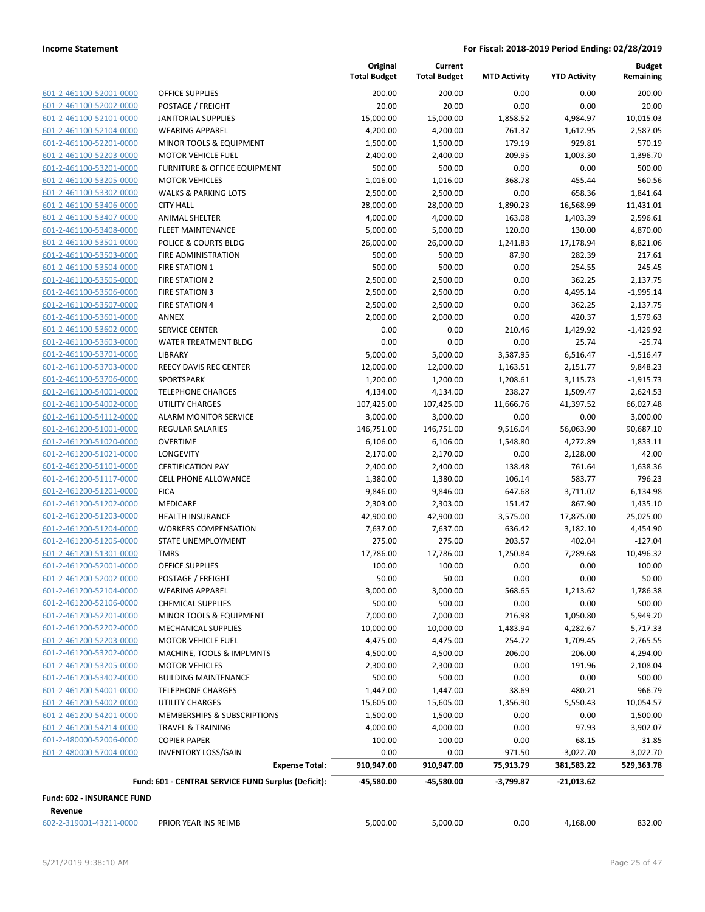|                                    |                                                     | Original<br><b>Total Budget</b> | Current<br><b>Total Budget</b> | <b>MTD Activity</b> | <b>YTD Activity</b> | <b>Budget</b><br>Remaining |
|------------------------------------|-----------------------------------------------------|---------------------------------|--------------------------------|---------------------|---------------------|----------------------------|
| 601-2-461100-52001-0000            | <b>OFFICE SUPPLIES</b>                              | 200.00                          | 200.00                         | 0.00                | 0.00                | 200.00                     |
| 601-2-461100-52002-0000            | POSTAGE / FREIGHT                                   | 20.00                           | 20.00                          | 0.00                | 0.00                | 20.00                      |
| 601-2-461100-52101-0000            | <b>JANITORIAL SUPPLIES</b>                          | 15,000.00                       | 15,000.00                      | 1,858.52            | 4,984.97            | 10,015.03                  |
| 601-2-461100-52104-0000            | <b>WEARING APPAREL</b>                              | 4,200.00                        | 4,200.00                       | 761.37              | 1,612.95            | 2,587.05                   |
| 601-2-461100-52201-0000            | MINOR TOOLS & EQUIPMENT                             | 1,500.00                        | 1,500.00                       | 179.19              | 929.81              | 570.19                     |
| 601-2-461100-52203-0000            | <b>MOTOR VEHICLE FUEL</b>                           | 2,400.00                        | 2,400.00                       | 209.95              | 1,003.30            | 1,396.70                   |
| 601-2-461100-53201-0000            | <b>FURNITURE &amp; OFFICE EQUIPMENT</b>             | 500.00                          | 500.00                         | 0.00                | 0.00                | 500.00                     |
| 601-2-461100-53205-0000            | <b>MOTOR VEHICLES</b>                               | 1,016.00                        | 1,016.00                       | 368.78              | 455.44              | 560.56                     |
| 601-2-461100-53302-0000            | <b>WALKS &amp; PARKING LOTS</b>                     | 2,500.00                        | 2,500.00                       | 0.00                | 658.36              | 1,841.64                   |
| 601-2-461100-53406-0000            | <b>CITY HALL</b>                                    | 28,000.00                       | 28,000.00                      | 1,890.23            | 16,568.99           | 11,431.01                  |
| 601-2-461100-53407-0000            | <b>ANIMAL SHELTER</b>                               | 4,000.00                        | 4,000.00                       | 163.08              | 1,403.39            | 2,596.61                   |
| 601-2-461100-53408-0000            | <b>FLEET MAINTENANCE</b>                            | 5,000.00                        | 5,000.00                       | 120.00              | 130.00              | 4,870.00                   |
| 601-2-461100-53501-0000            | POLICE & COURTS BLDG                                | 26,000.00                       | 26,000.00                      | 1,241.83            | 17,178.94           | 8,821.06                   |
| 601-2-461100-53503-0000            | FIRE ADMINISTRATION                                 | 500.00                          | 500.00                         | 87.90               | 282.39              | 217.61                     |
| 601-2-461100-53504-0000            | FIRE STATION 1                                      | 500.00                          | 500.00                         | 0.00                | 254.55              | 245.45                     |
| 601-2-461100-53505-0000            | <b>FIRE STATION 2</b>                               | 2,500.00                        | 2,500.00                       | 0.00                | 362.25              | 2,137.75                   |
| 601-2-461100-53506-0000            | <b>FIRE STATION 3</b>                               | 2,500.00                        | 2,500.00                       | 0.00                | 4,495.14            | $-1,995.14$                |
| 601-2-461100-53507-0000            | <b>FIRE STATION 4</b>                               | 2,500.00                        | 2,500.00                       | 0.00                | 362.25              | 2,137.75                   |
| 601-2-461100-53601-0000            | ANNEX                                               | 2,000.00                        | 2,000.00                       | 0.00                | 420.37              | 1,579.63                   |
| 601-2-461100-53602-0000            | <b>SERVICE CENTER</b>                               | 0.00                            | 0.00                           | 210.46              | 1,429.92            | $-1,429.92$                |
| 601-2-461100-53603-0000            | <b>WATER TREATMENT BLDG</b>                         | 0.00                            | 0.00                           | 0.00                | 25.74               | $-25.74$                   |
| 601-2-461100-53701-0000            | LIBRARY                                             | 5,000.00                        | 5,000.00                       | 3,587.95            | 6,516.47            | $-1,516.47$                |
| 601-2-461100-53703-0000            | REECY DAVIS REC CENTER                              | 12,000.00                       | 12,000.00                      | 1,163.51            | 2,151.77            | 9,848.23                   |
| 601-2-461100-53706-0000            | <b>SPORTSPARK</b>                                   | 1,200.00                        | 1,200.00                       | 1,208.61            | 3,115.73            | $-1,915.73$                |
| 601-2-461100-54001-0000            | <b>TELEPHONE CHARGES</b>                            | 4,134.00                        | 4,134.00                       | 238.27              | 1,509.47            | 2,624.53                   |
| 601-2-461100-54002-0000            | <b>UTILITY CHARGES</b>                              | 107,425.00                      | 107,425.00                     | 11,666.76           | 41,397.52           | 66,027.48                  |
| 601-2-461100-54112-0000            | <b>ALARM MONITOR SERVICE</b>                        | 3,000.00                        | 3,000.00                       | 0.00                | 0.00                | 3,000.00                   |
| 601-2-461200-51001-0000            | <b>REGULAR SALARIES</b>                             | 146,751.00                      | 146,751.00                     | 9,516.04            | 56,063.90           | 90,687.10                  |
| 601-2-461200-51020-0000            | <b>OVERTIME</b>                                     | 6,106.00                        | 6,106.00                       | 1,548.80            | 4,272.89            | 1,833.11                   |
| 601-2-461200-51021-0000            | <b>LONGEVITY</b>                                    | 2,170.00                        | 2,170.00                       | 0.00                | 2,128.00            | 42.00                      |
| 601-2-461200-51101-0000            | <b>CERTIFICATION PAY</b>                            | 2,400.00                        | 2,400.00                       | 138.48              | 761.64              | 1,638.36                   |
| 601-2-461200-51117-0000            | <b>CELL PHONE ALLOWANCE</b>                         | 1,380.00                        | 1,380.00                       | 106.14              | 583.77              | 796.23                     |
| 601-2-461200-51201-0000            | <b>FICA</b>                                         | 9,846.00                        | 9,846.00                       | 647.68              | 3,711.02            | 6,134.98                   |
| 601-2-461200-51202-0000            | MEDICARE                                            | 2,303.00                        | 2,303.00                       | 151.47              | 867.90              | 1,435.10                   |
| 601-2-461200-51203-0000            | <b>HEALTH INSURANCE</b>                             | 42,900.00                       | 42,900.00                      | 3,575.00            | 17,875.00           | 25,025.00                  |
| 601-2-461200-51204-0000            | <b>WORKERS COMPENSATION</b>                         | 7,637.00                        | 7,637.00                       | 636.42              | 3,182.10            | 4,454.90                   |
| 601-2-461200-51205-0000            | STATE UNEMPLOYMENT                                  | 275.00                          | 275.00                         | 203.57              | 402.04              | $-127.04$                  |
| 601-2-461200-51301-0000            | <b>TMRS</b>                                         | 17,786.00                       | 17,786.00                      | 1,250.84            | 7,289.68            | 10,496.32                  |
| 601-2-461200-52001-0000            | <b>OFFICE SUPPLIES</b>                              | 100.00                          | 100.00                         | 0.00                | 0.00                | 100.00                     |
| 601-2-461200-52002-0000            | POSTAGE / FREIGHT                                   | 50.00                           | 50.00                          | 0.00                | 0.00                | 50.00                      |
| 601-2-461200-52104-0000            | <b>WEARING APPAREL</b>                              | 3,000.00                        | 3,000.00                       | 568.65              | 1,213.62            | 1,786.38                   |
| 601-2-461200-52106-0000            | <b>CHEMICAL SUPPLIES</b>                            | 500.00                          | 500.00                         | 0.00                | 0.00                | 500.00                     |
| 601-2-461200-52201-0000            | MINOR TOOLS & EQUIPMENT                             | 7,000.00                        | 7,000.00                       | 216.98              | 1,050.80            | 5,949.20                   |
| 601-2-461200-52202-0000            | MECHANICAL SUPPLIES                                 | 10,000.00                       | 10,000.00                      | 1,483.94            | 4,282.67            | 5,717.33                   |
| 601-2-461200-52203-0000            | <b>MOTOR VEHICLE FUEL</b>                           | 4,475.00                        | 4,475.00                       | 254.72              | 1,709.45            | 2,765.55                   |
| 601-2-461200-53202-0000            | MACHINE, TOOLS & IMPLMNTS                           | 4,500.00                        | 4,500.00                       | 206.00              | 206.00              | 4,294.00                   |
| 601-2-461200-53205-0000            | <b>MOTOR VEHICLES</b>                               | 2,300.00                        | 2,300.00                       | 0.00                | 191.96              | 2,108.04                   |
| 601-2-461200-53402-0000            | <b>BUILDING MAINTENANCE</b>                         | 500.00                          | 500.00                         | 0.00                | 0.00                | 500.00                     |
| 601-2-461200-54001-0000            | <b>TELEPHONE CHARGES</b>                            | 1,447.00                        | 1,447.00                       | 38.69               | 480.21              | 966.79                     |
| 601-2-461200-54002-0000            | UTILITY CHARGES                                     | 15,605.00                       | 15,605.00                      | 1,356.90            | 5,550.43            | 10,054.57                  |
| 601-2-461200-54201-0000            | MEMBERSHIPS & SUBSCRIPTIONS                         | 1,500.00                        | 1,500.00                       | 0.00                | 0.00                | 1,500.00                   |
| 601-2-461200-54214-0000            | <b>TRAVEL &amp; TRAINING</b>                        | 4,000.00                        | 4,000.00                       | 0.00                | 97.93               | 3,902.07                   |
| 601-2-480000-52006-0000            | <b>COPIER PAPER</b>                                 | 100.00                          | 100.00                         | 0.00                | 68.15               | 31.85                      |
| 601-2-480000-57004-0000            | <b>INVENTORY LOSS/GAIN</b>                          | 0.00                            | 0.00                           | $-971.50$           | $-3,022.70$         | 3,022.70                   |
|                                    | <b>Expense Total:</b>                               | 910,947.00                      | 910,947.00                     | 75,913.79           | 381,583.22          | 529,363.78                 |
|                                    | Fund: 601 - CENTRAL SERVICE FUND Surplus (Deficit): | -45,580.00                      | -45,580.00                     | $-3,799.87$         | -21,013.62          |                            |
| Fund: 602 - INSURANCE FUND         |                                                     |                                 |                                |                     |                     |                            |
| Revenue<br>602-2-319001-43211-0000 | PRIOR YEAR INS REIMB                                | 5,000.00                        | 5,000.00                       | 0.00                | 4,168.00            | 832.00                     |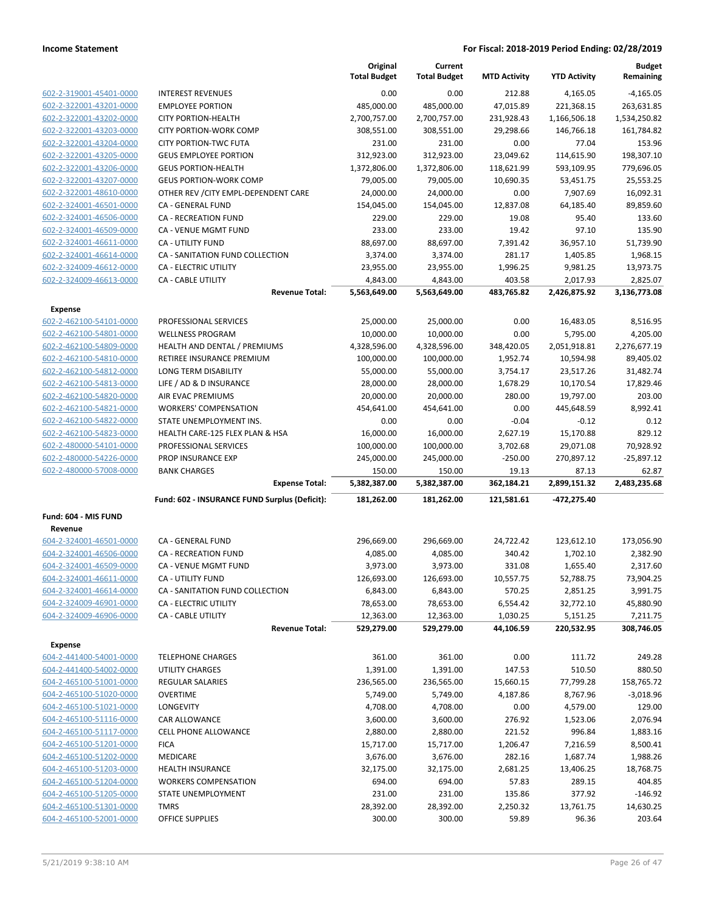|                         |                                               | Original<br><b>Total Budget</b> | Current<br><b>Total Budget</b> | <b>MTD Activity</b> | <b>YTD Activity</b> | <b>Budget</b><br>Remaining |
|-------------------------|-----------------------------------------------|---------------------------------|--------------------------------|---------------------|---------------------|----------------------------|
| 602-2-319001-45401-0000 | <b>INTEREST REVENUES</b>                      | 0.00                            | 0.00                           | 212.88              | 4,165.05            | $-4,165.05$                |
| 602-2-322001-43201-0000 | <b>EMPLOYEE PORTION</b>                       | 485,000.00                      | 485,000.00                     | 47,015.89           | 221,368.15          | 263,631.85                 |
| 602-2-322001-43202-0000 | <b>CITY PORTION-HEALTH</b>                    | 2,700,757.00                    | 2,700,757.00                   | 231,928.43          | 1,166,506.18        | 1,534,250.82               |
| 602-2-322001-43203-0000 | <b>CITY PORTION-WORK COMP</b>                 | 308,551.00                      | 308,551.00                     | 29,298.66           | 146,766.18          | 161,784.82                 |
| 602-2-322001-43204-0000 | <b>CITY PORTION-TWC FUTA</b>                  | 231.00                          | 231.00                         | 0.00                | 77.04               | 153.96                     |
| 602-2-322001-43205-0000 | <b>GEUS EMPLOYEE PORTION</b>                  | 312,923.00                      | 312,923.00                     | 23,049.62           | 114,615.90          | 198,307.10                 |
| 602-2-322001-43206-0000 | <b>GEUS PORTION-HEALTH</b>                    | 1,372,806.00                    | 1,372,806.00                   | 118,621.99          | 593,109.95          | 779,696.05                 |
| 602-2-322001-43207-0000 | <b>GEUS PORTION-WORK COMP</b>                 | 79,005.00                       | 79,005.00                      | 10,690.35           | 53,451.75           | 25,553.25                  |
| 602-2-322001-48610-0000 | OTHER REV / CITY EMPL-DEPENDENT CARE          | 24,000.00                       | 24,000.00                      | 0.00                | 7,907.69            | 16,092.31                  |
| 602-2-324001-46501-0000 | CA - GENERAL FUND                             | 154,045.00                      | 154,045.00                     | 12,837.08           | 64,185.40           | 89,859.60                  |
| 602-2-324001-46506-0000 | <b>CA - RECREATION FUND</b>                   | 229.00                          | 229.00                         | 19.08               | 95.40               | 133.60                     |
| 602-2-324001-46509-0000 | CA - VENUE MGMT FUND                          | 233.00                          | 233.00                         | 19.42               | 97.10               | 135.90                     |
| 602-2-324001-46611-0000 | CA - UTILITY FUND                             | 88,697.00                       | 88,697.00                      | 7,391.42            | 36,957.10           | 51,739.90                  |
| 602-2-324001-46614-0000 | CA - SANITATION FUND COLLECTION               | 3,374.00                        | 3,374.00                       | 281.17              | 1,405.85            | 1,968.15                   |
| 602-2-324009-46612-0000 | CA - ELECTRIC UTILITY                         | 23,955.00                       | 23,955.00                      | 1,996.25            | 9,981.25            | 13,973.75                  |
| 602-2-324009-46613-0000 | <b>CA - CABLE UTILITY</b>                     | 4,843.00                        | 4,843.00                       | 403.58              | 2,017.93            | 2,825.07                   |
|                         | <b>Revenue Total:</b>                         | 5,563,649.00                    | 5,563,649.00                   | 483,765.82          | 2,426,875.92        | 3,136,773.08               |
| <b>Expense</b>          |                                               |                                 |                                |                     |                     |                            |
| 602-2-462100-54101-0000 | PROFESSIONAL SERVICES                         | 25,000.00                       | 25,000.00                      | 0.00                | 16,483.05           | 8,516.95                   |
| 602-2-462100-54801-0000 | <b>WELLNESS PROGRAM</b>                       | 10,000.00                       | 10,000.00                      | 0.00                | 5,795.00            | 4,205.00                   |
| 602-2-462100-54809-0000 | HEALTH AND DENTAL / PREMIUMS                  | 4,328,596.00                    | 4,328,596.00                   | 348,420.05          | 2,051,918.81        | 2,276,677.19               |
| 602-2-462100-54810-0000 | RETIREE INSURANCE PREMIUM                     | 100,000.00                      | 100,000.00                     | 1,952.74            | 10,594.98           | 89,405.02                  |
| 602-2-462100-54812-0000 | <b>LONG TERM DISABILITY</b>                   | 55,000.00                       | 55,000.00                      | 3,754.17            | 23,517.26           | 31,482.74                  |
| 602-2-462100-54813-0000 | LIFE / AD & D INSURANCE                       | 28,000.00                       | 28,000.00                      | 1,678.29            | 10,170.54           | 17,829.46                  |
| 602-2-462100-54820-0000 | AIR EVAC PREMIUMS                             | 20,000.00                       | 20,000.00                      | 280.00              | 19,797.00           | 203.00                     |
| 602-2-462100-54821-0000 | <b>WORKERS' COMPENSATION</b>                  | 454,641.00                      | 454,641.00                     | 0.00                | 445,648.59          | 8,992.41                   |
| 602-2-462100-54822-0000 | STATE UNEMPLOYMENT INS.                       | 0.00                            | 0.00                           | $-0.04$             | $-0.12$             | 0.12                       |
| 602-2-462100-54823-0000 | HEALTH CARE-125 FLEX PLAN & HSA               | 16,000.00                       | 16,000.00                      | 2,627.19            | 15,170.88           | 829.12                     |
| 602-2-480000-54101-0000 | PROFESSIONAL SERVICES                         | 100,000.00                      | 100,000.00                     | 3,702.68            | 29,071.08           | 70,928.92                  |
| 602-2-480000-54226-0000 | PROP INSURANCE EXP                            | 245,000.00                      | 245,000.00                     | $-250.00$           | 270,897.12          | $-25,897.12$               |
| 602-2-480000-57008-0000 | <b>BANK CHARGES</b>                           | 150.00                          | 150.00                         | 19.13               | 87.13               | 62.87                      |
|                         | <b>Expense Total:</b>                         | 5,382,387.00                    | 5,382,387.00                   | 362,184.21          | 2,899,151.32        | 2,483,235.68               |
|                         | Fund: 602 - INSURANCE FUND Surplus (Deficit): | 181,262.00                      | 181,262.00                     | 121,581.61          | -472,275.40         |                            |
|                         |                                               |                                 |                                |                     |                     |                            |
| Fund: 604 - MIS FUND    |                                               |                                 |                                |                     |                     |                            |
| Revenue                 |                                               |                                 |                                |                     |                     |                            |
| 604-2-324001-46501-0000 | CA - GENERAL FUND                             | 296,669.00                      | 296,669.00                     | 24,722.42           | 123,612.10          | 173,056.90                 |
| 604-2-324001-46506-0000 | <b>CA - RECREATION FUND</b>                   | 4,085.00                        | 4,085.00                       | 340.42              | 1,702.10            | 2,382.90                   |
| 604-2-324001-46509-0000 | CA - VENUE MGMT FUND                          | 3,973.00                        | 3,973.00                       | 331.08              | 1,655.40            | 2,317.60                   |
| 604-2-324001-46611-0000 | CA - UTILITY FUND                             | 126,693.00                      | 126,693.00                     | 10,557.75           | 52,788.75           | 73,904.25                  |
| 604-2-324001-46614-0000 | CA - SANITATION FUND COLLECTION               | 6,843.00                        | 6,843.00                       | 570.25              | 2,851.25            | 3,991.75                   |
| 604-2-324009-46901-0000 | CA - ELECTRIC UTILITY                         | 78,653.00                       | 78,653.00                      | 6,554.42            | 32,772.10           | 45,880.90                  |
| 604-2-324009-46906-0000 | CA - CABLE UTILITY                            | 12,363.00                       | 12,363.00                      | 1,030.25            | 5,151.25            | 7,211.75                   |
|                         | <b>Revenue Total:</b>                         | 529,279.00                      | 529,279.00                     | 44,106.59           | 220,532.95          | 308,746.05                 |
| <b>Expense</b>          |                                               |                                 |                                |                     |                     |                            |
| 604-2-441400-54001-0000 | <b>TELEPHONE CHARGES</b>                      | 361.00                          | 361.00                         | 0.00                | 111.72              | 249.28                     |
| 604-2-441400-54002-0000 | <b>UTILITY CHARGES</b>                        | 1,391.00                        | 1,391.00                       | 147.53              | 510.50              | 880.50                     |
| 604-2-465100-51001-0000 | REGULAR SALARIES                              | 236,565.00                      | 236,565.00                     | 15,660.15           | 77,799.28           | 158,765.72                 |
| 604-2-465100-51020-0000 | <b>OVERTIME</b>                               | 5,749.00                        | 5,749.00                       | 4,187.86            | 8,767.96            | $-3,018.96$                |
| 604-2-465100-51021-0000 | <b>LONGEVITY</b>                              | 4,708.00                        | 4,708.00                       | 0.00                | 4,579.00            | 129.00                     |
| 604-2-465100-51116-0000 | CAR ALLOWANCE                                 | 3,600.00                        | 3,600.00                       | 276.92              | 1,523.06            | 2,076.94                   |
| 604-2-465100-51117-0000 | CELL PHONE ALLOWANCE                          | 2,880.00                        | 2,880.00                       | 221.52              | 996.84              | 1,883.16                   |
| 604-2-465100-51201-0000 | <b>FICA</b>                                   | 15,717.00                       | 15,717.00                      | 1,206.47            | 7,216.59            | 8,500.41                   |
| 604-2-465100-51202-0000 | MEDICARE                                      | 3,676.00                        | 3,676.00                       | 282.16              | 1,687.74            | 1,988.26                   |
| 604-2-465100-51203-0000 | <b>HEALTH INSURANCE</b>                       | 32,175.00                       | 32,175.00                      | 2,681.25            | 13,406.25           | 18,768.75                  |
| 604-2-465100-51204-0000 | <b>WORKERS COMPENSATION</b>                   | 694.00                          | 694.00                         | 57.83               | 289.15              | 404.85                     |
| 604-2-465100-51205-0000 | STATE UNEMPLOYMENT                            | 231.00                          | 231.00                         | 135.86              | 377.92              | $-146.92$                  |
| 604-2-465100-51301-0000 | <b>TMRS</b>                                   | 28,392.00                       | 28,392.00                      | 2,250.32            | 13,761.75           | 14,630.25                  |
| 604-2-465100-52001-0000 | <b>OFFICE SUPPLIES</b>                        | 300.00                          | 300.00                         | 59.89               | 96.36               | 203.64                     |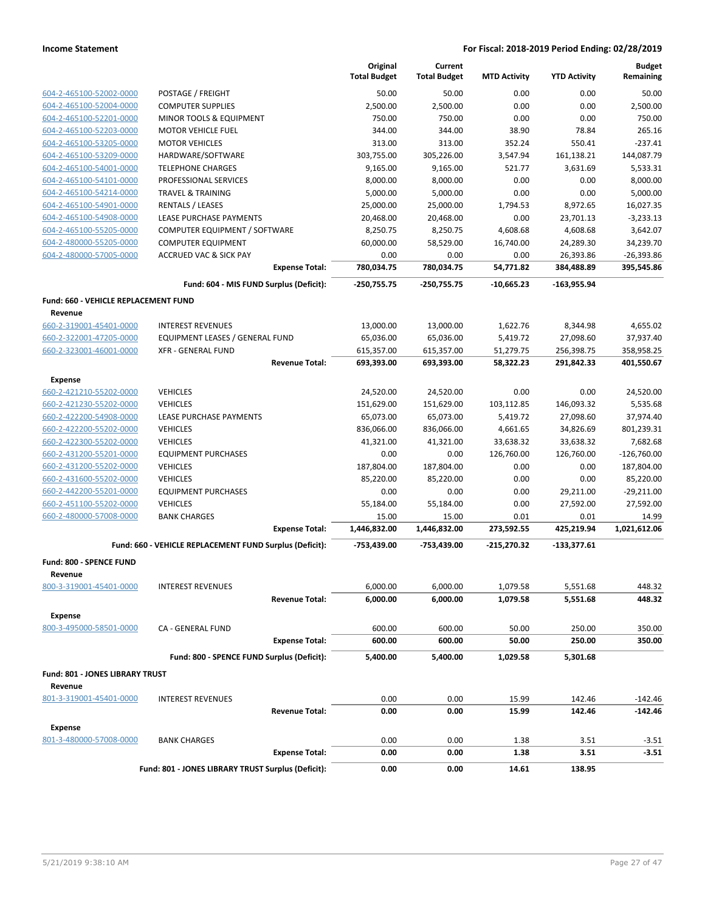| POSTAGE / FREIGHT<br>50.00<br>50.00<br>0.00<br>0.00<br>50.00<br>604-2-465100-52002-0000<br>0.00<br>0.00<br>604-2-465100-52004-0000<br><b>COMPUTER SUPPLIES</b><br>2,500.00<br>2,500.00<br>2,500.00<br>750.00<br>750.00<br>0.00<br>750.00<br>604-2-465100-52201-0000<br><b>MINOR TOOLS &amp; EQUIPMENT</b><br>0.00<br>604-2-465100-52203-0000<br>38.90<br>78.84<br>265.16<br><b>MOTOR VEHICLE FUEL</b><br>344.00<br>344.00<br>$-237.41$<br><b>MOTOR VEHICLES</b><br>313.00<br>313.00<br>352.24<br>550.41<br>604-2-465100-53205-0000<br>604-2-465100-53209-0000<br>HARDWARE/SOFTWARE<br>303,755.00<br>305,226.00<br>3,547.94<br>161,138.21<br>144,087.79<br>604-2-465100-54001-0000<br><b>TELEPHONE CHARGES</b><br>9,165.00<br>9,165.00<br>521.77<br>3,631.69<br>5,533.31<br>8,000.00<br>8,000.00<br>604-2-465100-54101-0000<br>PROFESSIONAL SERVICES<br>8,000.00<br>0.00<br>0.00<br>604-2-465100-54214-0000<br>5,000.00<br>0.00<br>5,000.00<br><b>TRAVEL &amp; TRAINING</b><br>5,000.00<br>0.00<br>RENTALS / LEASES<br>25,000.00<br>25,000.00<br>1,794.53<br>8,972.65<br>16,027.35<br>604-2-465100-54901-0000<br>604-2-465100-54908-0000<br>LEASE PURCHASE PAYMENTS<br>20,468.00<br>20,468.00<br>0.00<br>23,701.13<br>$-3,233.13$<br>3,642.07<br>604-2-465100-55205-0000<br>COMPUTER EQUIPMENT / SOFTWARE<br>8,250.75<br>8,250.75<br>4,608.68<br>4,608.68<br>60,000.00<br>34,239.70<br>604-2-480000-55205-0000<br><b>COMPUTER EQUIPMENT</b><br>58,529.00<br>16,740.00<br>24,289.30<br>604-2-480000-57005-0000<br>$-26,393.86$<br><b>ACCRUED VAC &amp; SICK PAY</b><br>0.00<br>0.00<br>0.00<br>26,393.86<br>780,034.75<br>780,034.75<br>54,771.82<br>384,488.89<br>395,545.86<br><b>Expense Total:</b><br>Fund: 604 - MIS FUND Surplus (Deficit):<br>-250,755.75<br>$-250,755.75$<br>$-10,665.23$<br>$-163,955.94$<br>Fund: 660 - VEHICLE REPLACEMENT FUND<br>Revenue<br>660-2-319001-45401-0000<br>13,000.00<br><b>INTEREST REVENUES</b><br>13,000.00<br>1,622.76<br>8,344.98<br>4,655.02<br>660-2-322001-47205-0000<br><b>EQUIPMENT LEASES / GENERAL FUND</b><br>27,098.60<br>37,937.40<br>65,036.00<br>65,036.00<br>5,419.72<br>358,958.25<br>660-2-323001-46001-0000<br><b>XFR - GENERAL FUND</b><br>615,357.00<br>615,357.00<br>51,279.75<br>256,398.75<br>401,550.67<br><b>Revenue Total:</b><br>693,393.00<br>693,393.00<br>58,322.23<br>291,842.33<br><b>Expense</b><br><b>VEHICLES</b><br>24,520.00<br>24,520.00<br>0.00<br>0.00<br>24,520.00<br>660-2-421210-55202-0000<br><b>VEHICLES</b><br>151,629.00<br>151,629.00<br>103,112.85<br>146,093.32<br>5,535.68<br>660-2-421230-55202-0000<br>660-2-422200-54908-0000<br>LEASE PURCHASE PAYMENTS<br>65,073.00<br>65,073.00<br>5,419.72<br>27,098.60<br>37,974.40<br>801,239.31<br>660-2-422200-55202-0000<br><b>VEHICLES</b><br>836,066.00<br>836,066.00<br>4,661.65<br>34,826.69<br>660-2-422300-55202-0000<br>33,638.32<br>33,638.32<br>7,682.68<br><b>VEHICLES</b><br>41,321.00<br>41,321.00<br>126,760.00<br>126,760.00<br>$-126,760.00$<br><b>EQUIPMENT PURCHASES</b><br>0.00<br>0.00<br>660-2-431200-55201-0000<br>187,804.00<br>187,804.00<br>0.00<br>187,804.00<br>660-2-431200-55202-0000<br><b>VEHICLES</b><br>0.00<br>0.00<br>85,220.00<br>660-2-431600-55202-0000<br><b>VEHICLES</b><br>85,220.00<br>85,220.00<br>0.00<br>0.00<br>$-29,211.00$<br>660-2-442200-55201-0000<br><b>EQUIPMENT PURCHASES</b><br>0.00<br>0.00<br>29,211.00<br>660-2-451100-55202-0000<br><b>VEHICLES</b><br>0.00<br>27,592.00<br>27,592.00<br>55,184.00<br>55,184.00<br>0.01<br>660-2-480000-57008-0000<br><b>BANK CHARGES</b><br>15.00<br>15.00<br>0.01<br>14.99<br>1,021,612.06<br><b>Expense Total:</b><br>1,446,832.00<br>1,446,832.00<br>273,592.55<br>425,219.94<br>Fund: 660 - VEHICLE REPLACEMENT FUND Surplus (Deficit):<br>-753,439.00<br>-753,439.00<br>-215,270.32<br>$-133,377.61$<br>Fund: 800 - SPENCE FUND<br>Revenue<br>800-3-319001-45401-0000<br>6,000.00<br>6,000.00<br>448.32<br><b>INTEREST REVENUES</b><br>1,079.58<br>5,551.68<br><b>Revenue Total:</b><br>6,000.00<br>6,000.00<br>1,079.58<br>5,551.68<br>448.32<br><b>Expense</b><br>800-3-495000-58501-0000<br>600.00<br>50.00<br><b>CA - GENERAL FUND</b><br>600.00<br>250.00<br>350.00<br><b>Expense Total:</b><br>600.00<br>600.00<br>50.00<br>250.00<br>350.00<br>Fund: 800 - SPENCE FUND Surplus (Deficit):<br>5,400.00<br>5,400.00<br>1,029.58<br>5,301.68<br><b>Fund: 801 - JONES LIBRARY TRUST</b><br>Revenue<br>801-3-319001-45401-0000<br>0.00<br>0.00<br>15.99<br>142.46<br>$-142.46$<br><b>INTEREST REVENUES</b><br><b>Revenue Total:</b><br>0.00<br>0.00<br>15.99<br>142.46<br>-142.46<br><b>Expense</b><br>801-3-480000-57008-0000<br><b>BANK CHARGES</b><br>0.00<br>0.00<br>1.38<br>3.51<br>$-3.51$<br><b>Expense Total:</b><br>0.00<br>0.00<br>1.38<br>3.51<br>$-3.51$<br>Fund: 801 - JONES LIBRARY TRUST Surplus (Deficit):<br>0.00<br>0.00<br>14.61<br>138.95 |  | Original<br><b>Total Budget</b> | Current<br><b>Total Budget</b> | <b>MTD Activity</b> | <b>YTD Activity</b> | <b>Budget</b><br>Remaining |
|---------------------------------------------------------------------------------------------------------------------------------------------------------------------------------------------------------------------------------------------------------------------------------------------------------------------------------------------------------------------------------------------------------------------------------------------------------------------------------------------------------------------------------------------------------------------------------------------------------------------------------------------------------------------------------------------------------------------------------------------------------------------------------------------------------------------------------------------------------------------------------------------------------------------------------------------------------------------------------------------------------------------------------------------------------------------------------------------------------------------------------------------------------------------------------------------------------------------------------------------------------------------------------------------------------------------------------------------------------------------------------------------------------------------------------------------------------------------------------------------------------------------------------------------------------------------------------------------------------------------------------------------------------------------------------------------------------------------------------------------------------------------------------------------------------------------------------------------------------------------------------------------------------------------------------------------------------------------------------------------------------------------------------------------------------------------------------------------------------------------------------------------------------------------------------------------------------------------------------------------------------------------------------------------------------------------------------------------------------------------------------------------------------------------------------------------------------------------------------------------------------------------------------------------------------------------------------------------------------------------------------------------------------------------------------------------------------------------------------------------------------------------------------------------------------------------------------------------------------------------------------------------------------------------------------------------------------------------------------------------------------------------------------------------------------------------------------------------------------------------------------------------------------------------------------------------------------------------------------------------------------------------------------------------------------------------------------------------------------------------------------------------------------------------------------------------------------------------------------------------------------------------------------------------------------------------------------------------------------------------------------------------------------------------------------------------------------------------------------------------------------------------------------------------------------------------------------------------------------------------------------------------------------------------------------------------------------------------------------------------------------------------------------------------------------------------------------------------------------------------------------------------------------------------------------------------------------------------------------------------------------------------------------------------------------------------------------------------------------------------------------------------------------------------------------------------------------------------------------------------------------------------------------------------------------------------------------------------------------------------------------------------------------------------------------------------------------------------------------------------------------------------------------------------------------------------------------------------------------------------------------------------------------|--|---------------------------------|--------------------------------|---------------------|---------------------|----------------------------|
|                                                                                                                                                                                                                                                                                                                                                                                                                                                                                                                                                                                                                                                                                                                                                                                                                                                                                                                                                                                                                                                                                                                                                                                                                                                                                                                                                                                                                                                                                                                                                                                                                                                                                                                                                                                                                                                                                                                                                                                                                                                                                                                                                                                                                                                                                                                                                                                                                                                                                                                                                                                                                                                                                                                                                                                                                                                                                                                                                                                                                                                                                                                                                                                                                                                                                                                                                                                                                                                                                                                                                                                                                                                                                                                                                                                                                                                                                                                                                                                                                                                                                                                                                                                                                                                                                                                                                                                                                                                                                                                                                                                                                                                                                                                                                                                                                                                                                                         |  |                                 |                                |                     |                     |                            |
|                                                                                                                                                                                                                                                                                                                                                                                                                                                                                                                                                                                                                                                                                                                                                                                                                                                                                                                                                                                                                                                                                                                                                                                                                                                                                                                                                                                                                                                                                                                                                                                                                                                                                                                                                                                                                                                                                                                                                                                                                                                                                                                                                                                                                                                                                                                                                                                                                                                                                                                                                                                                                                                                                                                                                                                                                                                                                                                                                                                                                                                                                                                                                                                                                                                                                                                                                                                                                                                                                                                                                                                                                                                                                                                                                                                                                                                                                                                                                                                                                                                                                                                                                                                                                                                                                                                                                                                                                                                                                                                                                                                                                                                                                                                                                                                                                                                                                                         |  |                                 |                                |                     |                     |                            |
|                                                                                                                                                                                                                                                                                                                                                                                                                                                                                                                                                                                                                                                                                                                                                                                                                                                                                                                                                                                                                                                                                                                                                                                                                                                                                                                                                                                                                                                                                                                                                                                                                                                                                                                                                                                                                                                                                                                                                                                                                                                                                                                                                                                                                                                                                                                                                                                                                                                                                                                                                                                                                                                                                                                                                                                                                                                                                                                                                                                                                                                                                                                                                                                                                                                                                                                                                                                                                                                                                                                                                                                                                                                                                                                                                                                                                                                                                                                                                                                                                                                                                                                                                                                                                                                                                                                                                                                                                                                                                                                                                                                                                                                                                                                                                                                                                                                                                                         |  |                                 |                                |                     |                     |                            |
|                                                                                                                                                                                                                                                                                                                                                                                                                                                                                                                                                                                                                                                                                                                                                                                                                                                                                                                                                                                                                                                                                                                                                                                                                                                                                                                                                                                                                                                                                                                                                                                                                                                                                                                                                                                                                                                                                                                                                                                                                                                                                                                                                                                                                                                                                                                                                                                                                                                                                                                                                                                                                                                                                                                                                                                                                                                                                                                                                                                                                                                                                                                                                                                                                                                                                                                                                                                                                                                                                                                                                                                                                                                                                                                                                                                                                                                                                                                                                                                                                                                                                                                                                                                                                                                                                                                                                                                                                                                                                                                                                                                                                                                                                                                                                                                                                                                                                                         |  |                                 |                                |                     |                     |                            |
|                                                                                                                                                                                                                                                                                                                                                                                                                                                                                                                                                                                                                                                                                                                                                                                                                                                                                                                                                                                                                                                                                                                                                                                                                                                                                                                                                                                                                                                                                                                                                                                                                                                                                                                                                                                                                                                                                                                                                                                                                                                                                                                                                                                                                                                                                                                                                                                                                                                                                                                                                                                                                                                                                                                                                                                                                                                                                                                                                                                                                                                                                                                                                                                                                                                                                                                                                                                                                                                                                                                                                                                                                                                                                                                                                                                                                                                                                                                                                                                                                                                                                                                                                                                                                                                                                                                                                                                                                                                                                                                                                                                                                                                                                                                                                                                                                                                                                                         |  |                                 |                                |                     |                     |                            |
|                                                                                                                                                                                                                                                                                                                                                                                                                                                                                                                                                                                                                                                                                                                                                                                                                                                                                                                                                                                                                                                                                                                                                                                                                                                                                                                                                                                                                                                                                                                                                                                                                                                                                                                                                                                                                                                                                                                                                                                                                                                                                                                                                                                                                                                                                                                                                                                                                                                                                                                                                                                                                                                                                                                                                                                                                                                                                                                                                                                                                                                                                                                                                                                                                                                                                                                                                                                                                                                                                                                                                                                                                                                                                                                                                                                                                                                                                                                                                                                                                                                                                                                                                                                                                                                                                                                                                                                                                                                                                                                                                                                                                                                                                                                                                                                                                                                                                                         |  |                                 |                                |                     |                     |                            |
|                                                                                                                                                                                                                                                                                                                                                                                                                                                                                                                                                                                                                                                                                                                                                                                                                                                                                                                                                                                                                                                                                                                                                                                                                                                                                                                                                                                                                                                                                                                                                                                                                                                                                                                                                                                                                                                                                                                                                                                                                                                                                                                                                                                                                                                                                                                                                                                                                                                                                                                                                                                                                                                                                                                                                                                                                                                                                                                                                                                                                                                                                                                                                                                                                                                                                                                                                                                                                                                                                                                                                                                                                                                                                                                                                                                                                                                                                                                                                                                                                                                                                                                                                                                                                                                                                                                                                                                                                                                                                                                                                                                                                                                                                                                                                                                                                                                                                                         |  |                                 |                                |                     |                     |                            |
|                                                                                                                                                                                                                                                                                                                                                                                                                                                                                                                                                                                                                                                                                                                                                                                                                                                                                                                                                                                                                                                                                                                                                                                                                                                                                                                                                                                                                                                                                                                                                                                                                                                                                                                                                                                                                                                                                                                                                                                                                                                                                                                                                                                                                                                                                                                                                                                                                                                                                                                                                                                                                                                                                                                                                                                                                                                                                                                                                                                                                                                                                                                                                                                                                                                                                                                                                                                                                                                                                                                                                                                                                                                                                                                                                                                                                                                                                                                                                                                                                                                                                                                                                                                                                                                                                                                                                                                                                                                                                                                                                                                                                                                                                                                                                                                                                                                                                                         |  |                                 |                                |                     |                     |                            |
|                                                                                                                                                                                                                                                                                                                                                                                                                                                                                                                                                                                                                                                                                                                                                                                                                                                                                                                                                                                                                                                                                                                                                                                                                                                                                                                                                                                                                                                                                                                                                                                                                                                                                                                                                                                                                                                                                                                                                                                                                                                                                                                                                                                                                                                                                                                                                                                                                                                                                                                                                                                                                                                                                                                                                                                                                                                                                                                                                                                                                                                                                                                                                                                                                                                                                                                                                                                                                                                                                                                                                                                                                                                                                                                                                                                                                                                                                                                                                                                                                                                                                                                                                                                                                                                                                                                                                                                                                                                                                                                                                                                                                                                                                                                                                                                                                                                                                                         |  |                                 |                                |                     |                     |                            |
|                                                                                                                                                                                                                                                                                                                                                                                                                                                                                                                                                                                                                                                                                                                                                                                                                                                                                                                                                                                                                                                                                                                                                                                                                                                                                                                                                                                                                                                                                                                                                                                                                                                                                                                                                                                                                                                                                                                                                                                                                                                                                                                                                                                                                                                                                                                                                                                                                                                                                                                                                                                                                                                                                                                                                                                                                                                                                                                                                                                                                                                                                                                                                                                                                                                                                                                                                                                                                                                                                                                                                                                                                                                                                                                                                                                                                                                                                                                                                                                                                                                                                                                                                                                                                                                                                                                                                                                                                                                                                                                                                                                                                                                                                                                                                                                                                                                                                                         |  |                                 |                                |                     |                     |                            |
|                                                                                                                                                                                                                                                                                                                                                                                                                                                                                                                                                                                                                                                                                                                                                                                                                                                                                                                                                                                                                                                                                                                                                                                                                                                                                                                                                                                                                                                                                                                                                                                                                                                                                                                                                                                                                                                                                                                                                                                                                                                                                                                                                                                                                                                                                                                                                                                                                                                                                                                                                                                                                                                                                                                                                                                                                                                                                                                                                                                                                                                                                                                                                                                                                                                                                                                                                                                                                                                                                                                                                                                                                                                                                                                                                                                                                                                                                                                                                                                                                                                                                                                                                                                                                                                                                                                                                                                                                                                                                                                                                                                                                                                                                                                                                                                                                                                                                                         |  |                                 |                                |                     |                     |                            |
|                                                                                                                                                                                                                                                                                                                                                                                                                                                                                                                                                                                                                                                                                                                                                                                                                                                                                                                                                                                                                                                                                                                                                                                                                                                                                                                                                                                                                                                                                                                                                                                                                                                                                                                                                                                                                                                                                                                                                                                                                                                                                                                                                                                                                                                                                                                                                                                                                                                                                                                                                                                                                                                                                                                                                                                                                                                                                                                                                                                                                                                                                                                                                                                                                                                                                                                                                                                                                                                                                                                                                                                                                                                                                                                                                                                                                                                                                                                                                                                                                                                                                                                                                                                                                                                                                                                                                                                                                                                                                                                                                                                                                                                                                                                                                                                                                                                                                                         |  |                                 |                                |                     |                     |                            |
|                                                                                                                                                                                                                                                                                                                                                                                                                                                                                                                                                                                                                                                                                                                                                                                                                                                                                                                                                                                                                                                                                                                                                                                                                                                                                                                                                                                                                                                                                                                                                                                                                                                                                                                                                                                                                                                                                                                                                                                                                                                                                                                                                                                                                                                                                                                                                                                                                                                                                                                                                                                                                                                                                                                                                                                                                                                                                                                                                                                                                                                                                                                                                                                                                                                                                                                                                                                                                                                                                                                                                                                                                                                                                                                                                                                                                                                                                                                                                                                                                                                                                                                                                                                                                                                                                                                                                                                                                                                                                                                                                                                                                                                                                                                                                                                                                                                                                                         |  |                                 |                                |                     |                     |                            |
|                                                                                                                                                                                                                                                                                                                                                                                                                                                                                                                                                                                                                                                                                                                                                                                                                                                                                                                                                                                                                                                                                                                                                                                                                                                                                                                                                                                                                                                                                                                                                                                                                                                                                                                                                                                                                                                                                                                                                                                                                                                                                                                                                                                                                                                                                                                                                                                                                                                                                                                                                                                                                                                                                                                                                                                                                                                                                                                                                                                                                                                                                                                                                                                                                                                                                                                                                                                                                                                                                                                                                                                                                                                                                                                                                                                                                                                                                                                                                                                                                                                                                                                                                                                                                                                                                                                                                                                                                                                                                                                                                                                                                                                                                                                                                                                                                                                                                                         |  |                                 |                                |                     |                     |                            |
|                                                                                                                                                                                                                                                                                                                                                                                                                                                                                                                                                                                                                                                                                                                                                                                                                                                                                                                                                                                                                                                                                                                                                                                                                                                                                                                                                                                                                                                                                                                                                                                                                                                                                                                                                                                                                                                                                                                                                                                                                                                                                                                                                                                                                                                                                                                                                                                                                                                                                                                                                                                                                                                                                                                                                                                                                                                                                                                                                                                                                                                                                                                                                                                                                                                                                                                                                                                                                                                                                                                                                                                                                                                                                                                                                                                                                                                                                                                                                                                                                                                                                                                                                                                                                                                                                                                                                                                                                                                                                                                                                                                                                                                                                                                                                                                                                                                                                                         |  |                                 |                                |                     |                     |                            |
|                                                                                                                                                                                                                                                                                                                                                                                                                                                                                                                                                                                                                                                                                                                                                                                                                                                                                                                                                                                                                                                                                                                                                                                                                                                                                                                                                                                                                                                                                                                                                                                                                                                                                                                                                                                                                                                                                                                                                                                                                                                                                                                                                                                                                                                                                                                                                                                                                                                                                                                                                                                                                                                                                                                                                                                                                                                                                                                                                                                                                                                                                                                                                                                                                                                                                                                                                                                                                                                                                                                                                                                                                                                                                                                                                                                                                                                                                                                                                                                                                                                                                                                                                                                                                                                                                                                                                                                                                                                                                                                                                                                                                                                                                                                                                                                                                                                                                                         |  |                                 |                                |                     |                     |                            |
|                                                                                                                                                                                                                                                                                                                                                                                                                                                                                                                                                                                                                                                                                                                                                                                                                                                                                                                                                                                                                                                                                                                                                                                                                                                                                                                                                                                                                                                                                                                                                                                                                                                                                                                                                                                                                                                                                                                                                                                                                                                                                                                                                                                                                                                                                                                                                                                                                                                                                                                                                                                                                                                                                                                                                                                                                                                                                                                                                                                                                                                                                                                                                                                                                                                                                                                                                                                                                                                                                                                                                                                                                                                                                                                                                                                                                                                                                                                                                                                                                                                                                                                                                                                                                                                                                                                                                                                                                                                                                                                                                                                                                                                                                                                                                                                                                                                                                                         |  |                                 |                                |                     |                     |                            |
|                                                                                                                                                                                                                                                                                                                                                                                                                                                                                                                                                                                                                                                                                                                                                                                                                                                                                                                                                                                                                                                                                                                                                                                                                                                                                                                                                                                                                                                                                                                                                                                                                                                                                                                                                                                                                                                                                                                                                                                                                                                                                                                                                                                                                                                                                                                                                                                                                                                                                                                                                                                                                                                                                                                                                                                                                                                                                                                                                                                                                                                                                                                                                                                                                                                                                                                                                                                                                                                                                                                                                                                                                                                                                                                                                                                                                                                                                                                                                                                                                                                                                                                                                                                                                                                                                                                                                                                                                                                                                                                                                                                                                                                                                                                                                                                                                                                                                                         |  |                                 |                                |                     |                     |                            |
|                                                                                                                                                                                                                                                                                                                                                                                                                                                                                                                                                                                                                                                                                                                                                                                                                                                                                                                                                                                                                                                                                                                                                                                                                                                                                                                                                                                                                                                                                                                                                                                                                                                                                                                                                                                                                                                                                                                                                                                                                                                                                                                                                                                                                                                                                                                                                                                                                                                                                                                                                                                                                                                                                                                                                                                                                                                                                                                                                                                                                                                                                                                                                                                                                                                                                                                                                                                                                                                                                                                                                                                                                                                                                                                                                                                                                                                                                                                                                                                                                                                                                                                                                                                                                                                                                                                                                                                                                                                                                                                                                                                                                                                                                                                                                                                                                                                                                                         |  |                                 |                                |                     |                     |                            |
|                                                                                                                                                                                                                                                                                                                                                                                                                                                                                                                                                                                                                                                                                                                                                                                                                                                                                                                                                                                                                                                                                                                                                                                                                                                                                                                                                                                                                                                                                                                                                                                                                                                                                                                                                                                                                                                                                                                                                                                                                                                                                                                                                                                                                                                                                                                                                                                                                                                                                                                                                                                                                                                                                                                                                                                                                                                                                                                                                                                                                                                                                                                                                                                                                                                                                                                                                                                                                                                                                                                                                                                                                                                                                                                                                                                                                                                                                                                                                                                                                                                                                                                                                                                                                                                                                                                                                                                                                                                                                                                                                                                                                                                                                                                                                                                                                                                                                                         |  |                                 |                                |                     |                     |                            |
|                                                                                                                                                                                                                                                                                                                                                                                                                                                                                                                                                                                                                                                                                                                                                                                                                                                                                                                                                                                                                                                                                                                                                                                                                                                                                                                                                                                                                                                                                                                                                                                                                                                                                                                                                                                                                                                                                                                                                                                                                                                                                                                                                                                                                                                                                                                                                                                                                                                                                                                                                                                                                                                                                                                                                                                                                                                                                                                                                                                                                                                                                                                                                                                                                                                                                                                                                                                                                                                                                                                                                                                                                                                                                                                                                                                                                                                                                                                                                                                                                                                                                                                                                                                                                                                                                                                                                                                                                                                                                                                                                                                                                                                                                                                                                                                                                                                                                                         |  |                                 |                                |                     |                     |                            |
|                                                                                                                                                                                                                                                                                                                                                                                                                                                                                                                                                                                                                                                                                                                                                                                                                                                                                                                                                                                                                                                                                                                                                                                                                                                                                                                                                                                                                                                                                                                                                                                                                                                                                                                                                                                                                                                                                                                                                                                                                                                                                                                                                                                                                                                                                                                                                                                                                                                                                                                                                                                                                                                                                                                                                                                                                                                                                                                                                                                                                                                                                                                                                                                                                                                                                                                                                                                                                                                                                                                                                                                                                                                                                                                                                                                                                                                                                                                                                                                                                                                                                                                                                                                                                                                                                                                                                                                                                                                                                                                                                                                                                                                                                                                                                                                                                                                                                                         |  |                                 |                                |                     |                     |                            |
|                                                                                                                                                                                                                                                                                                                                                                                                                                                                                                                                                                                                                                                                                                                                                                                                                                                                                                                                                                                                                                                                                                                                                                                                                                                                                                                                                                                                                                                                                                                                                                                                                                                                                                                                                                                                                                                                                                                                                                                                                                                                                                                                                                                                                                                                                                                                                                                                                                                                                                                                                                                                                                                                                                                                                                                                                                                                                                                                                                                                                                                                                                                                                                                                                                                                                                                                                                                                                                                                                                                                                                                                                                                                                                                                                                                                                                                                                                                                                                                                                                                                                                                                                                                                                                                                                                                                                                                                                                                                                                                                                                                                                                                                                                                                                                                                                                                                                                         |  |                                 |                                |                     |                     |                            |
|                                                                                                                                                                                                                                                                                                                                                                                                                                                                                                                                                                                                                                                                                                                                                                                                                                                                                                                                                                                                                                                                                                                                                                                                                                                                                                                                                                                                                                                                                                                                                                                                                                                                                                                                                                                                                                                                                                                                                                                                                                                                                                                                                                                                                                                                                                                                                                                                                                                                                                                                                                                                                                                                                                                                                                                                                                                                                                                                                                                                                                                                                                                                                                                                                                                                                                                                                                                                                                                                                                                                                                                                                                                                                                                                                                                                                                                                                                                                                                                                                                                                                                                                                                                                                                                                                                                                                                                                                                                                                                                                                                                                                                                                                                                                                                                                                                                                                                         |  |                                 |                                |                     |                     |                            |
|                                                                                                                                                                                                                                                                                                                                                                                                                                                                                                                                                                                                                                                                                                                                                                                                                                                                                                                                                                                                                                                                                                                                                                                                                                                                                                                                                                                                                                                                                                                                                                                                                                                                                                                                                                                                                                                                                                                                                                                                                                                                                                                                                                                                                                                                                                                                                                                                                                                                                                                                                                                                                                                                                                                                                                                                                                                                                                                                                                                                                                                                                                                                                                                                                                                                                                                                                                                                                                                                                                                                                                                                                                                                                                                                                                                                                                                                                                                                                                                                                                                                                                                                                                                                                                                                                                                                                                                                                                                                                                                                                                                                                                                                                                                                                                                                                                                                                                         |  |                                 |                                |                     |                     |                            |
|                                                                                                                                                                                                                                                                                                                                                                                                                                                                                                                                                                                                                                                                                                                                                                                                                                                                                                                                                                                                                                                                                                                                                                                                                                                                                                                                                                                                                                                                                                                                                                                                                                                                                                                                                                                                                                                                                                                                                                                                                                                                                                                                                                                                                                                                                                                                                                                                                                                                                                                                                                                                                                                                                                                                                                                                                                                                                                                                                                                                                                                                                                                                                                                                                                                                                                                                                                                                                                                                                                                                                                                                                                                                                                                                                                                                                                                                                                                                                                                                                                                                                                                                                                                                                                                                                                                                                                                                                                                                                                                                                                                                                                                                                                                                                                                                                                                                                                         |  |                                 |                                |                     |                     |                            |
|                                                                                                                                                                                                                                                                                                                                                                                                                                                                                                                                                                                                                                                                                                                                                                                                                                                                                                                                                                                                                                                                                                                                                                                                                                                                                                                                                                                                                                                                                                                                                                                                                                                                                                                                                                                                                                                                                                                                                                                                                                                                                                                                                                                                                                                                                                                                                                                                                                                                                                                                                                                                                                                                                                                                                                                                                                                                                                                                                                                                                                                                                                                                                                                                                                                                                                                                                                                                                                                                                                                                                                                                                                                                                                                                                                                                                                                                                                                                                                                                                                                                                                                                                                                                                                                                                                                                                                                                                                                                                                                                                                                                                                                                                                                                                                                                                                                                                                         |  |                                 |                                |                     |                     |                            |
|                                                                                                                                                                                                                                                                                                                                                                                                                                                                                                                                                                                                                                                                                                                                                                                                                                                                                                                                                                                                                                                                                                                                                                                                                                                                                                                                                                                                                                                                                                                                                                                                                                                                                                                                                                                                                                                                                                                                                                                                                                                                                                                                                                                                                                                                                                                                                                                                                                                                                                                                                                                                                                                                                                                                                                                                                                                                                                                                                                                                                                                                                                                                                                                                                                                                                                                                                                                                                                                                                                                                                                                                                                                                                                                                                                                                                                                                                                                                                                                                                                                                                                                                                                                                                                                                                                                                                                                                                                                                                                                                                                                                                                                                                                                                                                                                                                                                                                         |  |                                 |                                |                     |                     |                            |
|                                                                                                                                                                                                                                                                                                                                                                                                                                                                                                                                                                                                                                                                                                                                                                                                                                                                                                                                                                                                                                                                                                                                                                                                                                                                                                                                                                                                                                                                                                                                                                                                                                                                                                                                                                                                                                                                                                                                                                                                                                                                                                                                                                                                                                                                                                                                                                                                                                                                                                                                                                                                                                                                                                                                                                                                                                                                                                                                                                                                                                                                                                                                                                                                                                                                                                                                                                                                                                                                                                                                                                                                                                                                                                                                                                                                                                                                                                                                                                                                                                                                                                                                                                                                                                                                                                                                                                                                                                                                                                                                                                                                                                                                                                                                                                                                                                                                                                         |  |                                 |                                |                     |                     |                            |
|                                                                                                                                                                                                                                                                                                                                                                                                                                                                                                                                                                                                                                                                                                                                                                                                                                                                                                                                                                                                                                                                                                                                                                                                                                                                                                                                                                                                                                                                                                                                                                                                                                                                                                                                                                                                                                                                                                                                                                                                                                                                                                                                                                                                                                                                                                                                                                                                                                                                                                                                                                                                                                                                                                                                                                                                                                                                                                                                                                                                                                                                                                                                                                                                                                                                                                                                                                                                                                                                                                                                                                                                                                                                                                                                                                                                                                                                                                                                                                                                                                                                                                                                                                                                                                                                                                                                                                                                                                                                                                                                                                                                                                                                                                                                                                                                                                                                                                         |  |                                 |                                |                     |                     |                            |
|                                                                                                                                                                                                                                                                                                                                                                                                                                                                                                                                                                                                                                                                                                                                                                                                                                                                                                                                                                                                                                                                                                                                                                                                                                                                                                                                                                                                                                                                                                                                                                                                                                                                                                                                                                                                                                                                                                                                                                                                                                                                                                                                                                                                                                                                                                                                                                                                                                                                                                                                                                                                                                                                                                                                                                                                                                                                                                                                                                                                                                                                                                                                                                                                                                                                                                                                                                                                                                                                                                                                                                                                                                                                                                                                                                                                                                                                                                                                                                                                                                                                                                                                                                                                                                                                                                                                                                                                                                                                                                                                                                                                                                                                                                                                                                                                                                                                                                         |  |                                 |                                |                     |                     |                            |
|                                                                                                                                                                                                                                                                                                                                                                                                                                                                                                                                                                                                                                                                                                                                                                                                                                                                                                                                                                                                                                                                                                                                                                                                                                                                                                                                                                                                                                                                                                                                                                                                                                                                                                                                                                                                                                                                                                                                                                                                                                                                                                                                                                                                                                                                                                                                                                                                                                                                                                                                                                                                                                                                                                                                                                                                                                                                                                                                                                                                                                                                                                                                                                                                                                                                                                                                                                                                                                                                                                                                                                                                                                                                                                                                                                                                                                                                                                                                                                                                                                                                                                                                                                                                                                                                                                                                                                                                                                                                                                                                                                                                                                                                                                                                                                                                                                                                                                         |  |                                 |                                |                     |                     |                            |
|                                                                                                                                                                                                                                                                                                                                                                                                                                                                                                                                                                                                                                                                                                                                                                                                                                                                                                                                                                                                                                                                                                                                                                                                                                                                                                                                                                                                                                                                                                                                                                                                                                                                                                                                                                                                                                                                                                                                                                                                                                                                                                                                                                                                                                                                                                                                                                                                                                                                                                                                                                                                                                                                                                                                                                                                                                                                                                                                                                                                                                                                                                                                                                                                                                                                                                                                                                                                                                                                                                                                                                                                                                                                                                                                                                                                                                                                                                                                                                                                                                                                                                                                                                                                                                                                                                                                                                                                                                                                                                                                                                                                                                                                                                                                                                                                                                                                                                         |  |                                 |                                |                     |                     |                            |
|                                                                                                                                                                                                                                                                                                                                                                                                                                                                                                                                                                                                                                                                                                                                                                                                                                                                                                                                                                                                                                                                                                                                                                                                                                                                                                                                                                                                                                                                                                                                                                                                                                                                                                                                                                                                                                                                                                                                                                                                                                                                                                                                                                                                                                                                                                                                                                                                                                                                                                                                                                                                                                                                                                                                                                                                                                                                                                                                                                                                                                                                                                                                                                                                                                                                                                                                                                                                                                                                                                                                                                                                                                                                                                                                                                                                                                                                                                                                                                                                                                                                                                                                                                                                                                                                                                                                                                                                                                                                                                                                                                                                                                                                                                                                                                                                                                                                                                         |  |                                 |                                |                     |                     |                            |
|                                                                                                                                                                                                                                                                                                                                                                                                                                                                                                                                                                                                                                                                                                                                                                                                                                                                                                                                                                                                                                                                                                                                                                                                                                                                                                                                                                                                                                                                                                                                                                                                                                                                                                                                                                                                                                                                                                                                                                                                                                                                                                                                                                                                                                                                                                                                                                                                                                                                                                                                                                                                                                                                                                                                                                                                                                                                                                                                                                                                                                                                                                                                                                                                                                                                                                                                                                                                                                                                                                                                                                                                                                                                                                                                                                                                                                                                                                                                                                                                                                                                                                                                                                                                                                                                                                                                                                                                                                                                                                                                                                                                                                                                                                                                                                                                                                                                                                         |  |                                 |                                |                     |                     |                            |
|                                                                                                                                                                                                                                                                                                                                                                                                                                                                                                                                                                                                                                                                                                                                                                                                                                                                                                                                                                                                                                                                                                                                                                                                                                                                                                                                                                                                                                                                                                                                                                                                                                                                                                                                                                                                                                                                                                                                                                                                                                                                                                                                                                                                                                                                                                                                                                                                                                                                                                                                                                                                                                                                                                                                                                                                                                                                                                                                                                                                                                                                                                                                                                                                                                                                                                                                                                                                                                                                                                                                                                                                                                                                                                                                                                                                                                                                                                                                                                                                                                                                                                                                                                                                                                                                                                                                                                                                                                                                                                                                                                                                                                                                                                                                                                                                                                                                                                         |  |                                 |                                |                     |                     |                            |
|                                                                                                                                                                                                                                                                                                                                                                                                                                                                                                                                                                                                                                                                                                                                                                                                                                                                                                                                                                                                                                                                                                                                                                                                                                                                                                                                                                                                                                                                                                                                                                                                                                                                                                                                                                                                                                                                                                                                                                                                                                                                                                                                                                                                                                                                                                                                                                                                                                                                                                                                                                                                                                                                                                                                                                                                                                                                                                                                                                                                                                                                                                                                                                                                                                                                                                                                                                                                                                                                                                                                                                                                                                                                                                                                                                                                                                                                                                                                                                                                                                                                                                                                                                                                                                                                                                                                                                                                                                                                                                                                                                                                                                                                                                                                                                                                                                                                                                         |  |                                 |                                |                     |                     |                            |
|                                                                                                                                                                                                                                                                                                                                                                                                                                                                                                                                                                                                                                                                                                                                                                                                                                                                                                                                                                                                                                                                                                                                                                                                                                                                                                                                                                                                                                                                                                                                                                                                                                                                                                                                                                                                                                                                                                                                                                                                                                                                                                                                                                                                                                                                                                                                                                                                                                                                                                                                                                                                                                                                                                                                                                                                                                                                                                                                                                                                                                                                                                                                                                                                                                                                                                                                                                                                                                                                                                                                                                                                                                                                                                                                                                                                                                                                                                                                                                                                                                                                                                                                                                                                                                                                                                                                                                                                                                                                                                                                                                                                                                                                                                                                                                                                                                                                                                         |  |                                 |                                |                     |                     |                            |
|                                                                                                                                                                                                                                                                                                                                                                                                                                                                                                                                                                                                                                                                                                                                                                                                                                                                                                                                                                                                                                                                                                                                                                                                                                                                                                                                                                                                                                                                                                                                                                                                                                                                                                                                                                                                                                                                                                                                                                                                                                                                                                                                                                                                                                                                                                                                                                                                                                                                                                                                                                                                                                                                                                                                                                                                                                                                                                                                                                                                                                                                                                                                                                                                                                                                                                                                                                                                                                                                                                                                                                                                                                                                                                                                                                                                                                                                                                                                                                                                                                                                                                                                                                                                                                                                                                                                                                                                                                                                                                                                                                                                                                                                                                                                                                                                                                                                                                         |  |                                 |                                |                     |                     |                            |
|                                                                                                                                                                                                                                                                                                                                                                                                                                                                                                                                                                                                                                                                                                                                                                                                                                                                                                                                                                                                                                                                                                                                                                                                                                                                                                                                                                                                                                                                                                                                                                                                                                                                                                                                                                                                                                                                                                                                                                                                                                                                                                                                                                                                                                                                                                                                                                                                                                                                                                                                                                                                                                                                                                                                                                                                                                                                                                                                                                                                                                                                                                                                                                                                                                                                                                                                                                                                                                                                                                                                                                                                                                                                                                                                                                                                                                                                                                                                                                                                                                                                                                                                                                                                                                                                                                                                                                                                                                                                                                                                                                                                                                                                                                                                                                                                                                                                                                         |  |                                 |                                |                     |                     |                            |
|                                                                                                                                                                                                                                                                                                                                                                                                                                                                                                                                                                                                                                                                                                                                                                                                                                                                                                                                                                                                                                                                                                                                                                                                                                                                                                                                                                                                                                                                                                                                                                                                                                                                                                                                                                                                                                                                                                                                                                                                                                                                                                                                                                                                                                                                                                                                                                                                                                                                                                                                                                                                                                                                                                                                                                                                                                                                                                                                                                                                                                                                                                                                                                                                                                                                                                                                                                                                                                                                                                                                                                                                                                                                                                                                                                                                                                                                                                                                                                                                                                                                                                                                                                                                                                                                                                                                                                                                                                                                                                                                                                                                                                                                                                                                                                                                                                                                                                         |  |                                 |                                |                     |                     |                            |
|                                                                                                                                                                                                                                                                                                                                                                                                                                                                                                                                                                                                                                                                                                                                                                                                                                                                                                                                                                                                                                                                                                                                                                                                                                                                                                                                                                                                                                                                                                                                                                                                                                                                                                                                                                                                                                                                                                                                                                                                                                                                                                                                                                                                                                                                                                                                                                                                                                                                                                                                                                                                                                                                                                                                                                                                                                                                                                                                                                                                                                                                                                                                                                                                                                                                                                                                                                                                                                                                                                                                                                                                                                                                                                                                                                                                                                                                                                                                                                                                                                                                                                                                                                                                                                                                                                                                                                                                                                                                                                                                                                                                                                                                                                                                                                                                                                                                                                         |  |                                 |                                |                     |                     |                            |
|                                                                                                                                                                                                                                                                                                                                                                                                                                                                                                                                                                                                                                                                                                                                                                                                                                                                                                                                                                                                                                                                                                                                                                                                                                                                                                                                                                                                                                                                                                                                                                                                                                                                                                                                                                                                                                                                                                                                                                                                                                                                                                                                                                                                                                                                                                                                                                                                                                                                                                                                                                                                                                                                                                                                                                                                                                                                                                                                                                                                                                                                                                                                                                                                                                                                                                                                                                                                                                                                                                                                                                                                                                                                                                                                                                                                                                                                                                                                                                                                                                                                                                                                                                                                                                                                                                                                                                                                                                                                                                                                                                                                                                                                                                                                                                                                                                                                                                         |  |                                 |                                |                     |                     |                            |
|                                                                                                                                                                                                                                                                                                                                                                                                                                                                                                                                                                                                                                                                                                                                                                                                                                                                                                                                                                                                                                                                                                                                                                                                                                                                                                                                                                                                                                                                                                                                                                                                                                                                                                                                                                                                                                                                                                                                                                                                                                                                                                                                                                                                                                                                                                                                                                                                                                                                                                                                                                                                                                                                                                                                                                                                                                                                                                                                                                                                                                                                                                                                                                                                                                                                                                                                                                                                                                                                                                                                                                                                                                                                                                                                                                                                                                                                                                                                                                                                                                                                                                                                                                                                                                                                                                                                                                                                                                                                                                                                                                                                                                                                                                                                                                                                                                                                                                         |  |                                 |                                |                     |                     |                            |
|                                                                                                                                                                                                                                                                                                                                                                                                                                                                                                                                                                                                                                                                                                                                                                                                                                                                                                                                                                                                                                                                                                                                                                                                                                                                                                                                                                                                                                                                                                                                                                                                                                                                                                                                                                                                                                                                                                                                                                                                                                                                                                                                                                                                                                                                                                                                                                                                                                                                                                                                                                                                                                                                                                                                                                                                                                                                                                                                                                                                                                                                                                                                                                                                                                                                                                                                                                                                                                                                                                                                                                                                                                                                                                                                                                                                                                                                                                                                                                                                                                                                                                                                                                                                                                                                                                                                                                                                                                                                                                                                                                                                                                                                                                                                                                                                                                                                                                         |  |                                 |                                |                     |                     |                            |
|                                                                                                                                                                                                                                                                                                                                                                                                                                                                                                                                                                                                                                                                                                                                                                                                                                                                                                                                                                                                                                                                                                                                                                                                                                                                                                                                                                                                                                                                                                                                                                                                                                                                                                                                                                                                                                                                                                                                                                                                                                                                                                                                                                                                                                                                                                                                                                                                                                                                                                                                                                                                                                                                                                                                                                                                                                                                                                                                                                                                                                                                                                                                                                                                                                                                                                                                                                                                                                                                                                                                                                                                                                                                                                                                                                                                                                                                                                                                                                                                                                                                                                                                                                                                                                                                                                                                                                                                                                                                                                                                                                                                                                                                                                                                                                                                                                                                                                         |  |                                 |                                |                     |                     |                            |
|                                                                                                                                                                                                                                                                                                                                                                                                                                                                                                                                                                                                                                                                                                                                                                                                                                                                                                                                                                                                                                                                                                                                                                                                                                                                                                                                                                                                                                                                                                                                                                                                                                                                                                                                                                                                                                                                                                                                                                                                                                                                                                                                                                                                                                                                                                                                                                                                                                                                                                                                                                                                                                                                                                                                                                                                                                                                                                                                                                                                                                                                                                                                                                                                                                                                                                                                                                                                                                                                                                                                                                                                                                                                                                                                                                                                                                                                                                                                                                                                                                                                                                                                                                                                                                                                                                                                                                                                                                                                                                                                                                                                                                                                                                                                                                                                                                                                                                         |  |                                 |                                |                     |                     |                            |
|                                                                                                                                                                                                                                                                                                                                                                                                                                                                                                                                                                                                                                                                                                                                                                                                                                                                                                                                                                                                                                                                                                                                                                                                                                                                                                                                                                                                                                                                                                                                                                                                                                                                                                                                                                                                                                                                                                                                                                                                                                                                                                                                                                                                                                                                                                                                                                                                                                                                                                                                                                                                                                                                                                                                                                                                                                                                                                                                                                                                                                                                                                                                                                                                                                                                                                                                                                                                                                                                                                                                                                                                                                                                                                                                                                                                                                                                                                                                                                                                                                                                                                                                                                                                                                                                                                                                                                                                                                                                                                                                                                                                                                                                                                                                                                                                                                                                                                         |  |                                 |                                |                     |                     |                            |
|                                                                                                                                                                                                                                                                                                                                                                                                                                                                                                                                                                                                                                                                                                                                                                                                                                                                                                                                                                                                                                                                                                                                                                                                                                                                                                                                                                                                                                                                                                                                                                                                                                                                                                                                                                                                                                                                                                                                                                                                                                                                                                                                                                                                                                                                                                                                                                                                                                                                                                                                                                                                                                                                                                                                                                                                                                                                                                                                                                                                                                                                                                                                                                                                                                                                                                                                                                                                                                                                                                                                                                                                                                                                                                                                                                                                                                                                                                                                                                                                                                                                                                                                                                                                                                                                                                                                                                                                                                                                                                                                                                                                                                                                                                                                                                                                                                                                                                         |  |                                 |                                |                     |                     |                            |
|                                                                                                                                                                                                                                                                                                                                                                                                                                                                                                                                                                                                                                                                                                                                                                                                                                                                                                                                                                                                                                                                                                                                                                                                                                                                                                                                                                                                                                                                                                                                                                                                                                                                                                                                                                                                                                                                                                                                                                                                                                                                                                                                                                                                                                                                                                                                                                                                                                                                                                                                                                                                                                                                                                                                                                                                                                                                                                                                                                                                                                                                                                                                                                                                                                                                                                                                                                                                                                                                                                                                                                                                                                                                                                                                                                                                                                                                                                                                                                                                                                                                                                                                                                                                                                                                                                                                                                                                                                                                                                                                                                                                                                                                                                                                                                                                                                                                                                         |  |                                 |                                |                     |                     |                            |
|                                                                                                                                                                                                                                                                                                                                                                                                                                                                                                                                                                                                                                                                                                                                                                                                                                                                                                                                                                                                                                                                                                                                                                                                                                                                                                                                                                                                                                                                                                                                                                                                                                                                                                                                                                                                                                                                                                                                                                                                                                                                                                                                                                                                                                                                                                                                                                                                                                                                                                                                                                                                                                                                                                                                                                                                                                                                                                                                                                                                                                                                                                                                                                                                                                                                                                                                                                                                                                                                                                                                                                                                                                                                                                                                                                                                                                                                                                                                                                                                                                                                                                                                                                                                                                                                                                                                                                                                                                                                                                                                                                                                                                                                                                                                                                                                                                                                                                         |  |                                 |                                |                     |                     |                            |
|                                                                                                                                                                                                                                                                                                                                                                                                                                                                                                                                                                                                                                                                                                                                                                                                                                                                                                                                                                                                                                                                                                                                                                                                                                                                                                                                                                                                                                                                                                                                                                                                                                                                                                                                                                                                                                                                                                                                                                                                                                                                                                                                                                                                                                                                                                                                                                                                                                                                                                                                                                                                                                                                                                                                                                                                                                                                                                                                                                                                                                                                                                                                                                                                                                                                                                                                                                                                                                                                                                                                                                                                                                                                                                                                                                                                                                                                                                                                                                                                                                                                                                                                                                                                                                                                                                                                                                                                                                                                                                                                                                                                                                                                                                                                                                                                                                                                                                         |  |                                 |                                |                     |                     |                            |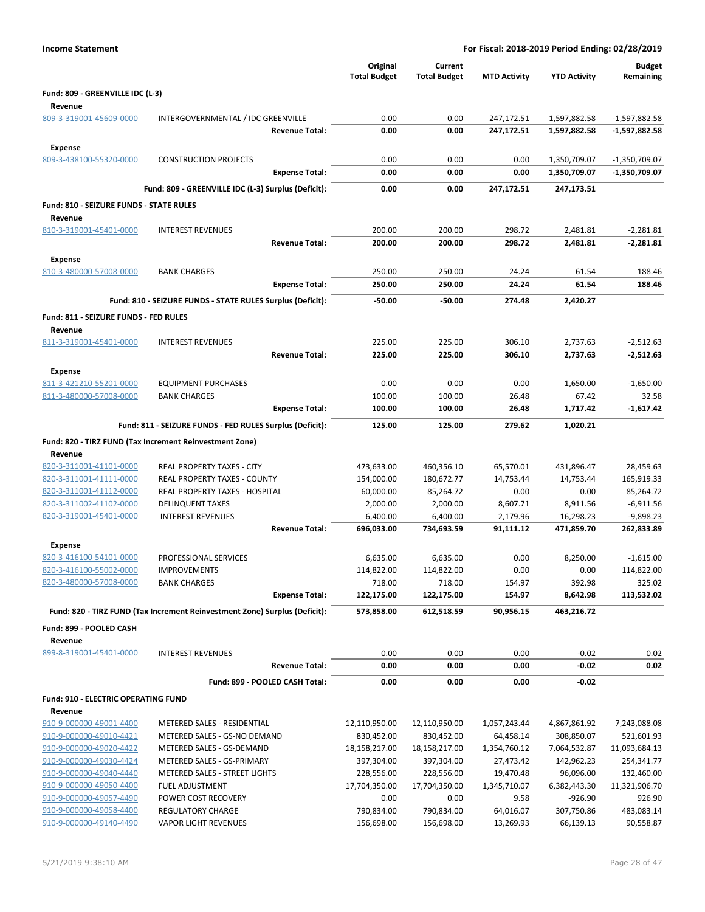| <b>Income Statement</b>                        |                                                                            |                                |                                 |                                | For Fiscal: 2018-2019 Period Ending: 02/28/2019 |                              |                                  |
|------------------------------------------------|----------------------------------------------------------------------------|--------------------------------|---------------------------------|--------------------------------|-------------------------------------------------|------------------------------|----------------------------------|
|                                                |                                                                            |                                | Original<br><b>Total Budget</b> | Current<br><b>Total Budget</b> | <b>MTD Activity</b>                             | <b>YTD Activity</b>          | <b>Budget</b><br>Remaining       |
| Fund: 809 - GREENVILLE IDC (L-3)               |                                                                            |                                |                                 |                                |                                                 |                              |                                  |
| Revenue<br>809-3-319001-45609-0000             | INTERGOVERNMENTAL / IDC GREENVILLE                                         |                                | 0.00                            |                                |                                                 |                              |                                  |
|                                                |                                                                            | <b>Revenue Total:</b>          | 0.00                            | 0.00<br>0.00                   | 247,172.51<br>247,172.51                        | 1,597,882.58<br>1,597,882.58 | $-1,597,882.58$<br>-1,597,882.58 |
|                                                |                                                                            |                                |                                 |                                |                                                 |                              |                                  |
| Expense<br>809-3-438100-55320-0000             | <b>CONSTRUCTION PROJECTS</b>                                               |                                | 0.00                            |                                |                                                 |                              |                                  |
|                                                |                                                                            | <b>Expense Total:</b>          | 0.00                            | 0.00<br>0.00                   | 0.00<br>0.00                                    | 1,350,709.07<br>1,350,709.07 | $-1,350,709.07$<br>-1,350,709.07 |
|                                                |                                                                            |                                |                                 |                                |                                                 |                              |                                  |
|                                                | Fund: 809 - GREENVILLE IDC (L-3) Surplus (Deficit):                        |                                | 0.00                            | 0.00                           | 247,172.51                                      | 247,173.51                   |                                  |
| Fund: 810 - SEIZURE FUNDS - STATE RULES        |                                                                            |                                |                                 |                                |                                                 |                              |                                  |
| Revenue                                        |                                                                            |                                |                                 |                                |                                                 |                              |                                  |
| 810-3-319001-45401-0000                        | <b>INTEREST REVENUES</b>                                                   |                                | 200.00                          | 200.00                         | 298.72                                          | 2,481.81                     | $-2,281.81$                      |
|                                                |                                                                            | <b>Revenue Total:</b>          | 200.00                          | 200.00                         | 298.72                                          | 2,481.81                     | $-2,281.81$                      |
| Expense                                        |                                                                            |                                |                                 |                                |                                                 |                              |                                  |
| 810-3-480000-57008-0000                        | <b>BANK CHARGES</b>                                                        |                                | 250.00                          | 250.00                         | 24.24                                           | 61.54                        | 188.46                           |
|                                                |                                                                            | <b>Expense Total:</b>          | 250.00                          | 250.00                         | 24.24                                           | 61.54                        | 188.46                           |
|                                                | Fund: 810 - SEIZURE FUNDS - STATE RULES Surplus (Deficit):                 |                                | $-50.00$                        | $-50.00$                       | 274.48                                          | 2,420.27                     |                                  |
| Fund: 811 - SEIZURE FUNDS - FED RULES          |                                                                            |                                |                                 |                                |                                                 |                              |                                  |
| Revenue                                        |                                                                            |                                |                                 |                                |                                                 |                              |                                  |
| 811-3-319001-45401-0000                        | <b>INTEREST REVENUES</b>                                                   |                                | 225.00                          | 225.00                         | 306.10                                          | 2,737.63                     | $-2,512.63$                      |
|                                                |                                                                            | <b>Revenue Total:</b>          | 225.00                          | 225.00                         | 306.10                                          | 2,737.63                     | $-2,512.63$                      |
| <b>Expense</b>                                 |                                                                            |                                |                                 |                                |                                                 |                              |                                  |
| 811-3-421210-55201-0000                        | <b>EQUIPMENT PURCHASES</b>                                                 |                                | 0.00                            | 0.00                           | 0.00                                            | 1,650.00                     | $-1,650.00$                      |
| 811-3-480000-57008-0000                        | <b>BANK CHARGES</b>                                                        |                                | 100.00                          | 100.00                         | 26.48                                           | 67.42                        | 32.58                            |
|                                                |                                                                            | <b>Expense Total:</b>          | 100.00                          | 100.00                         | 26.48                                           | 1,717.42                     | $-1,617.42$                      |
|                                                | Fund: 811 - SEIZURE FUNDS - FED RULES Surplus (Deficit):                   |                                | 125.00                          | 125.00                         | 279.62                                          | 1,020.21                     |                                  |
|                                                | Fund: 820 - TIRZ FUND (Tax Increment Reinvestment Zone)                    |                                |                                 |                                |                                                 |                              |                                  |
| Revenue                                        |                                                                            |                                |                                 |                                |                                                 |                              |                                  |
| 820-3-311001-41101-0000                        | REAL PROPERTY TAXES - CITY                                                 |                                | 473,633.00                      | 460,356.10                     | 65,570.01                                       | 431,896.47                   | 28,459.63                        |
| 820-3-311001-41111-0000                        | REAL PROPERTY TAXES - COUNTY                                               |                                | 154,000.00                      | 180,672.77                     | 14,753.44                                       | 14,753.44                    | 165,919.33                       |
| 820-3-311001-41112-0000                        | REAL PROPERTY TAXES - HOSPITAL                                             |                                | 60,000.00                       | 85,264.72                      | 0.00                                            | 0.00                         | 85,264.72                        |
| 820-3-311002-41102-0000                        | <b>DELINQUENT TAXES</b>                                                    |                                | 2,000.00                        | 2,000.00                       | 8,607.71                                        | 8,911.56                     | $-6,911.56$                      |
| 820-3-319001-45401-0000                        | <b>INTEREST REVENUES</b>                                                   |                                | 6,400.00                        | 6,400.00                       | 2,179.96                                        | 16,298.23                    | $-9,898.23$                      |
|                                                |                                                                            | <b>Revenue Total:</b>          | 696,033.00                      | 734,693.59                     | 91,111.12                                       | 471,859.70                   | 262,833.89                       |
| Expense                                        |                                                                            |                                |                                 |                                |                                                 |                              |                                  |
| 820-3-416100-54101-0000                        | PROFESSIONAL SERVICES                                                      |                                | 6,635.00                        | 6,635.00                       | 0.00                                            | 8,250.00                     | $-1,615.00$                      |
| 820-3-416100-55002-0000                        | <b>IMPROVEMENTS</b>                                                        |                                | 114,822.00                      | 114,822.00                     | 0.00                                            | 0.00                         | 114,822.00                       |
| 820-3-480000-57008-0000                        | <b>BANK CHARGES</b>                                                        |                                | 718.00                          | 718.00                         | 154.97                                          | 392.98                       | 325.02                           |
|                                                |                                                                            | <b>Expense Total:</b>          | 122,175.00                      | 122,175.00                     | 154.97                                          | 8,642.98                     | 113,532.02                       |
|                                                | Fund: 820 - TIRZ FUND (Tax Increment Reinvestment Zone) Surplus (Deficit): |                                | 573,858.00                      | 612,518.59                     | 90,956.15                                       | 463,216.72                   |                                  |
| Fund: 899 - POOLED CASH                        |                                                                            |                                |                                 |                                |                                                 |                              |                                  |
| Revenue                                        |                                                                            |                                |                                 |                                |                                                 |                              |                                  |
| 899-8-319001-45401-0000                        | <b>INTEREST REVENUES</b>                                                   |                                | 0.00                            | 0.00                           | 0.00                                            | $-0.02$                      | 0.02                             |
|                                                |                                                                            | <b>Revenue Total:</b>          | 0.00                            | 0.00                           | 0.00                                            | $-0.02$                      | 0.02                             |
|                                                |                                                                            | Fund: 899 - POOLED CASH Total: | 0.00                            | 0.00                           | 0.00                                            | $-0.02$                      |                                  |
|                                                |                                                                            |                                |                                 |                                |                                                 |                              |                                  |
| Fund: 910 - ELECTRIC OPERATING FUND<br>Revenue |                                                                            |                                |                                 |                                |                                                 |                              |                                  |
| 910-9-000000-49001-4400                        | METERED SALES - RESIDENTIAL                                                |                                | 12,110,950.00                   | 12,110,950.00                  | 1,057,243.44                                    | 4,867,861.92                 | 7,243,088.08                     |
| 910-9-000000-49010-4421                        | METERED SALES - GS-NO DEMAND                                               |                                | 830,452.00                      | 830,452.00                     | 64,458.14                                       | 308,850.07                   | 521,601.93                       |
| 910-9-000000-49020-4422                        | METERED SALES - GS-DEMAND                                                  |                                | 18,158,217.00                   | 18,158,217.00                  | 1,354,760.12                                    | 7,064,532.87                 | 11,093,684.13                    |
| 910-9-000000-49030-4424                        | METERED SALES - GS-PRIMARY                                                 |                                | 397,304.00                      | 397,304.00                     | 27,473.42                                       | 142,962.23                   | 254,341.77                       |
| 910-9-000000-49040-4440                        | METERED SALES - STREET LIGHTS                                              |                                | 228,556.00                      | 228,556.00                     | 19,470.48                                       | 96,096.00                    | 132,460.00                       |
| 910-9-000000-49050-4400                        | <b>FUEL ADJUSTMENT</b>                                                     |                                | 17,704,350.00                   | 17,704,350.00                  | 1,345,710.07                                    | 6,382,443.30                 | 11,321,906.70                    |
| 910-9-000000-49057-4490                        | POWER COST RECOVERY                                                        |                                | 0.00                            | 0.00                           | 9.58                                            | $-926.90$                    | 926.90                           |
| 910-9-000000-49058-4400                        | <b>REGULATORY CHARGE</b>                                                   |                                | 790,834.00                      | 790,834.00                     | 64,016.07                                       | 307,750.86                   | 483,083.14                       |
| 910-9-000000-49140-4490                        | <b>VAPOR LIGHT REVENUES</b>                                                |                                | 156,698.00                      | 156,698.00                     | 13,269.93                                       | 66,139.13                    | 90,558.87                        |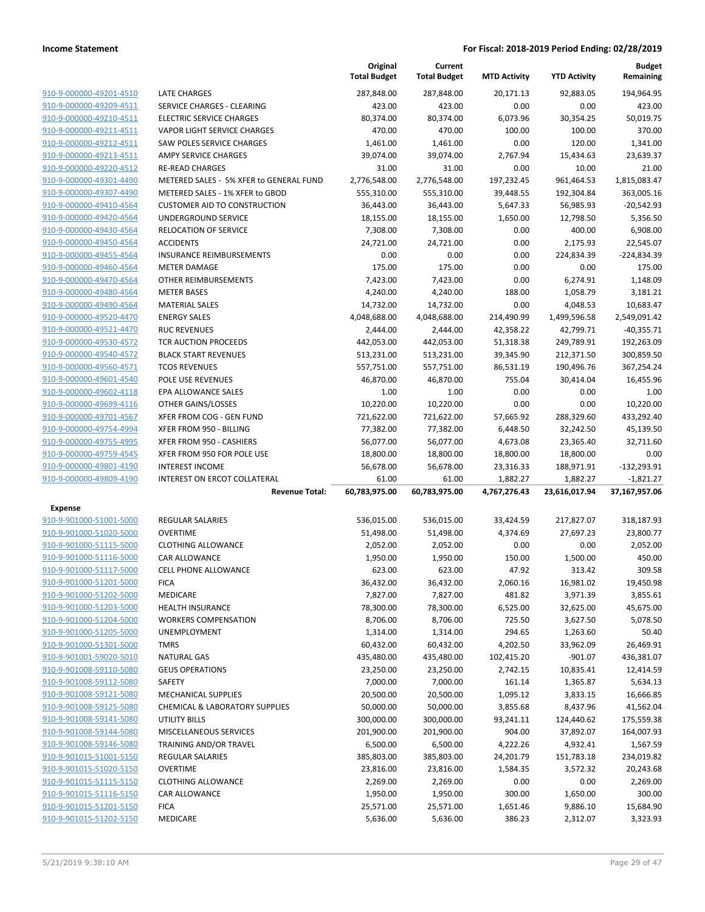|                                                    |                                            | Original<br><b>Total Budget</b> | Current<br><b>Total Budget</b> | <b>MTD Activity</b> | <b>YTD Activity</b>    | <b>Budget</b><br>Remaining |
|----------------------------------------------------|--------------------------------------------|---------------------------------|--------------------------------|---------------------|------------------------|----------------------------|
| 910-9-000000-49201-4510                            | <b>LATE CHARGES</b>                        | 287,848.00                      | 287,848.00                     | 20,171.13           | 92,883.05              | 194,964.95                 |
| 910-9-000000-49209-4511                            | <b>SERVICE CHARGES - CLEARING</b>          | 423.00                          | 423.00                         | 0.00                | 0.00                   | 423.00                     |
| 910-9-000000-49210-4511                            | <b>ELECTRIC SERVICE CHARGES</b>            | 80,374.00                       | 80,374.00                      | 6,073.96            | 30,354.25              | 50,019.75                  |
| 910-9-000000-49211-4511                            | <b>VAPOR LIGHT SERVICE CHARGES</b>         | 470.00                          | 470.00                         | 100.00              | 100.00                 | 370.00                     |
| 910-9-000000-49212-4511                            | SAW POLES SERVICE CHARGES                  | 1,461.00                        | 1,461.00                       | 0.00                | 120.00                 | 1,341.00                   |
| 910-9-000000-49213-4511                            | <b>AMPY SERVICE CHARGES</b>                | 39,074.00                       | 39,074.00                      | 2,767.94            | 15,434.63              | 23,639.37                  |
| 910-9-000000-49220-4512                            | <b>RE-READ CHARGES</b>                     | 31.00                           | 31.00                          | 0.00                | 10.00                  | 21.00                      |
| 910-9-000000-49301-4490                            | METERED SALES - 5% XFER to GENERAL FUND    | 2,776,548.00                    | 2,776,548.00                   | 197,232.45          | 961,464.53             | 1,815,083.47               |
| 910-9-000000-49307-4490                            | METERED SALES - 1% XFER to GBOD            | 555,310.00                      | 555,310.00                     | 39,448.55           | 192,304.84             | 363,005.16                 |
| 910-9-000000-49410-4564                            | <b>CUSTOMER AID TO CONSTRUCTION</b>        | 36,443.00                       | 36,443.00                      | 5,647.33            | 56,985.93              | $-20,542.93$               |
| 910-9-000000-49420-4564                            | UNDERGROUND SERVICE                        | 18,155.00                       | 18,155.00                      | 1,650.00            | 12,798.50              | 5,356.50                   |
| 910-9-000000-49430-4564                            | RELOCATION OF SERVICE                      | 7,308.00                        | 7,308.00                       | 0.00                | 400.00                 | 6,908.00                   |
| 910-9-000000-49450-4564                            | <b>ACCIDENTS</b>                           | 24,721.00                       | 24,721.00                      | 0.00                | 2,175.93               | 22,545.07                  |
| 910-9-000000-49455-4564                            | <b>INSURANCE REIMBURSEMENTS</b>            | 0.00                            | 0.00                           | 0.00                | 224,834.39             | -224,834.39                |
| 910-9-000000-49460-4564                            | <b>METER DAMAGE</b>                        | 175.00                          | 175.00                         | 0.00                | 0.00                   | 175.00                     |
| 910-9-000000-49470-4564                            | OTHER REIMBURSEMENTS                       | 7,423.00                        | 7,423.00                       | 0.00                | 6,274.91               | 1,148.09                   |
| 910-9-000000-49480-4564                            | <b>METER BASES</b>                         | 4,240.00                        | 4,240.00                       | 188.00              | 1,058.79               | 3,181.21                   |
| 910-9-000000-49490-4564                            | <b>MATERIAL SALES</b>                      | 14,732.00                       | 14,732.00                      | 0.00                | 4,048.53               | 10,683.47                  |
| 910-9-000000-49520-4470                            | <b>ENERGY SALES</b>                        | 4,048,688.00                    | 4,048,688.00                   | 214,490.99          | 1,499,596.58           | 2,549,091.42               |
| 910-9-000000-49521-4470                            | <b>RUC REVENUES</b>                        | 2,444.00                        | 2,444.00                       | 42,358.22           | 42,799.71              | $-40,355.71$               |
| 910-9-000000-49530-4572                            | TCR AUCTION PROCEEDS                       | 442,053.00                      | 442,053.00                     | 51,318.38           | 249,789.91             | 192,263.09                 |
| 910-9-000000-49540-4572                            | <b>BLACK START REVENUES</b>                | 513,231.00                      | 513,231.00                     | 39,345.90           | 212,371.50             | 300,859.50                 |
| 910-9-000000-49560-4571                            | <b>TCOS REVENUES</b>                       | 557,751.00                      | 557,751.00                     | 86,531.19           | 190,496.76             | 367,254.24                 |
| 910-9-000000-49601-4540                            | <b>POLE USE REVENUES</b>                   | 46,870.00                       | 46,870.00                      | 755.04              | 30,414.04              | 16,455.96                  |
| 910-9-000000-49602-4118                            | EPA ALLOWANCE SALES                        | 1.00                            | 1.00                           | 0.00                | 0.00                   | 1.00                       |
| 910-9-000000-49699-4116                            | OTHER GAINS/LOSSES                         | 10,220.00                       | 10,220.00                      | 0.00                | 0.00                   | 10,220.00                  |
| 910-9-000000-49701-4567                            | XFER FROM COG - GEN FUND                   | 721,622.00                      | 721,622.00                     | 57,665.92           | 288,329.60             | 433,292.40                 |
| 910-9-000000-49754-4994                            | XFER FROM 950 - BILLING                    | 77,382.00                       | 77,382.00                      | 6,448.50            | 32,242.50              | 45,139.50                  |
| 910-9-000000-49755-4995                            | XFER FROM 950 - CASHIERS                   | 56,077.00                       | 56,077.00                      | 4,673.08            | 23,365.40              | 32,711.60                  |
| 910-9-000000-49759-4545                            | XFER FROM 950 FOR POLE USE                 | 18,800.00                       | 18,800.00                      | 18,800.00           | 18,800.00              | 0.00                       |
| 910-9-000000-49801-4190                            | <b>INTEREST INCOME</b>                     | 56,678.00                       | 56,678.00                      | 23,316.33           | 188,971.91             | $-132,293.91$              |
| 910-9-000000-49809-4190                            | INTEREST ON ERCOT COLLATERAL               | 61.00                           | 61.00                          | 1,882.27            | 1,882.27               | $-1,821.27$                |
|                                                    | <b>Revenue Total:</b>                      | 60,783,975.00                   | 60,783,975.00                  | 4,767,276.43        | 23,616,017.94          | 37,167,957.06              |
| <b>Expense</b>                                     |                                            |                                 |                                |                     |                        |                            |
| 910-9-901000-51001-5000                            | <b>REGULAR SALARIES</b>                    | 536,015.00                      | 536,015.00                     | 33,424.59           | 217,827.07             | 318,187.93                 |
| 910-9-901000-51020-5000                            | <b>OVERTIME</b>                            | 51,498.00                       | 51,498.00                      | 4,374.69            | 27,697.23              | 23,800.77                  |
| 910-9-901000-51115-5000                            | <b>CLOTHING ALLOWANCE</b>                  | 2,052.00                        | 2,052.00                       | 0.00                | 0.00                   | 2,052.00                   |
| 910-9-901000-51116-5000                            | CAR ALLOWANCE                              | 1,950.00                        | 1,950.00                       | 150.00              | 1,500.00               | 450.00                     |
| 910-9-901000-51117-5000                            | <b>CELL PHONE ALLOWANCE</b>                | 623.00                          | 623.00                         | 47.92               | 313.42                 | 309.58                     |
| 910-9-901000-51201-5000                            | <b>FICA</b>                                | 36,432.00                       | 36,432.00                      | 2,060.16            | 16,981.02              | 19,450.98                  |
| 910-9-901000-51202-5000                            | MEDICARE                                   | 7,827.00                        | 7,827.00                       | 481.82              | 3,971.39               | 3,855.61                   |
| 910-9-901000-51203-5000                            | <b>HEALTH INSURANCE</b>                    | 78,300.00                       | 78,300.00                      | 6,525.00            | 32,625.00              | 45,675.00                  |
| 910-9-901000-51204-5000                            | <b>WORKERS COMPENSATION</b>                | 8,706.00                        | 8,706.00                       | 725.50              | 3,627.50               | 5,078.50                   |
| 910-9-901000-51205-5000                            | <b>UNEMPLOYMENT</b>                        | 1,314.00                        | 1,314.00                       | 294.65              | 1,263.60               | 50.40                      |
| 910-9-901000-51301-5000                            | <b>TMRS</b>                                | 60,432.00                       | 60,432.00                      | 4,202.50            | 33,962.09              | 26,469.91                  |
| 910-9-901001-59020-5010<br>910-9-901008-59110-5080 | <b>NATURAL GAS</b>                         | 435,480.00                      | 435,480.00                     | 102,415.20          | $-901.07$              | 436,381.07                 |
|                                                    | <b>GEUS OPERATIONS</b>                     | 23,250.00                       | 23,250.00                      | 2,742.15            | 10,835.41              | 12,414.59                  |
| 910-9-901008-59112-5080<br>910-9-901008-59121-5080 | SAFETY<br><b>MECHANICAL SUPPLIES</b>       | 7,000.00                        | 7,000.00                       | 161.14              | 1,365.87               | 5,634.13                   |
| 910-9-901008-59125-5080                            | <b>CHEMICAL &amp; LABORATORY SUPPLIES</b>  | 20,500.00                       | 20,500.00                      | 1,095.12            | 3,833.15<br>8,437.96   | 16,666.85                  |
|                                                    |                                            | 50,000.00                       | 50,000.00                      | 3,855.68            |                        | 41,562.04                  |
| 910-9-901008-59141-5080<br>910-9-901008-59144-5080 | UTILITY BILLS<br>MISCELLANEOUS SERVICES    | 300,000.00                      | 300,000.00                     | 93,241.11           | 124,440.62             | 175,559.38                 |
| 910-9-901008-59146-5080                            | TRAINING AND/OR TRAVEL                     | 201,900.00<br>6,500.00          | 201,900.00<br>6,500.00         | 904.00<br>4,222.26  | 37,892.07              | 164,007.93<br>1,567.59     |
| 910-9-901015-51001-5150                            | <b>REGULAR SALARIES</b>                    | 385,803.00                      | 385,803.00                     | 24,201.79           | 4,932.41<br>151,783.18 | 234,019.82                 |
| 910-9-901015-51020-5150                            | <b>OVERTIME</b>                            | 23,816.00                       |                                | 1,584.35            | 3,572.32               | 20,243.68                  |
| 910-9-901015-51115-5150                            |                                            |                                 | 23,816.00                      |                     |                        |                            |
| 910-9-901015-51116-5150                            | <b>CLOTHING ALLOWANCE</b><br>CAR ALLOWANCE | 2,269.00<br>1,950.00            | 2,269.00<br>1,950.00           | 0.00<br>300.00      | 0.00                   | 2,269.00<br>300.00         |
| 910-9-901015-51201-5150                            | <b>FICA</b>                                | 25,571.00                       | 25,571.00                      | 1,651.46            | 1,650.00<br>9,886.10   | 15,684.90                  |
| 910-9-901015-51202-5150                            | MEDICARE                                   | 5,636.00                        | 5,636.00                       | 386.23              | 2,312.07               | 3,323.93                   |
|                                                    |                                            |                                 |                                |                     |                        |                            |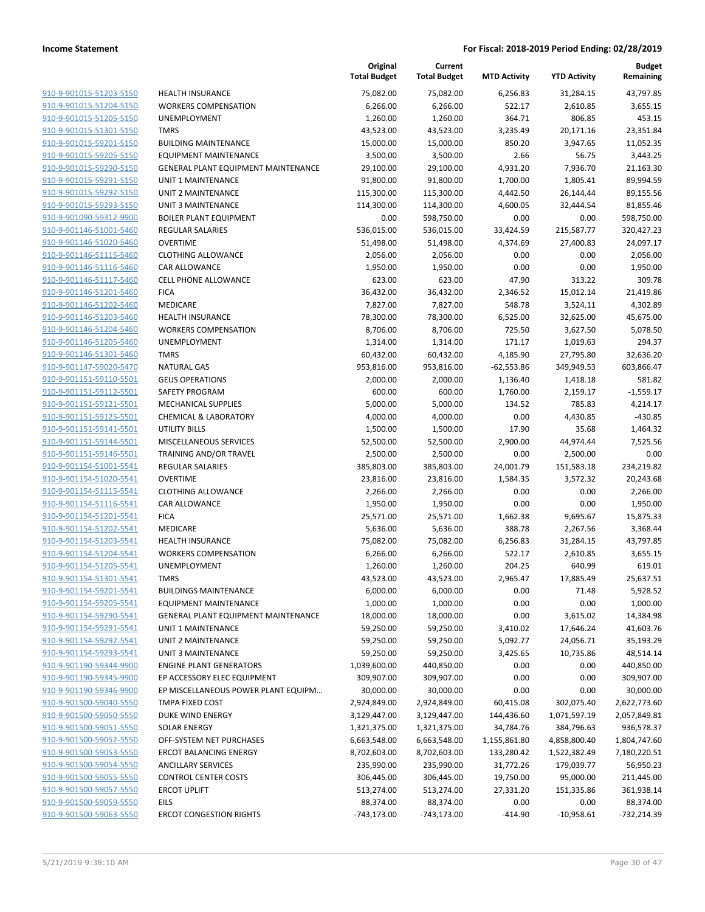|                         |                                            | Original<br><b>Total Budget</b> | Current<br><b>Total Budget</b> | <b>MTD Activity</b> | <b>YTD Activity</b> | <b>Budget</b><br>Remaining |
|-------------------------|--------------------------------------------|---------------------------------|--------------------------------|---------------------|---------------------|----------------------------|
| 910-9-901015-51203-5150 | <b>HEALTH INSURANCE</b>                    | 75,082.00                       | 75,082.00                      | 6,256.83            | 31,284.15           | 43,797.85                  |
| 910-9-901015-51204-5150 | <b>WORKERS COMPENSATION</b>                | 6,266.00                        | 6,266.00                       | 522.17              | 2,610.85            | 3,655.15                   |
| 910-9-901015-51205-5150 | UNEMPLOYMENT                               | 1,260.00                        | 1,260.00                       | 364.71              | 806.85              | 453.15                     |
| 910-9-901015-51301-5150 | <b>TMRS</b>                                | 43,523.00                       | 43,523.00                      | 3,235.49            | 20,171.16           | 23,351.84                  |
| 910-9-901015-59201-5150 | <b>BUILDING MAINTENANCE</b>                | 15,000.00                       | 15,000.00                      | 850.20              | 3,947.65            | 11,052.35                  |
| 910-9-901015-59205-5150 | <b>EQUIPMENT MAINTENANCE</b>               | 3,500.00                        | 3,500.00                       | 2.66                | 56.75               | 3,443.25                   |
| 910-9-901015-59290-5150 | GENERAL PLANT EQUIPMENT MAINTENANCE        | 29,100.00                       | 29,100.00                      | 4,931.20            | 7,936.70            | 21,163.30                  |
| 910-9-901015-59291-5150 | UNIT 1 MAINTENANCE                         | 91,800.00                       | 91,800.00                      | 1,700.00            | 1,805.41            | 89,994.59                  |
| 910-9-901015-59292-5150 | <b>UNIT 2 MAINTENANCE</b>                  | 115,300.00                      | 115,300.00                     | 4,442.50            | 26,144.44           | 89,155.56                  |
| 910-9-901015-59293-5150 | <b>UNIT 3 MAINTENANCE</b>                  | 114,300.00                      | 114,300.00                     | 4,600.05            | 32,444.54           | 81,855.46                  |
| 910-9-901090-59312-9900 | <b>BOILER PLANT EQUIPMENT</b>              | 0.00                            | 598,750.00                     | 0.00                | 0.00                | 598,750.00                 |
| 910-9-901146-51001-5460 | REGULAR SALARIES                           | 536,015.00                      | 536,015.00                     | 33,424.59           | 215,587.77          | 320,427.23                 |
| 910-9-901146-51020-5460 | <b>OVERTIME</b>                            | 51,498.00                       | 51,498.00                      | 4,374.69            | 27,400.83           | 24,097.17                  |
| 910-9-901146-51115-5460 | <b>CLOTHING ALLOWANCE</b>                  | 2,056.00                        | 2,056.00                       | 0.00                | 0.00                | 2,056.00                   |
| 910-9-901146-51116-5460 | <b>CAR ALLOWANCE</b>                       | 1,950.00                        | 1,950.00                       | 0.00                | 0.00                | 1,950.00                   |
| 910-9-901146-51117-5460 | <b>CELL PHONE ALLOWANCE</b>                | 623.00                          | 623.00                         | 47.90               | 313.22              | 309.78                     |
| 910-9-901146-51201-5460 | <b>FICA</b>                                | 36,432.00                       | 36,432.00                      | 2,346.52            | 15,012.14           | 21,419.86                  |
| 910-9-901146-51202-5460 | MEDICARE                                   | 7,827.00                        | 7,827.00                       | 548.78              | 3,524.11            | 4,302.89                   |
| 910-9-901146-51203-5460 | <b>HEALTH INSURANCE</b>                    | 78,300.00                       | 78,300.00                      | 6,525.00            | 32,625.00           | 45,675.00                  |
| 910-9-901146-51204-5460 | <b>WORKERS COMPENSATION</b>                | 8,706.00                        | 8,706.00                       | 725.50              | 3,627.50            | 5,078.50                   |
| 910-9-901146-51205-5460 | <b>UNEMPLOYMENT</b>                        | 1,314.00                        | 1,314.00                       | 171.17              | 1,019.63            | 294.37                     |
| 910-9-901146-51301-5460 | <b>TMRS</b>                                | 60,432.00                       | 60,432.00                      | 4,185.90            | 27,795.80           | 32,636.20                  |
| 910-9-901147-59020-5470 | <b>NATURAL GAS</b>                         | 953,816.00                      | 953,816.00                     | $-62,553.86$        | 349,949.53          | 603,866.47                 |
| 910-9-901151-59110-5501 | <b>GEUS OPERATIONS</b>                     | 2,000.00                        | 2,000.00                       | 1,136.40            | 1,418.18            | 581.82                     |
| 910-9-901151-59112-5501 | SAFETY PROGRAM                             | 600.00                          | 600.00                         | 1,760.00            | 2,159.17            | $-1,559.17$                |
| 910-9-901151-59121-5501 | MECHANICAL SUPPLIES                        | 5,000.00                        | 5,000.00                       | 134.52              | 785.83              | 4,214.17                   |
| 910-9-901151-59125-5501 | <b>CHEMICAL &amp; LABORATORY</b>           | 4,000.00                        | 4,000.00                       | 0.00                | 4,430.85            | $-430.85$                  |
| 910-9-901151-59141-5501 | <b>UTILITY BILLS</b>                       | 1,500.00                        | 1,500.00                       | 17.90               | 35.68               | 1,464.32                   |
| 910-9-901151-59144-5501 | MISCELLANEOUS SERVICES                     | 52,500.00                       | 52,500.00                      | 2,900.00            | 44,974.44           | 7,525.56                   |
| 910-9-901151-59146-5501 | TRAINING AND/OR TRAVEL                     | 2,500.00                        | 2,500.00                       | 0.00                | 2,500.00            | 0.00                       |
| 910-9-901154-51001-5541 | REGULAR SALARIES                           | 385,803.00                      | 385,803.00                     | 24,001.79           | 151,583.18          | 234,219.82                 |
| 910-9-901154-51020-5541 | <b>OVERTIME</b>                            | 23,816.00                       | 23,816.00                      | 1,584.35            | 3,572.32            | 20,243.68                  |
| 910-9-901154-51115-5541 | <b>CLOTHING ALLOWANCE</b>                  | 2,266.00                        | 2,266.00                       | 0.00                | 0.00                | 2,266.00                   |
| 910-9-901154-51116-5541 | <b>CAR ALLOWANCE</b>                       | 1,950.00                        | 1,950.00                       | 0.00                | 0.00                | 1,950.00                   |
| 910-9-901154-51201-5541 | <b>FICA</b>                                | 25,571.00                       | 25,571.00                      | 1,662.38            | 9,695.67            | 15,875.33                  |
| 910-9-901154-51202-5541 | <b>MEDICARE</b>                            | 5,636.00                        | 5,636.00                       | 388.78              | 2,267.56            | 3,368.44                   |
| 910-9-901154-51203-5541 | <b>HEALTH INSURANCE</b>                    | 75,082.00                       | 75,082.00                      | 6,256.83            | 31,284.15           | 43,797.85                  |
| 910-9-901154-51204-5541 | <b>WORKERS COMPENSATION</b>                | 6,266.00                        | 6,266.00                       | 522.17              | 2,610.85            | 3,655.15                   |
| 910-9-901154-51205-5541 | UNEMPLOYMENT                               | 1,260.00                        | 1,260.00                       | 204.25              | 640.99              | 619.01                     |
| 910-9-901154-51301-5541 | <b>TMRS</b>                                | 43,523.00                       | 43,523.00                      | 2,965.47            | 17,885.49           | 25,637.51                  |
| 910-9-901154-59201-5541 | <b>BUILDINGS MAINTENANCE</b>               | 6,000.00                        | 6,000.00                       | 0.00                | 71.48               | 5,928.52                   |
| 910-9-901154-59205-5541 | <b>EQUIPMENT MAINTENANCE</b>               | 1,000.00                        | 1,000.00                       | 0.00                | 0.00                | 1,000.00                   |
| 910-9-901154-59290-5541 | <b>GENERAL PLANT EQUIPMENT MAINTENANCE</b> | 18,000.00                       | 18,000.00                      | 0.00                | 3,615.02            | 14,384.98                  |
| 910-9-901154-59291-5541 | UNIT 1 MAINTENANCE                         | 59,250.00                       | 59,250.00                      | 3,410.02            | 17,646.24           | 41,603.76                  |
| 910-9-901154-59292-5541 | UNIT 2 MAINTENANCE                         | 59,250.00                       | 59,250.00                      | 5,092.77            | 24,056.71           | 35,193.29                  |
| 910-9-901154-59293-5541 | UNIT 3 MAINTENANCE                         | 59,250.00                       | 59,250.00                      | 3,425.65            | 10,735.86           | 48,514.14                  |
| 910-9-901190-59344-9900 | <b>ENGINE PLANT GENERATORS</b>             | 1,039,600.00                    | 440,850.00                     | 0.00                | 0.00                | 440,850.00                 |
| 910-9-901190-59345-9900 | EP ACCESSORY ELEC EQUIPMENT                | 309,907.00                      | 309,907.00                     | 0.00                | 0.00                | 309,907.00                 |
| 910-9-901190-59346-9900 | EP MISCELLANEOUS POWER PLANT EQUIPM        | 30,000.00                       | 30,000.00                      | 0.00                | 0.00                | 30,000.00                  |
| 910-9-901500-59040-5550 | TMPA FIXED COST                            | 2,924,849.00                    | 2,924,849.00                   | 60,415.08           | 302,075.40          | 2,622,773.60               |
| 910-9-901500-59050-5550 | DUKE WIND ENERGY                           | 3,129,447.00                    | 3,129,447.00                   | 144,436.60          | 1,071,597.19        | 2,057,849.81               |
| 910-9-901500-59051-5550 | <b>SOLAR ENERGY</b>                        | 1,321,375.00                    | 1,321,375.00                   | 34,784.76           | 384,796.63          | 936,578.37                 |
| 910-9-901500-59052-5550 | OFF-SYSTEM NET PURCHASES                   | 6,663,548.00                    | 6,663,548.00                   | 1,155,861.80        | 4,858,800.40        | 1,804,747.60               |
| 910-9-901500-59053-5550 | <b>ERCOT BALANCING ENERGY</b>              | 8,702,603.00                    | 8,702,603.00                   | 133,280.42          | 1,522,382.49        | 7,180,220.51               |
| 910-9-901500-59054-5550 | <b>ANCILLARY SERVICES</b>                  | 235,990.00                      | 235,990.00                     | 31,772.26           | 179,039.77          | 56,950.23                  |
| 910-9-901500-59055-5550 | <b>CONTROL CENTER COSTS</b>                | 306,445.00                      | 306,445.00                     | 19,750.00           | 95,000.00           | 211,445.00                 |
| 910-9-901500-59057-5550 | <b>ERCOT UPLIFT</b>                        | 513,274.00                      | 513,274.00                     | 27,331.20           | 151,335.86          | 361,938.14                 |
| 910-9-901500-59059-5550 | EILS                                       | 88,374.00                       | 88,374.00                      | 0.00                | 0.00                | 88,374.00                  |
| 910-9-901500-59063-5550 | <b>ERCOT CONGESTION RIGHTS</b>             | $-743,173.00$                   | $-743,173.00$                  | $-414.90$           | $-10,958.61$        | -732,214.39                |
|                         |                                            |                                 |                                |                     |                     |                            |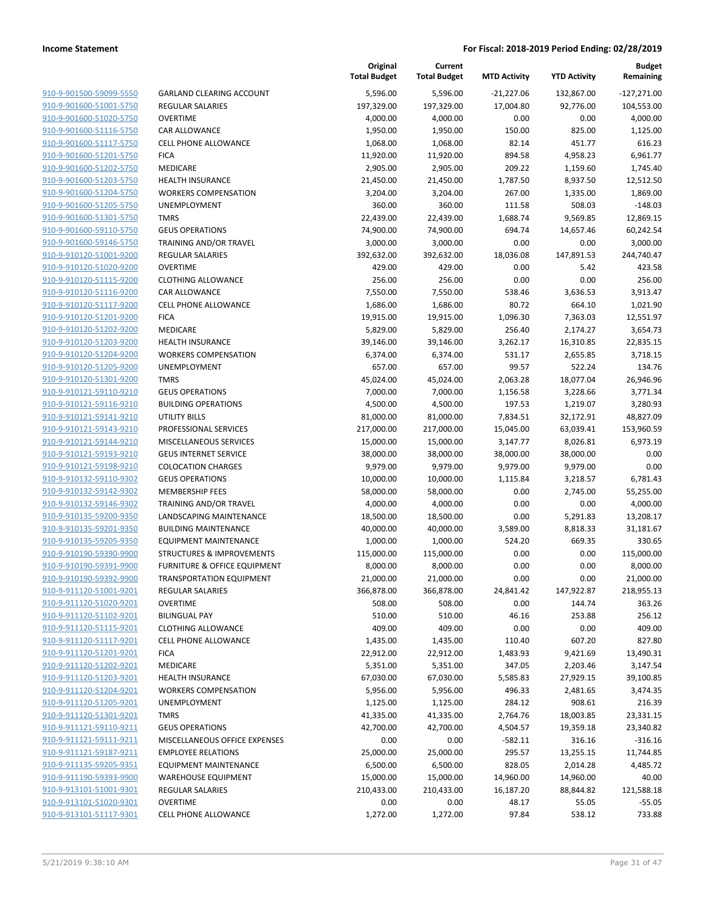| 910-9-901500-59099-5550        |
|--------------------------------|
| 910-9-901600-51001-5750        |
| 910-9-901600-51020-5750        |
| 910-9-901600-51116-5750        |
| <u>910-9-901600-51117-5750</u> |
| 910-9-901600-51201-5750        |
| 910-9-901600-51202-5750        |
| 910-9-901600-51203-5750        |
| 910-9-901600-51204-5750        |
| 910-9-901600-51205-5750        |
| 910-9-901600-51301-5750        |
| 910-9-901600-59110-5750        |
| 910-9-901600-59146-5750        |
| 910-9-910120-51001-9200        |
|                                |
| <u>910-9-910120-51020-9200</u> |
| 910-9-910120-51115-9200        |
| 910-9-910120-51116-9200        |
| 910-9-910120-51117-9200        |
| 910-9-910120-51201-9200        |
| <u>910-9-910120-51202-9200</u> |
| 910-9-910120-51203-9200        |
| 910-9-910120-51204-9200        |
| 910-9-910120-51205-9200        |
| 910-9-910120-51301-9200        |
| <u>910-9-910121-59110-9210</u> |
| 910-9-910121-59116-9210        |
| 910-9-910121-59141-9210        |
| 910-9-910121-59143-9210        |
| 910-9-910121-59144-9210        |
| <u>910-9-910121-59193-9210</u> |
| 910-9-910121-59198-9210        |
| 910-9-910132-59110-9302        |
|                                |
| 910-9-910132-59142-9302        |
| 910-9-910132-59146-9302        |
| <u>910-9-910135-59200-9350</u> |
| 910-9-910135-59201-9350        |
| 910-9-910135-59205-9350        |
| 910-9-910190-59390-9900        |
| 910-9-910190-59391-9900        |
| 910-9-910190-59392-9900        |
| 910-9-911120-51001-9201        |
| 910-9-911120-51020-9201        |
| 910-9-911120-51102-9201        |
| 910-9-911120-51115-9201        |
| <u>910-9-911120-51117-9201</u> |
| <u>910-9-911120-51201-9201</u> |
| <u>910-9-911120-51202-9201</u> |
| 910-9-911120-51203-9201        |
|                                |
| <u>910-9-911120-51204-9201</u> |
| 910-9-911120-51205-9201        |
| <u>910-9-911120-51301-9201</u> |
| 910-9-911121-59110-9211        |
| 910-9-911121-59111-9211        |
| 910-9-911121-59187-9211        |
| <u>910-9-911135-59205-9351</u> |
| <u>910-9-911190-59393-9900</u> |
| 910-9-913101-51001-9301        |
| 910-9-913101-51020-9301        |
| <u>910-9-913101-51117-9301</u> |
|                                |

|                         |                                         | Original<br><b>Total Budget</b> | Current<br><b>Total Budget</b> | <b>MTD Activity</b> | <b>YTD Activity</b> | <b>Budget</b><br>Remaining |
|-------------------------|-----------------------------------------|---------------------------------|--------------------------------|---------------------|---------------------|----------------------------|
| 910-9-901500-59099-5550 | <b>GARLAND CLEARING ACCOUNT</b>         | 5,596.00                        | 5,596.00                       | $-21,227.06$        | 132,867.00          | $-127,271.00$              |
| 910-9-901600-51001-5750 | <b>REGULAR SALARIES</b>                 | 197,329.00                      | 197,329.00                     | 17,004.80           | 92,776.00           | 104,553.00                 |
| 910-9-901600-51020-5750 | <b>OVERTIME</b>                         | 4,000.00                        | 4,000.00                       | 0.00                | 0.00                | 4,000.00                   |
| 910-9-901600-51116-5750 | <b>CAR ALLOWANCE</b>                    | 1,950.00                        | 1,950.00                       | 150.00              | 825.00              | 1,125.00                   |
| 910-9-901600-51117-5750 | <b>CELL PHONE ALLOWANCE</b>             | 1,068.00                        | 1,068.00                       | 82.14               | 451.77              | 616.23                     |
| 910-9-901600-51201-5750 | <b>FICA</b>                             | 11,920.00                       | 11,920.00                      | 894.58              | 4,958.23            | 6,961.77                   |
| 910-9-901600-51202-5750 | MEDICARE                                | 2,905.00                        | 2,905.00                       | 209.22              | 1,159.60            | 1,745.40                   |
| 910-9-901600-51203-5750 | <b>HEALTH INSURANCE</b>                 | 21,450.00                       | 21,450.00                      | 1,787.50            | 8,937.50            | 12,512.50                  |
| 910-9-901600-51204-5750 | <b>WORKERS COMPENSATION</b>             | 3,204.00                        | 3,204.00                       | 267.00              | 1,335.00            | 1,869.00                   |
| 910-9-901600-51205-5750 | <b>UNEMPLOYMENT</b>                     | 360.00                          | 360.00                         | 111.58              | 508.03              | $-148.03$                  |
| 910-9-901600-51301-5750 | <b>TMRS</b>                             | 22,439.00                       | 22,439.00                      | 1,688.74            | 9,569.85            | 12,869.15                  |
| 910-9-901600-59110-5750 | <b>GEUS OPERATIONS</b>                  | 74,900.00                       | 74,900.00                      | 694.74              | 14,657.46           | 60,242.54                  |
| 910-9-901600-59146-5750 | TRAINING AND/OR TRAVEL                  | 3,000.00                        | 3,000.00                       | 0.00                | 0.00                | 3,000.00                   |
| 910-9-910120-51001-9200 | <b>REGULAR SALARIES</b>                 | 392,632.00                      | 392,632.00                     | 18,036.08           | 147,891.53          | 244,740.47                 |
| 910-9-910120-51020-9200 | <b>OVERTIME</b>                         | 429.00                          | 429.00                         | 0.00                | 5.42                | 423.58                     |
| 910-9-910120-51115-9200 | <b>CLOTHING ALLOWANCE</b>               | 256.00                          | 256.00                         | 0.00                | 0.00                | 256.00                     |
| 910-9-910120-51116-9200 | CAR ALLOWANCE                           | 7,550.00                        | 7,550.00                       | 538.46              | 3,636.53            | 3,913.47                   |
| 910-9-910120-51117-9200 | <b>CELL PHONE ALLOWANCE</b>             | 1,686.00                        | 1,686.00                       | 80.72               | 664.10              | 1,021.90                   |
| 910-9-910120-51201-9200 | <b>FICA</b>                             | 19,915.00                       | 19,915.00                      | 1,096.30            | 7,363.03            | 12,551.97                  |
| 910-9-910120-51202-9200 | MEDICARE                                | 5,829.00                        | 5,829.00                       | 256.40              | 2,174.27            | 3,654.73                   |
| 910-9-910120-51203-9200 | <b>HEALTH INSURANCE</b>                 | 39,146.00                       | 39,146.00                      | 3,262.17            | 16,310.85           | 22,835.15                  |
| 910-9-910120-51204-9200 | <b>WORKERS COMPENSATION</b>             | 6,374.00                        | 6,374.00                       | 531.17              | 2,655.85            | 3,718.15                   |
| 910-9-910120-51205-9200 | UNEMPLOYMENT                            | 657.00                          | 657.00                         | 99.57               | 522.24              | 134.76                     |
| 910-9-910120-51301-9200 | <b>TMRS</b>                             | 45,024.00                       | 45,024.00                      | 2,063.28            | 18,077.04           | 26,946.96                  |
| 910-9-910121-59110-9210 | <b>GEUS OPERATIONS</b>                  | 7,000.00                        | 7,000.00                       | 1,156.58            | 3,228.66            | 3,771.34                   |
| 910-9-910121-59116-9210 | <b>BUILDING OPERATIONS</b>              | 4,500.00                        | 4,500.00                       | 197.53              | 1,219.07            | 3,280.93                   |
| 910-9-910121-59141-9210 | UTILITY BILLS                           | 81,000.00                       | 81,000.00                      | 7,834.51            | 32,172.91           | 48,827.09                  |
| 910-9-910121-59143-9210 | PROFESSIONAL SERVICES                   | 217,000.00                      | 217,000.00                     | 15,045.00           | 63,039.41           | 153,960.59                 |
| 910-9-910121-59144-9210 | MISCELLANEOUS SERVICES                  | 15,000.00                       | 15,000.00                      | 3,147.77            | 8,026.81            | 6,973.19                   |
| 910-9-910121-59193-9210 | <b>GEUS INTERNET SERVICE</b>            | 38,000.00                       | 38,000.00                      | 38,000.00           | 38,000.00           | 0.00                       |
| 910-9-910121-59198-9210 | <b>COLOCATION CHARGES</b>               | 9,979.00                        | 9,979.00                       | 9,979.00            | 9,979.00            | 0.00                       |
| 910-9-910132-59110-9302 | <b>GEUS OPERATIONS</b>                  | 10,000.00                       | 10,000.00                      | 1,115.84            | 3,218.57            | 6,781.43                   |
| 910-9-910132-59142-9302 | <b>MEMBERSHIP FEES</b>                  | 58,000.00                       | 58,000.00                      | 0.00                | 2,745.00            | 55,255.00                  |
| 910-9-910132-59146-9302 | TRAINING AND/OR TRAVEL                  | 4,000.00                        | 4,000.00                       | 0.00                | 0.00                | 4,000.00                   |
| 910-9-910135-59200-9350 | LANDSCAPING MAINTENANCE                 | 18,500.00                       | 18,500.00                      | 0.00                | 5,291.83            | 13,208.17                  |
| 910-9-910135-59201-9350 | <b>BUILDING MAINTENANCE</b>             | 40,000.00                       | 40,000.00                      | 3,589.00            | 8,818.33            | 31,181.67                  |
| 910-9-910135-59205-9350 | <b>EQUIPMENT MAINTENANCE</b>            | 1,000.00                        | 1,000.00                       | 524.20              | 669.35              | 330.65                     |
| 910-9-910190-59390-9900 | STRUCTURES & IMPROVEMENTS               | 115,000.00                      | 115,000.00                     | 0.00                | 0.00                | 115,000.00                 |
| 910-9-910190-59391-9900 | <b>FURNITURE &amp; OFFICE EQUIPMENT</b> | 8,000.00                        | 8,000.00                       | 0.00                | 0.00                | 8,000.00                   |
| 910-9-910190-59392-9900 | <b>TRANSPORTATION EQUIPMENT</b>         | 21,000.00                       | 21,000.00                      | 0.00                | 0.00                | 21,000.00                  |
| 910-9-911120-51001-9201 | REGULAR SALARIES                        | 366,878.00                      | 366,878.00                     | 24,841.42           | 147,922.87          | 218,955.13                 |
| 910-9-911120-51020-9201 | <b>OVERTIME</b>                         | 508.00                          | 508.00                         | 0.00                | 144.74              | 363.26                     |
| 910-9-911120-51102-9201 | <b>BILINGUAL PAY</b>                    | 510.00                          | 510.00                         | 46.16               | 253.88              | 256.12                     |
| 910-9-911120-51115-9201 | <b>CLOTHING ALLOWANCE</b>               | 409.00                          | 409.00                         | 0.00                | 0.00                | 409.00                     |
| 910-9-911120-51117-9201 | <b>CELL PHONE ALLOWANCE</b>             | 1,435.00                        | 1,435.00                       | 110.40              | 607.20              | 827.80                     |
| 910-9-911120-51201-9201 | <b>FICA</b>                             | 22,912.00                       | 22,912.00                      | 1,483.93            | 9,421.69            | 13,490.31                  |
| 910-9-911120-51202-9201 | MEDICARE                                | 5,351.00                        | 5,351.00                       | 347.05              | 2,203.46            | 3,147.54                   |
| 910-9-911120-51203-9201 | <b>HEALTH INSURANCE</b>                 | 67,030.00                       | 67,030.00                      | 5,585.83            | 27,929.15           | 39,100.85                  |
| 910-9-911120-51204-9201 | <b>WORKERS COMPENSATION</b>             | 5,956.00                        | 5,956.00                       | 496.33              | 2,481.65            | 3,474.35                   |
| 910-9-911120-51205-9201 | UNEMPLOYMENT                            | 1,125.00                        | 1,125.00                       | 284.12              | 908.61              | 216.39                     |
| 910-9-911120-51301-9201 | <b>TMRS</b>                             | 41,335.00                       | 41,335.00                      | 2,764.76            | 18,003.85           | 23,331.15                  |
| 910-9-911121-59110-9211 | <b>GEUS OPERATIONS</b>                  | 42,700.00                       | 42,700.00                      | 4,504.57            | 19,359.18           | 23,340.82                  |
| 910-9-911121-59111-9211 | MISCELLANEOUS OFFICE EXPENSES           | 0.00                            | 0.00                           | $-582.11$           | 316.16              | $-316.16$                  |
| 910-9-911121-59187-9211 | <b>EMPLOYEE RELATIONS</b>               | 25,000.00                       | 25,000.00                      | 295.57              | 13,255.15           | 11,744.85                  |
| 910-9-911135-59205-9351 | <b>EQUIPMENT MAINTENANCE</b>            | 6,500.00                        | 6,500.00                       | 828.05              | 2,014.28            | 4,485.72                   |
| 910-9-911190-59393-9900 | <b>WAREHOUSE EQUIPMENT</b>              | 15,000.00                       | 15,000.00                      | 14,960.00           | 14,960.00           | 40.00                      |
| 910-9-913101-51001-9301 | REGULAR SALARIES                        | 210,433.00                      | 210,433.00                     | 16,187.20           | 88,844.82           | 121,588.18                 |
| 910-9-913101-51020-9301 | <b>OVERTIME</b>                         | 0.00                            | 0.00                           | 48.17               | 55.05               | $-55.05$                   |
| 910-9-913101-51117-9301 | <b>CELL PHONE ALLOWANCE</b>             | 1,272.00                        | 1,272.00                       | 97.84               | 538.12              | 733.88                     |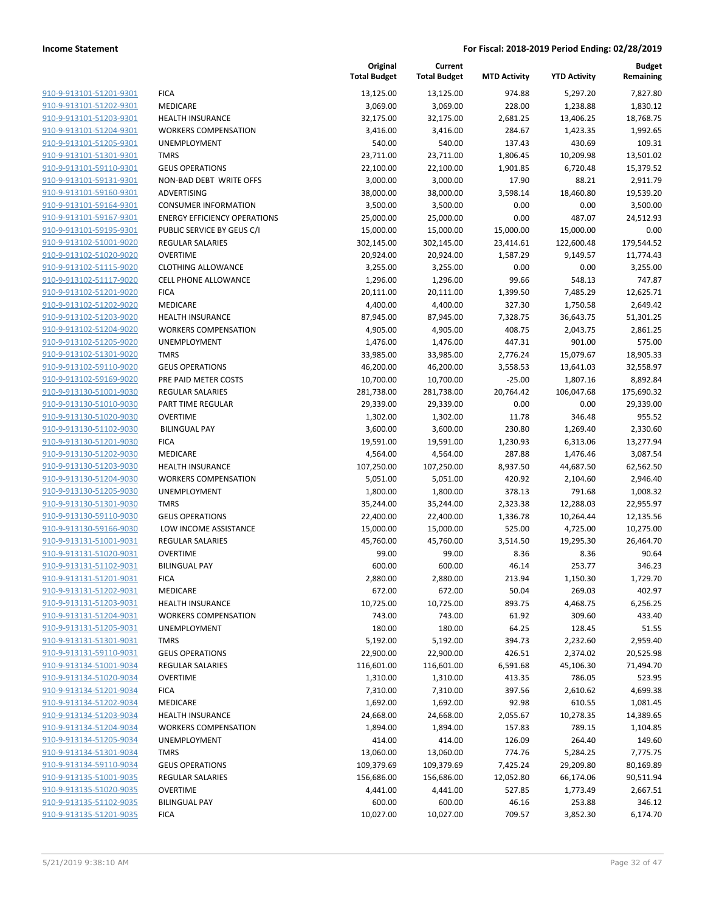|                                                    |                                                        | Original<br><b>Total Budget</b> | Current<br><b>Total Budget</b> | <b>MTD Activity</b> | <b>YTD Activity</b> | <b>Budget</b><br>Remaining |
|----------------------------------------------------|--------------------------------------------------------|---------------------------------|--------------------------------|---------------------|---------------------|----------------------------|
| 910-9-913101-51201-9301                            | <b>FICA</b>                                            | 13,125.00                       | 13,125.00                      | 974.88              | 5,297.20            | 7,827.80                   |
| 910-9-913101-51202-9301                            | MEDICARE                                               | 3,069.00                        | 3,069.00                       | 228.00              | 1,238.88            | 1,830.12                   |
| 910-9-913101-51203-9301                            | <b>HEALTH INSURANCE</b>                                | 32,175.00                       | 32,175.00                      | 2,681.25            | 13,406.25           | 18,768.75                  |
| 910-9-913101-51204-9301                            | <b>WORKERS COMPENSATION</b>                            | 3,416.00                        | 3,416.00                       | 284.67              | 1,423.35            | 1,992.65                   |
| 910-9-913101-51205-9301                            | <b>UNEMPLOYMENT</b>                                    | 540.00                          | 540.00                         | 137.43              | 430.69              | 109.31                     |
| 910-9-913101-51301-9301                            | <b>TMRS</b>                                            | 23,711.00                       | 23,711.00                      | 1,806.45            | 10,209.98           | 13,501.02                  |
| 910-9-913101-59110-9301                            | <b>GEUS OPERATIONS</b>                                 | 22,100.00                       | 22,100.00                      | 1,901.85            | 6,720.48            | 15,379.52                  |
| 910-9-913101-59131-9301                            | NON-BAD DEBT WRITE OFFS                                | 3,000.00                        | 3,000.00                       | 17.90               | 88.21               | 2,911.79                   |
| 910-9-913101-59160-9301                            | ADVERTISING                                            | 38,000.00                       | 38,000.00                      | 3,598.14            | 18,460.80           | 19,539.20                  |
| 910-9-913101-59164-9301                            | <b>CONSUMER INFORMATION</b>                            | 3,500.00                        | 3,500.00                       | 0.00                | 0.00                | 3,500.00                   |
| 910-9-913101-59167-9301                            | <b>ENERGY EFFICIENCY OPERATIONS</b>                    | 25,000.00                       | 25,000.00                      | 0.00                | 487.07              | 24,512.93                  |
| 910-9-913101-59195-9301                            | PUBLIC SERVICE BY GEUS C/I                             | 15,000.00                       | 15,000.00                      | 15,000.00           | 15,000.00           | 0.00                       |
| 910-9-913102-51001-9020                            | REGULAR SALARIES                                       | 302,145.00                      | 302,145.00                     | 23,414.61           | 122,600.48          | 179,544.52                 |
| 910-9-913102-51020-9020                            | <b>OVERTIME</b>                                        | 20,924.00                       | 20,924.00                      | 1,587.29            | 9,149.57            | 11,774.43                  |
| 910-9-913102-51115-9020                            | <b>CLOTHING ALLOWANCE</b>                              | 3,255.00                        | 3,255.00                       | 0.00                | 0.00                | 3,255.00                   |
| 910-9-913102-51117-9020                            | <b>CELL PHONE ALLOWANCE</b>                            | 1,296.00                        | 1,296.00                       | 99.66               | 548.13              | 747.87                     |
| 910-9-913102-51201-9020                            | <b>FICA</b>                                            | 20,111.00                       | 20,111.00                      | 1,399.50            | 7,485.29            | 12,625.71                  |
| 910-9-913102-51202-9020                            | <b>MEDICARE</b>                                        | 4,400.00                        | 4,400.00                       | 327.30              | 1,750.58            | 2,649.42                   |
| 910-9-913102-51203-9020                            | <b>HEALTH INSURANCE</b>                                | 87,945.00                       | 87,945.00                      | 7,328.75            | 36,643.75           | 51,301.25                  |
| 910-9-913102-51204-9020                            | <b>WORKERS COMPENSATION</b>                            | 4,905.00                        | 4,905.00                       | 408.75              | 2,043.75            | 2,861.25                   |
| 910-9-913102-51205-9020                            | UNEMPLOYMENT                                           | 1,476.00                        | 1,476.00                       | 447.31              | 901.00              | 575.00                     |
| 910-9-913102-51301-9020                            | <b>TMRS</b>                                            | 33,985.00                       | 33,985.00                      | 2,776.24            | 15,079.67           | 18,905.33                  |
| 910-9-913102-59110-9020                            | <b>GEUS OPERATIONS</b>                                 | 46,200.00                       | 46,200.00                      | 3,558.53            | 13,641.03           | 32,558.97                  |
| 910-9-913102-59169-9020                            | PRE PAID METER COSTS                                   | 10,700.00                       | 10,700.00                      | $-25.00$            | 1,807.16            | 8,892.84                   |
| 910-9-913130-51001-9030                            | <b>REGULAR SALARIES</b>                                | 281,738.00                      | 281,738.00                     | 20,764.42           | 106,047.68          | 175,690.32                 |
| 910-9-913130-51010-9030                            | PART TIME REGULAR                                      | 29,339.00                       | 29,339.00                      | 0.00                | 0.00                | 29,339.00                  |
| 910-9-913130-51020-9030                            | <b>OVERTIME</b>                                        | 1,302.00                        | 1,302.00                       | 11.78               | 346.48              | 955.52                     |
| 910-9-913130-51102-9030                            | <b>BILINGUAL PAY</b>                                   | 3,600.00                        | 3,600.00                       | 230.80              | 1,269.40            | 2,330.60                   |
| 910-9-913130-51201-9030                            | <b>FICA</b>                                            | 19,591.00                       | 19,591.00                      | 1,230.93            | 6,313.06            | 13,277.94                  |
| 910-9-913130-51202-9030                            | MEDICARE                                               | 4,564.00                        | 4,564.00                       | 287.88              | 1,476.46            | 3,087.54                   |
| 910-9-913130-51203-9030                            | <b>HEALTH INSURANCE</b>                                | 107,250.00                      | 107,250.00                     | 8,937.50            | 44,687.50           | 62,562.50                  |
| 910-9-913130-51204-9030                            | <b>WORKERS COMPENSATION</b>                            | 5,051.00                        | 5,051.00                       | 420.92              | 2,104.60            | 2,946.40                   |
| 910-9-913130-51205-9030                            | <b>UNEMPLOYMENT</b>                                    | 1,800.00                        | 1,800.00                       | 378.13              | 791.68              | 1,008.32                   |
| 910-9-913130-51301-9030                            | <b>TMRS</b>                                            | 35,244.00                       | 35,244.00                      | 2,323.38            | 12,288.03           | 22,955.97                  |
| 910-9-913130-59110-9030                            | <b>GEUS OPERATIONS</b>                                 | 22,400.00                       | 22,400.00                      | 1,336.78            | 10,264.44           | 12,135.56                  |
| 910-9-913130-59166-9030                            | LOW INCOME ASSISTANCE                                  | 15,000.00                       | 15,000.00                      | 525.00              | 4,725.00            | 10,275.00                  |
| 910-9-913131-51001-9031                            | <b>REGULAR SALARIES</b>                                | 45,760.00                       | 45,760.00                      | 3,514.50            | 19,295.30           | 26,464.70                  |
| 910-9-913131-51020-9031                            | <b>OVERTIME</b>                                        | 99.00                           | 99.00                          | 8.36                | 8.36                | 90.64                      |
| 910-9-913131-51102-9031                            | <b>BILINGUAL PAY</b>                                   | 600.00                          | 600.00                         | 46.14               | 253.77              | 346.23                     |
| 910-9-913131-51201-9031                            | <b>FICA</b>                                            | 2,880.00                        | 2,880.00                       | 213.94              | 1,150.30            | 1,729.70                   |
| 910-9-913131-51202-9031                            | MEDICARE                                               | 672.00                          | 672.00                         | 50.04               | 269.03              | 402.97                     |
| 910-9-913131-51203-9031<br>910-9-913131-51204-9031 | <b>HEALTH INSURANCE</b><br><b>WORKERS COMPENSATION</b> | 10,725.00                       | 10,725.00                      | 893.75              | 4,468.75            | 6,256.25                   |
| 910-9-913131-51205-9031                            |                                                        | 743.00                          | 743.00                         | 61.92               | 309.60              | 433.40                     |
| 910-9-913131-51301-9031                            | UNEMPLOYMENT<br><b>TMRS</b>                            | 180.00<br>5,192.00              | 180.00                         | 64.25               | 128.45              | 51.55                      |
|                                                    |                                                        | 22,900.00                       | 5,192.00                       | 394.73              | 2,232.60            | 2,959.40                   |
| 910-9-913131-59110-9031<br>910-9-913134-51001-9034 | <b>GEUS OPERATIONS</b><br>REGULAR SALARIES             |                                 | 22,900.00                      | 426.51              | 2,374.02            | 20,525.98<br>71,494.70     |
| 910-9-913134-51020-9034                            | <b>OVERTIME</b>                                        | 116,601.00<br>1,310.00          | 116,601.00<br>1,310.00         | 6,591.68<br>413.35  | 45,106.30<br>786.05 | 523.95                     |
| 910-9-913134-51201-9034                            | <b>FICA</b>                                            | 7,310.00                        | 7,310.00                       | 397.56              | 2,610.62            | 4,699.38                   |
| 910-9-913134-51202-9034                            | MEDICARE                                               | 1,692.00                        | 1,692.00                       | 92.98               | 610.55              | 1,081.45                   |
| 910-9-913134-51203-9034                            | <b>HEALTH INSURANCE</b>                                |                                 |                                | 2,055.67            |                     |                            |
| 910-9-913134-51204-9034                            | <b>WORKERS COMPENSATION</b>                            | 24,668.00<br>1,894.00           | 24,668.00<br>1,894.00          | 157.83              | 10,278.35<br>789.15 | 14,389.65<br>1,104.85      |
| 910-9-913134-51205-9034                            | UNEMPLOYMENT                                           | 414.00                          | 414.00                         | 126.09              | 264.40              | 149.60                     |
| 910-9-913134-51301-9034                            | <b>TMRS</b>                                            | 13,060.00                       | 13,060.00                      | 774.76              | 5,284.25            | 7,775.75                   |
| 910-9-913134-59110-9034                            | <b>GEUS OPERATIONS</b>                                 | 109,379.69                      | 109,379.69                     | 7,425.24            | 29,209.80           | 80,169.89                  |
| 910-9-913135-51001-9035                            | REGULAR SALARIES                                       | 156,686.00                      | 156,686.00                     | 12,052.80           | 66,174.06           | 90,511.94                  |
| 910-9-913135-51020-9035                            | <b>OVERTIME</b>                                        | 4,441.00                        | 4,441.00                       | 527.85              |                     | 2,667.51                   |
| 910-9-913135-51102-9035                            | <b>BILINGUAL PAY</b>                                   |                                 |                                |                     | 1,773.49            |                            |
| 910-9-913135-51201-9035                            |                                                        | 600.00                          | 600.00                         | 46.16               | 253.88              | 346.12                     |
|                                                    | <b>FICA</b>                                            | 10,027.00                       | 10,027.00                      | 709.57              | 3,852.30            | 6,174.70                   |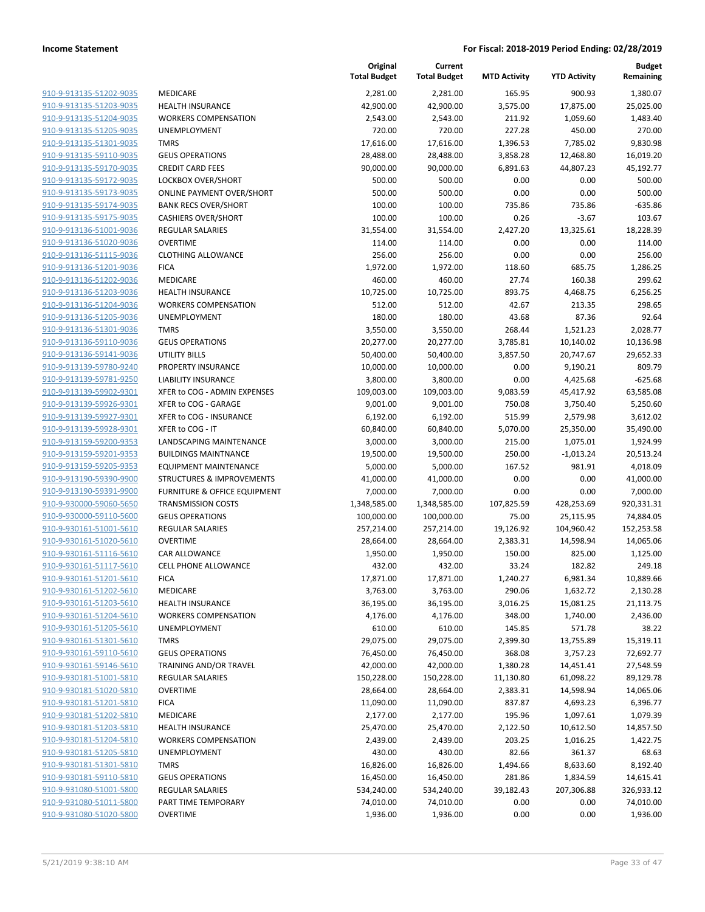|                         |                                      | Original<br><b>Total Budget</b> | Current<br><b>Total Budget</b> | <b>MTD Activity</b> | <b>YTD Activity</b> | <b>Budget</b><br>Remaining |
|-------------------------|--------------------------------------|---------------------------------|--------------------------------|---------------------|---------------------|----------------------------|
| 910-9-913135-51202-9035 | MEDICARE                             | 2,281.00                        | 2,281.00                       | 165.95              | 900.93              | 1,380.07                   |
| 910-9-913135-51203-9035 | <b>HEALTH INSURANCE</b>              | 42,900.00                       | 42,900.00                      | 3,575.00            | 17,875.00           | 25,025.00                  |
| 910-9-913135-51204-9035 | <b>WORKERS COMPENSATION</b>          | 2,543.00                        | 2,543.00                       | 211.92              | 1,059.60            | 1,483.40                   |
| 910-9-913135-51205-9035 | <b>UNEMPLOYMENT</b>                  | 720.00                          | 720.00                         | 227.28              | 450.00              | 270.00                     |
| 910-9-913135-51301-9035 | <b>TMRS</b>                          | 17,616.00                       | 17,616.00                      | 1,396.53            | 7,785.02            | 9,830.98                   |
| 910-9-913135-59110-9035 | <b>GEUS OPERATIONS</b>               | 28,488.00                       | 28,488.00                      | 3,858.28            | 12,468.80           | 16,019.20                  |
| 910-9-913135-59170-9035 | <b>CREDIT CARD FEES</b>              | 90,000.00                       | 90,000.00                      | 6,891.63            | 44,807.23           | 45,192.77                  |
| 910-9-913135-59172-9035 | <b>LOCKBOX OVER/SHORT</b>            | 500.00                          | 500.00                         | 0.00                | 0.00                | 500.00                     |
| 910-9-913135-59173-9035 | <b>ONLINE PAYMENT OVER/SHORT</b>     | 500.00                          | 500.00                         | 0.00                | 0.00                | 500.00                     |
| 910-9-913135-59174-9035 | <b>BANK RECS OVER/SHORT</b>          | 100.00                          | 100.00                         | 735.86              | 735.86              | $-635.86$                  |
| 910-9-913135-59175-9035 | <b>CASHIERS OVER/SHORT</b>           | 100.00                          | 100.00                         | 0.26                | $-3.67$             | 103.67                     |
| 910-9-913136-51001-9036 | <b>REGULAR SALARIES</b>              | 31,554.00                       | 31,554.00                      | 2,427.20            | 13,325.61           | 18,228.39                  |
| 910-9-913136-51020-9036 | <b>OVERTIME</b>                      | 114.00                          | 114.00                         | 0.00                | 0.00                | 114.00                     |
| 910-9-913136-51115-9036 | <b>CLOTHING ALLOWANCE</b>            | 256.00                          | 256.00                         | 0.00                | 0.00                | 256.00                     |
| 910-9-913136-51201-9036 | <b>FICA</b>                          | 1,972.00                        | 1,972.00                       | 118.60              | 685.75              | 1,286.25                   |
| 910-9-913136-51202-9036 | MEDICARE                             | 460.00                          | 460.00                         | 27.74               | 160.38              | 299.62                     |
| 910-9-913136-51203-9036 | <b>HEALTH INSURANCE</b>              | 10,725.00                       | 10,725.00                      | 893.75              | 4,468.75            | 6,256.25                   |
| 910-9-913136-51204-9036 | <b>WORKERS COMPENSATION</b>          | 512.00                          | 512.00                         | 42.67               | 213.35              | 298.65                     |
| 910-9-913136-51205-9036 | <b>UNEMPLOYMENT</b>                  | 180.00                          | 180.00                         | 43.68               | 87.36               | 92.64                      |
| 910-9-913136-51301-9036 | <b>TMRS</b>                          | 3,550.00                        | 3,550.00                       | 268.44              | 1,521.23            | 2,028.77                   |
| 910-9-913136-59110-9036 | <b>GEUS OPERATIONS</b>               | 20,277.00                       | 20,277.00                      | 3,785.81            | 10,140.02           | 10,136.98                  |
| 910-9-913136-59141-9036 | <b>UTILITY BILLS</b>                 | 50,400.00                       | 50,400.00                      | 3,857.50            | 20,747.67           | 29,652.33                  |
| 910-9-913139-59780-9240 | PROPERTY INSURANCE                   | 10,000.00                       | 10,000.00                      | 0.00                | 9,190.21            | 809.79                     |
| 910-9-913139-59781-9250 | <b>LIABILITY INSURANCE</b>           | 3,800.00                        | 3,800.00                       | 0.00                | 4,425.68            | $-625.68$                  |
| 910-9-913139-59902-9301 | XFER to COG - ADMIN EXPENSES         | 109,003.00                      | 109,003.00                     | 9,083.59            | 45,417.92           | 63,585.08                  |
| 910-9-913139-59926-9301 | XFER to COG - GARAGE                 | 9,001.00                        | 9,001.00                       | 750.08              | 3,750.40            | 5,250.60                   |
| 910-9-913139-59927-9301 | XFER to COG - INSURANCE              | 6,192.00                        | 6,192.00                       | 515.99              | 2,579.98            | 3,612.02                   |
| 910-9-913139-59928-9301 | XFER to COG - IT                     | 60,840.00                       | 60,840.00                      | 5,070.00            | 25,350.00           | 35,490.00                  |
| 910-9-913159-59200-9353 | LANDSCAPING MAINTENANCE              | 3,000.00                        | 3,000.00                       | 215.00              | 1,075.01            | 1,924.99                   |
| 910-9-913159-59201-9353 | <b>BUILDINGS MAINTNANCE</b>          | 19,500.00                       | 19,500.00                      | 250.00              | $-1,013.24$         | 20,513.24                  |
| 910-9-913159-59205-9353 | <b>EQUIPMENT MAINTENANCE</b>         | 5,000.00                        | 5,000.00                       | 167.52              | 981.91              | 4,018.09                   |
| 910-9-913190-59390-9900 | <b>STRUCTURES &amp; IMPROVEMENTS</b> | 41,000.00                       | 41,000.00                      | 0.00                | 0.00                | 41,000.00                  |
| 910-9-913190-59391-9900 | FURNITURE & OFFICE EQUIPMENT         | 7,000.00                        | 7,000.00                       | 0.00                | 0.00                | 7,000.00                   |
| 910-9-930000-59060-5650 | <b>TRANSMISSION COSTS</b>            | 1,348,585.00                    | 1,348,585.00                   | 107,825.59          | 428,253.69          | 920,331.31                 |
| 910-9-930000-59110-5600 | <b>GEUS OPERATIONS</b>               | 100,000.00                      | 100,000.00                     | 75.00               | 25,115.95           | 74,884.05                  |
| 910-9-930161-51001-5610 | REGULAR SALARIES                     | 257,214.00                      | 257,214.00                     | 19,126.92           | 104,960.42          | 152,253.58                 |
| 910-9-930161-51020-5610 | <b>OVERTIME</b>                      | 28,664.00                       | 28,664.00                      | 2,383.31            | 14,598.94           | 14,065.06                  |
| 910-9-930161-51116-5610 | CAR ALLOWANCE                        | 1,950.00                        | 1,950.00                       | 150.00              | 825.00              | 1,125.00                   |
| 910-9-930161-51117-5610 | <b>CELL PHONE ALLOWANCE</b>          | 432.00                          | 432.00                         | 33.24               | 182.82              | 249.18                     |
| 910-9-930161-51201-5610 | <b>FICA</b>                          | 17,871.00                       | 17,871.00                      | 1,240.27            | 6,981.34            | 10,889.66                  |
| 910-9-930161-51202-5610 | MEDICARE                             | 3,763.00                        | 3,763.00                       | 290.06              | 1,632.72            | 2,130.28                   |
| 910-9-930161-51203-5610 | <b>HEALTH INSURANCE</b>              | 36,195.00                       | 36,195.00                      | 3,016.25            | 15,081.25           | 21,113.75                  |
| 910-9-930161-51204-5610 | <b>WORKERS COMPENSATION</b>          | 4,176.00                        | 4,176.00                       | 348.00              | 1,740.00            | 2,436.00                   |
| 910-9-930161-51205-5610 | UNEMPLOYMENT                         | 610.00                          | 610.00                         | 145.85              | 571.78              | 38.22                      |
| 910-9-930161-51301-5610 | <b>TMRS</b>                          | 29,075.00                       | 29,075.00                      | 2,399.30            | 13,755.89           | 15,319.11                  |
| 910-9-930161-59110-5610 | <b>GEUS OPERATIONS</b>               | 76,450.00                       | 76,450.00                      | 368.08              | 3,757.23            | 72,692.77                  |
| 910-9-930161-59146-5610 | TRAINING AND/OR TRAVEL               | 42,000.00                       | 42,000.00                      | 1,380.28            | 14,451.41           | 27,548.59                  |
| 910-9-930181-51001-5810 | <b>REGULAR SALARIES</b>              | 150,228.00                      | 150,228.00                     | 11,130.80           | 61,098.22           | 89,129.78                  |
| 910-9-930181-51020-5810 | <b>OVERTIME</b>                      | 28,664.00                       | 28,664.00                      | 2,383.31            | 14,598.94           | 14,065.06                  |
| 910-9-930181-51201-5810 | <b>FICA</b>                          | 11,090.00                       | 11,090.00                      | 837.87              | 4,693.23            | 6,396.77                   |
| 910-9-930181-51202-5810 | MEDICARE                             | 2,177.00                        | 2,177.00                       | 195.96              | 1,097.61            | 1,079.39                   |
| 910-9-930181-51203-5810 | <b>HEALTH INSURANCE</b>              | 25,470.00                       | 25,470.00                      | 2,122.50            | 10,612.50           | 14,857.50                  |
| 910-9-930181-51204-5810 | <b>WORKERS COMPENSATION</b>          | 2,439.00                        | 2,439.00                       | 203.25              | 1,016.25            | 1,422.75                   |
| 910-9-930181-51205-5810 | UNEMPLOYMENT                         | 430.00                          | 430.00                         | 82.66               | 361.37              | 68.63                      |
| 910-9-930181-51301-5810 | <b>TMRS</b>                          | 16,826.00                       | 16,826.00                      | 1,494.66            | 8,633.60            | 8,192.40                   |
| 910-9-930181-59110-5810 | <b>GEUS OPERATIONS</b>               | 16,450.00                       | 16,450.00                      | 281.86              | 1,834.59            | 14,615.41                  |
| 910-9-931080-51001-5800 | <b>REGULAR SALARIES</b>              | 534,240.00                      | 534,240.00                     | 39,182.43           | 207,306.88          | 326,933.12                 |
| 910-9-931080-51011-5800 | PART TIME TEMPORARY                  | 74,010.00                       | 74,010.00                      | 0.00                | 0.00                | 74,010.00                  |
| 910-9-931080-51020-5800 | <b>OVERTIME</b>                      | 1,936.00                        | 1,936.00                       | 0.00                | 0.00                | 1,936.00                   |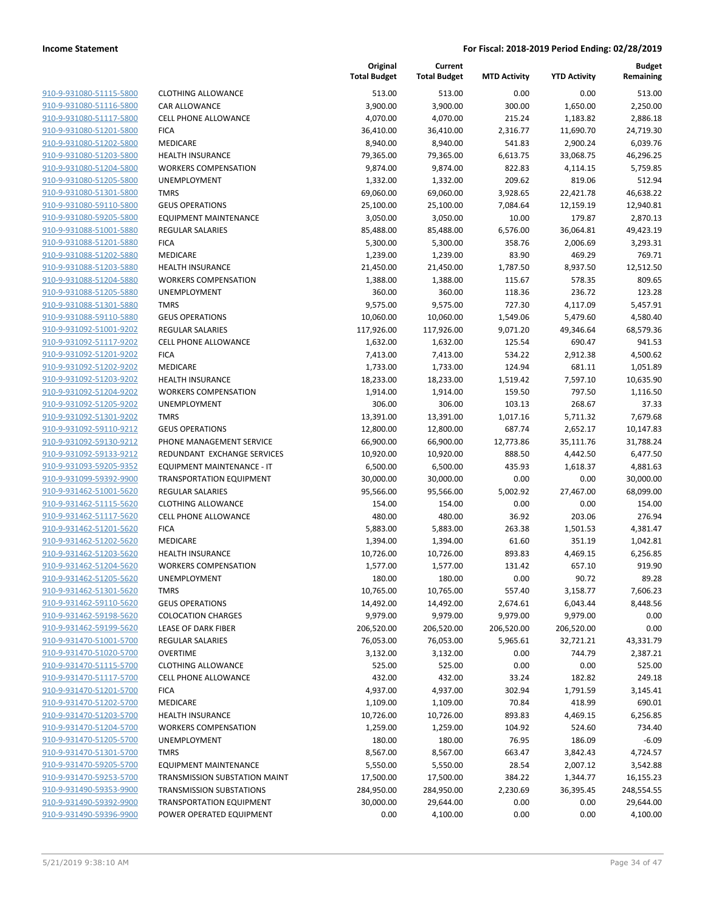| 910-9-931080-51115-5800        |
|--------------------------------|
| 910-9-931080-51116-5800        |
| 910-9-931080-51117-5800        |
| 910-9-931080-51201-5800        |
| <u>910-9-931080-51202-5800</u> |
| 910-9-931080-51203-5800        |
| 910-9-931080-51204-5800        |
| 910-9-931080-51205-5800        |
| 910-9-931080-51301-5800        |
| 910-9-931080-59110-5800        |
| 910-9-931080-59205-5800        |
| 910-9-931088-51001-5880        |
| 910-9-931088-51201-5880        |
| 910-9-931088-51202-5880        |
|                                |
| <u>910-9-931088-51203-5880</u> |
| 910-9-931088-51204-5880        |
| 910-9-931088-51205-5880        |
| 910-9-931088-51301-5880        |
| 910-9-931088-59110-5880        |
| 910-9-931092-51001-9202        |
| 910-9-931092-51117-9202        |
| 910-9-931092-51201-9202        |
| 910-9-931092-51202-9202        |
| 910-9-931092-51203-9202        |
| <u>910-9-931092-51204-9202</u> |
| 910-9-931092-51205-9202        |
| 910-9-931092-51301-9202        |
| 910-9-931092-59110-9212        |
| 910-9-931092-59130-9212        |
| 910-9-931092-59133-9212        |
| 910-9-931093-59205-9352        |
| 910-9-931099-59392-9900        |
| 910-9-931462-51001-5620        |
|                                |
| 910-9-931462-51115-5620        |
| <u>910-9-931462-51117-5620</u> |
| 910-9-931462-51201-5620        |
| 910-9-931462-51202-5620        |
| 910-9-931462-51203-5620        |
| 910-9-931462-51204-5620        |
| 910-9-931462-51205-5620        |
| 910-9-931462-51301-5620        |
| <u>910-9-931462-59110-5620</u> |
| 910-9-931462-59198-5620        |
| 910-9-931462-59199-5620        |
| 910-9-931470-51001-5700        |
| 910-9-931470-51020-5700        |
| 910-9-931470-51115-5700        |
| 910-9-931470-51117-5700        |
| 910-9-931470-51201-5700        |
|                                |
| <u>910-9-931470-51202-5700</u> |
| 910-9-931470-51203-5700        |
| 910-9-931470-51204-5700        |
| 910-9-931470-51205-5700        |
| 910-9-931470-51301-5700        |
| <u>910-9-931470-59205-5700</u> |
| 910-9-931470-59253-5700        |
| <u>910-9-931490-59353-9900</u> |
| <u>910-9-931490-59392-9900</u> |
| 910-9-931490-59396-9900        |
|                                |

|                         |                                 | Original<br><b>Total Budget</b> | Current<br><b>Total Budget</b> | <b>MTD Activity</b> | <b>YTD Activity</b> | <b>Budget</b><br>Remaining |
|-------------------------|---------------------------------|---------------------------------|--------------------------------|---------------------|---------------------|----------------------------|
| 910-9-931080-51115-5800 | <b>CLOTHING ALLOWANCE</b>       | 513.00                          | 513.00                         | 0.00                | 0.00                | 513.00                     |
| 910-9-931080-51116-5800 | CAR ALLOWANCE                   | 3,900.00                        | 3,900.00                       | 300.00              | 1,650.00            | 2,250.00                   |
| 910-9-931080-51117-5800 | CELL PHONE ALLOWANCE            | 4,070.00                        | 4,070.00                       | 215.24              | 1,183.82            | 2,886.18                   |
| 910-9-931080-51201-5800 | <b>FICA</b>                     | 36,410.00                       | 36,410.00                      | 2,316.77            | 11,690.70           | 24,719.30                  |
| 910-9-931080-51202-5800 | MEDICARE                        | 8,940.00                        | 8,940.00                       | 541.83              | 2,900.24            | 6,039.76                   |
| 910-9-931080-51203-5800 | <b>HEALTH INSURANCE</b>         | 79,365.00                       | 79,365.00                      | 6,613.75            | 33,068.75           | 46,296.25                  |
| 910-9-931080-51204-5800 | <b>WORKERS COMPENSATION</b>     | 9,874.00                        | 9,874.00                       | 822.83              | 4,114.15            | 5,759.85                   |
| 910-9-931080-51205-5800 | UNEMPLOYMENT                    | 1,332.00                        | 1,332.00                       | 209.62              | 819.06              | 512.94                     |
| 910-9-931080-51301-5800 | <b>TMRS</b>                     | 69,060.00                       | 69,060.00                      | 3,928.65            | 22,421.78           | 46,638.22                  |
| 910-9-931080-59110-5800 | <b>GEUS OPERATIONS</b>          | 25,100.00                       | 25,100.00                      | 7,084.64            | 12,159.19           | 12,940.81                  |
| 910-9-931080-59205-5800 | <b>EQUIPMENT MAINTENANCE</b>    | 3,050.00                        | 3,050.00                       | 10.00               | 179.87              | 2,870.13                   |
| 910-9-931088-51001-5880 | <b>REGULAR SALARIES</b>         | 85,488.00                       | 85,488.00                      | 6,576.00            | 36,064.81           | 49,423.19                  |
| 910-9-931088-51201-5880 | <b>FICA</b>                     | 5,300.00                        | 5,300.00                       | 358.76              | 2,006.69            | 3,293.31                   |
| 910-9-931088-51202-5880 | MEDICARE                        | 1,239.00                        | 1,239.00                       | 83.90               | 469.29              | 769.71                     |
| 910-9-931088-51203-5880 | <b>HEALTH INSURANCE</b>         | 21,450.00                       | 21,450.00                      | 1,787.50            | 8,937.50            | 12,512.50                  |
| 910-9-931088-51204-5880 | <b>WORKERS COMPENSATION</b>     | 1,388.00                        | 1,388.00                       | 115.67              | 578.35              | 809.65                     |
| 910-9-931088-51205-5880 | UNEMPLOYMENT                    | 360.00                          | 360.00                         | 118.36              | 236.72              | 123.28                     |
| 910-9-931088-51301-5880 | <b>TMRS</b>                     | 9,575.00                        | 9,575.00                       | 727.30              | 4,117.09            | 5,457.91                   |
| 910-9-931088-59110-5880 | <b>GEUS OPERATIONS</b>          | 10,060.00                       | 10,060.00                      | 1,549.06            | 5,479.60            | 4,580.40                   |
| 910-9-931092-51001-9202 | REGULAR SALARIES                | 117,926.00                      | 117,926.00                     | 9,071.20            | 49,346.64           | 68,579.36                  |
| 910-9-931092-51117-9202 | <b>CELL PHONE ALLOWANCE</b>     | 1,632.00                        | 1,632.00                       | 125.54              | 690.47              | 941.53                     |
| 910-9-931092-51201-9202 | <b>FICA</b>                     | 7,413.00                        | 7,413.00                       | 534.22              | 2,912.38            | 4,500.62                   |
| 910-9-931092-51202-9202 | MEDICARE                        | 1,733.00                        | 1,733.00                       | 124.94              | 681.11              | 1,051.89                   |
| 910-9-931092-51203-9202 | <b>HEALTH INSURANCE</b>         | 18,233.00                       | 18,233.00                      | 1,519.42            | 7,597.10            | 10,635.90                  |
| 910-9-931092-51204-9202 | <b>WORKERS COMPENSATION</b>     | 1,914.00                        | 1,914.00                       | 159.50              | 797.50              | 1,116.50                   |
| 910-9-931092-51205-9202 | <b>UNEMPLOYMENT</b>             | 306.00                          | 306.00                         | 103.13              | 268.67              | 37.33                      |
| 910-9-931092-51301-9202 | <b>TMRS</b>                     | 13,391.00                       | 13,391.00                      | 1,017.16            | 5,711.32            | 7,679.68                   |
| 910-9-931092-59110-9212 | <b>GEUS OPERATIONS</b>          | 12,800.00                       | 12,800.00                      | 687.74              | 2,652.17            | 10,147.83                  |
| 910-9-931092-59130-9212 | PHONE MANAGEMENT SERVICE        | 66,900.00                       | 66,900.00                      | 12,773.86           | 35,111.76           | 31,788.24                  |
| 910-9-931092-59133-9212 | REDUNDANT EXCHANGE SERVICES     | 10,920.00                       | 10,920.00                      | 888.50              | 4,442.50            | 6,477.50                   |
| 910-9-931093-59205-9352 | EQUIPMENT MAINTENANCE - IT      | 6,500.00                        | 6,500.00                       | 435.93              | 1,618.37            | 4,881.63                   |
| 910-9-931099-59392-9900 | <b>TRANSPORTATION EQUIPMENT</b> | 30,000.00                       | 30,000.00                      | 0.00                | 0.00                | 30,000.00                  |
| 910-9-931462-51001-5620 | REGULAR SALARIES                | 95,566.00                       | 95,566.00                      | 5,002.92            | 27,467.00           | 68,099.00                  |
| 910-9-931462-51115-5620 | <b>CLOTHING ALLOWANCE</b>       | 154.00                          | 154.00                         | 0.00                | 0.00                | 154.00                     |
| 910-9-931462-51117-5620 | <b>CELL PHONE ALLOWANCE</b>     | 480.00                          | 480.00                         | 36.92               | 203.06              | 276.94                     |
| 910-9-931462-51201-5620 | <b>FICA</b>                     | 5,883.00                        | 5,883.00                       | 263.38              | 1,501.53            | 4,381.47                   |
| 910-9-931462-51202-5620 | MEDICARE                        | 1,394.00                        | 1,394.00                       | 61.60               | 351.19              | 1,042.81                   |
| 910-9-931462-51203-5620 | <b>HEALTH INSURANCE</b>         | 10,726.00                       | 10,726.00                      | 893.83              | 4,469.15            | 6,256.85                   |
| 910-9-931462-51204-5620 | <b>WORKERS COMPENSATION</b>     | 1,577.00                        | 1,577.00                       | 131.42              | 657.10              | 919.90                     |
| 910-9-931462-51205-5620 | UNEMPLOYMENT                    | 180.00                          | 180.00                         | 0.00                | 90.72               | 89.28                      |
| 910-9-931462-51301-5620 | TMRS                            | 10,765.00                       | 10,765.00                      | 557.40              | 3,158.77            | 7,606.23                   |
| 910-9-931462-59110-5620 | <b>GEUS OPERATIONS</b>          | 14,492.00                       | 14,492.00                      | 2,674.61            | 6,043.44            | 8,448.56                   |
| 910-9-931462-59198-5620 | <b>COLOCATION CHARGES</b>       | 9,979.00                        | 9,979.00                       | 9,979.00            | 9,979.00            | 0.00                       |
| 910-9-931462-59199-5620 | <b>LEASE OF DARK FIBER</b>      | 206,520.00                      | 206,520.00                     | 206,520.00          | 206,520.00          | 0.00                       |
| 910-9-931470-51001-5700 | REGULAR SALARIES                | 76,053.00                       | 76,053.00                      | 5,965.61            | 32,721.21           | 43,331.79                  |
| 910-9-931470-51020-5700 | <b>OVERTIME</b>                 | 3,132.00                        | 3,132.00                       | 0.00                | 744.79              | 2,387.21                   |
| 910-9-931470-51115-5700 | <b>CLOTHING ALLOWANCE</b>       | 525.00                          | 525.00                         | 0.00                | 0.00                | 525.00                     |
| 910-9-931470-51117-5700 | <b>CELL PHONE ALLOWANCE</b>     | 432.00                          | 432.00                         | 33.24               | 182.82              | 249.18                     |
| 910-9-931470-51201-5700 | <b>FICA</b>                     | 4,937.00                        | 4,937.00                       | 302.94              | 1,791.59            | 3,145.41                   |
| 910-9-931470-51202-5700 | MEDICARE                        | 1,109.00                        | 1,109.00                       | 70.84               | 418.99              | 690.01                     |
| 910-9-931470-51203-5700 | HEALTH INSURANCE                | 10,726.00                       | 10,726.00                      | 893.83              | 4,469.15            | 6,256.85                   |
| 910-9-931470-51204-5700 | <b>WORKERS COMPENSATION</b>     | 1,259.00                        | 1,259.00                       | 104.92              | 524.60              | 734.40                     |
| 910-9-931470-51205-5700 | <b>UNEMPLOYMENT</b>             | 180.00                          | 180.00                         | 76.95               | 186.09              | $-6.09$                    |
| 910-9-931470-51301-5700 | <b>TMRS</b>                     | 8,567.00                        | 8,567.00                       | 663.47              | 3,842.43            | 4,724.57                   |
| 910-9-931470-59205-5700 | <b>EQUIPMENT MAINTENANCE</b>    | 5,550.00                        | 5,550.00                       | 28.54               | 2,007.12            | 3,542.88                   |
| 910-9-931470-59253-5700 | TRANSMISSION SUBSTATION MAINT   | 17,500.00                       | 17,500.00                      | 384.22              | 1,344.77            | 16,155.23                  |
| 910-9-931490-59353-9900 | <b>TRANSMISSION SUBSTATIONS</b> | 284,950.00                      | 284,950.00                     | 2,230.69            | 36,395.45           | 248,554.55                 |
| 910-9-931490-59392-9900 | <b>TRANSPORTATION EQUIPMENT</b> | 30,000.00                       | 29,644.00                      | 0.00                | 0.00                | 29,644.00                  |
| 910-9-931490-59396-9900 | POWER OPERATED EQUIPMENT        | 0.00                            | 4,100.00                       | 0.00                | 0.00                | 4,100.00                   |
|                         |                                 |                                 |                                |                     |                     |                            |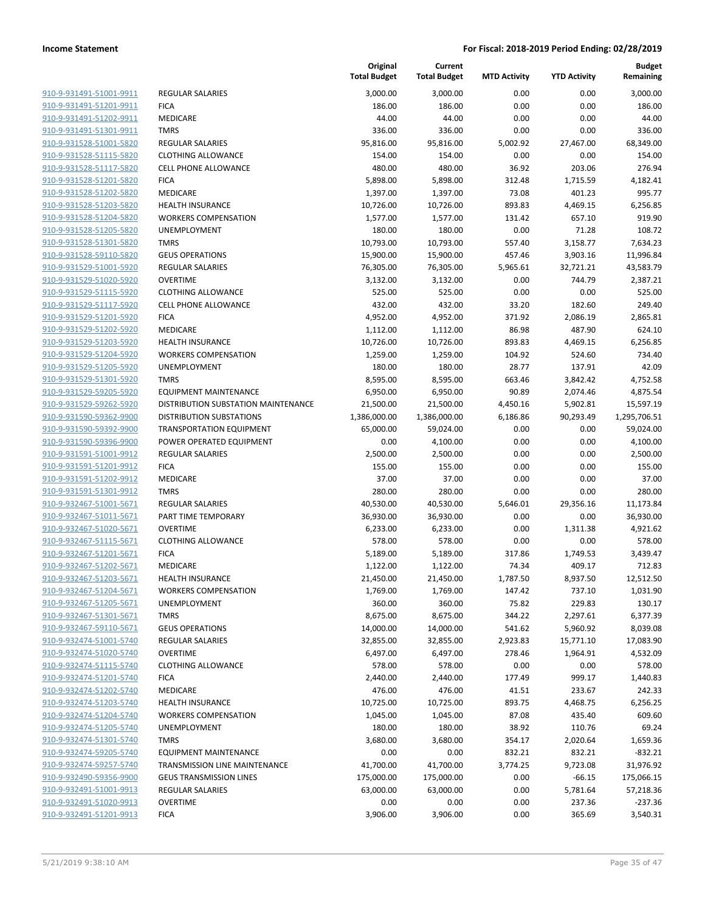| <u>910-9-931491-51001-9911</u>                     | REGULAR SALARIES                |
|----------------------------------------------------|---------------------------------|
| <u>910-9-931491-51201-9911</u>                     | FICA                            |
| 910-9-931491-51202-9911                            | <b>MEDICARE</b>                 |
| 910-9-931491-51301-9911                            | TMRS                            |
| 910-9-931528-51001-5820                            | <b>REGULAR SALARIES</b>         |
| 910-9-931528-51115-5820                            | <b>CLOTHING ALLOWAN</b>         |
| 910-9-931528-51117-5820                            | <b>CELL PHONE ALLOWA</b>        |
| 910-9-931528-51201-5820                            | FICA                            |
| 910-9-931528-51202-5820                            | <b>MEDICARE</b>                 |
| 910-9-931528-51203-5820                            | <b>HEALTH INSURANCE</b>         |
| 910-9-931528-51204-5820                            | <b>WORKERS COMPENS.</b>         |
| 910-9-931528-51205-5820                            | <b>UNEMPLOYMENT</b>             |
| 910-9-931528-51301-5820                            | TMRS                            |
| 910-9-931528-59110-5820                            | <b>GEUS OPERATIONS</b>          |
| 910-9-931529-51001-5920                            | <b>REGULAR SALARIES</b>         |
| 910-9-931529-51020-5920                            | OVERTIME                        |
| 910-9-931529-51115-5920                            | <b>CLOTHING ALLOWAN</b>         |
| 910-9-931529-51117-5920                            | <b>CELL PHONE ALLOWA</b>        |
| 910-9-931529-51201-5920                            | <b>FICA</b>                     |
| 910-9-931529-51202-5920                            | MEDICARE                        |
| 910-9-931529-51203-5920                            | <b>HEALTH INSURANCE</b>         |
| 910-9-931529-51204-5920                            | <b>WORKERS COMPENS</b>          |
| 910-9-931529-51205-5920                            | <b>UNEMPLOYMENT</b>             |
| 910-9-931529-51301-5920                            | TMRS                            |
| 910-9-931529-59205-5920                            | <b>EQUIPMENT MAINTE</b>         |
| 910-9-931529-59262-5920                            | <b>DISTRIBUTION SUBST</b>       |
| <u>910-9-931590-59362-9900</u>                     | <b>DISTRIBUTION SUBST</b>       |
| 910-9-931590-59392-9900                            | <b>TRANSPORTATION EQ</b>        |
| 910-9-931590-59396-9900                            | POWER OPERATED E                |
| 910-9-931591-51001-9912                            | <b>REGULAR SALARIES</b>         |
| 910-9-931591-51201-9912                            | <b>FICA</b>                     |
| 910-9-931591-51202-9912                            | MEDICARE                        |
| 910-9-931591-51301-9912<br>910-9-932467-51001-5671 | TMRS<br><b>REGULAR SALARIES</b> |
| 910-9-932467-51011-5671                            | PART TIME TEMPORA               |
| 910-9-932467-51020-5671                            | <b>OVERTIME</b>                 |
| <u>910-9-932467-51115-5671</u>                     | <b>CLOTHING ALLOWAN</b>         |
| 910-9-932467-51201-5671                            | <b>FICA</b>                     |
| 910-9-932467-51202-5671                            | MEDICARE                        |
| 910-9-932467-51203-5671                            | <b>HEALTH INSURANCE</b>         |
| 910-9-932467-51204-5671                            | <b>WORKERS COMPENS</b>          |
| 910-9-932467-51205-5671                            | UNEMPLOYMENT                    |
| 910-9-932467-51301-5671                            | <b>TMRS</b>                     |
| 910-9-932467-59110-5671                            | <b>GEUS OPERATIONS</b>          |
| 910-9-932474-51001-5740                            | <b>REGULAR SALARIES</b>         |
| 910-9-932474-51020-5740                            | OVERTIME                        |
| 910-9-932474-51115-5740                            | <b>CLOTHING ALLOWAN</b>         |
| 910-9-932474-51201-5740                            | <b>FICA</b>                     |
| 910-9-932474-51202-5740                            | <b>MEDICARE</b>                 |
| 910-9-932474-51203-5740                            | <b>HEALTH INSURANCE</b>         |
| 910-9-932474-51204-5740                            | <b>WORKERS COMPENS</b>          |
| 910-9-932474-51205-5740                            | <b>UNEMPLOYMENT</b>             |
| 910-9-932474-51301-5740                            | TMRS                            |
| 910-9-932474-59205-5740                            | <b>EQUIPMENT MAINTE</b>         |
| 910-9-932474-59257-5740                            | TRANSMISSION LINE               |
| 910-9-932490-59356-9900                            | <b>GEUS TRANSMISSION</b>        |
| 910-9-932491-51001-9913                            | REGULAR SALARIES                |
| 910-9-932491-51020-9913                            | <b>OVERTIME</b>                 |
| 910-9-932491-51201-9913                            | <b>FICA</b>                     |

|                         |                                     | Original<br><b>Total Budget</b> | Current<br><b>Total Budget</b> | <b>MTD Activity</b> | <b>YTD Activity</b> | Budget<br>Remaining |
|-------------------------|-------------------------------------|---------------------------------|--------------------------------|---------------------|---------------------|---------------------|
| 910-9-931491-51001-9911 | <b>REGULAR SALARIES</b>             | 3,000.00                        | 3,000.00                       | 0.00                | 0.00                | 3,000.00            |
| 910-9-931491-51201-9911 | <b>FICA</b>                         | 186.00                          | 186.00                         | 0.00                | 0.00                | 186.00              |
| 910-9-931491-51202-9911 | MEDICARE                            | 44.00                           | 44.00                          | 0.00                | 0.00                | 44.00               |
| 910-9-931491-51301-9911 | <b>TMRS</b>                         | 336.00                          | 336.00                         | 0.00                | 0.00                | 336.00              |
| 910-9-931528-51001-5820 | <b>REGULAR SALARIES</b>             | 95,816.00                       | 95,816.00                      | 5,002.92            | 27,467.00           | 68,349.00           |
| 910-9-931528-51115-5820 | <b>CLOTHING ALLOWANCE</b>           | 154.00                          | 154.00                         | 0.00                | 0.00                | 154.00              |
| 910-9-931528-51117-5820 | <b>CELL PHONE ALLOWANCE</b>         | 480.00                          | 480.00                         | 36.92               | 203.06              | 276.94              |
| 910-9-931528-51201-5820 | <b>FICA</b>                         | 5,898.00                        | 5,898.00                       | 312.48              | 1,715.59            | 4,182.41            |
| 910-9-931528-51202-5820 | MEDICARE                            | 1,397.00                        | 1,397.00                       | 73.08               | 401.23              | 995.77              |
| 910-9-931528-51203-5820 | <b>HEALTH INSURANCE</b>             | 10,726.00                       | 10,726.00                      | 893.83              | 4,469.15            | 6,256.85            |
| 910-9-931528-51204-5820 | <b>WORKERS COMPENSATION</b>         | 1,577.00                        | 1,577.00                       | 131.42              | 657.10              | 919.90              |
| 910-9-931528-51205-5820 | <b>UNEMPLOYMENT</b>                 | 180.00                          | 180.00                         | 0.00                | 71.28               | 108.72              |
| 910-9-931528-51301-5820 | <b>TMRS</b>                         | 10,793.00                       | 10,793.00                      | 557.40              | 3,158.77            | 7,634.23            |
| 910-9-931528-59110-5820 | <b>GEUS OPERATIONS</b>              | 15,900.00                       | 15,900.00                      | 457.46              | 3,903.16            | 11,996.84           |
| 910-9-931529-51001-5920 | REGULAR SALARIES                    | 76,305.00                       | 76,305.00                      | 5,965.61            | 32,721.21           | 43,583.79           |
| 910-9-931529-51020-5920 | <b>OVERTIME</b>                     | 3,132.00                        | 3,132.00                       | 0.00                | 744.79              | 2,387.21            |
| 910-9-931529-51115-5920 | <b>CLOTHING ALLOWANCE</b>           | 525.00                          | 525.00                         | 0.00                | 0.00                | 525.00              |
| 910-9-931529-51117-5920 | <b>CELL PHONE ALLOWANCE</b>         | 432.00                          | 432.00                         | 33.20               | 182.60              | 249.40              |
| 910-9-931529-51201-5920 | <b>FICA</b>                         | 4,952.00                        | 4,952.00                       | 371.92              | 2,086.19            | 2,865.81            |
| 910-9-931529-51202-5920 | MEDICARE                            | 1,112.00                        | 1,112.00                       | 86.98               | 487.90              | 624.10              |
| 910-9-931529-51203-5920 | <b>HEALTH INSURANCE</b>             | 10,726.00                       | 10,726.00                      | 893.83              | 4,469.15            | 6,256.85            |
| 910-9-931529-51204-5920 | <b>WORKERS COMPENSATION</b>         | 1,259.00                        | 1,259.00                       | 104.92              | 524.60              | 734.40              |
| 910-9-931529-51205-5920 | UNEMPLOYMENT                        | 180.00                          | 180.00                         | 28.77               | 137.91              | 42.09               |
| 910-9-931529-51301-5920 | <b>TMRS</b>                         | 8,595.00                        | 8,595.00                       | 663.46              | 3,842.42            | 4,752.58            |
| 910-9-931529-59205-5920 | <b>EQUIPMENT MAINTENANCE</b>        | 6,950.00                        | 6,950.00                       | 90.89               | 2,074.46            | 4,875.54            |
| 910-9-931529-59262-5920 | DISTRIBUTION SUBSTATION MAINTENANCE | 21,500.00                       | 21,500.00                      | 4,450.16            | 5,902.81            | 15,597.19           |
| 910-9-931590-59362-9900 | <b>DISTRIBUTION SUBSTATIONS</b>     | 1,386,000.00                    | 1,386,000.00                   | 6,186.86            | 90,293.49           | 1,295,706.51        |
| 910-9-931590-59392-9900 | <b>TRANSPORTATION EQUIPMENT</b>     | 65,000.00                       | 59,024.00                      | 0.00                | 0.00                | 59,024.00           |
| 910-9-931590-59396-9900 | POWER OPERATED EQUIPMENT            | 0.00                            | 4,100.00                       | 0.00                | 0.00                | 4,100.00            |
| 910-9-931591-51001-9912 | <b>REGULAR SALARIES</b>             | 2,500.00                        | 2,500.00                       | 0.00                | 0.00                | 2,500.00            |
| 910-9-931591-51201-9912 | <b>FICA</b>                         | 155.00                          | 155.00                         | 0.00                | 0.00                | 155.00              |
| 910-9-931591-51202-9912 | MEDICARE                            | 37.00                           | 37.00                          | 0.00                | 0.00                | 37.00               |
| 910-9-931591-51301-9912 | <b>TMRS</b>                         | 280.00                          | 280.00                         | 0.00                | 0.00                | 280.00              |
| 910-9-932467-51001-5671 | <b>REGULAR SALARIES</b>             | 40,530.00                       | 40,530.00                      | 5,646.01            | 29,356.16           | 11,173.84           |
| 910-9-932467-51011-5671 | PART TIME TEMPORARY                 | 36,930.00                       | 36,930.00                      | 0.00                | 0.00                | 36,930.00           |
| 910-9-932467-51020-5671 | <b>OVERTIME</b>                     | 6,233.00                        | 6,233.00                       | 0.00                | 1,311.38            | 4,921.62            |
| 910-9-932467-51115-5671 | <b>CLOTHING ALLOWANCE</b>           | 578.00                          | 578.00                         | 0.00                | 0.00                | 578.00              |
| 910-9-932467-51201-5671 | <b>FICA</b>                         | 5,189.00                        | 5,189.00                       | 317.86              | 1,749.53            | 3,439.47            |
| 910-9-932467-51202-5671 | MEDICARE                            | 1,122.00                        | 1,122.00                       | 74.34               | 409.17              | 712.83              |
| 910-9-932467-51203-5671 | <b>HEALTH INSURANCE</b>             | 21,450.00                       | 21,450.00                      | 1,787.50            | 8,937.50            | 12,512.50           |
| 910-9-932467-51204-5671 | <b>WORKERS COMPENSATION</b>         | 1,769.00                        | 1,769.00                       | 147.42              | 737.10              | 1,031.90            |
| 910-9-932467-51205-5671 | <b>UNEMPLOYMENT</b>                 | 360.00                          | 360.00                         | 75.82               | 229.83              | 130.17              |
| 910-9-932467-51301-5671 | <b>TMRS</b>                         | 8,675.00                        | 8,675.00                       | 344.22              | 2,297.61            | 6,377.39            |
| 910-9-932467-59110-5671 | <b>GEUS OPERATIONS</b>              | 14,000.00                       | 14,000.00                      | 541.62              | 5,960.92            | 8,039.08            |
| 910-9-932474-51001-5740 | REGULAR SALARIES                    | 32,855.00                       | 32,855.00                      | 2,923.83            | 15,771.10           | 17,083.90           |
| 910-9-932474-51020-5740 | <b>OVERTIME</b>                     | 6,497.00                        | 6,497.00                       | 278.46              | 1,964.91            | 4,532.09            |
| 910-9-932474-51115-5740 | <b>CLOTHING ALLOWANCE</b>           | 578.00                          | 578.00                         | 0.00                | 0.00                | 578.00              |
| 910-9-932474-51201-5740 | <b>FICA</b>                         | 2,440.00                        | 2,440.00                       | 177.49              | 999.17              | 1,440.83            |
| 910-9-932474-51202-5740 | MEDICARE                            | 476.00                          | 476.00                         | 41.51               | 233.67              | 242.33              |
| 910-9-932474-51203-5740 | <b>HEALTH INSURANCE</b>             | 10,725.00                       | 10,725.00                      | 893.75              | 4,468.75            | 6,256.25            |
| 910-9-932474-51204-5740 | <b>WORKERS COMPENSATION</b>         | 1,045.00                        | 1,045.00                       | 87.08               | 435.40              | 609.60              |
| 910-9-932474-51205-5740 | UNEMPLOYMENT                        | 180.00                          | 180.00                         | 38.92               | 110.76              | 69.24               |
| 910-9-932474-51301-5740 | <b>TMRS</b>                         | 3,680.00                        | 3,680.00                       | 354.17              | 2,020.64            | 1,659.36            |
| 910-9-932474-59205-5740 | <b>EQUIPMENT MAINTENANCE</b>        | 0.00                            | 0.00                           | 832.21              | 832.21              | $-832.21$           |
| 910-9-932474-59257-5740 | TRANSMISSION LINE MAINTENANCE       | 41,700.00                       | 41,700.00                      | 3,774.25            | 9,723.08            | 31,976.92           |
| 910-9-932490-59356-9900 | <b>GEUS TRANSMISSION LINES</b>      | 175,000.00                      | 175,000.00                     | 0.00                | $-66.15$            | 175,066.15          |
| 910-9-932491-51001-9913 | <b>REGULAR SALARIES</b>             | 63,000.00                       | 63,000.00                      | 0.00                | 5,781.64            | 57,218.36           |
| 910-9-932491-51020-9913 | <b>OVERTIME</b>                     | 0.00                            | 0.00                           | 0.00                | 237.36              | $-237.36$           |
| 910-9-932491-51201-9913 | <b>FICA</b>                         | 3,906.00                        | 3,906.00                       | 0.00                | 365.69              | 3,540.31            |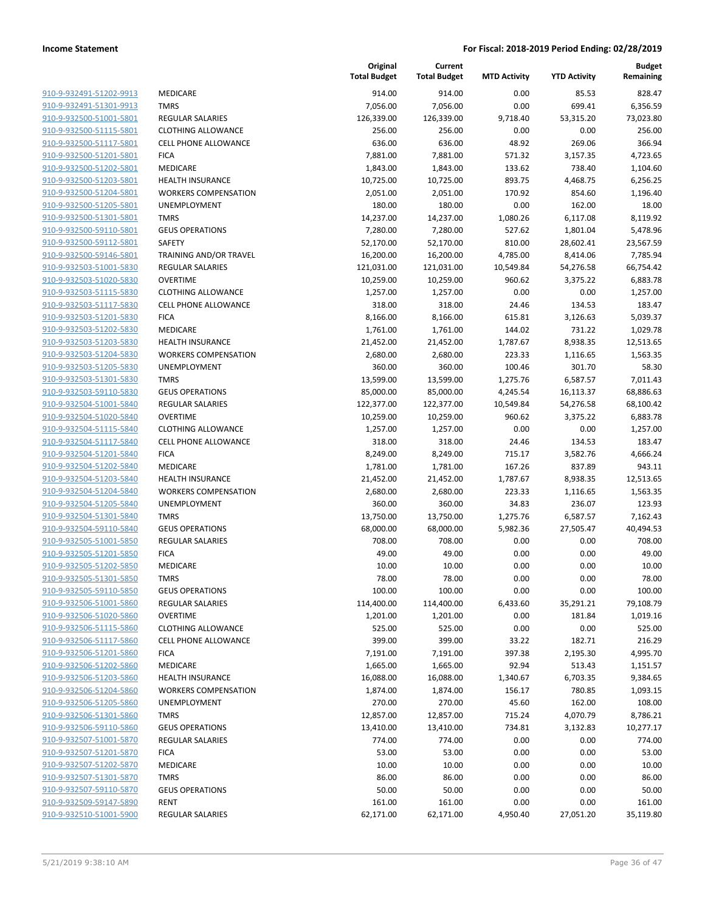| 910-9-932491-51202-9913        |
|--------------------------------|
| 910-9-932491-51301-9913        |
| 910-9-932500-51001-5801        |
| 910-9-932500-51115-5801        |
| <u>910-9-932500-51117-5801</u> |
| 910-9-932500-51201-5801        |
| 910-9-932500-51202-5801        |
| 910-9-932500-51203-5801        |
| 910-9-932500-51204-5801        |
| 910-9-932500-51205-5801        |
| 910-9-932500-51301-5801        |
| 910-9-932500-59110-5801        |
| 910-9-932500-59112-5801        |
| <u>910-9-932500-59146-5801</u> |
| <u>910-9-932503-51001-5830</u> |
| 910-9-932503-51020-5830        |
| 910-9-932503-51115-5830        |
| 910-9-932503-51117-5830        |
|                                |
| 910-9-932503-51201-5830        |
| 910-9-932503-51202-5830        |
| 910-9-932503-51203-5830        |
| 910-9-932503-51204-5830        |
| 910-9-932503-51205-5830        |
| 910-9-932503-51301-5830        |
| 910-9-932503-59110-5830        |
| 910-9-932504-51001-5840        |
| 910-9-932504-51020-5840        |
| 910-9-932504-51115-5840        |
| 910-9-932504-51117-5840        |
| 910-9-932504-51201-5840        |
| 910-9-932504-51202-5840        |
| 910-9-932504-51203-5840        |
| 910-9-932504-51204-5840        |
| 910-9-932504-51205-5840        |
| 910-9-932504-51301-5840        |
| 910-9-932504-59110-5840        |
| 910-9-932505-51001-5850        |
| 910-9-932505-51201-5850        |
|                                |
| 910-9-932505-51202-5850        |
| 910-9-932505-51301-5850        |
| 910-9-932505-59110-5850        |
| <u>910-9-932506-51001-5860</u> |
| 910-9-932506-51020-5860        |
| <u>910-9-932506-51115-5860</u> |
| 910-9-932506-51117-5860        |
| <u>910-9-932506-51201-5860</u> |
| 910-9-932506-51202-5860        |
| <u>910-9-932506-51203-5860</u> |
| 910-9-932506-51204-5860        |
| <u>910-9-932506-51205-5860</u> |
| <u>910-9-932506-51301-5860</u> |
| 910-9-932506-59110-5860        |
| 910-9-932507-51001-5870        |
| <u>910-9-932507-51201-5870</u> |
| <u>910-9-932507-51202-5870</u> |
| <u>910-9-932507-51301-5870</u> |
| 910-9-932507-59110-5870        |
|                                |
| <u>910-9-932509-59147-5890</u> |
| <u>910-9-932510-51001-5900</u> |
|                                |

|                         |                             | Original<br><b>Total Budget</b> | Current<br><b>Total Budget</b> | <b>MTD Activity</b> | <b>YTD Activity</b> | <b>Budget</b><br>Remaining |
|-------------------------|-----------------------------|---------------------------------|--------------------------------|---------------------|---------------------|----------------------------|
| 910-9-932491-51202-9913 | MEDICARE                    | 914.00                          | 914.00                         | 0.00                | 85.53               | 828.47                     |
| 910-9-932491-51301-9913 | <b>TMRS</b>                 | 7,056.00                        | 7,056.00                       | 0.00                | 699.41              | 6,356.59                   |
| 910-9-932500-51001-5801 | REGULAR SALARIES            | 126,339.00                      | 126,339.00                     | 9,718.40            | 53,315.20           | 73,023.80                  |
| 910-9-932500-51115-5801 | <b>CLOTHING ALLOWANCE</b>   | 256.00                          | 256.00                         | 0.00                | 0.00                | 256.00                     |
| 910-9-932500-51117-5801 | <b>CELL PHONE ALLOWANCE</b> | 636.00                          | 636.00                         | 48.92               | 269.06              | 366.94                     |
| 910-9-932500-51201-5801 | <b>FICA</b>                 | 7,881.00                        | 7,881.00                       | 571.32              | 3,157.35            | 4,723.65                   |
| 910-9-932500-51202-5801 | MEDICARE                    | 1,843.00                        | 1,843.00                       | 133.62              | 738.40              | 1,104.60                   |
| 910-9-932500-51203-5801 | <b>HEALTH INSURANCE</b>     | 10,725.00                       | 10,725.00                      | 893.75              | 4,468.75            | 6,256.25                   |
| 910-9-932500-51204-5801 | <b>WORKERS COMPENSATION</b> | 2,051.00                        | 2,051.00                       | 170.92              | 854.60              | 1,196.40                   |
| 910-9-932500-51205-5801 | <b>UNEMPLOYMENT</b>         | 180.00                          | 180.00                         | 0.00                | 162.00              | 18.00                      |
| 910-9-932500-51301-5801 | <b>TMRS</b>                 | 14,237.00                       | 14,237.00                      | 1,080.26            | 6,117.08            | 8,119.92                   |
| 910-9-932500-59110-5801 | <b>GEUS OPERATIONS</b>      | 7,280.00                        | 7,280.00                       | 527.62              | 1,801.04            | 5,478.96                   |
| 910-9-932500-59112-5801 | SAFETY                      | 52,170.00                       | 52,170.00                      | 810.00              | 28,602.41           | 23,567.59                  |
| 910-9-932500-59146-5801 | TRAINING AND/OR TRAVEL      | 16,200.00                       | 16,200.00                      | 4,785.00            | 8,414.06            | 7,785.94                   |
| 910-9-932503-51001-5830 | <b>REGULAR SALARIES</b>     | 121,031.00                      | 121,031.00                     | 10,549.84           | 54,276.58           | 66,754.42                  |
| 910-9-932503-51020-5830 | <b>OVERTIME</b>             | 10,259.00                       | 10,259.00                      | 960.62              | 3,375.22            | 6,883.78                   |
| 910-9-932503-51115-5830 | <b>CLOTHING ALLOWANCE</b>   | 1,257.00                        | 1,257.00                       | 0.00                | 0.00                | 1,257.00                   |
| 910-9-932503-51117-5830 | <b>CELL PHONE ALLOWANCE</b> | 318.00                          | 318.00                         | 24.46               | 134.53              | 183.47                     |
| 910-9-932503-51201-5830 | <b>FICA</b>                 | 8,166.00                        | 8,166.00                       | 615.81              | 3,126.63            | 5,039.37                   |
| 910-9-932503-51202-5830 | <b>MEDICARE</b>             | 1,761.00                        | 1,761.00                       | 144.02              | 731.22              | 1,029.78                   |
| 910-9-932503-51203-5830 | <b>HEALTH INSURANCE</b>     | 21,452.00                       | 21,452.00                      | 1,787.67            | 8,938.35            | 12,513.65                  |
| 910-9-932503-51204-5830 | <b>WORKERS COMPENSATION</b> | 2,680.00                        | 2,680.00                       | 223.33              | 1,116.65            | 1,563.35                   |
| 910-9-932503-51205-5830 | <b>UNEMPLOYMENT</b>         | 360.00                          | 360.00                         | 100.46              | 301.70              | 58.30                      |
| 910-9-932503-51301-5830 | <b>TMRS</b>                 | 13,599.00                       | 13,599.00                      | 1,275.76            | 6,587.57            | 7,011.43                   |
| 910-9-932503-59110-5830 | <b>GEUS OPERATIONS</b>      | 85,000.00                       | 85,000.00                      | 4,245.54            | 16,113.37           | 68,886.63                  |
| 910-9-932504-51001-5840 | REGULAR SALARIES            | 122,377.00                      | 122,377.00                     | 10,549.84           | 54,276.58           | 68,100.42                  |
| 910-9-932504-51020-5840 | <b>OVERTIME</b>             | 10,259.00                       | 10,259.00                      | 960.62              | 3,375.22            | 6,883.78                   |
| 910-9-932504-51115-5840 | <b>CLOTHING ALLOWANCE</b>   | 1,257.00                        | 1,257.00                       | 0.00                | 0.00                | 1,257.00                   |
| 910-9-932504-51117-5840 | <b>CELL PHONE ALLOWANCE</b> | 318.00                          | 318.00                         | 24.46               | 134.53              | 183.47                     |
| 910-9-932504-51201-5840 | <b>FICA</b>                 | 8,249.00                        | 8,249.00                       | 715.17              | 3,582.76            | 4,666.24                   |
| 910-9-932504-51202-5840 | MEDICARE                    | 1,781.00                        | 1,781.00                       | 167.26              | 837.89              | 943.11                     |
| 910-9-932504-51203-5840 | HEALTH INSURANCE            | 21,452.00                       | 21,452.00                      | 1,787.67            | 8,938.35            | 12,513.65                  |
| 910-9-932504-51204-5840 | <b>WORKERS COMPENSATION</b> | 2,680.00                        | 2,680.00                       | 223.33              | 1,116.65            | 1,563.35                   |
| 910-9-932504-51205-5840 | <b>UNEMPLOYMENT</b>         | 360.00                          | 360.00                         | 34.83               | 236.07              | 123.93                     |
| 910-9-932504-51301-5840 | <b>TMRS</b>                 | 13,750.00                       | 13,750.00                      | 1,275.76            | 6,587.57            | 7,162.43                   |
| 910-9-932504-59110-5840 | <b>GEUS OPERATIONS</b>      | 68,000.00                       | 68,000.00                      | 5,982.36            | 27,505.47           | 40,494.53                  |
| 910-9-932505-51001-5850 | REGULAR SALARIES            | 708.00                          | 708.00                         | 0.00                | 0.00                | 708.00                     |
| 910-9-932505-51201-5850 | <b>FICA</b>                 | 49.00                           | 49.00                          | 0.00                | 0.00                | 49.00                      |
| 910-9-932505-51202-5850 | MEDICARE                    | 10.00                           | 10.00                          | 0.00                | 0.00                | 10.00                      |
| 910-9-932505-51301-5850 | <b>TMRS</b>                 | 78.00                           | 78.00                          | 0.00                | 0.00                | 78.00                      |
| 910-9-932505-59110-5850 | <b>GEUS OPERATIONS</b>      | 100.00                          | 100.00                         | 0.00                | 0.00                | 100.00                     |
| 910-9-932506-51001-5860 | REGULAR SALARIES            | 114,400.00                      | 114,400.00                     | 6,433.60            | 35,291.21           | 79,108.79                  |
| 910-9-932506-51020-5860 | <b>OVERTIME</b>             | 1,201.00                        | 1,201.00                       | 0.00                | 181.84              | 1,019.16                   |
| 910-9-932506-51115-5860 | <b>CLOTHING ALLOWANCE</b>   | 525.00                          | 525.00                         | 0.00                | 0.00                | 525.00                     |
| 910-9-932506-51117-5860 | <b>CELL PHONE ALLOWANCE</b> | 399.00                          | 399.00                         | 33.22               | 182.71              | 216.29                     |
| 910-9-932506-51201-5860 | <b>FICA</b>                 | 7,191.00                        | 7,191.00                       | 397.38              | 2,195.30            | 4,995.70                   |
| 910-9-932506-51202-5860 | MEDICARE                    | 1,665.00                        | 1,665.00                       | 92.94               | 513.43              | 1,151.57                   |
| 910-9-932506-51203-5860 | <b>HEALTH INSURANCE</b>     | 16,088.00                       | 16,088.00                      | 1,340.67            | 6,703.35            | 9,384.65                   |
| 910-9-932506-51204-5860 | <b>WORKERS COMPENSATION</b> | 1,874.00                        | 1,874.00                       | 156.17              | 780.85              | 1,093.15                   |
| 910-9-932506-51205-5860 | <b>UNEMPLOYMENT</b>         | 270.00                          | 270.00                         | 45.60               | 162.00              | 108.00                     |
| 910-9-932506-51301-5860 | <b>TMRS</b>                 | 12,857.00                       | 12,857.00                      | 715.24              | 4,070.79            | 8,786.21                   |
| 910-9-932506-59110-5860 | <b>GEUS OPERATIONS</b>      | 13,410.00                       | 13,410.00                      | 734.81              | 3,132.83            | 10,277.17                  |
| 910-9-932507-51001-5870 | REGULAR SALARIES            | 774.00                          | 774.00                         | 0.00                | 0.00                | 774.00                     |
| 910-9-932507-51201-5870 | <b>FICA</b>                 | 53.00                           | 53.00                          | 0.00                | 0.00                | 53.00                      |
| 910-9-932507-51202-5870 | MEDICARE                    | 10.00                           | 10.00                          | 0.00                | 0.00                | 10.00                      |
| 910-9-932507-51301-5870 | <b>TMRS</b>                 | 86.00                           | 86.00                          | 0.00                | 0.00                | 86.00                      |
| 910-9-932507-59110-5870 | <b>GEUS OPERATIONS</b>      | 50.00                           | 50.00                          | 0.00                | 0.00                | 50.00                      |
| 910-9-932509-59147-5890 | <b>RENT</b>                 | 161.00                          | 161.00                         | 0.00                | 0.00                | 161.00                     |
| 910-9-932510-51001-5900 | <b>REGULAR SALARIES</b>     | 62,171.00                       | 62,171.00                      | 4,950.40            | 27,051.20           | 35,119.80                  |
|                         |                             |                                 |                                |                     |                     |                            |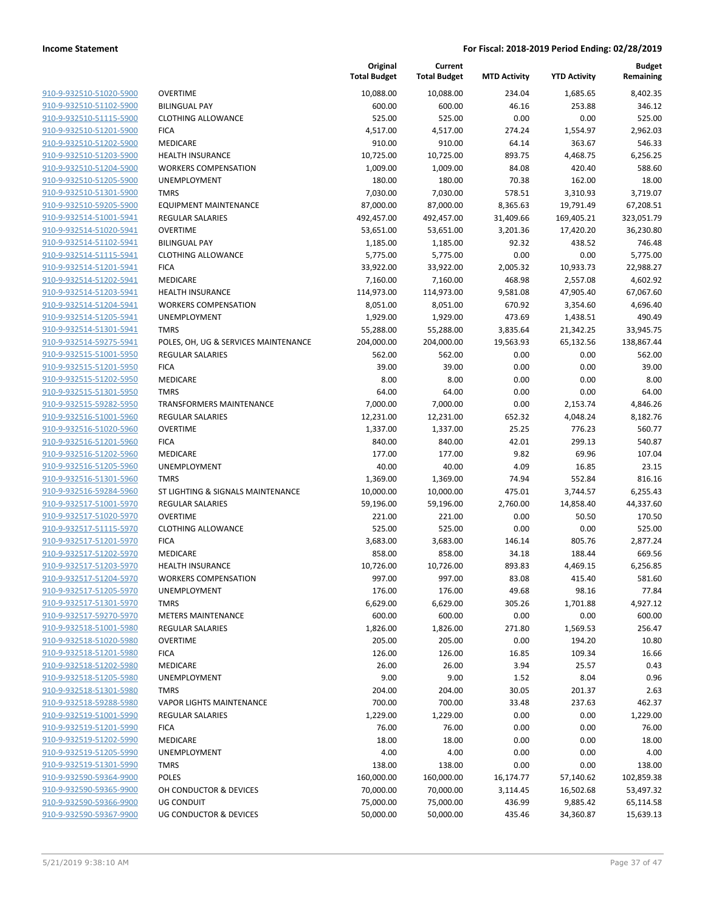|                                                    |                                      | Original<br><b>Total Budget</b> | Current<br><b>Total Budget</b> | <b>MTD Activity</b> | <b>YTD Activity</b> | <b>Budget</b><br>Remaining |
|----------------------------------------------------|--------------------------------------|---------------------------------|--------------------------------|---------------------|---------------------|----------------------------|
| 910-9-932510-51020-5900                            | <b>OVERTIME</b>                      | 10,088.00                       | 10,088.00                      | 234.04              | 1,685.65            | 8,402.35                   |
| 910-9-932510-51102-5900                            | <b>BILINGUAL PAY</b>                 | 600.00                          | 600.00                         | 46.16               | 253.88              | 346.12                     |
| 910-9-932510-51115-5900                            | <b>CLOTHING ALLOWANCE</b>            | 525.00                          | 525.00                         | 0.00                | 0.00                | 525.00                     |
| 910-9-932510-51201-5900                            | <b>FICA</b>                          | 4,517.00                        | 4,517.00                       | 274.24              | 1,554.97            | 2,962.03                   |
| 910-9-932510-51202-5900                            | <b>MEDICARE</b>                      | 910.00                          | 910.00                         | 64.14               | 363.67              | 546.33                     |
| 910-9-932510-51203-5900                            | <b>HEALTH INSURANCE</b>              | 10,725.00                       | 10,725.00                      | 893.75              | 4,468.75            | 6,256.25                   |
| 910-9-932510-51204-5900                            | <b>WORKERS COMPENSATION</b>          | 1,009.00                        | 1,009.00                       | 84.08               | 420.40              | 588.60                     |
| 910-9-932510-51205-5900                            | UNEMPLOYMENT                         | 180.00                          | 180.00                         | 70.38               | 162.00              | 18.00                      |
| 910-9-932510-51301-5900                            | <b>TMRS</b>                          | 7,030.00                        | 7,030.00                       | 578.51              | 3,310.93            | 3,719.07                   |
| 910-9-932510-59205-5900                            | <b>EQUIPMENT MAINTENANCE</b>         | 87,000.00                       | 87,000.00                      | 8,365.63            | 19,791.49           | 67,208.51                  |
| 910-9-932514-51001-5941                            | REGULAR SALARIES                     | 492,457.00                      | 492,457.00                     | 31,409.66           | 169,405.21          | 323,051.79                 |
| 910-9-932514-51020-5941                            | <b>OVERTIME</b>                      | 53,651.00                       | 53,651.00                      | 3,201.36            | 17,420.20           | 36,230.80                  |
| 910-9-932514-51102-5941                            | <b>BILINGUAL PAY</b>                 | 1,185.00                        | 1,185.00                       | 92.32               | 438.52              | 746.48                     |
| 910-9-932514-51115-5941                            | <b>CLOTHING ALLOWANCE</b>            | 5,775.00                        | 5,775.00                       | 0.00                | 0.00                | 5,775.00                   |
| 910-9-932514-51201-5941                            | <b>FICA</b>                          | 33,922.00                       | 33,922.00                      | 2,005.32            | 10,933.73           | 22,988.27                  |
| 910-9-932514-51202-5941                            | MEDICARE                             | 7,160.00                        | 7,160.00                       | 468.98              | 2,557.08            | 4,602.92                   |
| 910-9-932514-51203-5941                            | HEALTH INSURANCE                     | 114,973.00                      | 114,973.00                     | 9,581.08            | 47,905.40           | 67,067.60                  |
| 910-9-932514-51204-5941                            | <b>WORKERS COMPENSATION</b>          | 8,051.00                        | 8,051.00                       | 670.92              | 3,354.60            | 4,696.40                   |
| 910-9-932514-51205-5941                            | UNEMPLOYMENT                         | 1,929.00                        | 1,929.00                       | 473.69              | 1,438.51            | 490.49                     |
| 910-9-932514-51301-5941                            | <b>TMRS</b>                          | 55,288.00                       | 55,288.00                      | 3,835.64            | 21,342.25           | 33,945.75                  |
| 910-9-932514-59275-5941                            | POLES, OH, UG & SERVICES MAINTENANCE | 204,000.00                      | 204,000.00                     | 19,563.93           | 65,132.56           | 138,867.44                 |
| 910-9-932515-51001-5950                            | REGULAR SALARIES                     | 562.00                          | 562.00                         | 0.00                | 0.00                | 562.00                     |
| 910-9-932515-51201-5950                            | <b>FICA</b>                          | 39.00                           | 39.00                          | 0.00                | 0.00                | 39.00                      |
| 910-9-932515-51202-5950                            | MEDICARE                             | 8.00                            | 8.00                           | 0.00                | 0.00                | 8.00                       |
| 910-9-932515-51301-5950                            | <b>TMRS</b>                          | 64.00                           | 64.00                          | 0.00                | 0.00                | 64.00                      |
| 910-9-932515-59282-5950                            | <b>TRANSFORMERS MAINTENANCE</b>      | 7,000.00                        | 7,000.00                       | 0.00                | 2,153.74            | 4,846.26                   |
| 910-9-932516-51001-5960                            | REGULAR SALARIES                     | 12,231.00                       | 12,231.00                      | 652.32              | 4,048.24            | 8,182.76                   |
| 910-9-932516-51020-5960<br>910-9-932516-51201-5960 | <b>OVERTIME</b><br><b>FICA</b>       | 1,337.00<br>840.00              | 1,337.00<br>840.00             | 25.25<br>42.01      | 776.23<br>299.13    | 560.77<br>540.87           |
| 910-9-932516-51202-5960                            | MEDICARE                             | 177.00                          | 177.00                         | 9.82                | 69.96               | 107.04                     |
| 910-9-932516-51205-5960                            | UNEMPLOYMENT                         | 40.00                           | 40.00                          | 4.09                | 16.85               | 23.15                      |
| 910-9-932516-51301-5960                            | <b>TMRS</b>                          | 1,369.00                        | 1,369.00                       | 74.94               | 552.84              | 816.16                     |
| 910-9-932516-59284-5960                            | ST LIGHTING & SIGNALS MAINTENANCE    | 10,000.00                       | 10,000.00                      | 475.01              | 3,744.57            | 6,255.43                   |
| 910-9-932517-51001-5970                            | <b>REGULAR SALARIES</b>              | 59,196.00                       | 59,196.00                      | 2,760.00            | 14,858.40           | 44,337.60                  |
| 910-9-932517-51020-5970                            | <b>OVERTIME</b>                      | 221.00                          | 221.00                         | 0.00                | 50.50               | 170.50                     |
| 910-9-932517-51115-5970                            | <b>CLOTHING ALLOWANCE</b>            | 525.00                          | 525.00                         | 0.00                | 0.00                | 525.00                     |
| 910-9-932517-51201-5970                            | <b>FICA</b>                          | 3,683.00                        | 3,683.00                       | 146.14              | 805.76              | 2,877.24                   |
| 910-9-932517-51202-5970                            | MEDICARE                             | 858.00                          | 858.00                         | 34.18               | 188.44              | 669.56                     |
| 910-9-932517-51203-5970                            | <b>HEALTH INSURANCE</b>              | 10,726.00                       | 10,726.00                      | 893.83              | 4,469.15            | 6,256.85                   |
| 910-9-932517-51204-5970                            | <b>WORKERS COMPENSATION</b>          | 997.00                          | 997.00                         | 83.08               | 415.40              | 581.60                     |
| 910-9-932517-51205-5970                            | UNEMPLOYMENT                         | 176.00                          | 176.00                         | 49.68               | 98.16               | 77.84                      |
| 910-9-932517-51301-5970                            | <b>TMRS</b>                          | 6,629.00                        | 6,629.00                       | 305.26              | 1,701.88            | 4,927.12                   |
| 910-9-932517-59270-5970                            | <b>METERS MAINTENANCE</b>            | 600.00                          | 600.00                         | 0.00                | 0.00                | 600.00                     |
| 910-9-932518-51001-5980                            | <b>REGULAR SALARIES</b>              | 1,826.00                        | 1,826.00                       | 271.80              | 1,569.53            | 256.47                     |
| 910-9-932518-51020-5980                            | <b>OVERTIME</b>                      | 205.00                          | 205.00                         | 0.00                | 194.20              | 10.80                      |
| 910-9-932518-51201-5980                            | <b>FICA</b>                          | 126.00                          | 126.00                         | 16.85               | 109.34              | 16.66                      |
| 910-9-932518-51202-5980                            | MEDICARE                             | 26.00                           | 26.00                          | 3.94                | 25.57               | 0.43                       |
| 910-9-932518-51205-5980                            | UNEMPLOYMENT                         | 9.00                            | 9.00                           | 1.52                | 8.04                | 0.96                       |
| 910-9-932518-51301-5980                            | <b>TMRS</b>                          | 204.00                          | 204.00                         | 30.05               | 201.37              | 2.63                       |
| 910-9-932518-59288-5980                            | <b>VAPOR LIGHTS MAINTENANCE</b>      | 700.00                          | 700.00                         | 33.48               | 237.63              | 462.37                     |
| 910-9-932519-51001-5990                            | <b>REGULAR SALARIES</b>              | 1,229.00                        | 1,229.00                       | 0.00                | 0.00                | 1,229.00                   |
| 910-9-932519-51201-5990                            | <b>FICA</b>                          | 76.00                           | 76.00                          | 0.00                | 0.00                | 76.00                      |
| 910-9-932519-51202-5990                            | MEDICARE                             | 18.00                           | 18.00                          | 0.00                | 0.00                | 18.00                      |
| 910-9-932519-51205-5990                            | <b>UNEMPLOYMENT</b>                  | 4.00                            | 4.00                           | 0.00                | 0.00                | 4.00                       |
| 910-9-932519-51301-5990                            | <b>TMRS</b>                          | 138.00                          | 138.00                         | 0.00                | 0.00                | 138.00                     |
| 910-9-932590-59364-9900                            | <b>POLES</b>                         | 160,000.00                      | 160,000.00                     | 16,174.77           | 57,140.62           | 102,859.38                 |
| 910-9-932590-59365-9900                            | OH CONDUCTOR & DEVICES               | 70,000.00                       | 70,000.00                      | 3,114.45            | 16,502.68           | 53,497.32                  |
| 910-9-932590-59366-9900                            | UG CONDUIT                           | 75,000.00                       | 75,000.00                      | 436.99              | 9,885.42            | 65,114.58                  |
| 910-9-932590-59367-9900                            | <b>UG CONDUCTOR &amp; DEVICES</b>    | 50,000.00                       | 50,000.00                      | 435.46              | 34,360.87           | 15,639.13                  |
|                                                    |                                      |                                 |                                |                     |                     |                            |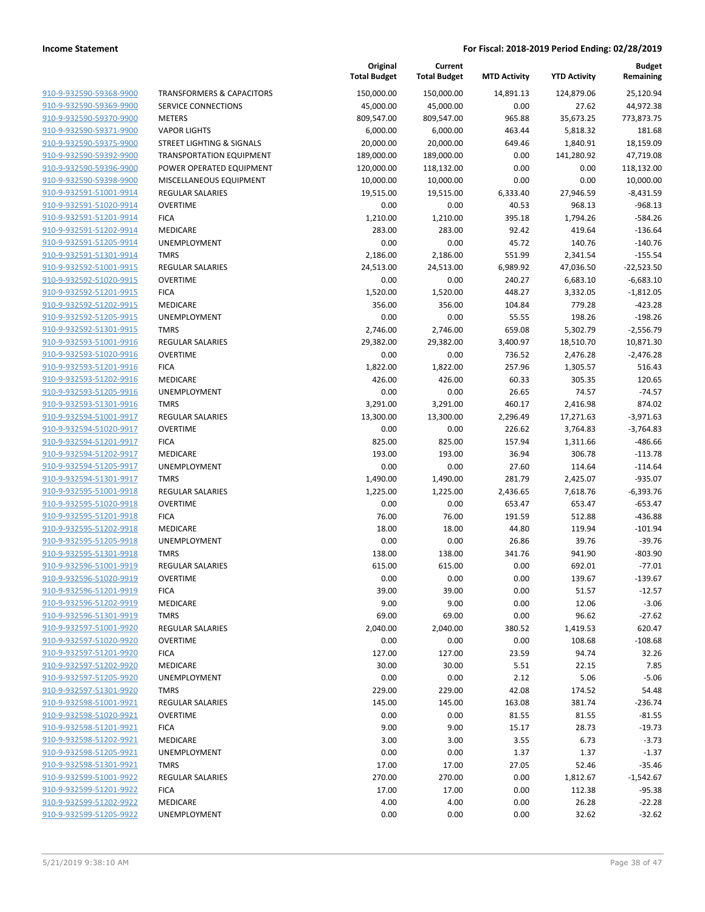|                         |                                      | Original<br><b>Total Budget</b> | Current<br><b>Total Budget</b> | <b>MTD Activity</b> | <b>YTD Activity</b> | <b>Budget</b><br>Remaining |
|-------------------------|--------------------------------------|---------------------------------|--------------------------------|---------------------|---------------------|----------------------------|
| 910-9-932590-59368-9900 | <b>TRANSFORMERS &amp; CAPACITORS</b> | 150,000.00                      | 150,000.00                     | 14,891.13           | 124,879.06          | 25,120.94                  |
| 910-9-932590-59369-9900 | SERVICE CONNECTIONS                  | 45,000.00                       | 45,000.00                      | 0.00                | 27.62               | 44,972.38                  |
| 910-9-932590-59370-9900 | <b>METERS</b>                        | 809,547.00                      | 809,547.00                     | 965.88              | 35,673.25           | 773,873.75                 |
| 910-9-932590-59371-9900 | <b>VAPOR LIGHTS</b>                  | 6,000.00                        | 6,000.00                       | 463.44              | 5,818.32            | 181.68                     |
| 910-9-932590-59375-9900 | STREET LIGHTING & SIGNALS            | 20,000.00                       | 20,000.00                      | 649.46              | 1,840.91            | 18,159.09                  |
| 910-9-932590-59392-9900 | TRANSPORTATION EQUIPMENT             | 189,000.00                      | 189,000.00                     | 0.00                | 141,280.92          | 47,719.08                  |
| 910-9-932590-59396-9900 | POWER OPERATED EQUIPMENT             | 120,000.00                      | 118,132.00                     | 0.00                | 0.00                | 118,132.00                 |
| 910-9-932590-59398-9900 | MISCELLANEOUS EQUIPMENT              | 10,000.00                       | 10,000.00                      | 0.00                | 0.00                | 10,000.00                  |
| 910-9-932591-51001-9914 | <b>REGULAR SALARIES</b>              | 19,515.00                       | 19,515.00                      | 6,333.40            | 27,946.59           | $-8,431.59$                |
| 910-9-932591-51020-9914 | <b>OVERTIME</b>                      | 0.00                            | 0.00                           | 40.53               | 968.13              | $-968.13$                  |
| 910-9-932591-51201-9914 | <b>FICA</b>                          | 1,210.00                        | 1,210.00                       | 395.18              | 1,794.26            | $-584.26$                  |
| 910-9-932591-51202-9914 | MEDICARE                             | 283.00                          | 283.00                         | 92.42               | 419.64              | $-136.64$                  |
| 910-9-932591-51205-9914 | UNEMPLOYMENT                         | 0.00                            | 0.00                           | 45.72               | 140.76              | $-140.76$                  |
| 910-9-932591-51301-9914 | <b>TMRS</b>                          | 2,186.00                        | 2,186.00                       | 551.99              | 2,341.54            | $-155.54$                  |
| 910-9-932592-51001-9915 | REGULAR SALARIES                     | 24,513.00                       | 24,513.00                      | 6,989.92            | 47,036.50           | $-22,523.50$               |
| 910-9-932592-51020-9915 | <b>OVERTIME</b>                      | 0.00                            | 0.00                           | 240.27              | 6,683.10            | $-6,683.10$                |
| 910-9-932592-51201-9915 | <b>FICA</b>                          | 1,520.00                        | 1,520.00                       | 448.27              | 3,332.05            | $-1,812.05$                |
| 910-9-932592-51202-9915 | <b>MEDICARE</b>                      | 356.00                          | 356.00                         | 104.84              | 779.28              | $-423.28$                  |
| 910-9-932592-51205-9915 | <b>UNEMPLOYMENT</b>                  | 0.00                            | 0.00                           | 55.55               | 198.26              | $-198.26$                  |
| 910-9-932592-51301-9915 | <b>TMRS</b>                          | 2,746.00                        | 2,746.00                       | 659.08              | 5,302.79            | $-2,556.79$                |
| 910-9-932593-51001-9916 | <b>REGULAR SALARIES</b>              | 29,382.00                       | 29,382.00                      | 3,400.97            | 18,510.70           | 10,871.30                  |
| 910-9-932593-51020-9916 | <b>OVERTIME</b>                      | 0.00                            | 0.00                           | 736.52              | 2,476.28            | $-2,476.28$                |
| 910-9-932593-51201-9916 | <b>FICA</b>                          | 1,822.00                        | 1,822.00                       | 257.96              | 1,305.57            | 516.43                     |
| 910-9-932593-51202-9916 | MEDICARE                             | 426.00                          | 426.00                         | 60.33               | 305.35              | 120.65                     |
| 910-9-932593-51205-9916 | <b>UNEMPLOYMENT</b>                  | 0.00                            | 0.00                           | 26.65               | 74.57               | $-74.57$                   |
| 910-9-932593-51301-9916 | <b>TMRS</b>                          | 3,291.00                        | 3,291.00                       | 460.17              | 2,416.98            | 874.02                     |
| 910-9-932594-51001-9917 | <b>REGULAR SALARIES</b>              | 13,300.00                       | 13,300.00                      | 2,296.49            | 17,271.63           | $-3,971.63$                |
| 910-9-932594-51020-9917 | <b>OVERTIME</b>                      | 0.00                            | 0.00                           | 226.62              | 3,764.83            | $-3,764.83$                |
| 910-9-932594-51201-9917 | <b>FICA</b>                          | 825.00                          | 825.00                         | 157.94              | 1,311.66            | $-486.66$                  |
| 910-9-932594-51202-9917 | MEDICARE                             | 193.00                          | 193.00                         | 36.94               | 306.78              | $-113.78$                  |
| 910-9-932594-51205-9917 | UNEMPLOYMENT                         | 0.00                            | 0.00                           | 27.60               | 114.64              | $-114.64$                  |
| 910-9-932594-51301-9917 | <b>TMRS</b>                          | 1,490.00                        | 1,490.00                       | 281.79              | 2,425.07            | $-935.07$                  |
| 910-9-932595-51001-9918 | <b>REGULAR SALARIES</b>              | 1,225.00                        | 1,225.00                       | 2,436.65            | 7,618.76            | $-6,393.76$                |
| 910-9-932595-51020-9918 | <b>OVERTIME</b>                      | 0.00                            | 0.00                           | 653.47              | 653.47              | $-653.47$                  |
| 910-9-932595-51201-9918 | <b>FICA</b>                          | 76.00                           | 76.00                          | 191.59              | 512.88              | $-436.88$                  |
| 910-9-932595-51202-9918 | MEDICARE                             | 18.00                           | 18.00                          | 44.80               | 119.94              | $-101.94$                  |
| 910-9-932595-51205-9918 | UNEMPLOYMENT                         | 0.00                            | 0.00                           | 26.86               | 39.76               | $-39.76$                   |
| 910-9-932595-51301-9918 | <b>TMRS</b>                          | 138.00                          | 138.00                         | 341.76              | 941.90              | $-803.90$                  |
| 910-9-932596-51001-9919 | <b>REGULAR SALARIES</b>              | 615.00                          | 615.00                         | 0.00                | 692.01              | $-77.01$                   |
| 910-9-932596-51020-9919 | OVERTIME                             | 0.00                            | 0.00                           | 0.00                | 139.67              | $-139.67$                  |
| 910-9-932596-51201-9919 | <b>FICA</b>                          | 39.00                           | 39.00                          | 0.00                | 51.57               | $-12.57$                   |
| 910-9-932596-51202-9919 | MEDICARE                             | 9.00                            | 9.00                           | 0.00                | 12.06               | $-3.06$                    |
| 910-9-932596-51301-9919 | <b>TMRS</b>                          | 69.00                           | 69.00                          | 0.00                | 96.62               | $-27.62$                   |
| 910-9-932597-51001-9920 | REGULAR SALARIES                     | 2,040.00                        | 2,040.00                       | 380.52              | 1,419.53            | 620.47                     |
| 910-9-932597-51020-9920 | <b>OVERTIME</b>                      | 0.00                            | 0.00                           | 0.00                | 108.68              | $-108.68$                  |
| 910-9-932597-51201-9920 | <b>FICA</b>                          | 127.00                          | 127.00                         | 23.59               | 94.74               | 32.26                      |
| 910-9-932597-51202-9920 | MEDICARE                             | 30.00                           | 30.00                          | 5.51                | 22.15               | 7.85                       |
| 910-9-932597-51205-9920 | <b>UNEMPLOYMENT</b>                  | 0.00                            | 0.00                           | 2.12                | 5.06                | $-5.06$                    |
| 910-9-932597-51301-9920 | <b>TMRS</b>                          | 229.00                          | 229.00                         | 42.08               | 174.52              | 54.48                      |
| 910-9-932598-51001-9921 | REGULAR SALARIES                     | 145.00                          | 145.00                         | 163.08              | 381.74              | $-236.74$                  |
| 910-9-932598-51020-9921 | <b>OVERTIME</b>                      | 0.00                            | 0.00                           | 81.55               | 81.55               | $-81.55$                   |
| 910-9-932598-51201-9921 | <b>FICA</b>                          | 9.00                            | 9.00                           | 15.17               | 28.73               | $-19.73$                   |
| 910-9-932598-51202-9921 | MEDICARE                             | 3.00                            | 3.00                           | 3.55                | 6.73                | $-3.73$                    |
| 910-9-932598-51205-9921 | UNEMPLOYMENT                         | 0.00                            | 0.00                           | 1.37                | 1.37                | $-1.37$                    |
| 910-9-932598-51301-9921 | <b>TMRS</b>                          | 17.00                           | 17.00                          | 27.05               | 52.46               | $-35.46$                   |
| 910-9-932599-51001-9922 | <b>REGULAR SALARIES</b>              | 270.00                          | 270.00                         | 0.00                | 1,812.67            | $-1,542.67$                |
| 910-9-932599-51201-9922 | <b>FICA</b>                          | 17.00                           | 17.00                          | 0.00                | 112.38              | $-95.38$                   |
| 910-9-932599-51202-9922 | MEDICARE                             | 4.00                            | 4.00                           | 0.00                | 26.28               | $-22.28$                   |
| 910-9-932599-51205-9922 | UNEMPLOYMENT                         | 0.00                            | 0.00                           | 0.00                | 32.62               | $-32.62$                   |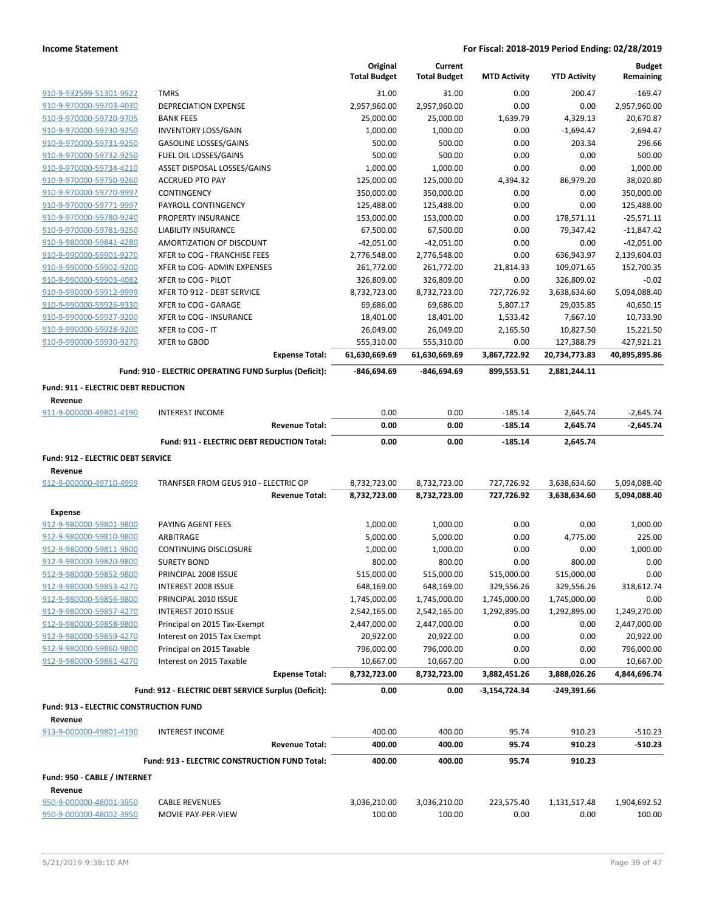|                                                    |                                                            |                       | Original<br><b>Total Budget</b> | Current<br><b>Total Budget</b> | <b>MTD Activity</b> | <b>YTD Activity</b>   | <b>Budget</b><br>Remaining |
|----------------------------------------------------|------------------------------------------------------------|-----------------------|---------------------------------|--------------------------------|---------------------|-----------------------|----------------------------|
|                                                    |                                                            |                       |                                 |                                |                     |                       |                            |
| 910-9-932599-51301-9922                            | <b>TMRS</b>                                                |                       | 31.00                           | 31.00                          | 0.00                | 200.47                | $-169.47$                  |
| 910-9-970000-59703-4030                            | <b>DEPRECIATION EXPENSE</b>                                |                       | 2,957,960.00                    | 2,957,960.00                   | 0.00                | 0.00                  | 2,957,960.00               |
| 910-9-970000-59720-9705<br>910-9-970000-59730-9250 | <b>BANK FEES</b>                                           |                       | 25,000.00                       | 25,000.00<br>1,000.00          | 1,639.79<br>0.00    | 4,329.13              | 20,670.87                  |
| 910-9-970000-59731-9250                            | <b>INVENTORY LOSS/GAIN</b><br><b>GASOLINE LOSSES/GAINS</b> |                       | 1,000.00<br>500.00              | 500.00                         | 0.00                | $-1,694.47$<br>203.34 | 2,694.47<br>296.66         |
| 910-9-970000-59732-9250                            | FUEL OIL LOSSES/GAINS                                      |                       | 500.00                          | 500.00                         | 0.00                | 0.00                  | 500.00                     |
| 910-9-970000-59734-4210                            | ASSET DISPOSAL LOSSES/GAINS                                |                       | 1,000.00                        | 1,000.00                       | 0.00                | 0.00                  | 1,000.00                   |
| 910-9-970000-59750-9260                            | <b>ACCRUED PTO PAY</b>                                     |                       | 125,000.00                      | 125,000.00                     | 4,394.32            | 86,979.20             | 38,020.80                  |
| 910-9-970000-59770-9997                            | CONTINGENCY                                                |                       | 350,000.00                      | 350,000.00                     | 0.00                | 0.00                  | 350,000.00                 |
| 910-9-970000-59771-9997                            | PAYROLL CONTINGENCY                                        |                       | 125,488.00                      | 125,488.00                     | 0.00                | 0.00                  | 125,488.00                 |
| 910-9-970000-59780-9240                            | PROPERTY INSURANCE                                         |                       | 153,000.00                      | 153,000.00                     | 0.00                | 178,571.11            | $-25,571.11$               |
| 910-9-970000-59781-9250                            | <b>LIABILITY INSURANCE</b>                                 |                       | 67,500.00                       | 67,500.00                      | 0.00                | 79,347.42             | $-11,847.42$               |
| 910-9-980000-59841-4280                            | AMORTIZATION OF DISCOUNT                                   |                       | $-42,051.00$                    | $-42,051.00$                   | 0.00                | 0.00                  | $-42,051.00$               |
| 910-9-990000-59901-9270                            | XFER to COG - FRANCHISE FEES                               |                       | 2,776,548.00                    | 2,776,548.00                   | 0.00                | 636,943.97            | 2,139,604.03               |
| 910-9-990000-59902-9200                            | XFER to COG- ADMIN EXPENSES                                |                       | 261,772.00                      | 261,772.00                     | 21,814.33           | 109,071.65            | 152,700.35                 |
| 910-9-990000-59903-4082                            | XFER to COG - PILOT                                        |                       | 326,809.00                      | 326,809.00                     | 0.00                | 326,809.02            | $-0.02$                    |
| 910-9-990000-59912-9999                            | XFER TO 912 - DEBT SERVICE                                 |                       | 8,732,723.00                    | 8,732,723.00                   | 727,726.92          | 3,638,634.60          | 5,094,088.40               |
| 910-9-990000-59926-9330                            | XFER to COG - GARAGE                                       |                       | 69,686.00                       | 69,686.00                      | 5,807.17            | 29,035.85             | 40,650.15                  |
| 910-9-990000-59927-9200                            | XFER to COG - INSURANCE                                    |                       | 18,401.00                       | 18,401.00                      | 1,533.42            | 7,667.10              | 10,733.90                  |
| 910-9-990000-59928-9200                            | XFER to COG - IT                                           |                       | 26,049.00                       | 26,049.00                      | 2,165.50            | 10,827.50             | 15,221.50                  |
| 910-9-990000-59930-9270                            | <b>XFER to GBOD</b>                                        |                       | 555,310.00                      | 555,310.00                     | 0.00                | 127,388.79            | 427,921.21                 |
|                                                    |                                                            | <b>Expense Total:</b> | 61,630,669.69                   | 61,630,669.69                  | 3,867,722.92        | 20,734,773.83         | 40,895,895.86              |
|                                                    | Fund: 910 - ELECTRIC OPERATING FUND Surplus (Deficit):     |                       | -846,694.69                     | -846,694.69                    | 899,553.51          | 2,881,244.11          |                            |
| Fund: 911 - ELECTRIC DEBT REDUCTION                |                                                            |                       |                                 |                                |                     |                       |                            |
| Revenue                                            |                                                            |                       |                                 |                                |                     |                       |                            |
| 911-9-000000-49801-4190                            | <b>INTEREST INCOME</b>                                     |                       | 0.00                            | 0.00                           | $-185.14$           | 2,645.74              | $-2,645.74$                |
|                                                    |                                                            | <b>Revenue Total:</b> | 0.00                            | 0.00                           | $-185.14$           | 2,645.74              | $-2,645.74$                |
|                                                    | Fund: 911 - ELECTRIC DEBT REDUCTION Total:                 |                       | 0.00                            | 0.00                           | $-185.14$           | 2,645.74              |                            |
| Fund: 912 - ELECTRIC DEBT SERVICE                  |                                                            |                       |                                 |                                |                     |                       |                            |
| Revenue                                            |                                                            |                       |                                 |                                |                     |                       |                            |
| 912-9-000000-49710-4999                            | TRANFSER FROM GEUS 910 - ELECTRIC OP                       |                       | 8,732,723.00                    | 8,732,723.00                   | 727,726.92          | 3,638,634.60          | 5,094,088.40               |
|                                                    |                                                            | <b>Revenue Total:</b> | 8,732,723.00                    | 8,732,723.00                   | 727,726.92          | 3,638,634.60          | 5,094,088.40               |
| <b>Expense</b>                                     |                                                            |                       |                                 |                                |                     |                       |                            |
| 912-9-980000-59801-9800                            | PAYING AGENT FEES                                          |                       | 1,000.00                        | 1,000.00                       | 0.00                | 0.00                  | 1,000.00                   |
| 912-9-980000-59810-9800                            | ARBITRAGE                                                  |                       | 5,000.00                        | 5,000.00                       | 0.00                | 4,775.00              | 225.00                     |
| 912-9-980000-59811-9800                            | CONTINUING DISCLOSURE                                      |                       | 1,000.00                        | 1,000.00                       | 0.00                | 0.00                  | 1,000.00                   |
| 912-9-980000-59820-9800                            | <b>SURETY BOND</b>                                         |                       | 800.00                          | 800.00                         | 0.00                | 800.00                | 0.00                       |
| 912-9-980000-59852-9800                            | PRINCIPAL 2008 ISSUE                                       |                       | 515,000.00                      | 515,000.00                     | 515,000.00          | 515,000.00            | 0.00                       |
| 912-9-980000-59853-4270                            | INTEREST 2008 ISSUE                                        |                       | 648,169.00                      | 648,169.00                     | 329,556.26          | 329,556.26            | 318,612.74                 |
| 912-9-980000-59856-9800                            | PRINCIPAL 2010 ISSUE                                       |                       | 1,745,000.00                    | 1,745,000.00                   | 1,745,000.00        | 1,745,000.00          | 0.00                       |
| 912-9-980000-59857-4270                            | INTEREST 2010 ISSUE                                        |                       | 2,542,165.00                    | 2,542,165.00                   | 1,292,895.00        | 1,292,895.00          | 1,249,270.00               |
| 912-9-980000-59858-9800                            | Principal on 2015 Tax-Exempt                               |                       | 2,447,000.00                    | 2,447,000.00                   | 0.00                | 0.00                  | 2,447,000.00               |
| 912-9-980000-59859-4270                            | Interest on 2015 Tax Exempt                                |                       | 20,922.00                       | 20,922.00                      | 0.00                | 0.00                  | 20,922.00                  |
| 912-9-980000-59860-9800                            | Principal on 2015 Taxable                                  |                       | 796,000.00                      | 796,000.00                     | 0.00                | 0.00                  | 796,000.00                 |
| 912-9-980000-59861-4270                            | Interest on 2015 Taxable                                   |                       | 10,667.00                       | 10,667.00                      | 0.00                | 0.00                  | 10,667.00                  |
|                                                    |                                                            | <b>Expense Total:</b> | 8,732,723.00                    | 8,732,723.00                   | 3,882,451.26        | 3,888,026.26          | 4,844,696.74               |
|                                                    | Fund: 912 - ELECTRIC DEBT SERVICE Surplus (Deficit):       |                       | 0.00                            | 0.00                           | -3,154,724.34       | -249,391.66           |                            |
| Fund: 913 - ELECTRIC CONSTRUCTION FUND             |                                                            |                       |                                 |                                |                     |                       |                            |
| Revenue                                            |                                                            |                       |                                 |                                |                     |                       |                            |
| 913-9-000000-49801-4190                            | <b>INTEREST INCOME</b>                                     |                       | 400.00                          | 400.00                         | 95.74               | 910.23                | $-510.23$                  |
|                                                    |                                                            | <b>Revenue Total:</b> | 400.00                          | 400.00                         | 95.74               | 910.23                | $-510.23$                  |
|                                                    | Fund: 913 - ELECTRIC CONSTRUCTION FUND Total:              |                       | 400.00                          | 400.00                         | 95.74               | 910.23                |                            |
| Fund: 950 - CABLE / INTERNET                       |                                                            |                       |                                 |                                |                     |                       |                            |
| Revenue                                            |                                                            |                       |                                 |                                |                     |                       |                            |
|                                                    |                                                            |                       |                                 |                                |                     |                       |                            |
| 950-9-000000-48001-3950                            | <b>CABLE REVENUES</b>                                      |                       | 3,036,210.00                    | 3,036,210.00                   | 223,575.40          | 1,131,517.48          | 1,904,692.52               |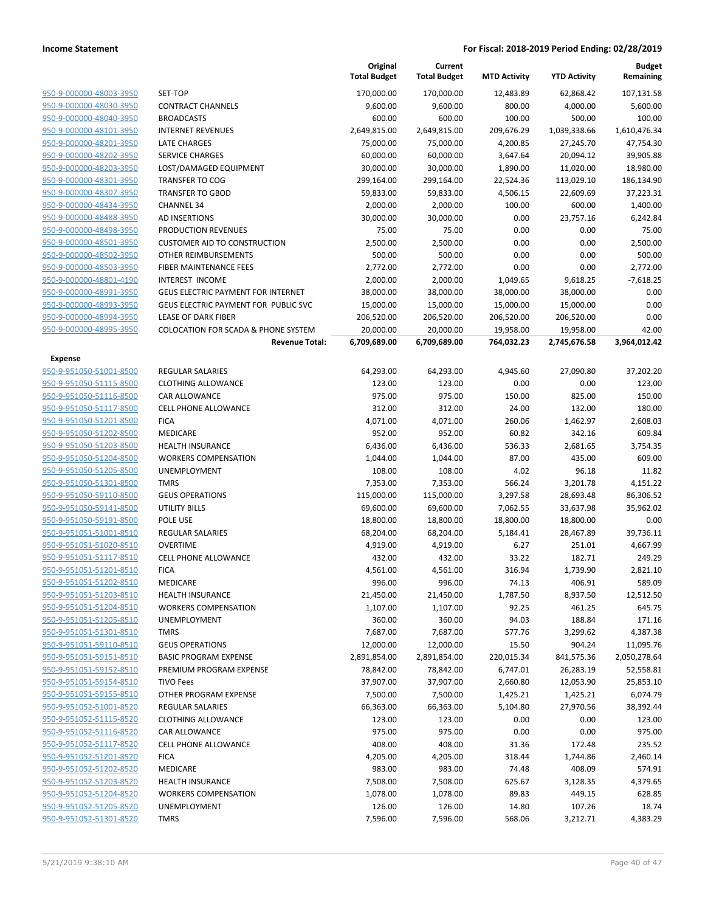|                         |                                                | Original<br><b>Total Budget</b> | Current<br><b>Total Budget</b> | <b>MTD Activity</b> | <b>YTD Activity</b> | <b>Budget</b><br>Remaining |
|-------------------------|------------------------------------------------|---------------------------------|--------------------------------|---------------------|---------------------|----------------------------|
| 950-9-000000-48003-3950 | SET-TOP                                        | 170,000.00                      | 170,000.00                     | 12,483.89           | 62,868.42           | 107,131.58                 |
| 950-9-000000-48030-3950 | <b>CONTRACT CHANNELS</b>                       | 9,600.00                        | 9,600.00                       | 800.00              | 4,000.00            | 5,600.00                   |
| 950-9-000000-48040-3950 | <b>BROADCASTS</b>                              | 600.00                          | 600.00                         | 100.00              | 500.00              | 100.00                     |
| 950-9-000000-48101-3950 | <b>INTERNET REVENUES</b>                       | 2,649,815.00                    | 2,649,815.00                   | 209,676.29          | 1,039,338.66        | 1,610,476.34               |
| 950-9-000000-48201-3950 | LATE CHARGES                                   | 75,000.00                       | 75,000.00                      | 4,200.85            | 27,245.70           | 47,754.30                  |
| 950-9-000000-48202-3950 | <b>SERVICE CHARGES</b>                         | 60,000.00                       | 60,000.00                      | 3,647.64            | 20,094.12           | 39,905.88                  |
| 950-9-000000-48203-3950 | LOST/DAMAGED EQUIPMENT                         | 30,000.00                       | 30,000.00                      | 1,890.00            | 11,020.00           | 18,980.00                  |
| 950-9-000000-48301-3950 | <b>TRANSFER TO COG</b>                         | 299,164.00                      | 299,164.00                     | 22,524.36           | 113,029.10          | 186,134.90                 |
| 950-9-000000-48307-3950 | <b>TRANSFER TO GBOD</b>                        | 59,833.00                       | 59,833.00                      | 4,506.15            | 22,609.69           | 37,223.31                  |
| 950-9-000000-48434-3950 | <b>CHANNEL 34</b>                              | 2,000.00                        | 2,000.00                       | 100.00              | 600.00              | 1,400.00                   |
| 950-9-000000-48488-3950 | <b>AD INSERTIONS</b>                           | 30,000.00                       | 30,000.00                      | 0.00                | 23,757.16           | 6,242.84                   |
| 950-9-000000-48498-3950 | PRODUCTION REVENUES                            | 75.00                           | 75.00                          | 0.00                | 0.00                | 75.00                      |
| 950-9-000000-48501-3950 | <b>CUSTOMER AID TO CONSTRUCTION</b>            | 2,500.00                        | 2,500.00                       | 0.00                | 0.00                | 2,500.00                   |
| 950-9-000000-48502-3950 | OTHER REIMBURSEMENTS                           | 500.00                          | 500.00                         | 0.00                | 0.00                | 500.00                     |
| 950-9-000000-48503-3950 | FIBER MAINTENANCE FEES                         | 2,772.00                        | 2,772.00                       | 0.00                | 0.00                | 2,772.00                   |
| 950-9-000000-48801-4190 | <b>INTEREST INCOME</b>                         | 2,000.00                        | 2,000.00                       | 1,049.65            | 9,618.25            | $-7,618.25$                |
| 950-9-000000-48991-3950 | <b>GEUS ELECTRIC PAYMENT FOR INTERNET</b>      | 38,000.00                       | 38,000.00                      | 38,000.00           | 38,000.00           | 0.00                       |
| 950-9-000000-48993-3950 | GEUS ELECTRIC PAYMENT FOR PUBLIC SVC           | 15,000.00                       | 15,000.00                      | 15,000.00           | 15,000.00           | 0.00                       |
| 950-9-000000-48994-3950 | LEASE OF DARK FIBER                            | 206,520.00                      | 206,520.00                     | 206,520.00          | 206,520.00          | 0.00                       |
| 950-9-000000-48995-3950 | <b>COLOCATION FOR SCADA &amp; PHONE SYSTEM</b> | 20,000.00                       | 20,000.00                      | 19,958.00           | 19,958.00           | 42.00                      |
|                         | <b>Revenue Total:</b>                          | 6,709,689.00                    | 6,709,689.00                   | 764,032.23          | 2,745,676.58        | 3,964,012.42               |
| <b>Expense</b>          |                                                |                                 |                                |                     |                     |                            |
| 950-9-951050-51001-8500 | <b>REGULAR SALARIES</b>                        | 64,293.00                       | 64,293.00                      | 4,945.60            | 27,090.80           | 37,202.20                  |
| 950-9-951050-51115-8500 | <b>CLOTHING ALLOWANCE</b>                      | 123.00                          | 123.00                         | 0.00                | 0.00                | 123.00                     |
| 950-9-951050-51116-8500 | <b>CAR ALLOWANCE</b>                           | 975.00                          | 975.00                         | 150.00              | 825.00              | 150.00                     |
| 950-9-951050-51117-8500 | <b>CELL PHONE ALLOWANCE</b>                    | 312.00                          | 312.00                         | 24.00               | 132.00              | 180.00                     |
| 950-9-951050-51201-8500 | <b>FICA</b>                                    | 4,071.00                        | 4,071.00                       | 260.06              | 1,462.97            | 2,608.03                   |
| 950-9-951050-51202-8500 | MEDICARE                                       | 952.00                          | 952.00                         | 60.82               | 342.16              | 609.84                     |
| 950-9-951050-51203-8500 | <b>HEALTH INSURANCE</b>                        | 6,436.00                        | 6,436.00                       | 536.33              | 2,681.65            | 3,754.35                   |
| 950-9-951050-51204-8500 | <b>WORKERS COMPENSATION</b>                    | 1,044.00                        | 1,044.00                       | 87.00               | 435.00              | 609.00                     |
| 950-9-951050-51205-8500 | UNEMPLOYMENT                                   | 108.00                          | 108.00                         | 4.02                | 96.18               | 11.82                      |
| 950-9-951050-51301-8500 | <b>TMRS</b>                                    | 7,353.00                        | 7,353.00                       | 566.24              | 3,201.78            | 4,151.22                   |
| 950-9-951050-59110-8500 | <b>GEUS OPERATIONS</b>                         | 115,000.00                      | 115,000.00                     | 3,297.58            | 28,693.48           | 86,306.52                  |
| 950-9-951050-59141-8500 | <b>UTILITY BILLS</b>                           | 69,600.00                       | 69,600.00                      | 7,062.55            | 33,637.98           | 35,962.02                  |
| 950-9-951050-59191-8500 | POLE USE                                       | 18,800.00                       | 18,800.00                      | 18,800.00           | 18,800.00           | 0.00                       |
| 950-9-951051-51001-8510 | <b>REGULAR SALARIES</b>                        | 68,204.00                       | 68,204.00                      | 5,184.41            | 28,467.89           | 39,736.11                  |
| 950-9-951051-51020-8510 | <b>OVERTIME</b>                                | 4,919.00                        | 4,919.00                       | 6.27                | 251.01              | 4,667.99                   |
| 950-9-951051-51117-8510 | <b>CELL PHONE ALLOWANCE</b>                    | 432.00                          | 432.00                         | 33.22               | 182.71              | 249.29                     |
| 950-9-951051-51201-8510 | <b>FICA</b>                                    | 4,561.00                        | 4,561.00                       | 316.94              | 1,739.90            | 2,821.10                   |
| 950-9-951051-51202-8510 | MEDICARE                                       | 996.00                          | 996.00                         | 74.13               | 406.91              | 589.09                     |
| 950-9-951051-51203-8510 | <b>HEALTH INSURANCE</b>                        | 21,450.00                       | 21,450.00                      | 1,787.50            | 8,937.50            | 12,512.50                  |
| 950-9-951051-51204-8510 | <b>WORKERS COMPENSATION</b>                    | 1,107.00                        | 1,107.00                       | 92.25               | 461.25              | 645.75                     |
| 950-9-951051-51205-8510 | UNEMPLOYMENT                                   | 360.00                          | 360.00                         | 94.03               | 188.84              | 171.16                     |
| 950-9-951051-51301-8510 | <b>TMRS</b>                                    | 7,687.00                        | 7,687.00                       | 577.76              | 3,299.62            | 4,387.38                   |
| 950-9-951051-59110-8510 | <b>GEUS OPERATIONS</b>                         | 12,000.00                       | 12,000.00                      | 15.50               | 904.24              | 11,095.76                  |
| 950-9-951051-59151-8510 | <b>BASIC PROGRAM EXPENSE</b>                   | 2,891,854.00                    | 2,891,854.00                   | 220,015.34          | 841,575.36          | 2,050,278.64               |
| 950-9-951051-59152-8510 | PREMIUM PROGRAM EXPENSE                        | 78,842.00                       | 78,842.00                      | 6,747.01            | 26,283.19           | 52,558.81                  |
| 950-9-951051-59154-8510 | <b>TIVO Fees</b>                               | 37,907.00                       | 37,907.00                      | 2,660.80            | 12,053.90           | 25,853.10                  |
| 950-9-951051-59155-8510 | OTHER PROGRAM EXPENSE                          | 7,500.00                        | 7,500.00                       | 1,425.21            | 1,425.21            | 6,074.79                   |
| 950-9-951052-51001-8520 | <b>REGULAR SALARIES</b>                        | 66,363.00                       | 66,363.00                      | 5,104.80            | 27,970.56           | 38,392.44                  |
| 950-9-951052-51115-8520 | <b>CLOTHING ALLOWANCE</b>                      | 123.00                          | 123.00                         | 0.00                | 0.00                | 123.00                     |
| 950-9-951052-51116-8520 | <b>CAR ALLOWANCE</b>                           | 975.00                          | 975.00                         | 0.00                | 0.00                | 975.00                     |
| 950-9-951052-51117-8520 | <b>CELL PHONE ALLOWANCE</b>                    | 408.00                          | 408.00                         | 31.36               | 172.48              | 235.52                     |
| 950-9-951052-51201-8520 | <b>FICA</b>                                    | 4,205.00                        | 4,205.00                       | 318.44              | 1,744.86            | 2,460.14                   |
| 950-9-951052-51202-8520 | MEDICARE                                       | 983.00                          | 983.00                         | 74.48               | 408.09              | 574.91                     |
| 950-9-951052-51203-8520 | <b>HEALTH INSURANCE</b>                        | 7,508.00                        | 7,508.00                       | 625.67              | 3,128.35            | 4,379.65                   |
| 950-9-951052-51204-8520 | <b>WORKERS COMPENSATION</b>                    | 1,078.00                        | 1,078.00                       | 89.83               | 449.15              | 628.85                     |
| 950-9-951052-51205-8520 | UNEMPLOYMENT                                   | 126.00                          | 126.00                         | 14.80               | 107.26              | 18.74                      |
| 950-9-951052-51301-8520 | <b>TMRS</b>                                    | 7,596.00                        | 7,596.00                       | 568.06              | 3,212.71            | 4,383.29                   |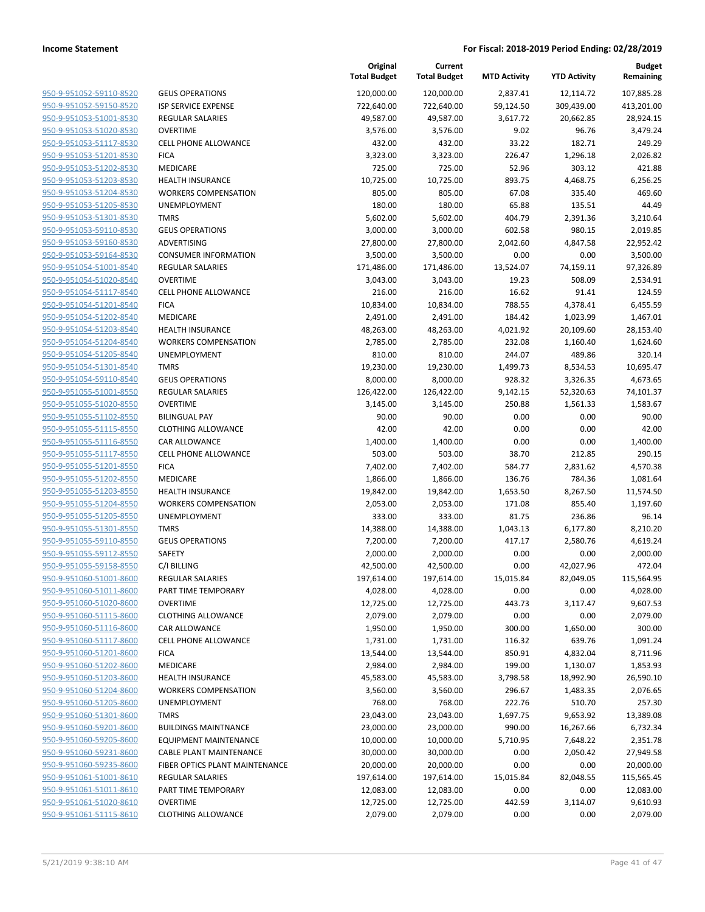| 950-9-951052-59110-8520        |
|--------------------------------|
| 950-9-951052-59150-8520        |
| 950-9-951053-51001-8530        |
| <u>950-9-951053-51020-8530</u> |
| 950-9-951053-51117-8530        |
| 950-9-951053-51201-8530        |
| 950-9-951053-51202-8530        |
| 950-9-951053-51203-8530        |
| 950-9-951053-51204-8530        |
| 950-9-951053-51205-8530        |
| 950-9-951053-51301-8530        |
| 950-9-951053-59110-8530        |
| 950-9-951053-59160-8530        |
| <u>950-9-951053-59164-8530</u> |
| 950-9-951054-51001-8540        |
| 950-9-951054-51020-8540        |
| 950-9-951054-51117-8540        |
|                                |
| 950-9-951054-51201-8540        |
| 950-9-951054-51202-8540        |
| 950-9-951054-51203-8540        |
| 950-9-951054-51204-8540        |
| 950-9-951054-51205-8540        |
| 950-9-951054-51301-8540        |
| 950-9-951054-59110-8540        |
| <u>950-9-951055-51001-8550</u> |
| 950-9-951055-51020-8550        |
| 950-9-951055-51102-8550        |
| 950-9-951055-51115-8550        |
| 950-9-951055-51116-8550        |
| <u>950-9-951055-51117-8550</u> |
| 950-9-951055-51201-8550        |
| 950-9-951055-51202-8550        |
| 950-9-951055-51203-8550        |
| 950-9-951055-51204-8550        |
| <u>950-9-951055-51205-8550</u> |
| 950-9-951055-51301-8550        |
| 950-9-951055-59110-8550        |
| 950-9-951055-59112-8550        |
|                                |
| <u>950-9-951055-59158-8550</u> |
| <u>950-9-951060-51001-8600</u> |
| 950-9-951060-51011-8600        |
| <u>950-9-951060-51020-8600</u> |
| 950-9-951060-51115-8600        |
| 950-9-951060-51116-8600        |
| <u>950-9-951060-51117-8600</u> |
| 950-9-951060-51201-8600        |
| 950-9-951060-51202-8600        |
| 950-9-951060-51203-8600        |
| <u>950-9-951060-51204-8600</u> |
| <u>950-9-951060-51205-8600</u> |
| <u>950-9-951060-51301-8600</u> |
| 950-9-951060-59201-8600        |
| 950-9-951060-59205-8600        |
| <u>950-9-951060-59231-8600</u> |
| <u>950-9-951060-59235-8600</u> |
| <u>950-9-951061-51001-8610</u> |
|                                |
| <u>950-9-951061-51011-8610</u> |
| 950-9-951061-51020-8610        |
| <u>950-9-951061-51115-8610</u> |

| <b>GEUS OPERATIONS</b>                              |
|-----------------------------------------------------|
| <b>ISP SERVICE EXPENSE</b>                          |
| <b>REGULAR SALARIES</b>                             |
| <b>OVERTIME</b>                                     |
| <b>CELL PHONE ALLOWANCE</b>                         |
| <b>FICA</b>                                         |
| <b>MEDICARE</b>                                     |
| <b>HEALTH INSURANCE</b>                             |
| <b>WORKERS COMPENSATION</b>                         |
| <b>UNEMPLOYMENT</b>                                 |
| <b>TMRS</b>                                         |
| <b>GEUS OPERATIONS</b>                              |
| <b>ADVERTISING</b>                                  |
| <b>CONSUMER INFORMATION</b>                         |
| <b>REGULAR SALARIES</b>                             |
| <b>OVERTIME</b>                                     |
| <b>CELL PHONE ALLOWANCE</b>                         |
| <b>FICA</b>                                         |
| <b>MEDICARE</b>                                     |
| <b>HEALTH INSURANCE</b>                             |
| <b>WORKERS COMPENSATION</b>                         |
| <b>UNEMPLOYMENT</b>                                 |
| <b>TMRS</b>                                         |
| <b>GEUS OPERATIONS</b>                              |
| <b>REGULAR SALARIES</b>                             |
| OVERTIME                                            |
| <b>BILINGUAL PAY</b>                                |
| <b>CLOTHING ALLOWANCE</b>                           |
| <b>CAR ALLOWANCE</b>                                |
| CELL PHONE ALLOWANCE                                |
| <b>FICA</b>                                         |
| <b>MEDICARE</b>                                     |
| <b>HEALTH INSURANCE</b>                             |
| <b>WORKERS COMPENSATION</b>                         |
| <b>UNEMPLOYMENT</b>                                 |
| <b>TMRS</b>                                         |
| <b>GEUS OPERATIONS</b>                              |
| <b>SAFETY</b>                                       |
| C/I BILLING                                         |
| <b>REGULAR SALARIES</b>                             |
| PART TIME TEMPORARY                                 |
| OVERTIME                                            |
| <b>CLOTHING ALLOWANCE</b>                           |
| <b>CAR ALLOWANCE</b><br><b>CELL PHONE ALLOWANCE</b> |
| <b>FICA</b>                                         |
| <b>MEDICARE</b>                                     |
| <b>HEALTH INSURANCE</b>                             |
| <b>WORKERS COMPENSATION</b>                         |
| <b>UNEMPLOYMENT</b>                                 |
| <b>TMRS</b>                                         |
| <b>BUILDINGS MAINTNANCE</b>                         |
| <b>EQUIPMENT MAINTENANCE</b>                        |
| <b>CABLE PLANT MAINTENANCE</b>                      |
| FIBER OPTICS PLANT MAINTENANCE                      |
| <b>REGULAR SALARIES</b>                             |
| PART TIME TEMPORARY                                 |
| <b>OVERTIME</b>                                     |
| <b>CLOTHING ALLOWANCE</b>                           |

|                                                    |                                       | Original<br><b>Total Budget</b> | Current<br><b>Total Budget</b> | <b>MTD Activity</b> | <b>YTD Activity</b> | <b>Budget</b><br>Remaining |
|----------------------------------------------------|---------------------------------------|---------------------------------|--------------------------------|---------------------|---------------------|----------------------------|
| 950-9-951052-59110-8520                            | <b>GEUS OPERATIONS</b>                | 120,000.00                      | 120,000.00                     | 2,837.41            | 12,114.72           | 107,885.28                 |
| 950-9-951052-59150-8520                            | <b>ISP SERVICE EXPENSE</b>            | 722,640.00                      | 722,640.00                     | 59,124.50           | 309,439.00          | 413,201.00                 |
| 950-9-951053-51001-8530                            | <b>REGULAR SALARIES</b>               | 49,587.00                       | 49,587.00                      | 3,617.72            | 20,662.85           | 28,924.15                  |
| 950-9-951053-51020-8530                            | <b>OVERTIME</b>                       | 3,576.00                        | 3,576.00                       | 9.02                | 96.76               | 3,479.24                   |
| 950-9-951053-51117-8530                            | <b>CELL PHONE ALLOWANCE</b>           | 432.00                          | 432.00                         | 33.22               | 182.71              | 249.29                     |
| 950-9-951053-51201-8530                            | <b>FICA</b>                           | 3,323.00                        | 3,323.00                       | 226.47              | 1,296.18            | 2,026.82                   |
| 950-9-951053-51202-8530                            | MEDICARE                              | 725.00                          | 725.00                         | 52.96               | 303.12              | 421.88                     |
| 950-9-951053-51203-8530                            | <b>HEALTH INSURANCE</b>               | 10,725.00                       | 10,725.00                      | 893.75              | 4,468.75            | 6,256.25                   |
| 950-9-951053-51204-8530                            | <b>WORKERS COMPENSATION</b>           | 805.00                          | 805.00                         | 67.08               | 335.40              | 469.60                     |
| 950-9-951053-51205-8530                            | UNEMPLOYMENT                          | 180.00                          | 180.00                         | 65.88               | 135.51              | 44.49                      |
| 950-9-951053-51301-8530                            | <b>TMRS</b>                           | 5,602.00                        | 5,602.00                       | 404.79              | 2,391.36            | 3,210.64                   |
| 950-9-951053-59110-8530                            | <b>GEUS OPERATIONS</b>                | 3,000.00                        | 3,000.00                       | 602.58              | 980.15              | 2,019.85                   |
| 950-9-951053-59160-8530                            | ADVERTISING                           | 27,800.00                       | 27,800.00                      | 2,042.60            | 4,847.58            | 22,952.42                  |
| 950-9-951053-59164-8530                            | <b>CONSUMER INFORMATION</b>           | 3,500.00                        | 3,500.00                       | 0.00                | 0.00                | 3,500.00                   |
| 950-9-951054-51001-8540                            | <b>REGULAR SALARIES</b>               | 171,486.00                      | 171,486.00                     | 13,524.07           | 74,159.11           | 97,326.89                  |
| 950-9-951054-51020-8540                            | <b>OVERTIME</b>                       | 3,043.00                        | 3,043.00                       | 19.23               | 508.09              | 2,534.91                   |
| 950-9-951054-51117-8540                            | <b>CELL PHONE ALLOWANCE</b>           | 216.00                          | 216.00                         | 16.62               | 91.41               | 124.59                     |
| 950-9-951054-51201-8540                            | <b>FICA</b>                           | 10,834.00                       | 10,834.00                      | 788.55              | 4,378.41            | 6,455.59                   |
| 950-9-951054-51202-8540                            | MEDICARE                              | 2,491.00                        | 2,491.00                       | 184.42              | 1,023.99            | 1,467.01                   |
| 950-9-951054-51203-8540                            | <b>HEALTH INSURANCE</b>               | 48,263.00                       | 48,263.00                      | 4,021.92            | 20,109.60           | 28,153.40                  |
| 950-9-951054-51204-8540                            | <b>WORKERS COMPENSATION</b>           | 2,785.00                        | 2,785.00                       | 232.08              | 1,160.40            | 1,624.60                   |
| 950-9-951054-51205-8540                            | UNEMPLOYMENT                          | 810.00                          | 810.00                         | 244.07              | 489.86              | 320.14                     |
| 950-9-951054-51301-8540                            | <b>TMRS</b>                           | 19,230.00                       | 19,230.00                      | 1,499.73            | 8,534.53            | 10,695.47                  |
| 950-9-951054-59110-8540                            | <b>GEUS OPERATIONS</b>                | 8,000.00                        | 8,000.00                       | 928.32              | 3,326.35            | 4,673.65                   |
| 950-9-951055-51001-8550                            | <b>REGULAR SALARIES</b>               | 126,422.00                      | 126,422.00                     | 9,142.15            | 52,320.63           | 74,101.37                  |
| 950-9-951055-51020-8550                            | <b>OVERTIME</b>                       | 3,145.00                        | 3,145.00                       | 250.88              | 1,561.33            | 1,583.67                   |
| 950-9-951055-51102-8550                            | <b>BILINGUAL PAY</b>                  | 90.00                           | 90.00                          | 0.00                | 0.00                | 90.00                      |
| 950-9-951055-51115-8550                            | <b>CLOTHING ALLOWANCE</b>             | 42.00                           | 42.00                          | 0.00                | 0.00                | 42.00                      |
| 950-9-951055-51116-8550<br>950-9-951055-51117-8550 | CAR ALLOWANCE<br>CELL PHONE ALLOWANCE | 1,400.00<br>503.00              | 1,400.00<br>503.00             | 0.00<br>38.70       | 0.00<br>212.85      | 1,400.00<br>290.15         |
| 950-9-951055-51201-8550                            | <b>FICA</b>                           | 7,402.00                        |                                | 584.77              | 2,831.62            | 4,570.38                   |
| 950-9-951055-51202-8550                            | MEDICARE                              |                                 | 7,402.00                       | 136.76              | 784.36              |                            |
| 950-9-951055-51203-8550                            | <b>HEALTH INSURANCE</b>               | 1,866.00<br>19,842.00           | 1,866.00<br>19,842.00          | 1,653.50            | 8,267.50            | 1,081.64<br>11,574.50      |
| 950-9-951055-51204-8550                            | <b>WORKERS COMPENSATION</b>           | 2,053.00                        | 2,053.00                       | 171.08              | 855.40              | 1,197.60                   |
| 950-9-951055-51205-8550                            | UNEMPLOYMENT                          | 333.00                          | 333.00                         | 81.75               | 236.86              | 96.14                      |
| 950-9-951055-51301-8550                            | <b>TMRS</b>                           | 14,388.00                       | 14,388.00                      | 1,043.13            | 6,177.80            | 8,210.20                   |
| 950-9-951055-59110-8550                            | <b>GEUS OPERATIONS</b>                | 7,200.00                        | 7,200.00                       | 417.17              | 2,580.76            | 4,619.24                   |
| 950-9-951055-59112-8550                            | SAFETY                                | 2,000.00                        | 2,000.00                       | 0.00                | 0.00                | 2,000.00                   |
| 950-9-951055-59158-8550                            | C/I BILLING                           | 42,500.00                       | 42,500.00                      | 0.00                | 42,027.96           | 472.04                     |
| 950-9-951060-51001-8600                            | <b>REGULAR SALARIES</b>               | 197,614.00                      | 197,614.00                     | 15,015.84           | 82,049.05           | 115,564.95                 |
| 950-9-951060-51011-8600                            | PART TIME TEMPORARY                   | 4,028.00                        | 4,028.00                       | 0.00                | 0.00                | 4,028.00                   |
| 950-9-951060-51020-8600                            | <b>OVERTIME</b>                       | 12,725.00                       | 12,725.00                      | 443.73              | 3,117.47            | 9,607.53                   |
| 950-9-951060-51115-8600                            | <b>CLOTHING ALLOWANCE</b>             | 2,079.00                        | 2,079.00                       | 0.00                | 0.00                | 2,079.00                   |
| 950-9-951060-51116-8600                            | CAR ALLOWANCE                         | 1,950.00                        | 1,950.00                       | 300.00              | 1,650.00            | 300.00                     |
| 950-9-951060-51117-8600                            | CELL PHONE ALLOWANCE                  | 1,731.00                        | 1,731.00                       | 116.32              | 639.76              | 1,091.24                   |
| 950-9-951060-51201-8600                            | <b>FICA</b>                           | 13,544.00                       | 13,544.00                      | 850.91              | 4,832.04            | 8,711.96                   |
| 950-9-951060-51202-8600                            | MEDICARE                              | 2,984.00                        | 2,984.00                       | 199.00              | 1,130.07            | 1,853.93                   |
| 950-9-951060-51203-8600                            | <b>HEALTH INSURANCE</b>               | 45,583.00                       | 45,583.00                      | 3,798.58            | 18,992.90           | 26,590.10                  |
| 950-9-951060-51204-8600                            | <b>WORKERS COMPENSATION</b>           | 3,560.00                        | 3,560.00                       | 296.67              | 1,483.35            | 2,076.65                   |
| 950-9-951060-51205-8600                            | <b>UNEMPLOYMENT</b>                   | 768.00                          | 768.00                         | 222.76              | 510.70              | 257.30                     |
| 950-9-951060-51301-8600                            | <b>TMRS</b>                           | 23,043.00                       | 23,043.00                      | 1,697.75            | 9,653.92            | 13,389.08                  |
| 950-9-951060-59201-8600                            | <b>BUILDINGS MAINTNANCE</b>           | 23,000.00                       | 23,000.00                      | 990.00              | 16,267.66           | 6,732.34                   |
| 950-9-951060-59205-8600                            | <b>EQUIPMENT MAINTENANCE</b>          | 10,000.00                       | 10,000.00                      | 5,710.95            | 7,648.22            | 2,351.78                   |
| 950-9-951060-59231-8600                            | <b>CABLE PLANT MAINTENANCE</b>        | 30,000.00                       | 30,000.00                      | 0.00                | 2,050.42            | 27,949.58                  |
| 950-9-951060-59235-8600                            | FIBER OPTICS PLANT MAINTENANCE        | 20,000.00                       | 20,000.00                      | 0.00                | 0.00                | 20,000.00                  |
| 950-9-951061-51001-8610                            | <b>REGULAR SALARIES</b>               | 197,614.00                      | 197,614.00                     | 15,015.84           | 82,048.55           | 115,565.45                 |
| 950-9-951061-51011-8610                            | PART TIME TEMPORARY                   | 12,083.00                       | 12,083.00                      | 0.00                | 0.00                | 12,083.00                  |
| 950-9-951061-51020-8610                            | <b>OVERTIME</b>                       | 12,725.00                       | 12,725.00                      | 442.59              | 3,114.07            | 9,610.93                   |
| 950-9-951061-51115-8610                            | <b>CLOTHING ALLOWANCE</b>             | 2,079.00                        | 2,079.00                       | 0.00                | 0.00                | 2,079.00                   |
|                                                    |                                       |                                 |                                |                     |                     |                            |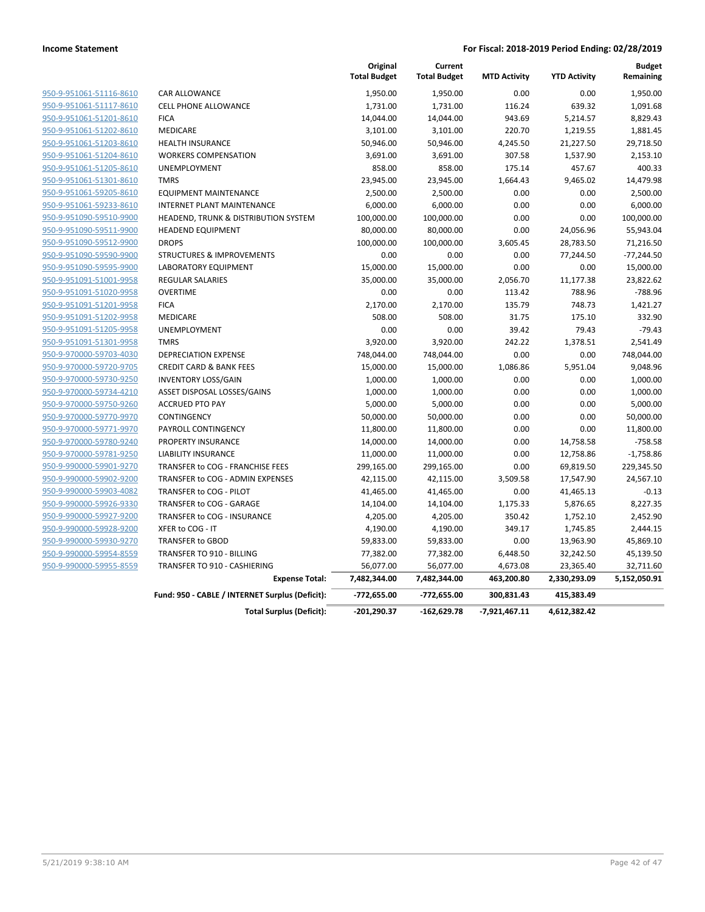|                         |                                                 | Original<br><b>Total Budget</b> | Current<br><b>Total Budget</b> | <b>MTD Activity</b> | <b>YTD Activity</b> | <b>Budget</b><br>Remaining |
|-------------------------|-------------------------------------------------|---------------------------------|--------------------------------|---------------------|---------------------|----------------------------|
| 950-9-951061-51116-8610 | <b>CAR ALLOWANCE</b>                            | 1,950.00                        | 1,950.00                       | 0.00                | 0.00                | 1,950.00                   |
| 950-9-951061-51117-8610 | <b>CELL PHONE ALLOWANCE</b>                     | 1,731.00                        | 1,731.00                       | 116.24              | 639.32              | 1,091.68                   |
| 950-9-951061-51201-8610 | <b>FICA</b>                                     | 14,044.00                       | 14,044.00                      | 943.69              | 5,214.57            | 8,829.43                   |
| 950-9-951061-51202-8610 | <b>MEDICARE</b>                                 | 3,101.00                        | 3,101.00                       | 220.70              | 1,219.55            | 1,881.45                   |
| 950-9-951061-51203-8610 | <b>HEALTH INSURANCE</b>                         | 50,946.00                       | 50,946.00                      | 4,245.50            | 21,227.50           | 29,718.50                  |
| 950-9-951061-51204-8610 | <b>WORKERS COMPENSATION</b>                     | 3,691.00                        | 3,691.00                       | 307.58              | 1,537.90            | 2,153.10                   |
| 950-9-951061-51205-8610 | <b>UNEMPLOYMENT</b>                             | 858.00                          | 858.00                         | 175.14              | 457.67              | 400.33                     |
| 950-9-951061-51301-8610 | <b>TMRS</b>                                     | 23,945.00                       | 23,945.00                      | 1,664.43            | 9,465.02            | 14,479.98                  |
| 950-9-951061-59205-8610 | <b>EQUIPMENT MAINTENANCE</b>                    | 2,500.00                        | 2,500.00                       | 0.00                | 0.00                | 2,500.00                   |
| 950-9-951061-59233-8610 | <b>INTERNET PLANT MAINTENANCE</b>               | 6,000.00                        | 6,000.00                       | 0.00                | 0.00                | 6,000.00                   |
| 950-9-951090-59510-9900 | HEADEND, TRUNK & DISTRIBUTION SYSTEM            | 100,000.00                      | 100,000.00                     | 0.00                | 0.00                | 100,000.00                 |
| 950-9-951090-59511-9900 | <b>HEADEND EQUIPMENT</b>                        | 80,000.00                       | 80,000.00                      | 0.00                | 24,056.96           | 55,943.04                  |
| 950-9-951090-59512-9900 | <b>DROPS</b>                                    | 100,000.00                      | 100,000.00                     | 3,605.45            | 28,783.50           | 71,216.50                  |
| 950-9-951090-59590-9900 | <b>STRUCTURES &amp; IMPROVEMENTS</b>            | 0.00                            | 0.00                           | 0.00                | 77,244.50           | $-77,244.50$               |
| 950-9-951090-59595-9900 | <b>LABORATORY EQUIPMENT</b>                     | 15,000.00                       | 15,000.00                      | 0.00                | 0.00                | 15,000.00                  |
| 950-9-951091-51001-9958 | <b>REGULAR SALARIES</b>                         | 35,000.00                       | 35,000.00                      | 2,056.70            | 11,177.38           | 23,822.62                  |
| 950-9-951091-51020-9958 | <b>OVERTIME</b>                                 | 0.00                            | 0.00                           | 113.42              | 788.96              | $-788.96$                  |
| 950-9-951091-51201-9958 | <b>FICA</b>                                     | 2,170.00                        | 2,170.00                       | 135.79              | 748.73              | 1,421.27                   |
| 950-9-951091-51202-9958 | <b>MEDICARE</b>                                 | 508.00                          | 508.00                         | 31.75               | 175.10              | 332.90                     |
| 950-9-951091-51205-9958 | <b>UNEMPLOYMENT</b>                             | 0.00                            | 0.00                           | 39.42               | 79.43               | $-79.43$                   |
| 950-9-951091-51301-9958 | <b>TMRS</b>                                     | 3,920.00                        | 3,920.00                       | 242.22              | 1,378.51            | 2,541.49                   |
| 950-9-970000-59703-4030 | <b>DEPRECIATION EXPENSE</b>                     | 748,044.00                      | 748,044.00                     | 0.00                | 0.00                | 748,044.00                 |
| 950-9-970000-59720-9705 | <b>CREDIT CARD &amp; BANK FEES</b>              | 15,000.00                       | 15,000.00                      | 1,086.86            | 5,951.04            | 9,048.96                   |
| 950-9-970000-59730-9250 | <b>INVENTORY LOSS/GAIN</b>                      | 1,000.00                        | 1,000.00                       | 0.00                | 0.00                | 1,000.00                   |
| 950-9-970000-59734-4210 | ASSET DISPOSAL LOSSES/GAINS                     | 1,000.00                        | 1,000.00                       | 0.00                | 0.00                | 1,000.00                   |
| 950-9-970000-59750-9260 | <b>ACCRUED PTO PAY</b>                          | 5,000.00                        | 5,000.00                       | 0.00                | 0.00                | 5,000.00                   |
| 950-9-970000-59770-9970 | CONTINGENCY                                     | 50,000.00                       | 50,000.00                      | 0.00                | 0.00                | 50,000.00                  |
| 950-9-970000-59771-9970 | PAYROLL CONTINGENCY                             | 11,800.00                       | 11,800.00                      | 0.00                | 0.00                | 11,800.00                  |
| 950-9-970000-59780-9240 | PROPERTY INSURANCE                              | 14,000.00                       | 14,000.00                      | 0.00                | 14,758.58           | $-758.58$                  |
| 950-9-970000-59781-9250 | <b>LIABILITY INSURANCE</b>                      | 11,000.00                       | 11,000.00                      | 0.00                | 12,758.86           | $-1,758.86$                |
| 950-9-990000-59901-9270 | TRANSFER to COG - FRANCHISE FEES                | 299,165.00                      | 299,165.00                     | 0.00                | 69,819.50           | 229,345.50                 |
| 950-9-990000-59902-9200 | TRANSFER to COG - ADMIN EXPENSES                | 42,115.00                       | 42,115.00                      | 3,509.58            | 17,547.90           | 24,567.10                  |
| 950-9-990000-59903-4082 | TRANSFER to COG - PILOT                         | 41,465.00                       | 41,465.00                      | 0.00                | 41,465.13           | $-0.13$                    |
| 950-9-990000-59926-9330 | TRANSFER to COG - GARAGE                        | 14,104.00                       | 14,104.00                      | 1,175.33            | 5,876.65            | 8,227.35                   |
| 950-9-990000-59927-9200 | TRANSFER to COG - INSURANCE                     | 4,205.00                        | 4,205.00                       | 350.42              | 1,752.10            | 2,452.90                   |
| 950-9-990000-59928-9200 | XFER to COG - IT                                | 4,190.00                        | 4,190.00                       | 349.17              | 1,745.85            | 2,444.15                   |
| 950-9-990000-59930-9270 | <b>TRANSFER to GBOD</b>                         | 59,833.00                       | 59,833.00                      | 0.00                | 13,963.90           | 45,869.10                  |
| 950-9-990000-59954-8559 | TRANSFER TO 910 - BILLING                       | 77,382.00                       | 77,382.00                      | 6,448.50            | 32,242.50           | 45,139.50                  |
| 950-9-990000-59955-8559 | <b>TRANSFER TO 910 - CASHIERING</b>             | 56,077.00                       | 56,077.00                      | 4,673.08            | 23,365.40           | 32,711.60                  |
|                         | <b>Expense Total:</b>                           | 7,482,344.00                    | 7,482,344.00                   | 463,200.80          | 2,330,293.09        | 5,152,050.91               |
|                         | Fund: 950 - CABLE / INTERNET Surplus (Deficit): | $-772,655.00$                   | $-772,655.00$                  | 300,831.43          | 415,383.49          |                            |
|                         | <b>Total Surplus (Deficit):</b>                 | $-201,290.37$                   | $-162,629.78$                  | $-7,921,467.11$     | 4,612,382.42        |                            |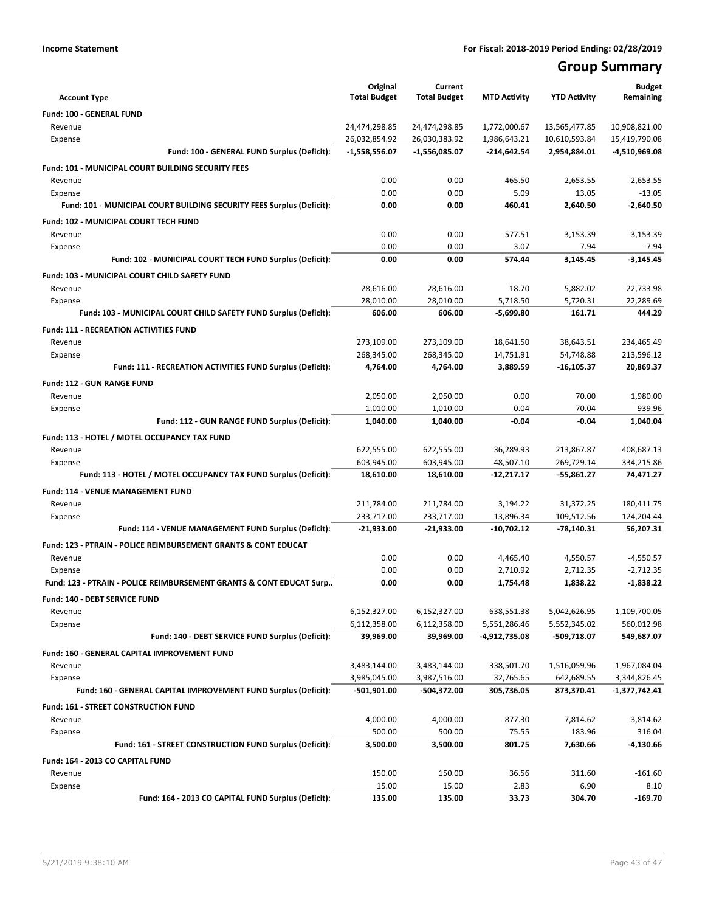## **Group Summary**

| <b>Account Type</b>                                                       | Original<br><b>Total Budget</b> | Current<br><b>Total Budget</b> | <b>MTD Activity</b> | <b>YTD Activity</b> | <b>Budget</b><br>Remaining |
|---------------------------------------------------------------------------|---------------------------------|--------------------------------|---------------------|---------------------|----------------------------|
| Fund: 100 - GENERAL FUND                                                  |                                 |                                |                     |                     |                            |
| Revenue                                                                   | 24,474,298.85                   | 24,474,298.85                  | 1,772,000.67        | 13,565,477.85       | 10,908,821.00              |
| Expense                                                                   | 26,032,854.92                   | 26,030,383.92                  | 1,986,643.21        | 10,610,593.84       | 15,419,790.08              |
| Fund: 100 - GENERAL FUND Surplus (Deficit):                               | $-1,558,556.07$                 | -1,556,085.07                  | $-214,642.54$       | 2,954,884.01        | -4,510,969.08              |
| <b>Fund: 101 - MUNICIPAL COURT BUILDING SECURITY FEES</b>                 |                                 |                                |                     |                     |                            |
| Revenue                                                                   | 0.00                            | 0.00                           | 465.50              | 2,653.55            | $-2,653.55$                |
| Expense                                                                   | 0.00                            | 0.00                           | 5.09                | 13.05               | $-13.05$                   |
| Fund: 101 - MUNICIPAL COURT BUILDING SECURITY FEES Surplus (Deficit):     | 0.00                            | 0.00                           | 460.41              | 2.640.50            | $-2,640.50$                |
| Fund: 102 - MUNICIPAL COURT TECH FUND                                     |                                 |                                |                     |                     |                            |
| Revenue                                                                   | 0.00                            | 0.00                           | 577.51              | 3.153.39            | $-3,153.39$                |
| Expense                                                                   | 0.00                            | 0.00                           | 3.07                | 7.94                | $-7.94$                    |
| Fund: 102 - MUNICIPAL COURT TECH FUND Surplus (Deficit):                  | 0.00                            | 0.00                           | 574.44              | 3,145.45            | $-3,145.45$                |
| Fund: 103 - MUNICIPAL COURT CHILD SAFETY FUND                             |                                 |                                |                     |                     |                            |
| Revenue                                                                   | 28,616.00                       | 28,616.00                      | 18.70               | 5,882.02            | 22,733.98                  |
| Expense                                                                   | 28.010.00                       | 28,010.00                      | 5,718.50            | 5,720.31            | 22,289.69                  |
| Fund: 103 - MUNICIPAL COURT CHILD SAFETY FUND Surplus (Deficit):          | 606.00                          | 606.00                         | $-5,699.80$         | 161.71              | 444.29                     |
| <b>Fund: 111 - RECREATION ACTIVITIES FUND</b>                             |                                 |                                |                     |                     |                            |
| Revenue                                                                   | 273,109.00                      | 273,109.00                     | 18,641.50           | 38,643.51           | 234,465.49                 |
| Expense                                                                   | 268.345.00                      | 268,345.00                     | 14,751.91           | 54,748.88           | 213,596.12                 |
| Fund: 111 - RECREATION ACTIVITIES FUND Surplus (Deficit):                 | 4,764.00                        | 4.764.00                       | 3,889.59            | $-16, 105.37$       | 20,869.37                  |
| <b>Fund: 112 - GUN RANGE FUND</b>                                         |                                 |                                |                     |                     |                            |
| Revenue                                                                   | 2,050.00                        | 2,050.00                       | 0.00                | 70.00               | 1,980.00                   |
| Expense                                                                   | 1,010.00                        | 1,010.00                       | 0.04                | 70.04               | 939.96                     |
| Fund: 112 - GUN RANGE FUND Surplus (Deficit):                             | 1,040.00                        | 1,040.00                       | -0.04               | $-0.04$             | 1,040.04                   |
| Fund: 113 - HOTEL / MOTEL OCCUPANCY TAX FUND                              |                                 |                                |                     |                     |                            |
| Revenue                                                                   | 622,555.00                      | 622,555.00                     | 36,289.93           | 213,867.87          | 408,687.13                 |
| Expense                                                                   | 603,945.00                      | 603,945.00                     | 48,507.10           | 269,729.14          | 334,215.86                 |
| Fund: 113 - HOTEL / MOTEL OCCUPANCY TAX FUND Surplus (Deficit):           | 18,610.00                       | 18,610.00                      | $-12,217.17$        | -55,861.27          | 74,471.27                  |
| Fund: 114 - VENUE MANAGEMENT FUND                                         |                                 |                                |                     |                     |                            |
| Revenue                                                                   | 211,784.00                      | 211,784.00                     | 3,194.22            | 31,372.25           | 180,411.75                 |
| Expense                                                                   | 233,717.00                      | 233,717.00                     | 13,896.34           | 109,512.56          | 124,204.44                 |
| Fund: 114 - VENUE MANAGEMENT FUND Surplus (Deficit):                      | $-21,933.00$                    | $-21,933.00$                   | $-10,702.12$        | -78,140.31          | 56,207.31                  |
| <b>Fund: 123 - PTRAIN - POLICE REIMBURSEMENT GRANTS &amp; CONT EDUCAT</b> |                                 |                                |                     |                     |                            |
| Revenue                                                                   | 0.00                            | 0.00                           | 4,465.40            | 4,550.57            | $-4,550.57$                |
| Expense                                                                   | 0.00                            | 0.00                           | 2,710.92            | 2,712.35            | $-2,712.35$                |
| Fund: 123 - PTRAIN - POLICE REIMBURSEMENT GRANTS & CONT EDUCAT Surp       | 0.00                            | 0.00                           | 1,754.48            | 1,838.22            | $-1,838.22$                |
| Fund: 140 - DEBT SERVICE FUND                                             |                                 |                                |                     |                     |                            |
| Revenue                                                                   | 6,152,327.00                    | 6,152,327.00                   | 638,551.38          | 5,042,626.95        | 1,109,700.05               |
| Expense                                                                   | 6,112,358.00                    | 6,112,358.00                   | 5,551,286.46        | 5,552,345.02        | 560,012.98                 |
| Fund: 140 - DEBT SERVICE FUND Surplus (Deficit):                          | 39,969.00                       | 39,969.00                      | -4,912,735.08       | -509,718.07         | 549,687.07                 |
| Fund: 160 - GENERAL CAPITAL IMPROVEMENT FUND                              |                                 |                                |                     |                     |                            |
| Revenue                                                                   | 3,483,144.00                    | 3,483,144.00                   | 338,501.70          | 1,516,059.96        | 1,967,084.04               |
| Expense                                                                   | 3,985,045.00                    | 3,987,516.00                   | 32,765.65           | 642,689.55          | 3,344,826.45               |
| Fund: 160 - GENERAL CAPITAL IMPROVEMENT FUND Surplus (Deficit):           | -501,901.00                     | -504,372.00                    | 305,736.05          | 873,370.41          | -1,377,742.41              |
| <b>Fund: 161 - STREET CONSTRUCTION FUND</b>                               |                                 |                                |                     |                     |                            |
| Revenue                                                                   | 4,000.00                        | 4,000.00                       | 877.30              | 7,814.62            | $-3,814.62$                |
| Expense                                                                   | 500.00                          | 500.00                         | 75.55               | 183.96              | 316.04                     |
| Fund: 161 - STREET CONSTRUCTION FUND Surplus (Deficit):                   | 3,500.00                        | 3,500.00                       | 801.75              | 7,630.66            | -4,130.66                  |
| Fund: 164 - 2013 CO CAPITAL FUND                                          |                                 |                                |                     |                     |                            |
| Revenue                                                                   | 150.00                          | 150.00                         | 36.56               | 311.60              | $-161.60$                  |
| Expense                                                                   | 15.00                           | 15.00                          | 2.83                | 6.90                | 8.10                       |
| Fund: 164 - 2013 CO CAPITAL FUND Surplus (Deficit):                       | 135.00                          | 135.00                         | 33.73               | 304.70              | $-169.70$                  |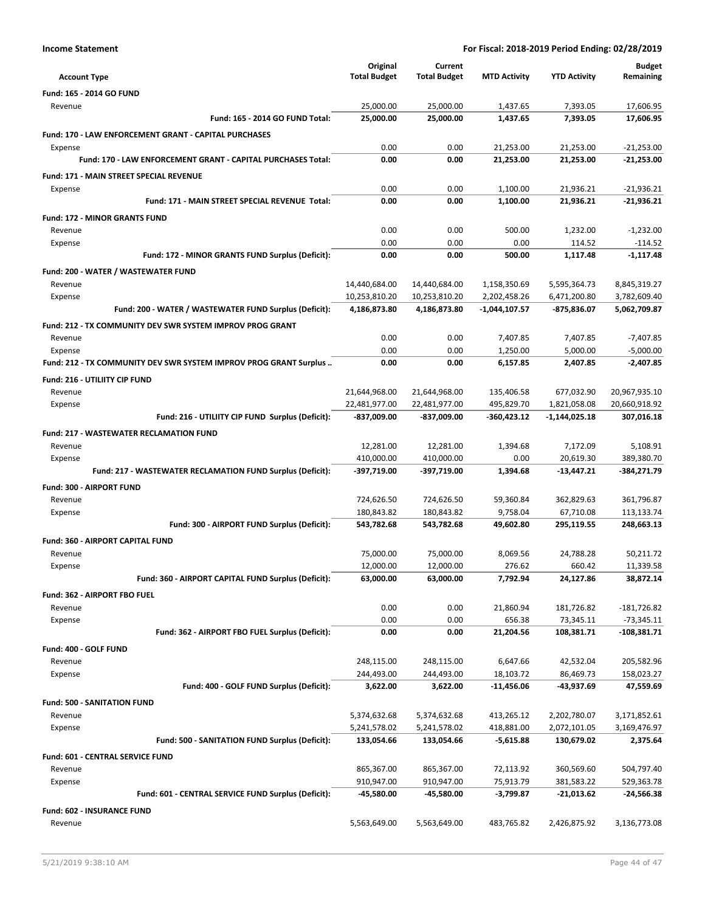| <b>Account Type</b>                                               | Original<br><b>Total Budget</b> | Current<br><b>Total Budget</b> | <b>MTD Activity</b> | <b>YTD Activity</b> | <b>Budget</b><br>Remaining |
|-------------------------------------------------------------------|---------------------------------|--------------------------------|---------------------|---------------------|----------------------------|
| Fund: 165 - 2014 GO FUND                                          |                                 |                                |                     |                     |                            |
| Revenue                                                           | 25,000.00                       | 25,000.00                      | 1,437.65            | 7,393.05            | 17,606.95                  |
| Fund: 165 - 2014 GO FUND Total:                                   | 25,000.00                       | 25,000.00                      | 1,437.65            | 7,393.05            | 17.606.95                  |
| Fund: 170 - LAW ENFORCEMENT GRANT - CAPITAL PURCHASES             |                                 |                                |                     |                     |                            |
| Expense                                                           | 0.00                            | 0.00                           | 21,253.00           | 21,253.00           | $-21,253.00$               |
| Fund: 170 - LAW ENFORCEMENT GRANT - CAPITAL PURCHASES Total:      | 0.00                            | 0.00                           | 21,253.00           | 21,253.00           | $-21,253.00$               |
| <b>Fund: 171 - MAIN STREET SPECIAL REVENUE</b>                    |                                 |                                |                     |                     |                            |
| Expense                                                           | 0.00                            | 0.00                           | 1.100.00            | 21,936.21           | $-21,936.21$               |
| <b>Fund: 171 - MAIN STREET SPECIAL REVENUE Total:</b>             | 0.00                            | 0.00                           | 1.100.00            | 21,936.21           | $-21.936.21$               |
| <b>Fund: 172 - MINOR GRANTS FUND</b>                              |                                 |                                |                     |                     |                            |
| Revenue                                                           | 0.00                            | 0.00                           | 500.00              | 1,232.00            | $-1,232.00$                |
| Expense                                                           | 0.00                            | 0.00                           | 0.00                | 114.52              | $-114.52$                  |
| Fund: 172 - MINOR GRANTS FUND Surplus (Deficit):                  | 0.00                            | 0.00                           | 500.00              | 1,117.48            | $-1,117.48$                |
| Fund: 200 - WATER / WASTEWATER FUND                               |                                 |                                |                     |                     |                            |
| Revenue                                                           | 14,440,684.00                   | 14,440,684.00                  | 1,158,350.69        | 5,595,364.73        | 8,845,319.27               |
| Expense                                                           | 10,253,810.20                   | 10,253,810.20                  | 2,202,458.26        | 6,471,200.80        | 3,782,609.40               |
| Fund: 200 - WATER / WASTEWATER FUND Surplus (Deficit):            | 4,186,873.80                    | 4,186,873.80                   | -1,044,107.57       | -875,836.07         | 5,062,709.87               |
| <b>Fund: 212 - TX COMMUNITY DEV SWR SYSTEM IMPROV PROG GRANT</b>  |                                 |                                |                     |                     |                            |
| Revenue                                                           | 0.00                            | 0.00                           | 7,407.85            | 7,407.85            | $-7,407.85$                |
| Expense                                                           | 0.00                            | 0.00                           | 1,250.00            | 5,000.00            | $-5,000.00$                |
| Fund: 212 - TX COMMUNITY DEV SWR SYSTEM IMPROV PROG GRANT Surplus | 0.00                            | 0.00                           | 6,157.85            | 2,407.85            | $-2,407.85$                |
| Fund: 216 - UTILIITY CIP FUND                                     |                                 |                                |                     |                     |                            |
| Revenue                                                           | 21,644,968.00                   | 21,644,968.00                  | 135,406.58          | 677,032.90          | 20,967,935.10              |
| Expense                                                           | 22,481,977.00                   | 22,481,977.00                  | 495,829.70          | 1,821,058.08        | 20,660,918.92              |
| Fund: 216 - UTILIITY CIP FUND Surplus (Deficit):                  | -837,009.00                     | -837,009.00                    | -360,423.12         | $-1,144,025.18$     | 307,016.18                 |
| <b>Fund: 217 - WASTEWATER RECLAMATION FUND</b>                    |                                 |                                |                     |                     |                            |
| Revenue                                                           | 12,281.00                       | 12,281.00                      | 1,394.68            | 7,172.09            | 5,108.91                   |
| Expense                                                           | 410,000.00                      | 410,000.00                     | 0.00                | 20,619.30           | 389,380.70                 |
| Fund: 217 - WASTEWATER RECLAMATION FUND Surplus (Deficit):        | -397,719.00                     | -397,719.00                    | 1,394.68            | $-13,447.21$        | -384,271.79                |
| Fund: 300 - AIRPORT FUND                                          |                                 |                                |                     |                     |                            |
| Revenue                                                           | 724,626.50                      | 724,626.50                     | 59,360.84           | 362,829.63          | 361,796.87                 |
| Expense                                                           | 180,843.82                      | 180,843.82                     | 9,758.04            | 67,710.08           | 113,133.74                 |
| Fund: 300 - AIRPORT FUND Surplus (Deficit):                       | 543,782.68                      | 543,782.68                     | 49,602.80           | 295,119.55          | 248,663.13                 |
| Fund: 360 - AIRPORT CAPITAL FUND                                  |                                 |                                |                     |                     |                            |
| Revenue                                                           | 75,000.00                       | 75,000.00                      | 8,069.56            | 24,788.28           | 50,211.72                  |
| Expense                                                           | 12,000.00                       | 12,000.00                      | 276.62              | 660.42              | 11,339.58                  |
| Fund: 360 - AIRPORT CAPITAL FUND Surplus (Deficit):               | 63,000.00                       | 63,000.00                      | 7,792.94            | 24,127.86           | 38,872.14                  |
| Fund: 362 - AIRPORT FBO FUEL                                      |                                 |                                |                     |                     |                            |
| Revenue                                                           | 0.00                            | 0.00                           | 21,860.94           | 181,726.82          | $-181,726.82$              |
| Expense                                                           | 0.00                            | 0.00                           | 656.38              | 73,345.11           | $-73,345.11$               |
| Fund: 362 - AIRPORT FBO FUEL Surplus (Deficit):                   | 0.00                            | 0.00                           | 21,204.56           | 108,381.71          | $-108,381.71$              |
| Fund: 400 - GOLF FUND                                             |                                 |                                |                     |                     |                            |
| Revenue                                                           | 248,115.00                      | 248,115.00                     | 6,647.66            | 42,532.04           | 205,582.96                 |
| Expense                                                           | 244,493.00                      | 244,493.00                     | 18,103.72           | 86,469.73           | 158,023.27                 |
| Fund: 400 - GOLF FUND Surplus (Deficit):                          | 3,622.00                        | 3,622.00                       | -11,456.06          | -43,937.69          | 47,559.69                  |
| <b>Fund: 500 - SANITATION FUND</b>                                |                                 |                                |                     |                     |                            |
| Revenue                                                           | 5,374,632.68                    | 5,374,632.68                   | 413,265.12          | 2,202,780.07        | 3,171,852.61               |
| Expense                                                           | 5,241,578.02                    | 5,241,578.02                   | 418,881.00          | 2,072,101.05        | 3,169,476.97               |
| Fund: 500 - SANITATION FUND Surplus (Deficit):                    | 133,054.66                      | 133,054.66                     | $-5,615.88$         | 130,679.02          | 2,375.64                   |
| Fund: 601 - CENTRAL SERVICE FUND                                  |                                 |                                |                     |                     |                            |
| Revenue                                                           | 865,367.00                      | 865,367.00                     | 72,113.92           | 360,569.60          | 504,797.40                 |
| Expense                                                           | 910,947.00                      | 910,947.00                     | 75,913.79           | 381,583.22          | 529,363.78                 |
| Fund: 601 - CENTRAL SERVICE FUND Surplus (Deficit):               | -45,580.00                      | -45,580.00                     | -3,799.87           | -21,013.62          | -24,566.38                 |
| <b>Fund: 602 - INSURANCE FUND</b>                                 |                                 |                                |                     |                     |                            |
| Revenue                                                           | 5,563,649.00                    | 5,563,649.00                   | 483,765.82          | 2,426,875.92        | 3,136,773.08               |
|                                                                   |                                 |                                |                     |                     |                            |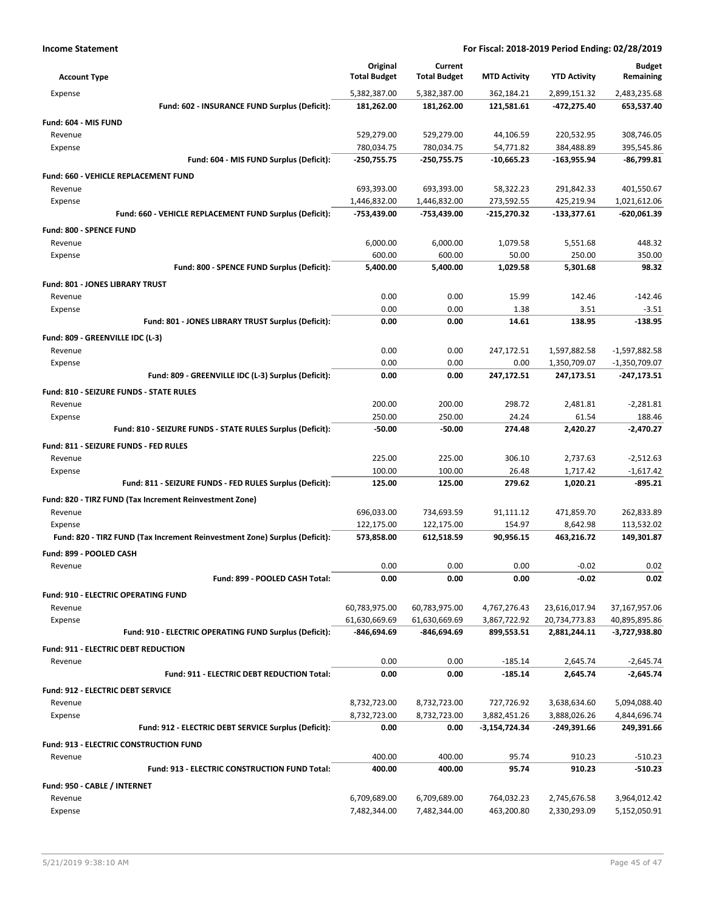| <b>Account Type</b>                                                        | Original<br><b>Total Budget</b> | Current<br><b>Total Budget</b> | <b>MTD Activity</b> | <b>YTD Activity</b> | <b>Budget</b><br>Remaining |
|----------------------------------------------------------------------------|---------------------------------|--------------------------------|---------------------|---------------------|----------------------------|
| Expense                                                                    | 5,382,387.00                    | 5,382,387.00                   | 362,184.21          | 2,899,151.32        | 2,483,235.68               |
| Fund: 602 - INSURANCE FUND Surplus (Deficit):                              | 181,262.00                      | 181,262.00                     | 121,581.61          | -472,275.40         | 653,537.40                 |
| Fund: 604 - MIS FUND                                                       |                                 |                                |                     |                     |                            |
| Revenue                                                                    | 529,279.00                      | 529,279.00                     | 44,106.59           | 220,532.95          | 308,746.05                 |
| Expense                                                                    | 780,034.75                      | 780,034.75                     | 54,771.82           | 384,488.89          | 395,545.86                 |
| Fund: 604 - MIS FUND Surplus (Deficit):                                    | -250,755.75                     | -250,755.75                    | $-10,665.23$        | $-163,955.94$       | $-86,799.81$               |
| <b>Fund: 660 - VEHICLE REPLACEMENT FUND</b>                                |                                 |                                |                     |                     |                            |
| Revenue                                                                    | 693,393.00                      | 693,393.00                     | 58,322.23           | 291,842.33          | 401,550.67                 |
| Expense                                                                    | 1,446,832.00                    | 1,446,832.00                   | 273,592.55          | 425,219.94          | 1,021,612.06               |
| Fund: 660 - VEHICLE REPLACEMENT FUND Surplus (Deficit):                    | -753,439.00                     | -753,439.00                    | -215,270.32         | $-133,377.61$       | -620,061.39                |
| Fund: 800 - SPENCE FUND                                                    |                                 |                                |                     |                     |                            |
| Revenue                                                                    | 6,000.00                        | 6,000.00                       | 1,079.58            | 5,551.68            | 448.32                     |
| Expense                                                                    | 600.00                          | 600.00                         | 50.00               | 250.00              | 350.00                     |
| Fund: 800 - SPENCE FUND Surplus (Deficit):                                 | 5,400.00                        | 5,400.00                       | 1,029.58            | 5,301.68            | 98.32                      |
| <b>Fund: 801 - JONES LIBRARY TRUST</b>                                     |                                 |                                |                     |                     |                            |
| Revenue                                                                    | 0.00                            | 0.00                           | 15.99               | 142.46              | $-142.46$                  |
| Expense                                                                    | 0.00                            | 0.00                           | 1.38                | 3.51                | $-3.51$                    |
| Fund: 801 - JONES LIBRARY TRUST Surplus (Deficit):                         | 0.00                            | 0.00                           | 14.61               | 138.95              | $-138.95$                  |
| Fund: 809 - GREENVILLE IDC (L-3)                                           |                                 |                                |                     |                     |                            |
| Revenue                                                                    | 0.00                            | 0.00                           | 247,172.51          | 1,597,882.58        | $-1,597,882.58$            |
| Expense                                                                    | 0.00                            | 0.00                           | 0.00                | 1,350,709.07        | $-1,350,709.07$            |
| Fund: 809 - GREENVILLE IDC (L-3) Surplus (Deficit):                        | 0.00                            | 0.00                           | 247,172.51          | 247,173.51          | -247,173.51                |
| <b>Fund: 810 - SEIZURE FUNDS - STATE RULES</b>                             |                                 |                                |                     |                     |                            |
| Revenue                                                                    | 200.00                          | 200.00                         | 298.72              | 2,481.81            | $-2,281.81$                |
| Expense                                                                    | 250.00                          | 250.00                         | 24.24               | 61.54               | 188.46                     |
| Fund: 810 - SEIZURE FUNDS - STATE RULES Surplus (Deficit):                 | $-50.00$                        | $-50.00$                       | 274.48              | 2,420.27            | $-2,470.27$                |
| Fund: 811 - SEIZURE FUNDS - FED RULES                                      |                                 |                                |                     |                     |                            |
| Revenue                                                                    | 225.00                          | 225.00                         | 306.10              | 2,737.63            | $-2,512.63$                |
| Expense                                                                    | 100.00                          | 100.00                         | 26.48               | 1,717.42            | $-1,617.42$                |
| Fund: 811 - SEIZURE FUNDS - FED RULES Surplus (Deficit):                   | 125.00                          | 125.00                         | 279.62              | 1,020.21            | $-895.21$                  |
| Fund: 820 - TIRZ FUND (Tax Increment Reinvestment Zone)                    |                                 |                                |                     |                     |                            |
| Revenue                                                                    | 696,033.00                      | 734,693.59                     | 91,111.12           | 471,859.70          | 262,833.89                 |
| Expense                                                                    | 122,175.00                      | 122,175.00                     | 154.97              | 8,642.98            | 113,532.02                 |
| Fund: 820 - TIRZ FUND (Tax Increment Reinvestment Zone) Surplus (Deficit): | 573,858.00                      | 612,518.59                     | 90,956.15           | 463,216.72          | 149,301.87                 |
| Fund: 899 - POOLED CASH                                                    |                                 |                                |                     |                     |                            |
| Revenue                                                                    | 0.00                            | 0.00                           | 0.00                | $-0.02$             | 0.02                       |
| Fund: 899 - POOLED CASH Total:                                             | 0.00                            | 0.00                           | 0.00                | $-0.02$             | 0.02                       |
| <b>Fund: 910 - ELECTRIC OPERATING FUND</b>                                 |                                 |                                |                     |                     |                            |
| Revenue                                                                    | 60,783,975.00                   | 60,783,975.00                  | 4,767,276.43        | 23,616,017.94       | 37,167,957.06              |
| Expense                                                                    | 61,630,669.69                   | 61,630,669.69                  | 3,867,722.92        | 20,734,773.83       | 40,895,895.86              |
| Fund: 910 - ELECTRIC OPERATING FUND Surplus (Deficit):                     | -846,694.69                     | -846,694.69                    | 899,553.51          | 2,881,244.11        | -3,727,938.80              |
| Fund: 911 - ELECTRIC DEBT REDUCTION                                        |                                 |                                |                     |                     |                            |
| Revenue                                                                    | 0.00                            | 0.00                           | $-185.14$           | 2,645.74            | $-2,645.74$                |
| Fund: 911 - ELECTRIC DEBT REDUCTION Total:                                 | 0.00                            | 0.00                           | -185.14             | 2,645.74            | $-2,645.74$                |
|                                                                            |                                 |                                |                     |                     |                            |
| <b>Fund: 912 - ELECTRIC DEBT SERVICE</b><br>Revenue                        | 8,732,723.00                    | 8,732,723.00                   | 727,726.92          | 3,638,634.60        | 5,094,088.40               |
| Expense                                                                    | 8,732,723.00                    | 8,732,723.00                   | 3,882,451.26        | 3,888,026.26        | 4,844,696.74               |
| Fund: 912 - ELECTRIC DEBT SERVICE Surplus (Deficit):                       | 0.00                            | 0.00                           | -3,154,724.34       | $-249,391.66$       | 249,391.66                 |
|                                                                            |                                 |                                |                     |                     |                            |
| Fund: 913 - ELECTRIC CONSTRUCTION FUND                                     | 400.00                          | 400.00                         | 95.74               | 910.23              |                            |
| Revenue<br>Fund: 913 - ELECTRIC CONSTRUCTION FUND Total:                   | 400.00                          | 400.00                         | 95.74               | 910.23              | $-510.23$<br>$-510.23$     |
|                                                                            |                                 |                                |                     |                     |                            |
| Fund: 950 - CABLE / INTERNET                                               |                                 |                                |                     |                     |                            |
| Revenue                                                                    | 6,709,689.00                    | 6,709,689.00                   | 764,032.23          | 2,745,676.58        | 3,964,012.42               |
| Expense                                                                    | 7,482,344.00                    | 7,482,344.00                   | 463,200.80          | 2,330,293.09        | 5,152,050.91               |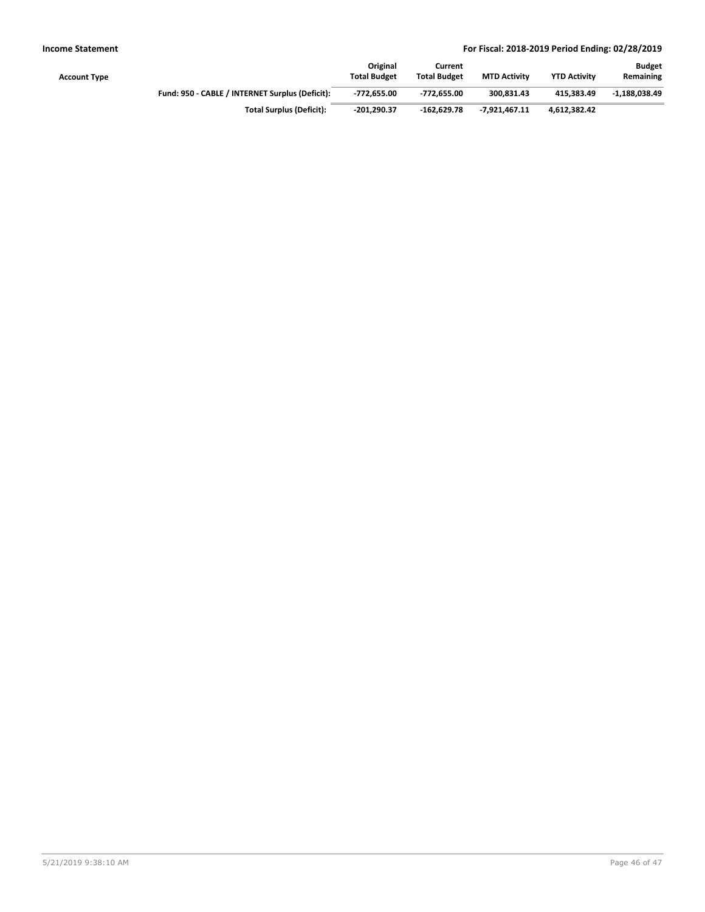| Account Type |                                                 | Original<br><b>Total Budget</b> | Current<br><b>Total Budget</b> | <b>MTD Activity</b> | <b>YTD Activity</b> | <b>Budget</b><br>Remaining |
|--------------|-------------------------------------------------|---------------------------------|--------------------------------|---------------------|---------------------|----------------------------|
|              | Fund: 950 - CABLE / INTERNET Surplus (Deficit): | -772.655.00                     | -772.655.00                    | 300.831.43          | 415.383.49          | $-1.188.038.49$            |
|              | <b>Total Surplus (Deficit):</b>                 | $-201.290.37$                   | $-162.629.78$                  | $-7.921.467.11$     | 4.612.382.42        |                            |